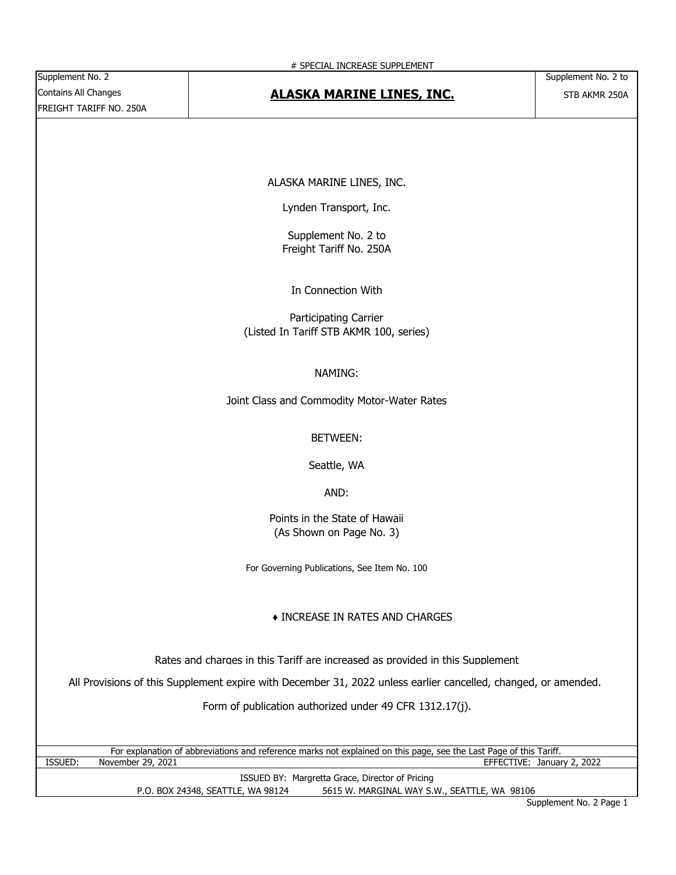## Contains All Changes **STB AND AT ALASKA MARINE LINES, INC.** STB AKMR 250A

ALASKA MARINE LINES, INC.

Lynden Transport, Inc.

Supplement No. 2 to Freight Tariff No. 250A

In Connection With

Participating Carrier (Listed In Tariff STB AKMR 100, series)

NAMING:

Joint Class and Commodity Motor-Water Rates

#### BETWEEN:

Seattle, WA

#### AND:

Points in the State of Hawaii (As Shown on Page No. 3)

For Governing Publications, See Item No. 100

#### ♦ INCREASE IN RATES AND CHARGES

Rates and charges in this Tariff are increased as provided in this Supplement

All Provisions of this Supplement expire with December 31, 2022 unless earlier cancelled, changed, or amended.

Form of publication authorized under 49 CFR 1312.17(j).

ISSUED: November 29, 2021 For explanation of abbreviations and reference marks not explained on this page, see the Last Page of this Tariff. EFFECTIVE: January 2, 2022

P.O. BOX 24348, SEATTLE, WA 98124 5615 W. MARGINAL WAY S.W., SEATTLE, WA 98106 ISSUED BY: Margretta Grace, Director of Pricing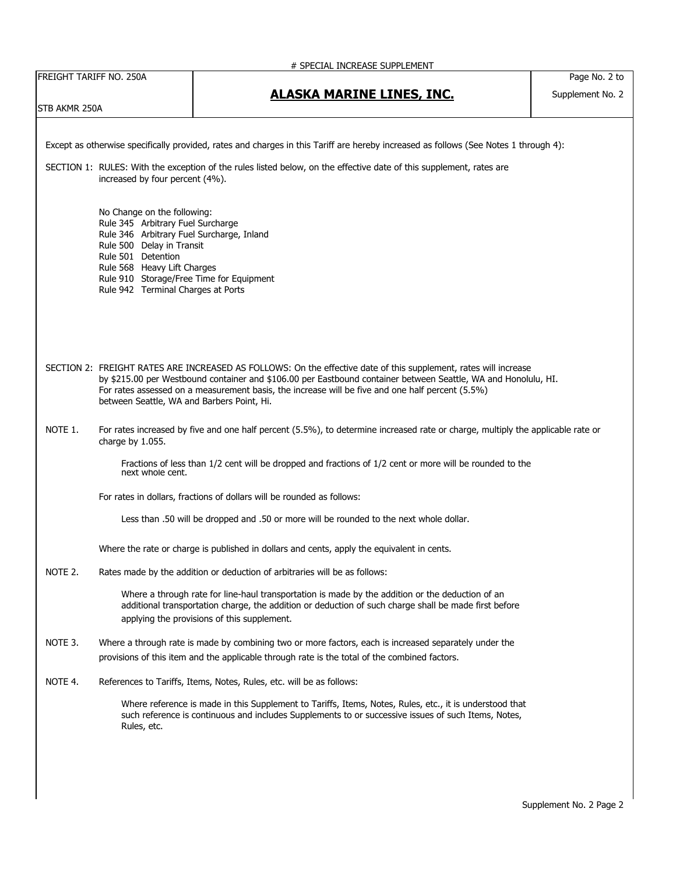|                                                                                                                                                                |                                                                         | # SPECIAL INCREASE SUPPLEMENT                                                                                                                                                                                  |                  |  |
|----------------------------------------------------------------------------------------------------------------------------------------------------------------|-------------------------------------------------------------------------|----------------------------------------------------------------------------------------------------------------------------------------------------------------------------------------------------------------|------------------|--|
| FREIGHT TARIFF NO. 250A                                                                                                                                        |                                                                         |                                                                                                                                                                                                                | Page No. 2 to    |  |
|                                                                                                                                                                |                                                                         | <b>ALASKA MARINE LINES, INC.</b>                                                                                                                                                                               | Supplement No. 2 |  |
| STB AKMR 250A                                                                                                                                                  |                                                                         |                                                                                                                                                                                                                |                  |  |
|                                                                                                                                                                |                                                                         |                                                                                                                                                                                                                |                  |  |
|                                                                                                                                                                |                                                                         |                                                                                                                                                                                                                |                  |  |
|                                                                                                                                                                |                                                                         | Except as otherwise specifically provided, rates and charges in this Tariff are hereby increased as follows (See Notes 1 through 4):                                                                           |                  |  |
|                                                                                                                                                                |                                                                         |                                                                                                                                                                                                                |                  |  |
|                                                                                                                                                                |                                                                         | SECTION 1: RULES: With the exception of the rules listed below, on the effective date of this supplement, rates are                                                                                            |                  |  |
|                                                                                                                                                                | increased by four percent (4%).                                         |                                                                                                                                                                                                                |                  |  |
|                                                                                                                                                                |                                                                         |                                                                                                                                                                                                                |                  |  |
|                                                                                                                                                                | No Change on the following:                                             |                                                                                                                                                                                                                |                  |  |
|                                                                                                                                                                | Rule 345 Arbitrary Fuel Surcharge                                       |                                                                                                                                                                                                                |                  |  |
|                                                                                                                                                                | Rule 346 Arbitrary Fuel Surcharge, Inland                               |                                                                                                                                                                                                                |                  |  |
|                                                                                                                                                                | Rule 500 Delay in Transit                                               |                                                                                                                                                                                                                |                  |  |
|                                                                                                                                                                | Rule 501 Detention                                                      |                                                                                                                                                                                                                |                  |  |
|                                                                                                                                                                | Rule 568 Heavy Lift Charges<br>Rule 910 Storage/Free Time for Equipment |                                                                                                                                                                                                                |                  |  |
|                                                                                                                                                                | Rule 942 Terminal Charges at Ports                                      |                                                                                                                                                                                                                |                  |  |
|                                                                                                                                                                |                                                                         |                                                                                                                                                                                                                |                  |  |
|                                                                                                                                                                |                                                                         |                                                                                                                                                                                                                |                  |  |
|                                                                                                                                                                |                                                                         |                                                                                                                                                                                                                |                  |  |
|                                                                                                                                                                |                                                                         |                                                                                                                                                                                                                |                  |  |
|                                                                                                                                                                |                                                                         |                                                                                                                                                                                                                |                  |  |
|                                                                                                                                                                |                                                                         | SECTION 2: FREIGHT RATES ARE INCREASED AS FOLLOWS: On the effective date of this supplement, rates will increase                                                                                               |                  |  |
| by \$215.00 per Westbound container and \$106.00 per Eastbound container between Seattle, WA and Honolulu, HI.                                                 |                                                                         |                                                                                                                                                                                                                |                  |  |
|                                                                                                                                                                |                                                                         | For rates assessed on a measurement basis, the increase will be five and one half percent (5.5%)                                                                                                               |                  |  |
|                                                                                                                                                                | between Seattle, WA and Barbers Point, Hi.                              |                                                                                                                                                                                                                |                  |  |
|                                                                                                                                                                |                                                                         |                                                                                                                                                                                                                |                  |  |
| NOTE 1.<br>For rates increased by five and one half percent (5.5%), to determine increased rate or charge, multiply the applicable rate or<br>charge by 1.055. |                                                                         |                                                                                                                                                                                                                |                  |  |
|                                                                                                                                                                |                                                                         |                                                                                                                                                                                                                |                  |  |
|                                                                                                                                                                |                                                                         | Fractions of less than 1/2 cent will be dropped and fractions of 1/2 cent or more will be rounded to the                                                                                                       |                  |  |
|                                                                                                                                                                | next whole cent.                                                        |                                                                                                                                                                                                                |                  |  |
|                                                                                                                                                                |                                                                         | For rates in dollars, fractions of dollars will be rounded as follows:                                                                                                                                         |                  |  |
|                                                                                                                                                                |                                                                         |                                                                                                                                                                                                                |                  |  |
|                                                                                                                                                                |                                                                         | Less than .50 will be dropped and .50 or more will be rounded to the next whole dollar.                                                                                                                        |                  |  |
|                                                                                                                                                                |                                                                         |                                                                                                                                                                                                                |                  |  |
|                                                                                                                                                                |                                                                         | Where the rate or charge is published in dollars and cents, apply the equivalent in cents.                                                                                                                     |                  |  |
|                                                                                                                                                                |                                                                         |                                                                                                                                                                                                                |                  |  |
| NOTE 2.                                                                                                                                                        |                                                                         | Rates made by the addition or deduction of arbitraries will be as follows:                                                                                                                                     |                  |  |
|                                                                                                                                                                |                                                                         |                                                                                                                                                                                                                |                  |  |
|                                                                                                                                                                |                                                                         | Where a through rate for line-haul transportation is made by the addition or the deduction of an<br>additional transportation charge, the addition or deduction of such charge shall be made first before      |                  |  |
|                                                                                                                                                                |                                                                         | applying the provisions of this supplement.                                                                                                                                                                    |                  |  |
|                                                                                                                                                                |                                                                         |                                                                                                                                                                                                                |                  |  |
| NOTE 3.                                                                                                                                                        |                                                                         | Where a through rate is made by combining two or more factors, each is increased separately under the                                                                                                          |                  |  |
|                                                                                                                                                                |                                                                         | provisions of this item and the applicable through rate is the total of the combined factors.                                                                                                                  |                  |  |
|                                                                                                                                                                |                                                                         |                                                                                                                                                                                                                |                  |  |
| NOTE 4.                                                                                                                                                        |                                                                         | References to Tariffs, Items, Notes, Rules, etc. will be as follows:                                                                                                                                           |                  |  |
|                                                                                                                                                                |                                                                         |                                                                                                                                                                                                                |                  |  |
|                                                                                                                                                                |                                                                         | Where reference is made in this Supplement to Tariffs, Items, Notes, Rules, etc., it is understood that<br>such reference is continuous and includes Supplements to or successive issues of such Items, Notes, |                  |  |
|                                                                                                                                                                | Rules, etc.                                                             |                                                                                                                                                                                                                |                  |  |
|                                                                                                                                                                |                                                                         |                                                                                                                                                                                                                |                  |  |
|                                                                                                                                                                |                                                                         |                                                                                                                                                                                                                |                  |  |
|                                                                                                                                                                |                                                                         |                                                                                                                                                                                                                |                  |  |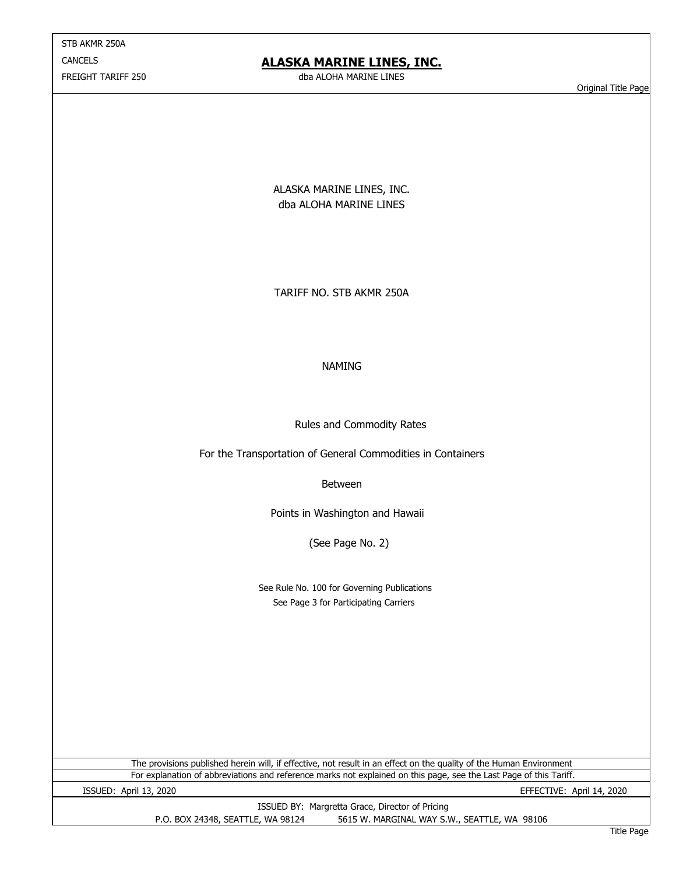STB AKMR 250A **CANCELS** FREIGHT TARIFF 250

## **ALASKA MARINE LINES, INC.**

dba ALOHA MARINE LINES

Original Title Page

ALASKA MARINE LINES, INC. dba ALOHA MARINE LINES

TARIFF NO. STB AKMR 250A

#### NAMING

Rules and Commodity Rates

For the Transportation of General Commodities in Containers

Between

Points in Washington and Hawaii

(See Page No. 2)

 See Page 3 for Participating Carriers See Rule No. 100 for Governing Publications

For explanation of abbreviations and reference marks not explained on this page, see the Last Page of this Tariff. The provisions published herein will, if effective, not result in an effect on the quality of the Human Environment

ISSUED: April 13, 2020 EFFECTIVE: April 14, 2020

P.O. BOX 24348, SEATTLE, WA 98124 5615 W. MARGINAL WAY S.W., SEATTLE, WA 98106 ISSUED BY: Margretta Grace, Director of Pricing

Title Page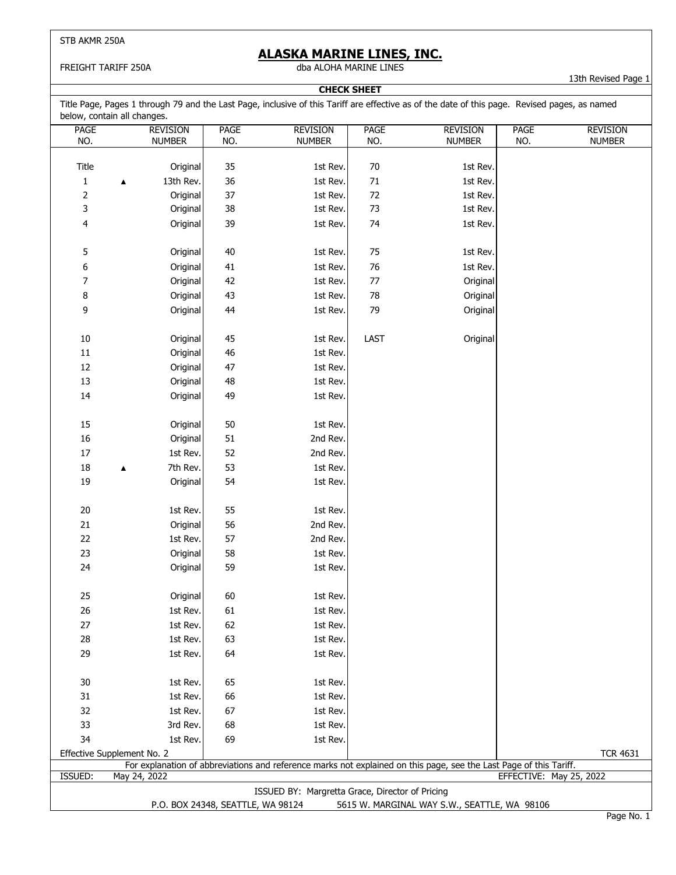FREIGHT TARIFF 250A

### **ALASKA MARINE LINES, INC.**

dba ALOHA MARINE LINES

**CHECK SHEET**

13th Revised Page 1

Title Page, Pages 1 through 79 and the Last Page, inclusive of this Tariff are effective as of the date of this page. Revised pages, as named below, contain all changes.

| DEIUW, CUTILANT AN CHANGES.<br><b>PAGE</b>                                        |                  | <b>REVISION</b> | <b>PAGE</b> | <b>REVISION</b>                                 | PAGE       | <b>REVISION</b>                                                                                                    | <b>PAGE</b>             | <b>REVISION</b> |
|-----------------------------------------------------------------------------------|------------------|-----------------|-------------|-------------------------------------------------|------------|--------------------------------------------------------------------------------------------------------------------|-------------------------|-----------------|
| NO.                                                                               |                  | <b>NUMBER</b>   | NO.         | <b>NUMBER</b>                                   | NO.        | <b>NUMBER</b>                                                                                                      | NO.                     | <b>NUMBER</b>   |
|                                                                                   |                  |                 |             |                                                 |            |                                                                                                                    |                         |                 |
| Title                                                                             |                  | Original        | 35          | 1st Rev.                                        | $70\,$     | 1st Rev.                                                                                                           |                         |                 |
| $\mathbf{1}$                                                                      | ▲                | 13th Rev.       | 36          | 1st Rev.                                        | $71\,$     | 1st Rev.                                                                                                           |                         |                 |
| $\overline{\mathbf{c}}$                                                           |                  | Original        | 37          | 1st Rev.                                        | $72\,$     | 1st Rev.                                                                                                           |                         |                 |
| 3                                                                                 |                  | Original        | 38          | 1st Rev.                                        | 73         | 1st Rev.                                                                                                           |                         |                 |
| 4                                                                                 |                  | Original        | 39          | 1st Rev.                                        | 74         | 1st Rev.                                                                                                           |                         |                 |
|                                                                                   |                  |                 |             |                                                 |            |                                                                                                                    |                         |                 |
| 5                                                                                 |                  | Original        | 40          | 1st Rev.                                        | 75         | 1st Rev.                                                                                                           |                         |                 |
| 6                                                                                 |                  | Original        | 41          | 1st Rev.                                        | 76         | 1st Rev.                                                                                                           |                         |                 |
| 7                                                                                 |                  | Original        | 42          | 1st Rev.                                        | $77$       | Original                                                                                                           |                         |                 |
| 8                                                                                 |                  | Original        | 43          | 1st Rev.                                        | ${\bf 78}$ | Original                                                                                                           |                         |                 |
| 9                                                                                 |                  | Original        | 44          | 1st Rev.                                        | 79         | Original                                                                                                           |                         |                 |
|                                                                                   |                  |                 |             |                                                 |            |                                                                                                                    |                         |                 |
| $10\,$                                                                            |                  | Original        | 45          | 1st Rev.                                        | LAST       | Original                                                                                                           |                         |                 |
| $11\,$                                                                            |                  | Original        | 46          | 1st Rev.                                        |            |                                                                                                                    |                         |                 |
| 12                                                                                |                  | Original        | 47          | 1st Rev.                                        |            |                                                                                                                    |                         |                 |
| 13                                                                                |                  | Original        | 48          | 1st Rev.                                        |            |                                                                                                                    |                         |                 |
| 14                                                                                |                  | Original        | 49          | 1st Rev.                                        |            |                                                                                                                    |                         |                 |
|                                                                                   |                  |                 |             |                                                 |            |                                                                                                                    |                         |                 |
| 15                                                                                |                  | Original        | 50          | 1st Rev.                                        |            |                                                                                                                    |                         |                 |
| 16                                                                                |                  | Original        | 51          | 2nd Rev.                                        |            |                                                                                                                    |                         |                 |
| $17\,$                                                                            |                  | 1st Rev.        | 52          | 2nd Rev.                                        |            |                                                                                                                    |                         |                 |
| 18                                                                                | $\blacktriangle$ | 7th Rev.        | 53          | 1st Rev.                                        |            |                                                                                                                    |                         |                 |
| $19\,$                                                                            |                  | Original        | 54          | 1st Rev.                                        |            |                                                                                                                    |                         |                 |
|                                                                                   |                  |                 |             |                                                 |            |                                                                                                                    |                         |                 |
| $20\,$                                                                            |                  | 1st Rev.        | 55          | 1st Rev.                                        |            |                                                                                                                    |                         |                 |
| $21\,$                                                                            |                  | Original        | 56          | 2nd Rev.                                        |            |                                                                                                                    |                         |                 |
| 22                                                                                |                  | 1st Rev.        | 57          | 2nd Rev.                                        |            |                                                                                                                    |                         |                 |
| 23                                                                                |                  | Original        | 58          | 1st Rev.                                        |            |                                                                                                                    |                         |                 |
| 24                                                                                |                  | Original        | 59          | 1st Rev.                                        |            |                                                                                                                    |                         |                 |
|                                                                                   |                  |                 |             |                                                 |            |                                                                                                                    |                         |                 |
| 25                                                                                |                  | Original        | 60          | 1st Rev.                                        |            |                                                                                                                    |                         |                 |
| 26                                                                                |                  | 1st Rev.        | 61          | 1st Rev.                                        |            |                                                                                                                    |                         |                 |
| 27                                                                                |                  | 1st Rev.        | 62          | 1st Rev.                                        |            |                                                                                                                    |                         |                 |
| 28                                                                                |                  | 1st Rev.        | 63          | 1st Rev.                                        |            |                                                                                                                    |                         |                 |
| 29                                                                                |                  | 1st Rev.        | 64          | 1st Rev.                                        |            |                                                                                                                    |                         |                 |
|                                                                                   |                  |                 |             |                                                 |            |                                                                                                                    |                         |                 |
| 30                                                                                |                  | 1st Rev.        | 65          | 1st Rev.                                        |            |                                                                                                                    |                         |                 |
| 31                                                                                |                  | 1st Rev.        | 66          | 1st Rev.                                        |            |                                                                                                                    |                         |                 |
| 32                                                                                |                  | 1st Rev.        | 67          | 1st Rev.                                        |            |                                                                                                                    |                         |                 |
| 33                                                                                |                  | 3rd Rev.        | 68          | 1st Rev.                                        |            |                                                                                                                    |                         |                 |
| 34                                                                                |                  | 1st Rev.        | 69          | 1st Rev.                                        |            |                                                                                                                    |                         |                 |
| Effective Supplement No. 2                                                        |                  |                 |             |                                                 |            |                                                                                                                    |                         | <b>TCR 4631</b> |
|                                                                                   |                  |                 |             |                                                 |            | For explanation of abbreviations and reference marks not explained on this page, see the Last Page of this Tariff. |                         |                 |
| ISSUED:                                                                           | May 24, 2022     |                 |             |                                                 |            |                                                                                                                    | EFFECTIVE: May 25, 2022 |                 |
|                                                                                   |                  |                 |             | ISSUED BY: Margretta Grace, Director of Pricing |            |                                                                                                                    |                         |                 |
| P.O. BOX 24348, SEATTLE, WA 98124<br>5615 W. MARGINAL WAY S.W., SEATTLE, WA 98106 |                  |                 |             |                                                 |            |                                                                                                                    |                         |                 |

Page No. 1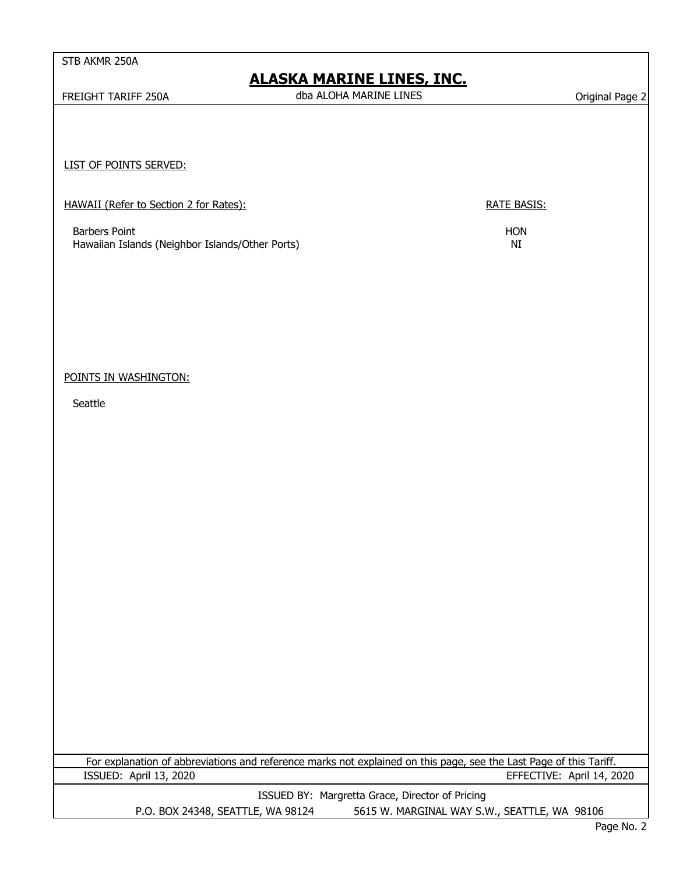# **ALASKA MARINE LINES, INC.**

FREIGHT TARIFF 250A CHARLA CHARLA CHARLA CHARLA MARINE LINES Charles And The Charles Change 2 dba ALOHA MARINE LINES

LIST OF POINTS SERVED:

| HAWAII (Refer to Section 2 for Rates): |
|----------------------------------------|
|----------------------------------------|

RATE BASIS:

Barbers Point<br>
HON Hawaiian Islands (Neighbor Islands/Other Ports) and the state of the MI Hawaiian Islands (Neighbor Islands/Other Ports)

POINTS IN WASHINGTON:

**Seattle** 

For explanation of abbreviations and reference marks not explained on this page, see the Last Page of this Tariff. ISSUED: April 13, 2020 EFFECTIVE: April 14, 2020

P.O. BOX 24348, SEATTLE, WA 98124 5615 W. MARGINAL WAY S.W., SEATTLE, WA 98106 ISSUED BY: Margretta Grace, Director of Pricing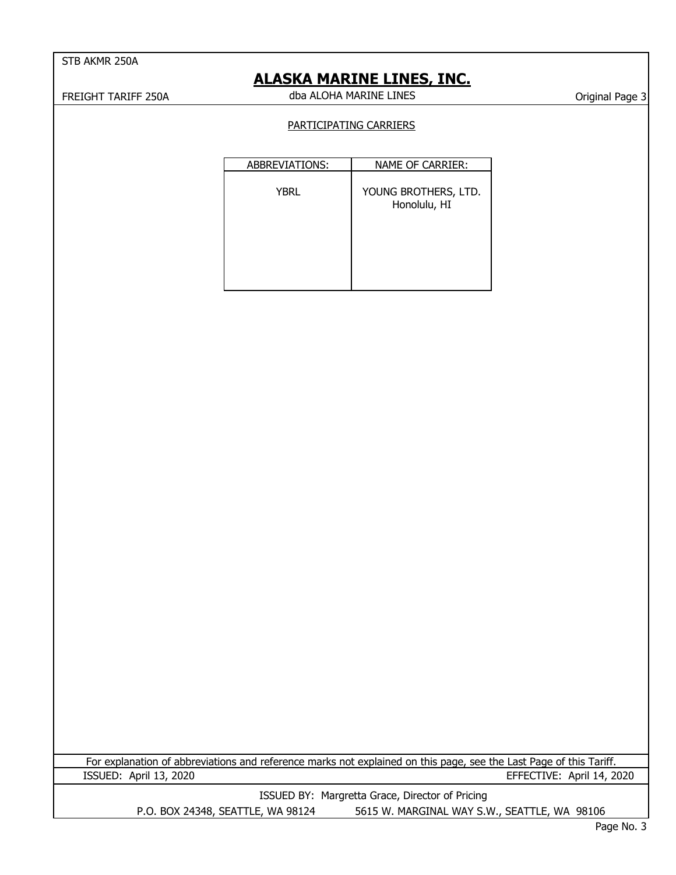## **ALASKA MARINE LINES, INC.**

FREIGHT TARIFF 250A CHARLA CHARLOHA MARINE LINES CHARLOHI TARIFF 250A dba ALOHA MARINE LINES

#### PARTICIPATING CARRIERS

| ABBREVIATIONS: | NAME OF CARRIER:                     |
|----------------|--------------------------------------|
| YBRL           | YOUNG BROTHERS, LTD.<br>Honolulu, HI |
|                |                                      |
|                |                                      |

For explanation of abbreviations and reference marks not explained on this page, see the Last Page of this Tariff. ISSUED: April 13, 2020 EFFECTIVE: April 14, 2020

P.O. BOX 24348, SEATTLE, WA 98124 5615 W. MARGINAL WAY S.W., SEATTLE, WA 98106 ISSUED BY: Margretta Grace, Director of Pricing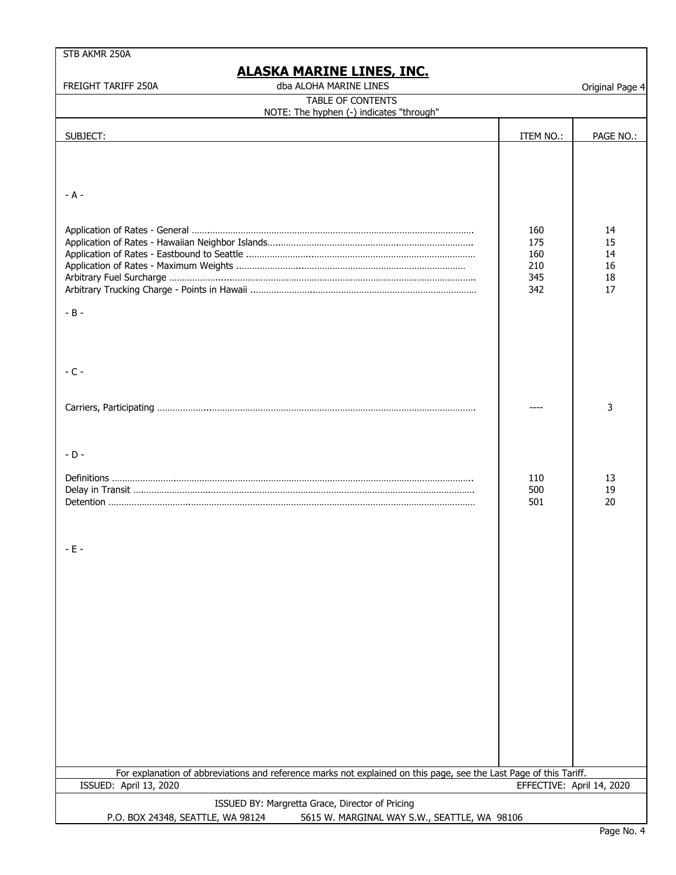## **ALASKA MARINE LINES, INC.**

FREIGHT TARIFF 250A Original Page 4 dba ALOHA MARINE LINES

| <b>TABLE OF CONTENTS</b><br>NOTE: The hyphen (-) indicates "through"                                                                 |                                        |                                  |  |  |
|--------------------------------------------------------------------------------------------------------------------------------------|----------------------------------------|----------------------------------|--|--|
| SUBJECT:                                                                                                                             | ITEM NO.:                              | PAGE NO.:                        |  |  |
|                                                                                                                                      |                                        |                                  |  |  |
| $- A -$                                                                                                                              |                                        |                                  |  |  |
|                                                                                                                                      | 160<br>175<br>160<br>210<br>345<br>342 | 14<br>15<br>14<br>16<br>18<br>17 |  |  |
| $- B -$                                                                                                                              |                                        |                                  |  |  |
| $-C -$                                                                                                                               |                                        |                                  |  |  |
|                                                                                                                                      |                                        | 3                                |  |  |
| $-D -$                                                                                                                               |                                        |                                  |  |  |
|                                                                                                                                      | 110<br>500<br>501                      | 13<br>19<br>20                   |  |  |
| - E -                                                                                                                                |                                        |                                  |  |  |
|                                                                                                                                      |                                        |                                  |  |  |
|                                                                                                                                      |                                        |                                  |  |  |
|                                                                                                                                      |                                        |                                  |  |  |
|                                                                                                                                      |                                        |                                  |  |  |
|                                                                                                                                      |                                        |                                  |  |  |
| For explanation of abbreviations and reference marks not explained on this page, see the Last Page of this Tariff.                   |                                        |                                  |  |  |
| ISSUED: April 13, 2020                                                                                                               | EFFECTIVE: April 14, 2020              |                                  |  |  |
| ISSUED BY: Margretta Grace, Director of Pricing<br>P.O. BOX 24348, SEATTLE, WA 98124<br>5615 W. MARGINAL WAY S.W., SEATTLE, WA 98106 |                                        |                                  |  |  |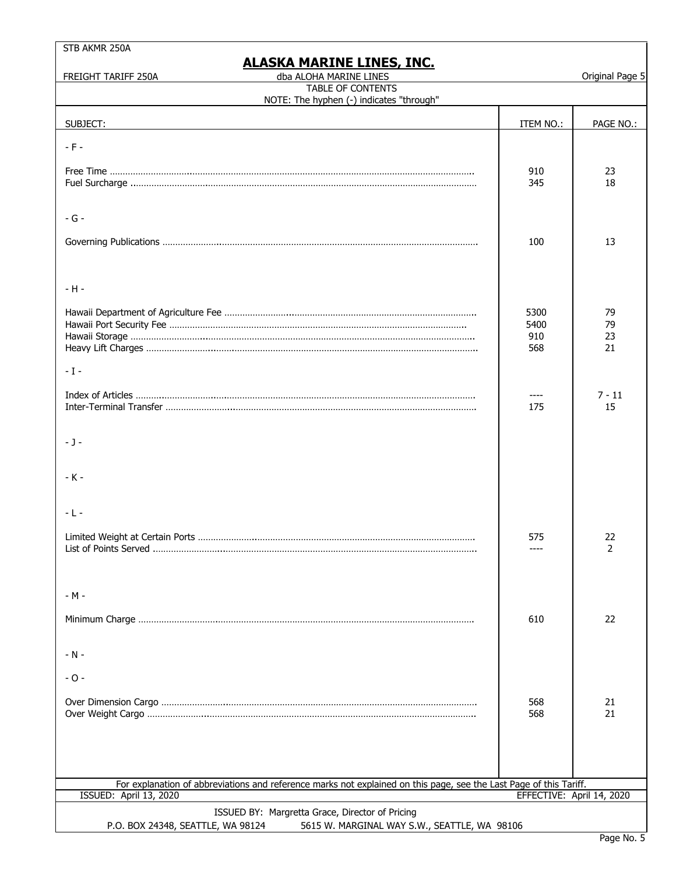| STB AKMR 250A                                                                                                      |                           |                 |
|--------------------------------------------------------------------------------------------------------------------|---------------------------|-----------------|
| <u>ALASKA MARINE LINES, INC.</u><br>dba ALOHA MARINE LINES<br>FREIGHT TARIFF 250A                                  |                           | Original Page 5 |
| TABLE OF CONTENTS<br>NOTE: The hyphen (-) indicates "through"                                                      |                           |                 |
| SUBJECT:                                                                                                           | ITEM NO.:                 | PAGE NO.:       |
|                                                                                                                    |                           |                 |
| $- F -$                                                                                                            |                           |                 |
|                                                                                                                    | 910<br>345                | 23<br>18        |
|                                                                                                                    |                           |                 |
| $-G -$                                                                                                             |                           |                 |
|                                                                                                                    | 100                       | 13              |
|                                                                                                                    |                           |                 |
| $-H -$                                                                                                             |                           |                 |
|                                                                                                                    |                           |                 |
|                                                                                                                    | 5300<br>5400              | 79<br>79        |
|                                                                                                                    | 910                       | 23              |
|                                                                                                                    | 568                       | 21              |
| $-1-$                                                                                                              |                           |                 |
|                                                                                                                    | ----                      | $7 - 11$        |
|                                                                                                                    | 175                       | 15              |
| $-1-$                                                                                                              |                           |                 |
|                                                                                                                    |                           |                 |
| $-K -$                                                                                                             |                           |                 |
|                                                                                                                    |                           |                 |
| $-L -$                                                                                                             |                           |                 |
| Limited Weight at Certain Ports                                                                                    | 575                       | 22              |
|                                                                                                                    |                           | 2               |
|                                                                                                                    |                           |                 |
| $-M -$                                                                                                             |                           |                 |
|                                                                                                                    | 610                       | 22              |
|                                                                                                                    |                           |                 |
| $-N -$                                                                                                             |                           |                 |
| $-0 -$                                                                                                             |                           |                 |
|                                                                                                                    | 568                       | 21              |
|                                                                                                                    | 568                       | 21              |
|                                                                                                                    |                           |                 |
|                                                                                                                    |                           |                 |
| For explanation of abbreviations and reference marks not explained on this page, see the Last Page of this Tariff. |                           |                 |
| <b>ISSUED: April 13, 2020</b>                                                                                      | EFFECTIVE: April 14, 2020 |                 |
| ISSUED BY: Margretta Grace, Director of Pricing                                                                    |                           |                 |
| 5615 W. MARGINAL WAY S.W., SEATTLE, WA 98106<br>P.O. BOX 24348, SEATTLE, WA 98124                                  |                           |                 |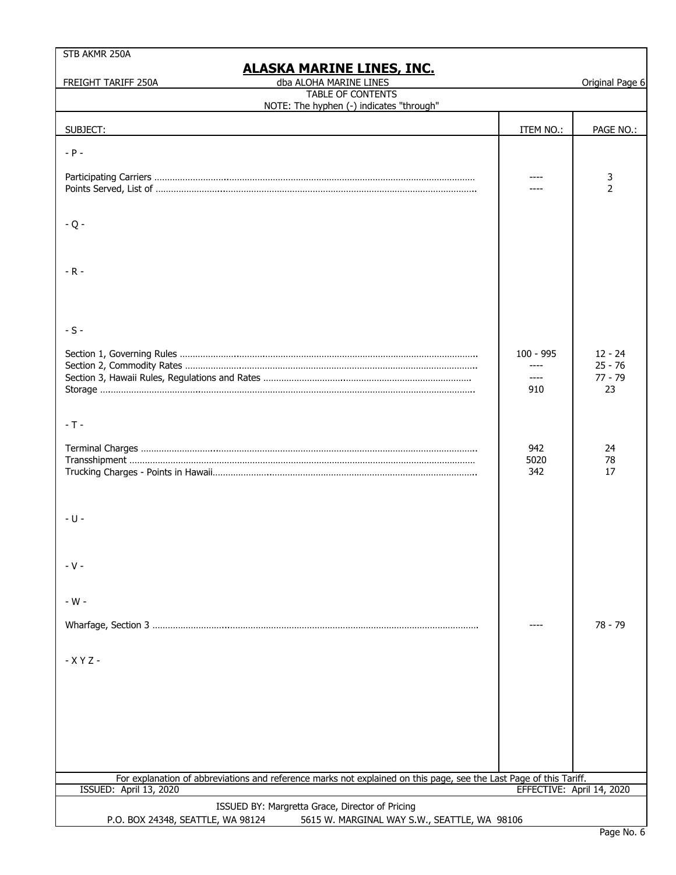| STB AKMR 250A                                                                                                                                |                             |                                           |
|----------------------------------------------------------------------------------------------------------------------------------------------|-----------------------------|-------------------------------------------|
| <u>ALASKA MARINE LINES, INC.</u><br>dba ALOHA MARINE LINES<br>FREIGHT TARIFF 250A                                                            |                             | Original Page 6                           |
| <b>TABLE OF CONTENTS</b><br>NOTE: The hyphen (-) indicates "through"                                                                         |                             |                                           |
| SUBJECT:                                                                                                                                     | ITEM NO.:                   | PAGE NO.:                                 |
| $- P -$                                                                                                                                      |                             |                                           |
|                                                                                                                                              |                             | 3<br>$\mathcal{P}$                        |
| $-Q -$                                                                                                                                       |                             |                                           |
| $-R -$                                                                                                                                       |                             |                                           |
| $-S -$                                                                                                                                       |                             |                                           |
|                                                                                                                                              | $100 - 995$<br>$---$<br>910 | $12 - 24$<br>$25 - 76$<br>$77 - 79$<br>23 |
| $-T -$                                                                                                                                       |                             |                                           |
|                                                                                                                                              | 942<br>5020<br>342          | 24<br>78<br>17                            |
| - U -                                                                                                                                        |                             |                                           |
| $-V -$                                                                                                                                       |                             |                                           |
| - W -                                                                                                                                        |                             | 78 - 79                                   |
| $-XYZ -$                                                                                                                                     |                             |                                           |
|                                                                                                                                              |                             |                                           |
|                                                                                                                                              |                             |                                           |
|                                                                                                                                              |                             |                                           |
| For explanation of abbreviations and reference marks not explained on this page, see the Last Page of this Tariff.<br>ISSUED: April 13, 2020 | EFFECTIVE: April 14, 2020   |                                           |
| ISSUED BY: Margretta Grace, Director of Pricing                                                                                              |                             |                                           |
| 5615 W. MARGINAL WAY S.W., SEATTLE, WA 98106<br>P.O. BOX 24348, SEATTLE, WA 98124                                                            |                             |                                           |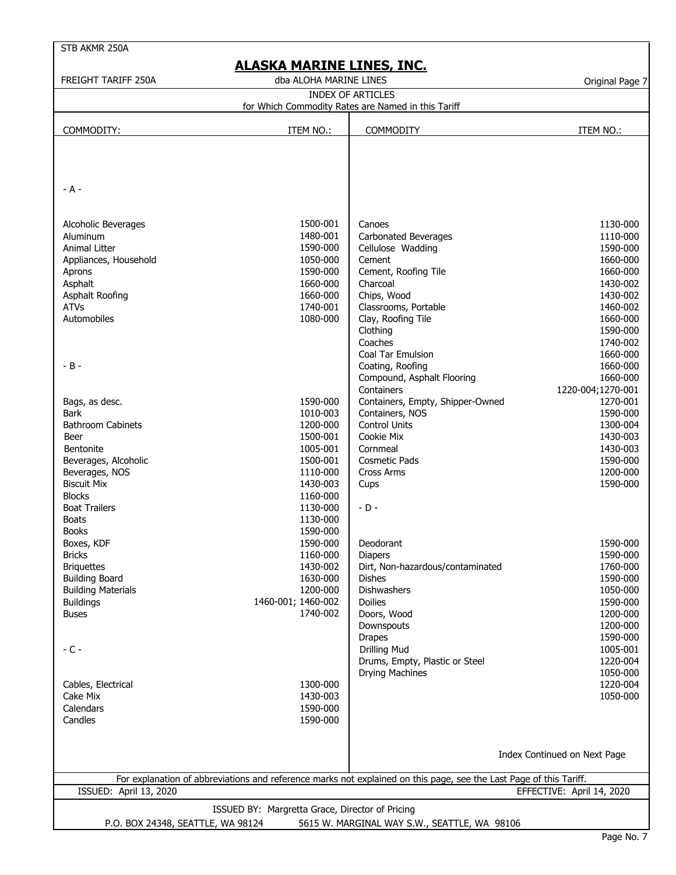| STB AKMR 250A                       |                                                 |                                                                                                                    |                              |
|-------------------------------------|-------------------------------------------------|--------------------------------------------------------------------------------------------------------------------|------------------------------|
|                                     | ALASKA MARINE LINES, INC.                       |                                                                                                                    |                              |
| <b>FREIGHT TARIFF 250A</b>          | dba ALOHA MARINE LINES                          |                                                                                                                    | Original Page 7              |
|                                     |                                                 | <b>INDEX OF ARTICLES</b>                                                                                           |                              |
|                                     |                                                 | for Which Commodity Rates are Named in this Tariff                                                                 |                              |
|                                     |                                                 |                                                                                                                    |                              |
| COMMODITY:                          | ITEM NO.:                                       | <b>COMMODITY</b>                                                                                                   | ITEM NO.:                    |
|                                     |                                                 |                                                                                                                    |                              |
|                                     |                                                 |                                                                                                                    |                              |
|                                     |                                                 |                                                                                                                    |                              |
| $- A -$                             |                                                 |                                                                                                                    |                              |
|                                     |                                                 |                                                                                                                    |                              |
|                                     |                                                 |                                                                                                                    |                              |
| Alcoholic Beverages                 | 1500-001                                        | Canoes                                                                                                             | 1130-000                     |
| Aluminum                            | 1480-001                                        | Carbonated Beverages                                                                                               | 1110-000                     |
| Animal Litter                       | 1590-000                                        | Cellulose Wadding                                                                                                  | 1590-000                     |
| Appliances, Household               | 1050-000                                        | Cement                                                                                                             | 1660-000                     |
| Aprons                              | 1590-000                                        | Cement, Roofing Tile                                                                                               | 1660-000                     |
| Asphalt                             | 1660-000                                        | Charcoal                                                                                                           | 1430-002                     |
| Asphalt Roofing<br><b>ATVs</b>      | 1660-000<br>1740-001                            | Chips, Wood                                                                                                        | 1430-002<br>1460-002         |
| Automobiles                         | 1080-000                                        | Classrooms, Portable<br>Clay, Roofing Tile                                                                         | 1660-000                     |
|                                     |                                                 | Clothing                                                                                                           | 1590-000                     |
|                                     |                                                 | Coaches                                                                                                            | 1740-002                     |
|                                     |                                                 | <b>Coal Tar Emulsion</b>                                                                                           | 1660-000                     |
| $-B -$                              |                                                 | Coating, Roofing                                                                                                   | 1660-000                     |
|                                     |                                                 | Compound, Asphalt Flooring                                                                                         | 1660-000                     |
|                                     |                                                 | Containers                                                                                                         | 1220-004;1270-001            |
| Bags, as desc.                      | 1590-000                                        | Containers, Empty, Shipper-Owned                                                                                   | 1270-001                     |
| <b>Bark</b>                         | 1010-003                                        | Containers, NOS                                                                                                    | 1590-000                     |
| <b>Bathroom Cabinets</b>            | 1200-000                                        | <b>Control Units</b>                                                                                               | 1300-004                     |
| Beer                                | 1500-001                                        | Cookie Mix                                                                                                         | 1430-003                     |
| <b>Bentonite</b>                    | 1005-001                                        | Cornmeal                                                                                                           | 1430-003                     |
| Beverages, Alcoholic                | 1500-001                                        | <b>Cosmetic Pads</b>                                                                                               | 1590-000                     |
| Beverages, NOS                      | 1110-000                                        | <b>Cross Arms</b>                                                                                                  | 1200-000                     |
| <b>Biscuit Mix</b><br><b>Blocks</b> | 1430-003<br>1160-000                            | Cups                                                                                                               | 1590-000                     |
| <b>Boat Trailers</b>                | 1130-000                                        | $-D -$                                                                                                             |                              |
| <b>Boats</b>                        | 1130-000                                        |                                                                                                                    |                              |
| <b>Books</b>                        | 1590-000                                        |                                                                                                                    |                              |
| Boxes, KDF                          | 1590-000                                        | Deodorant                                                                                                          | 1590-000                     |
| <b>Bricks</b>                       | 1160-000                                        | <b>Diapers</b>                                                                                                     | 1590-000                     |
| <b>Briquettes</b>                   | 1430-002                                        | Dirt, Non-hazardous/contaminated                                                                                   | 1760-000                     |
| <b>Building Board</b>               | 1630-000                                        | <b>Dishes</b>                                                                                                      | 1590-000                     |
| <b>Building Materials</b>           | 1200-000                                        | Dishwashers                                                                                                        | 1050-000                     |
| <b>Buildings</b>                    | 1460-001; 1460-002                              | Doilies                                                                                                            | 1590-000                     |
| <b>Buses</b>                        | 1740-002                                        | Doors, Wood                                                                                                        | 1200-000                     |
|                                     |                                                 | Downspouts                                                                                                         | 1200-000                     |
|                                     |                                                 | <b>Drapes</b>                                                                                                      | 1590-000                     |
| $-C -$                              |                                                 | <b>Drilling Mud</b>                                                                                                | 1005-001                     |
|                                     |                                                 | Drums, Empty, Plastic or Steel<br>Drying Machines                                                                  | 1220-004<br>1050-000         |
| Cables, Electrical                  | 1300-000                                        |                                                                                                                    | 1220-004                     |
| Cake Mix                            | 1430-003                                        |                                                                                                                    | 1050-000                     |
| Calendars                           | 1590-000                                        |                                                                                                                    |                              |
| Candles                             | 1590-000                                        |                                                                                                                    |                              |
|                                     |                                                 |                                                                                                                    |                              |
|                                     |                                                 |                                                                                                                    |                              |
|                                     |                                                 |                                                                                                                    | Index Continued on Next Page |
|                                     |                                                 | For explanation of abbreviations and reference marks not explained on this page, see the Last Page of this Tariff. |                              |
| ISSUED: April 13, 2020              |                                                 |                                                                                                                    | EFFECTIVE: April 14, 2020    |
|                                     | ISSUED BY: Margretta Grace, Director of Pricing |                                                                                                                    |                              |
| P.O. BOX 24348, SEATTLE, WA 98124   |                                                 | 5615 W. MARGINAL WAY S.W., SEATTLE, WA 98106                                                                       |                              |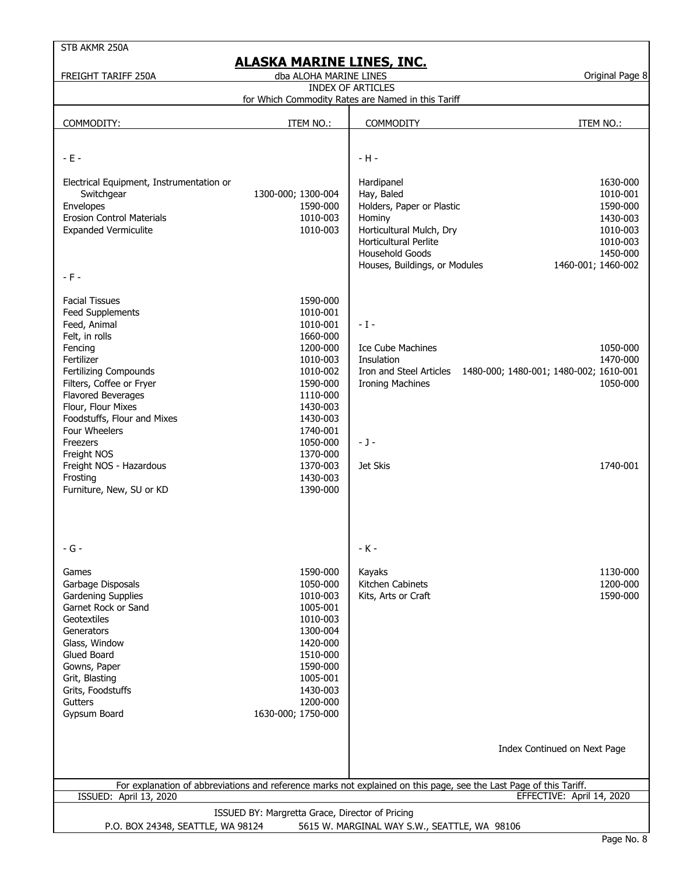| STB AKMR 250A                                                                                                                                                                                                                                                                                                                                                            |                                                                                                                                                                                                          |                                                                                                                                                                                 |                                                                                                        |
|--------------------------------------------------------------------------------------------------------------------------------------------------------------------------------------------------------------------------------------------------------------------------------------------------------------------------------------------------------------------------|----------------------------------------------------------------------------------------------------------------------------------------------------------------------------------------------------------|---------------------------------------------------------------------------------------------------------------------------------------------------------------------------------|--------------------------------------------------------------------------------------------------------|
| FREIGHT TARIFF 250A                                                                                                                                                                                                                                                                                                                                                      | ALASKA MARINE LINES, INC.<br>dba ALOHA MARINE LINES                                                                                                                                                      |                                                                                                                                                                                 | Original Page 8                                                                                        |
|                                                                                                                                                                                                                                                                                                                                                                          |                                                                                                                                                                                                          | <b>INDEX OF ARTICLES</b>                                                                                                                                                        |                                                                                                        |
|                                                                                                                                                                                                                                                                                                                                                                          |                                                                                                                                                                                                          | for Which Commodity Rates are Named in this Tariff                                                                                                                              |                                                                                                        |
| COMMODITY:                                                                                                                                                                                                                                                                                                                                                               | ITEM NO.:                                                                                                                                                                                                | <b>COMMODITY</b>                                                                                                                                                                | ITEM NO.:                                                                                              |
|                                                                                                                                                                                                                                                                                                                                                                          |                                                                                                                                                                                                          |                                                                                                                                                                                 |                                                                                                        |
| $-E -$                                                                                                                                                                                                                                                                                                                                                                   |                                                                                                                                                                                                          | $-H -$                                                                                                                                                                          |                                                                                                        |
| Electrical Equipment, Instrumentation or<br>Switchgear<br>Envelopes<br><b>Erosion Control Materials</b><br><b>Expanded Vermiculite</b><br>$-F -$                                                                                                                                                                                                                         | 1300-000; 1300-004<br>1590-000<br>1010-003<br>1010-003                                                                                                                                                   | Hardipanel<br>Hay, Baled<br>Holders, Paper or Plastic<br>Hominy<br>Horticultural Mulch, Dry<br><b>Horticultural Perlite</b><br>Household Goods<br>Houses, Buildings, or Modules | 1630-000<br>1010-001<br>1590-000<br>1430-003<br>1010-003<br>1010-003<br>1450-000<br>1460-001; 1460-002 |
| <b>Facial Tissues</b><br><b>Feed Supplements</b><br>Feed, Animal<br>Felt, in rolls<br>Fencing<br>Fertilizer<br><b>Fertilizing Compounds</b><br>Filters, Coffee or Fryer<br><b>Flavored Beverages</b><br>Flour, Flour Mixes<br>Foodstuffs, Flour and Mixes<br>Four Wheelers<br>Freezers<br>Freight NOS<br>Freight NOS - Hazardous<br>Frosting<br>Furniture, New, SU or KD | 1590-000<br>1010-001<br>1010-001<br>1660-000<br>1200-000<br>1010-003<br>1010-002<br>1590-000<br>1110-000<br>1430-003<br>1430-003<br>1740-001<br>1050-000<br>1370-000<br>1370-003<br>1430-003<br>1390-000 | $-1-$<br>Ice Cube Machines<br>Insulation<br>Iron and Steel Articles<br><b>Ironing Machines</b><br>$-1-$<br>Jet Skis                                                             | 1050-000<br>1470-000<br>1480-000; 1480-001; 1480-002; 1610-001<br>1050-000<br>1740-001                 |
| $-G -$<br>Games<br>Garbage Disposals<br><b>Gardening Supplies</b><br>Garnet Rock or Sand<br><b>Geotextiles</b><br>Generators<br>Glass, Window<br>Glued Board<br>Gowns, Paper<br>Grit, Blasting<br>Grits, Foodstuffs<br><b>Gutters</b><br>Gypsum Board                                                                                                                    | 1590-000<br>1050-000<br>1010-003<br>1005-001<br>1010-003<br>1300-004<br>1420-000<br>1510-000<br>1590-000<br>1005-001<br>1430-003<br>1200-000<br>1630-000; 1750-000                                       | - K -<br>Kayaks<br>Kitchen Cabinets<br>Kits, Arts or Craft                                                                                                                      | 1130-000<br>1200-000<br>1590-000                                                                       |
|                                                                                                                                                                                                                                                                                                                                                                          |                                                                                                                                                                                                          |                                                                                                                                                                                 | Index Continued on Next Page                                                                           |
|                                                                                                                                                                                                                                                                                                                                                                          |                                                                                                                                                                                                          | For explanation of abbreviations and reference marks not explained on this page, see the Last Page of this Tariff.                                                              |                                                                                                        |
| <b>ISSUED: April 13, 2020</b>                                                                                                                                                                                                                                                                                                                                            |                                                                                                                                                                                                          |                                                                                                                                                                                 | EFFECTIVE: April 14, 2020                                                                              |
| P.O. BOX 24348, SEATTLE, WA 98124                                                                                                                                                                                                                                                                                                                                        | ISSUED BY: Margretta Grace, Director of Pricing                                                                                                                                                          | 5615 W. MARGINAL WAY S.W., SEATTLE, WA 98106                                                                                                                                    |                                                                                                        |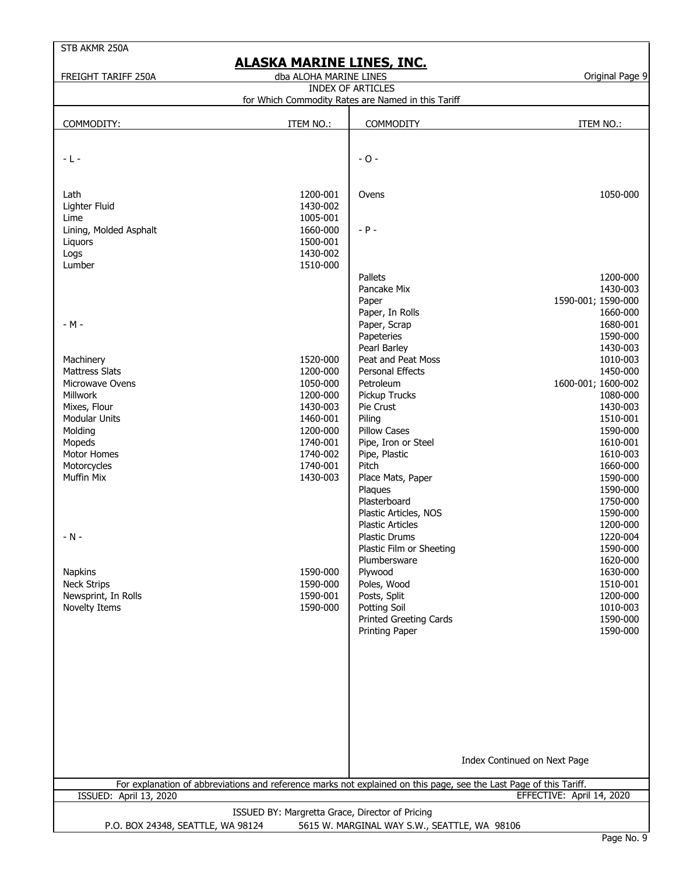| STB AKMR 250A                                                                                                      |                                                 |                                                    |                              |  |  |
|--------------------------------------------------------------------------------------------------------------------|-------------------------------------------------|----------------------------------------------------|------------------------------|--|--|
|                                                                                                                    | <b>ALASKA MARINE LINES, INC.</b>                |                                                    |                              |  |  |
| FREIGHT TARIFF 250A                                                                                                | dba ALOHA MARINE LINES                          | <b>INDEX OF ARTICLES</b>                           | Original Page 9              |  |  |
|                                                                                                                    |                                                 | for Which Commodity Rates are Named in this Tariff |                              |  |  |
|                                                                                                                    |                                                 |                                                    |                              |  |  |
| COMMODITY:                                                                                                         | ITEM NO.:                                       | <b>COMMODITY</b>                                   | ITEM NO.:                    |  |  |
|                                                                                                                    |                                                 |                                                    |                              |  |  |
| $-L -$                                                                                                             |                                                 | $-0-$                                              |                              |  |  |
|                                                                                                                    |                                                 |                                                    |                              |  |  |
| Lath                                                                                                               | 1200-001                                        | Ovens                                              | 1050-000                     |  |  |
| Lighter Fluid                                                                                                      | 1430-002                                        |                                                    |                              |  |  |
| Lime                                                                                                               | 1005-001                                        |                                                    |                              |  |  |
| Lining, Molded Asphalt                                                                                             | 1660-000                                        | $- P -$                                            |                              |  |  |
| Liquors                                                                                                            | 1500-001                                        |                                                    |                              |  |  |
| Logs                                                                                                               | 1430-002                                        |                                                    |                              |  |  |
| Lumber                                                                                                             | 1510-000                                        | Pallets                                            |                              |  |  |
|                                                                                                                    |                                                 | Pancake Mix                                        | 1200-000<br>1430-003         |  |  |
|                                                                                                                    |                                                 | Paper                                              | 1590-001; 1590-000           |  |  |
|                                                                                                                    |                                                 | Paper, In Rolls                                    | 1660-000                     |  |  |
| $-M -$                                                                                                             |                                                 | Paper, Scrap                                       | 1680-001                     |  |  |
|                                                                                                                    |                                                 | Papeteries                                         | 1590-000                     |  |  |
|                                                                                                                    |                                                 | Pearl Barley                                       | 1430-003                     |  |  |
| Machinery                                                                                                          | 1520-000                                        | Peat and Peat Moss                                 | 1010-003                     |  |  |
| <b>Mattress Slats</b>                                                                                              | 1200-000                                        | <b>Personal Effects</b>                            | 1450-000                     |  |  |
| Microwave Ovens                                                                                                    | 1050-000                                        | Petroleum                                          | 1600-001; 1600-002           |  |  |
| Millwork                                                                                                           | 1200-000                                        | Pickup Trucks                                      | 1080-000                     |  |  |
| Mixes, Flour                                                                                                       | 1430-003                                        | Pie Crust                                          | 1430-003                     |  |  |
| <b>Modular Units</b>                                                                                               | 1460-001                                        | Piling                                             | 1510-001                     |  |  |
| Molding                                                                                                            | 1200-000                                        | <b>Pillow Cases</b>                                | 1590-000                     |  |  |
| Mopeds<br>Motor Homes                                                                                              | 1740-001<br>1740-002                            | Pipe, Iron or Steel<br>Pipe, Plastic               | 1610-001<br>1610-003         |  |  |
| Motorcycles                                                                                                        | 1740-001                                        | Pitch                                              | 1660-000                     |  |  |
| Muffin Mix                                                                                                         | 1430-003                                        | Place Mats, Paper                                  | 1590-000                     |  |  |
|                                                                                                                    |                                                 | Plaques                                            | 1590-000                     |  |  |
|                                                                                                                    |                                                 | Plasterboard                                       | 1750-000                     |  |  |
|                                                                                                                    |                                                 | Plastic Articles, NOS                              | 1590-000                     |  |  |
|                                                                                                                    |                                                 | <b>Plastic Articles</b>                            | 1200-000                     |  |  |
| $-N -$                                                                                                             |                                                 | Plastic Drums                                      | 1220-004                     |  |  |
|                                                                                                                    |                                                 | Plastic Film or Sheeting                           | 1590-000                     |  |  |
|                                                                                                                    |                                                 | Plumbersware                                       | 1620-000                     |  |  |
| <b>Napkins</b>                                                                                                     | 1590-000                                        | Plywood                                            | 1630-000<br>1510-001         |  |  |
| <b>Neck Strips</b><br>Newsprint, In Rolls                                                                          | 1590-000<br>1590-001                            | Poles, Wood<br>Posts, Split                        | 1200-000                     |  |  |
| Novelty Items                                                                                                      | 1590-000                                        | Potting Soil                                       | 1010-003                     |  |  |
|                                                                                                                    |                                                 | <b>Printed Greeting Cards</b>                      | 1590-000                     |  |  |
|                                                                                                                    |                                                 | Printing Paper                                     | 1590-000                     |  |  |
|                                                                                                                    |                                                 |                                                    |                              |  |  |
|                                                                                                                    |                                                 |                                                    |                              |  |  |
|                                                                                                                    |                                                 |                                                    |                              |  |  |
|                                                                                                                    |                                                 |                                                    |                              |  |  |
|                                                                                                                    |                                                 |                                                    |                              |  |  |
|                                                                                                                    |                                                 |                                                    |                              |  |  |
|                                                                                                                    |                                                 |                                                    |                              |  |  |
|                                                                                                                    |                                                 |                                                    |                              |  |  |
|                                                                                                                    |                                                 |                                                    |                              |  |  |
|                                                                                                                    |                                                 |                                                    | Index Continued on Next Page |  |  |
| For explanation of abbreviations and reference marks not explained on this page, see the Last Page of this Tariff. |                                                 |                                                    |                              |  |  |
| <b>ISSUED: April 13, 2020</b>                                                                                      |                                                 |                                                    | EFFECTIVE: April 14, 2020    |  |  |
|                                                                                                                    | ISSUED BY: Margretta Grace, Director of Pricing |                                                    |                              |  |  |
| P.O. BOX 24348, SEATTLE, WA 98124<br>5615 W. MARGINAL WAY S.W., SEATTLE, WA 98106                                  |                                                 |                                                    |                              |  |  |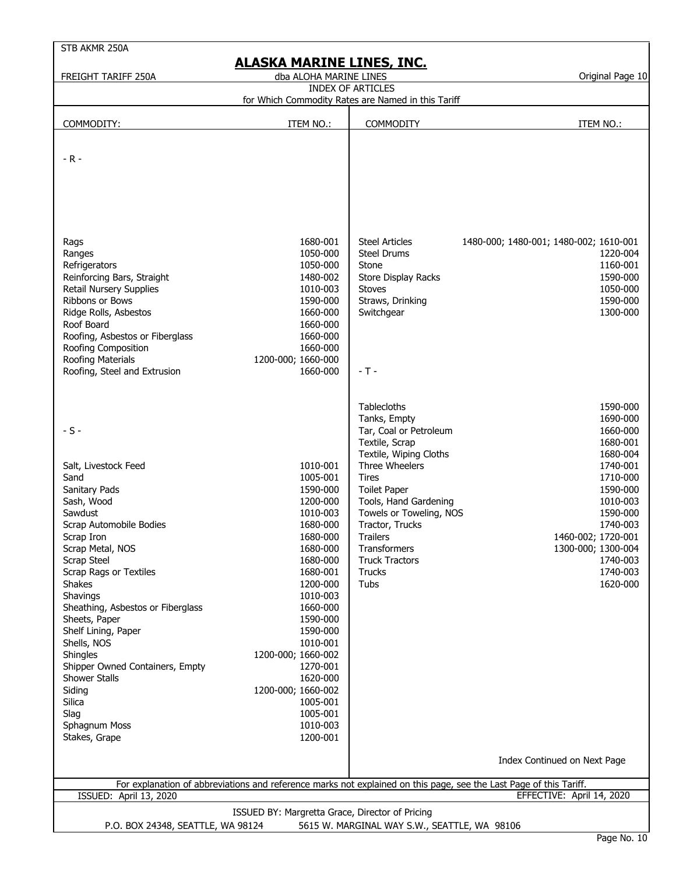| FREIGHT TARIFF 250A                                                                                                                                                                                                                                                                                                                                                                                                                                  | dba ALOHA MARINE LINES                                                                                                                                                                                                                                                                                           | ALASKA MARINE LINES, INC.                                                                                                                                                                                                                                                                                | Original Page 10                                                                                                                                                                                                 |
|------------------------------------------------------------------------------------------------------------------------------------------------------------------------------------------------------------------------------------------------------------------------------------------------------------------------------------------------------------------------------------------------------------------------------------------------------|------------------------------------------------------------------------------------------------------------------------------------------------------------------------------------------------------------------------------------------------------------------------------------------------------------------|----------------------------------------------------------------------------------------------------------------------------------------------------------------------------------------------------------------------------------------------------------------------------------------------------------|------------------------------------------------------------------------------------------------------------------------------------------------------------------------------------------------------------------|
|                                                                                                                                                                                                                                                                                                                                                                                                                                                      |                                                                                                                                                                                                                                                                                                                  | <b>INDEX OF ARTICLES</b>                                                                                                                                                                                                                                                                                 |                                                                                                                                                                                                                  |
|                                                                                                                                                                                                                                                                                                                                                                                                                                                      |                                                                                                                                                                                                                                                                                                                  | for Which Commodity Rates are Named in this Tariff                                                                                                                                                                                                                                                       |                                                                                                                                                                                                                  |
| COMMODITY:                                                                                                                                                                                                                                                                                                                                                                                                                                           | ITEM NO.:                                                                                                                                                                                                                                                                                                        | <b>COMMODITY</b>                                                                                                                                                                                                                                                                                         | ITEM NO.:                                                                                                                                                                                                        |
|                                                                                                                                                                                                                                                                                                                                                                                                                                                      |                                                                                                                                                                                                                                                                                                                  |                                                                                                                                                                                                                                                                                                          |                                                                                                                                                                                                                  |
| $-R -$                                                                                                                                                                                                                                                                                                                                                                                                                                               |                                                                                                                                                                                                                                                                                                                  |                                                                                                                                                                                                                                                                                                          |                                                                                                                                                                                                                  |
| Rags<br>Ranges<br>Refrigerators<br>Reinforcing Bars, Straight<br>Retail Nursery Supplies<br>Ribbons or Bows<br>Ridge Rolls, Asbestos<br>Roof Board<br>Roofing, Asbestos or Fiberglass<br>Roofing Composition<br>Roofing Materials<br>Roofing, Steel and Extrusion                                                                                                                                                                                    | 1680-001<br>1050-000<br>1050-000<br>1480-002<br>1010-003<br>1590-000<br>1660-000<br>1660-000<br>1660-000<br>1660-000<br>1200-000; 1660-000<br>1660-000                                                                                                                                                           | <b>Steel Articles</b><br><b>Steel Drums</b><br>Stone<br>Store Display Racks<br><b>Stoves</b><br>Straws, Drinking<br>Switchgear<br>$-T -$                                                                                                                                                                 | 1480-000; 1480-001; 1480-002; 1610-001<br>1220-004<br>1160-001<br>1590-000<br>1050-000<br>1590-000<br>1300-000                                                                                                   |
| $-S -$<br>Salt, Livestock Feed<br>Sand<br>Sanitary Pads<br>Sash, Wood<br>Sawdust<br>Scrap Automobile Bodies<br>Scrap Iron<br>Scrap Metal, NOS<br>Scrap Steel<br><b>Scrap Rags or Textiles</b><br><b>Shakes</b><br>Shavings<br>Sheathing, Asbestos or Fiberglass<br>Sheets, Paper<br>Shelf Lining, Paper<br>Shells, NOS<br>Shingles<br>Shipper Owned Containers, Empty<br>Shower Stalls<br>Siding<br>Silica<br>Slag<br>Sphagnum Moss<br>Stakes, Grape | 1010-001<br>1005-001<br>1590-000<br>1200-000<br>1010-003<br>1680-000<br>1680-000<br>1680-000<br>1680-000<br>1680-001<br>1200-000<br>1010-003<br>1660-000<br>1590-000<br>1590-000<br>1010-001<br>1200-000; 1660-002<br>1270-001<br>1620-000<br>1200-000; 1660-002<br>1005-001<br>1005-001<br>1010-003<br>1200-001 | Tablecloths<br>Tanks, Empty<br>Tar, Coal or Petroleum<br>Textile, Scrap<br>Textile, Wiping Cloths<br>Three Wheelers<br>Tires<br><b>Toilet Paper</b><br>Tools, Hand Gardening<br>Towels or Toweling, NOS<br>Tractor, Trucks<br>Trailers<br>Transformers<br><b>Truck Tractors</b><br>Trucks<br><b>Tubs</b> | 1590-000<br>1690-000<br>1660-000<br>1680-001<br>1680-004<br>1740-001<br>1710-000<br>1590-000<br>1010-003<br>1590-000<br>1740-003<br>1460-002; 1720-001<br>1300-000; 1300-004<br>1740-003<br>1740-003<br>1620-000 |
|                                                                                                                                                                                                                                                                                                                                                                                                                                                      |                                                                                                                                                                                                                                                                                                                  |                                                                                                                                                                                                                                                                                                          | Index Continued on Next Page                                                                                                                                                                                     |
|                                                                                                                                                                                                                                                                                                                                                                                                                                                      |                                                                                                                                                                                                                                                                                                                  |                                                                                                                                                                                                                                                                                                          | For explanation of abbreviations and reference marks not explained on this page, see the Last Page of this Tariff.                                                                                               |
| <b>ISSUED: April 13, 2020</b>                                                                                                                                                                                                                                                                                                                                                                                                                        |                                                                                                                                                                                                                                                                                                                  |                                                                                                                                                                                                                                                                                                          | EFFECTIVE: April 14, 2020                                                                                                                                                                                        |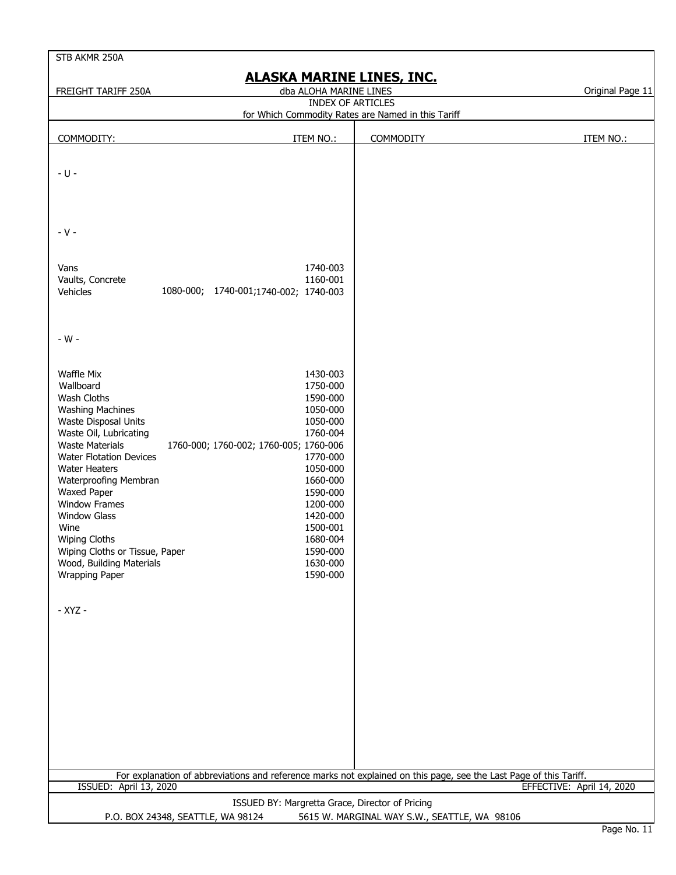| STB AKMR 250A                                                                                                                                                                                                                                                                                                                                                                                                                                                          |                                                                                                                                                                                                          |                                                                                                                    |                           |  |  |
|------------------------------------------------------------------------------------------------------------------------------------------------------------------------------------------------------------------------------------------------------------------------------------------------------------------------------------------------------------------------------------------------------------------------------------------------------------------------|----------------------------------------------------------------------------------------------------------------------------------------------------------------------------------------------------------|--------------------------------------------------------------------------------------------------------------------|---------------------------|--|--|
| FREIGHT TARIFF 250A                                                                                                                                                                                                                                                                                                                                                                                                                                                    | <u>ALASKA MARINE LINES, INC.</u><br>dba ALOHA MARINE LINES                                                                                                                                               |                                                                                                                    |                           |  |  |
|                                                                                                                                                                                                                                                                                                                                                                                                                                                                        | <b>INDEX OF ARTICLES</b>                                                                                                                                                                                 |                                                                                                                    | Original Page 11          |  |  |
|                                                                                                                                                                                                                                                                                                                                                                                                                                                                        |                                                                                                                                                                                                          | for Which Commodity Rates are Named in this Tariff                                                                 |                           |  |  |
| COMMODITY:                                                                                                                                                                                                                                                                                                                                                                                                                                                             | ITEM NO.:                                                                                                                                                                                                | COMMODITY                                                                                                          | ITEM NO.:                 |  |  |
| - U -                                                                                                                                                                                                                                                                                                                                                                                                                                                                  |                                                                                                                                                                                                          |                                                                                                                    |                           |  |  |
| $-V -$                                                                                                                                                                                                                                                                                                                                                                                                                                                                 |                                                                                                                                                                                                          |                                                                                                                    |                           |  |  |
| Vans<br>Vaults, Concrete<br>1080-000; 1740-001;1740-002; 1740-003<br>Vehicles                                                                                                                                                                                                                                                                                                                                                                                          | 1740-003<br>1160-001                                                                                                                                                                                     |                                                                                                                    |                           |  |  |
| - W -                                                                                                                                                                                                                                                                                                                                                                                                                                                                  |                                                                                                                                                                                                          |                                                                                                                    |                           |  |  |
| Waffle Mix<br>Wallboard<br>Wash Cloths<br><b>Washing Machines</b><br>Waste Disposal Units<br>Waste Oil, Lubricating<br><b>Waste Materials</b><br>1760-000; 1760-002; 1760-005; 1760-006<br><b>Water Flotation Devices</b><br><b>Water Heaters</b><br>Waterproofing Membran<br><b>Waxed Paper</b><br><b>Window Frames</b><br><b>Window Glass</b><br>Wine<br><b>Wiping Cloths</b><br>Wiping Cloths or Tissue, Paper<br>Wood, Building Materials<br><b>Wrapping Paper</b> | 1430-003<br>1750-000<br>1590-000<br>1050-000<br>1050-000<br>1760-004<br>1770-000<br>1050-000<br>1660-000<br>1590-000<br>1200-000<br>1420-000<br>1500-001<br>1680-004<br>1590-000<br>1630-000<br>1590-000 |                                                                                                                    |                           |  |  |
| - XYZ -                                                                                                                                                                                                                                                                                                                                                                                                                                                                |                                                                                                                                                                                                          |                                                                                                                    |                           |  |  |
| ISSUED: April 13, 2020                                                                                                                                                                                                                                                                                                                                                                                                                                                 |                                                                                                                                                                                                          | For explanation of abbreviations and reference marks not explained on this page, see the Last Page of this Tariff. | EFFECTIVE: April 14, 2020 |  |  |
|                                                                                                                                                                                                                                                                                                                                                                                                                                                                        | ISSUED BY: Margretta Grace, Director of Pricing                                                                                                                                                          |                                                                                                                    |                           |  |  |
| P.O. BOX 24348, SEATTLE, WA 98124<br>5615 W. MARGINAL WAY S.W., SEATTLE, WA 98106                                                                                                                                                                                                                                                                                                                                                                                      |                                                                                                                                                                                                          |                                                                                                                    |                           |  |  |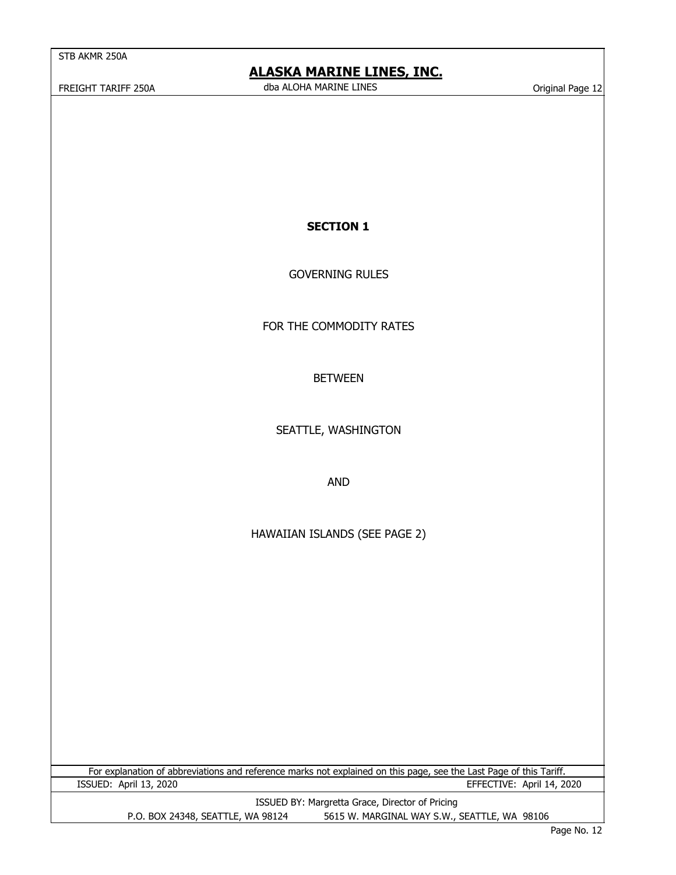## **ALASKA MARINE LINES, INC.**

 FREIGHT TARIFF 250A Original Page 12 dba ALOHA MARINE LINES

**SECTION 1**

GOVERNING RULES

FOR THE COMMODITY RATES

BETWEEN

SEATTLE, WASHINGTON

AND

HAWAIIAN ISLANDS (SEE PAGE 2)

For explanation of abbreviations and reference marks not explained on this page, see the Last Page of this Tariff. ISSUED: April 13, 2020 EFFECTIVE: April 14, 2020

ISSUED BY: Margretta Grace, Director of Pricing

P.O. BOX 24348, SEATTLE, WA 98124 5615 W. MARGINAL WAY S.W., SEATTLE, WA 98106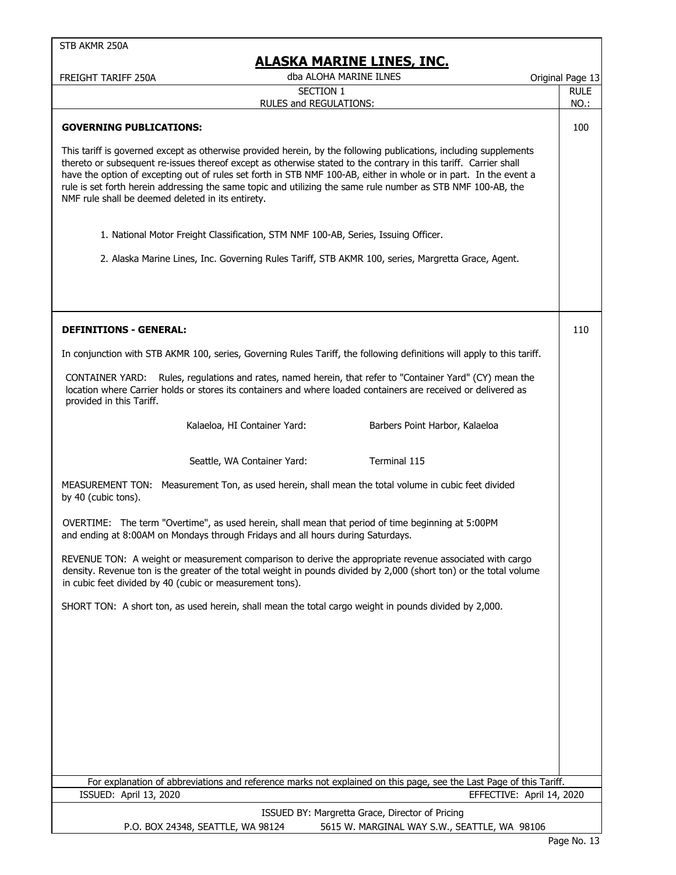| STB AKMR 250A                                     |                                                                                                                                                                                      |                                                                                                                                                                                                                                                                                                                                                                                                                                                                            |                  |
|---------------------------------------------------|--------------------------------------------------------------------------------------------------------------------------------------------------------------------------------------|----------------------------------------------------------------------------------------------------------------------------------------------------------------------------------------------------------------------------------------------------------------------------------------------------------------------------------------------------------------------------------------------------------------------------------------------------------------------------|------------------|
|                                                   |                                                                                                                                                                                      | <u>ALASKA MARINE LINES, INC.</u>                                                                                                                                                                                                                                                                                                                                                                                                                                           |                  |
| FREIGHT TARIFF 250A                               |                                                                                                                                                                                      | dba ALOHA MARINE ILNES                                                                                                                                                                                                                                                                                                                                                                                                                                                     | Original Page 13 |
|                                                   | SECTION 1                                                                                                                                                                            |                                                                                                                                                                                                                                                                                                                                                                                                                                                                            | <b>RULE</b>      |
|                                                   | RULES and REGULATIONS:                                                                                                                                                               |                                                                                                                                                                                                                                                                                                                                                                                                                                                                            | NO.:             |
| <b>GOVERNING PUBLICATIONS:</b>                    |                                                                                                                                                                                      |                                                                                                                                                                                                                                                                                                                                                                                                                                                                            | 100              |
| NMF rule shall be deemed deleted in its entirety. |                                                                                                                                                                                      | This tariff is governed except as otherwise provided herein, by the following publications, including supplements<br>thereto or subsequent re-issues thereof except as otherwise stated to the contrary in this tariff. Carrier shall<br>have the option of excepting out of rules set forth in STB NMF 100-AB, either in whole or in part. In the event a<br>rule is set forth herein addressing the same topic and utilizing the same rule number as STB NMF 100-AB, the |                  |
|                                                   | 1. National Motor Freight Classification, STM NMF 100-AB, Series, Issuing Officer.                                                                                                   |                                                                                                                                                                                                                                                                                                                                                                                                                                                                            |                  |
|                                                   |                                                                                                                                                                                      | 2. Alaska Marine Lines, Inc. Governing Rules Tariff, STB AKMR 100, series, Margretta Grace, Agent.                                                                                                                                                                                                                                                                                                                                                                         |                  |
|                                                   |                                                                                                                                                                                      |                                                                                                                                                                                                                                                                                                                                                                                                                                                                            |                  |
| <b>DEFINITIONS - GENERAL:</b>                     |                                                                                                                                                                                      |                                                                                                                                                                                                                                                                                                                                                                                                                                                                            | 110              |
|                                                   |                                                                                                                                                                                      | In conjunction with STB AKMR 100, series, Governing Rules Tariff, the following definitions will apply to this tariff.                                                                                                                                                                                                                                                                                                                                                     |                  |
| provided in this Tariff.                          |                                                                                                                                                                                      | CONTAINER YARD: Rules, regulations and rates, named herein, that refer to "Container Yard" (CY) mean the<br>location where Carrier holds or stores its containers and where loaded containers are received or delivered as                                                                                                                                                                                                                                                 |                  |
|                                                   | Kalaeloa, HI Container Yard:                                                                                                                                                         | Barbers Point Harbor, Kalaeloa                                                                                                                                                                                                                                                                                                                                                                                                                                             |                  |
|                                                   | Seattle, WA Container Yard:                                                                                                                                                          | Terminal 115                                                                                                                                                                                                                                                                                                                                                                                                                                                               |                  |
| by 40 (cubic tons).                               |                                                                                                                                                                                      | MEASUREMENT TON: Measurement Ton, as used herein, shall mean the total volume in cubic feet divided                                                                                                                                                                                                                                                                                                                                                                        |                  |
|                                                   | OVERTIME: The term "Overtime", as used herein, shall mean that period of time beginning at 5:00PM<br>and ending at 8:00AM on Mondays through Fridays and all hours during Saturdays. |                                                                                                                                                                                                                                                                                                                                                                                                                                                                            |                  |
|                                                   | in cubic feet divided by 40 (cubic or measurement tons).                                                                                                                             | REVENUE TON: A weight or measurement comparison to derive the appropriate revenue associated with cargo<br>density. Revenue ton is the greater of the total weight in pounds divided by 2,000 (short ton) or the total volume                                                                                                                                                                                                                                              |                  |
|                                                   | SHORT TON: A short ton, as used herein, shall mean the total cargo weight in pounds divided by 2,000.                                                                                |                                                                                                                                                                                                                                                                                                                                                                                                                                                                            |                  |
|                                                   |                                                                                                                                                                                      |                                                                                                                                                                                                                                                                                                                                                                                                                                                                            |                  |
|                                                   |                                                                                                                                                                                      |                                                                                                                                                                                                                                                                                                                                                                                                                                                                            |                  |
|                                                   |                                                                                                                                                                                      |                                                                                                                                                                                                                                                                                                                                                                                                                                                                            |                  |
|                                                   |                                                                                                                                                                                      |                                                                                                                                                                                                                                                                                                                                                                                                                                                                            |                  |
|                                                   |                                                                                                                                                                                      |                                                                                                                                                                                                                                                                                                                                                                                                                                                                            |                  |
|                                                   |                                                                                                                                                                                      | For explanation of abbreviations and reference marks not explained on this page, see the Last Page of this Tariff.                                                                                                                                                                                                                                                                                                                                                         |                  |
| ISSUED: April 13, 2020                            |                                                                                                                                                                                      | EFFECTIVE: April 14, 2020                                                                                                                                                                                                                                                                                                                                                                                                                                                  |                  |
|                                                   |                                                                                                                                                                                      | ISSUED BY: Margretta Grace, Director of Pricing                                                                                                                                                                                                                                                                                                                                                                                                                            |                  |
|                                                   | P.O. BOX 24348, SEATTLE, WA 98124                                                                                                                                                    | 5615 W. MARGINAL WAY S.W., SEATTLE, WA 98106                                                                                                                                                                                                                                                                                                                                                                                                                               |                  |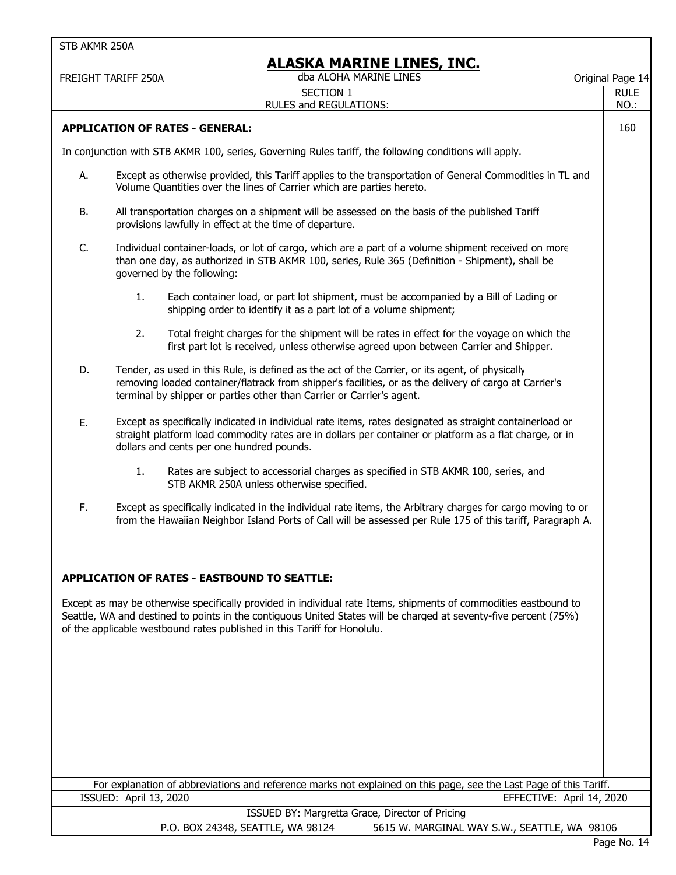|           | FREIGHT TARIFF 250A    | <u>ALASKA MARINE LINES, INC.</u><br>dba ALOHA MARINE LINES                                                                                                                                                                                                                                                       | Original Page 14           |
|-----------|------------------------|------------------------------------------------------------------------------------------------------------------------------------------------------------------------------------------------------------------------------------------------------------------------------------------------------------------|----------------------------|
|           |                        | <b>SECTION 1</b><br><b>RULES and REGULATIONS:</b>                                                                                                                                                                                                                                                                | <b>RULE</b><br><b>NO.:</b> |
|           |                        | <b>APPLICATION OF RATES - GENERAL:</b>                                                                                                                                                                                                                                                                           | 160                        |
|           |                        | In conjunction with STB AKMR 100, series, Governing Rules tariff, the following conditions will apply.                                                                                                                                                                                                           |                            |
| А.        |                        | Except as otherwise provided, this Tariff applies to the transportation of General Commodities in TL and<br>Volume Quantities over the lines of Carrier which are parties hereto.                                                                                                                                |                            |
| <b>B.</b> |                        | All transportation charges on a shipment will be assessed on the basis of the published Tariff<br>provisions lawfully in effect at the time of departure.                                                                                                                                                        |                            |
| C.        |                        | Individual container-loads, or lot of cargo, which are a part of a volume shipment received on more<br>than one day, as authorized in STB AKMR 100, series, Rule 365 (Definition - Shipment), shall be<br>governed by the following:                                                                             |                            |
|           | 1.                     | Each container load, or part lot shipment, must be accompanied by a Bill of Lading or<br>shipping order to identify it as a part lot of a volume shipment;                                                                                                                                                       |                            |
|           | 2.                     | Total freight charges for the shipment will be rates in effect for the voyage on which the<br>first part lot is received, unless otherwise agreed upon between Carrier and Shipper.                                                                                                                              |                            |
| D.        |                        | Tender, as used in this Rule, is defined as the act of the Carrier, or its agent, of physically<br>removing loaded container/flatrack from shipper's facilities, or as the delivery of cargo at Carrier's<br>terminal by shipper or parties other than Carrier or Carrier's agent.                               |                            |
| Ε.        |                        | Except as specifically indicated in individual rate items, rates designated as straight containerload or<br>straight platform load commodity rates are in dollars per container or platform as a flat charge, or in<br>dollars and cents per one hundred pounds.                                                 |                            |
|           | 1.                     | Rates are subject to accessorial charges as specified in STB AKMR 100, series, and<br>STB AKMR 250A unless otherwise specified.                                                                                                                                                                                  |                            |
| F.        |                        | Except as specifically indicated in the individual rate items, the Arbitrary charges for cargo moving to or<br>from the Hawaiian Neighbor Island Ports of Call will be assessed per Rule 175 of this tariff, Paragraph A.                                                                                        |                            |
|           |                        | <b>APPLICATION OF RATES - EASTBOUND TO SEATTLE:</b>                                                                                                                                                                                                                                                              |                            |
|           |                        | Except as may be otherwise specifically provided in individual rate Items, shipments of commodities eastbound to<br>Seattle, WA and destined to points in the contiguous United States will be charged at seventy-five percent (75%)<br>of the applicable westbound rates published in this Tariff for Honolulu. |                            |
|           |                        |                                                                                                                                                                                                                                                                                                                  |                            |
|           |                        |                                                                                                                                                                                                                                                                                                                  |                            |
|           |                        |                                                                                                                                                                                                                                                                                                                  |                            |
|           |                        | For explanation of abbreviations and reference marks not explained on this page, see the Last Page of this Tariff.                                                                                                                                                                                               |                            |
|           | ISSUED: April 13, 2020 | EFFECTIVE: April 14, 2020                                                                                                                                                                                                                                                                                        |                            |
|           |                        | ISSUED BY: Margretta Grace, Director of Pricing<br>P.O. BOX 24348, SEATTLE, WA 98124<br>5615 W. MARGINAL WAY S.W., SEATTLE, WA 98106                                                                                                                                                                             |                            |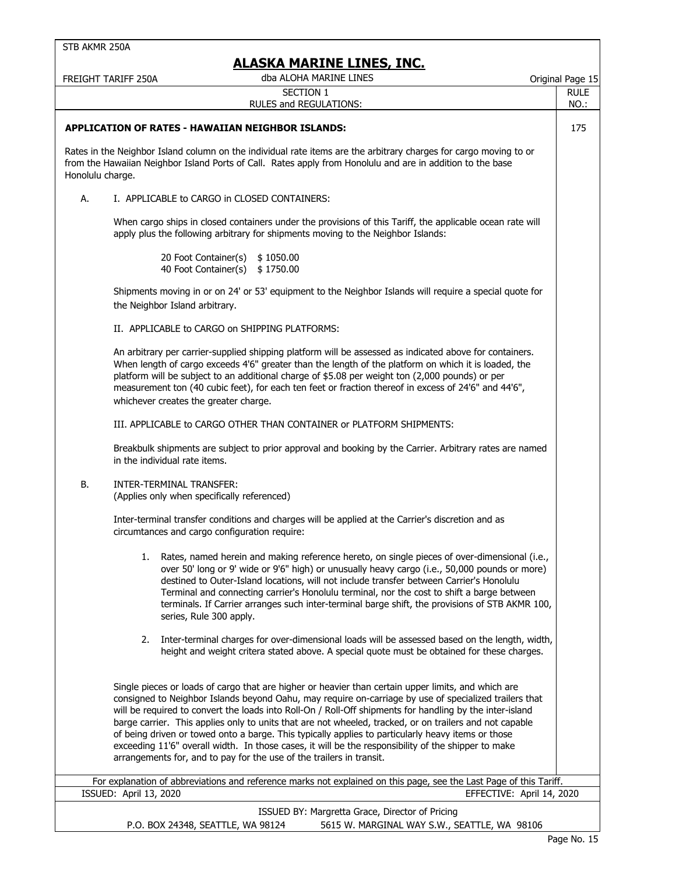# **EVA MARTNE LINES, INC.**

|                  | FREIGHT TARIFF 250A                   | <u>ALASKA MARINE LINES, INC.</u><br>dba ALOHA MARINE LINES                                                                                                                                                                                                                        |                                                                                                                                                                                                                                                                                                                                                                                                                                                                                               | Original Page 15          |
|------------------|---------------------------------------|-----------------------------------------------------------------------------------------------------------------------------------------------------------------------------------------------------------------------------------------------------------------------------------|-----------------------------------------------------------------------------------------------------------------------------------------------------------------------------------------------------------------------------------------------------------------------------------------------------------------------------------------------------------------------------------------------------------------------------------------------------------------------------------------------|---------------------------|
|                  |                                       | SECTION 1                                                                                                                                                                                                                                                                         |                                                                                                                                                                                                                                                                                                                                                                                                                                                                                               | <b>RULE</b>               |
|                  |                                       | RULES and REGULATIONS:                                                                                                                                                                                                                                                            |                                                                                                                                                                                                                                                                                                                                                                                                                                                                                               | NO.:                      |
|                  |                                       | <b>APPLICATION OF RATES - HAWAIIAN NEIGHBOR ISLANDS:</b>                                                                                                                                                                                                                          |                                                                                                                                                                                                                                                                                                                                                                                                                                                                                               | 175                       |
| Honolulu charge. |                                       | from the Hawaiian Neighbor Island Ports of Call. Rates apply from Honolulu and are in addition to the base                                                                                                                                                                        | Rates in the Neighbor Island column on the individual rate items are the arbitrary charges for cargo moving to or                                                                                                                                                                                                                                                                                                                                                                             |                           |
| А.               |                                       | I. APPLICABLE to CARGO in CLOSED CONTAINERS:                                                                                                                                                                                                                                      |                                                                                                                                                                                                                                                                                                                                                                                                                                                                                               |                           |
|                  |                                       | apply plus the following arbitrary for shipments moving to the Neighbor Islands:                                                                                                                                                                                                  | When cargo ships in closed containers under the provisions of this Tariff, the applicable ocean rate will                                                                                                                                                                                                                                                                                                                                                                                     |                           |
|                  |                                       | 20 Foot Container(s)<br>\$1050.00<br>40 Foot Container(s)<br>\$1750.00                                                                                                                                                                                                            |                                                                                                                                                                                                                                                                                                                                                                                                                                                                                               |                           |
|                  | the Neighbor Island arbitrary.        |                                                                                                                                                                                                                                                                                   | Shipments moving in or on 24' or 53' equipment to the Neighbor Islands will require a special quote for                                                                                                                                                                                                                                                                                                                                                                                       |                           |
|                  |                                       | II. APPLICABLE to CARGO on SHIPPING PLATFORMS:                                                                                                                                                                                                                                    |                                                                                                                                                                                                                                                                                                                                                                                                                                                                                               |                           |
|                  | whichever creates the greater charge. | platform will be subject to an additional charge of \$5.08 per weight ton (2,000 pounds) or per                                                                                                                                                                                   | An arbitrary per carrier-supplied shipping platform will be assessed as indicated above for containers.<br>When length of cargo exceeds 4'6" greater than the length of the platform on which it is loaded, the<br>measurement ton (40 cubic feet), for each ten feet or fraction thereof in excess of 24'6" and 44'6",                                                                                                                                                                       |                           |
|                  |                                       | III. APPLICABLE to CARGO OTHER THAN CONTAINER or PLATFORM SHIPMENTS:                                                                                                                                                                                                              |                                                                                                                                                                                                                                                                                                                                                                                                                                                                                               |                           |
|                  | in the individual rate items.         |                                                                                                                                                                                                                                                                                   | Breakbulk shipments are subject to prior approval and booking by the Carrier. Arbitrary rates are named                                                                                                                                                                                                                                                                                                                                                                                       |                           |
| <b>B.</b>        | INTER-TERMINAL TRANSFER:              | (Applies only when specifically referenced)                                                                                                                                                                                                                                       |                                                                                                                                                                                                                                                                                                                                                                                                                                                                                               |                           |
|                  |                                       | Inter-terminal transfer conditions and charges will be applied at the Carrier's discretion and as<br>circumtances and cargo configuration require:                                                                                                                                |                                                                                                                                                                                                                                                                                                                                                                                                                                                                                               |                           |
|                  |                                       | series, Rule 300 apply.                                                                                                                                                                                                                                                           | 1. Rates, named herein and making reference hereto, on single pieces of over-dimensional (i.e.,<br>over 50' long or 9' wide or 9'6" high) or unusually heavy cargo (i.e., 50,000 pounds or more)<br>destined to Outer-Island locations, will not include transfer between Carrier's Honolulu<br>Terminal and connecting carrier's Honolulu terminal, nor the cost to shift a barge between<br>terminals. If Carrier arranges such inter-terminal barge shift, the provisions of STB AKMR 100, |                           |
|                  | 2.                                    |                                                                                                                                                                                                                                                                                   | Inter-terminal charges for over-dimensional loads will be assessed based on the length, width,<br>height and weight critera stated above. A special quote must be obtained for these charges.                                                                                                                                                                                                                                                                                                 |                           |
|                  |                                       | of being driven or towed onto a barge. This typically applies to particularly heavy items or those<br>exceeding 11'6" overall width. In those cases, it will be the responsibility of the shipper to make<br>arrangements for, and to pay for the use of the trailers in transit. | Single pieces or loads of cargo that are higher or heavier than certain upper limits, and which are<br>consigned to Neighbor Islands beyond Oahu, may require on-carriage by use of specialized trailers that<br>will be required to convert the loads into Roll-On / Roll-Off shipments for handling by the inter-island<br>barge carrier. This applies only to units that are not wheeled, tracked, or on trailers and not capable                                                          |                           |
|                  | ISSUED: April 13, 2020                |                                                                                                                                                                                                                                                                                   | For explanation of abbreviations and reference marks not explained on this page, see the Last Page of this Tariff.                                                                                                                                                                                                                                                                                                                                                                            | EFFECTIVE: April 14, 2020 |
|                  |                                       |                                                                                                                                                                                                                                                                                   | ISSUED BY: Margretta Grace, Director of Pricing                                                                                                                                                                                                                                                                                                                                                                                                                                               |                           |
|                  |                                       | P.O. BOX 24348, SEATTLE, WA 98124                                                                                                                                                                                                                                                 | 5615 W. MARGINAL WAY S.W., SEATTLE, WA 98106                                                                                                                                                                                                                                                                                                                                                                                                                                                  |                           |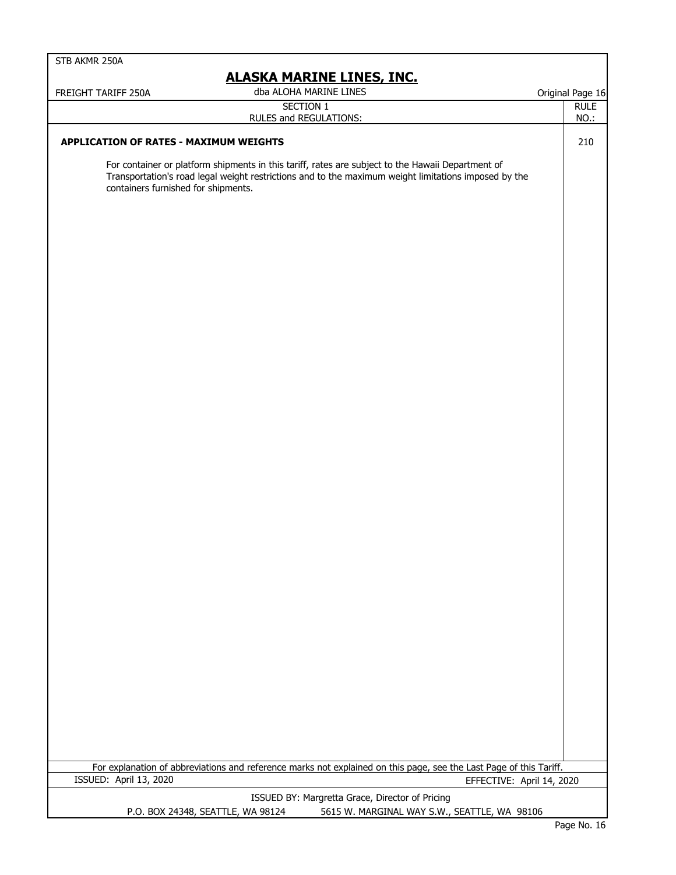| STB AKMR 250A                                                                                                                                                                                                                                    |                  |
|--------------------------------------------------------------------------------------------------------------------------------------------------------------------------------------------------------------------------------------------------|------------------|
| <b>ALASKA MARINE LINES, INC.</b>                                                                                                                                                                                                                 |                  |
| dba ALOHA MARINE LINES<br>FREIGHT TARIFF 250A                                                                                                                                                                                                    | Original Page 16 |
| SECTION 1                                                                                                                                                                                                                                        | <b>RULE</b>      |
| RULES and REGULATIONS:                                                                                                                                                                                                                           | NO.:             |
| <b>APPLICATION OF RATES - MAXIMUM WEIGHTS</b>                                                                                                                                                                                                    | 210              |
| For container or platform shipments in this tariff, rates are subject to the Hawaii Department of<br>Transportation's road legal weight restrictions and to the maximum weight limitations imposed by the<br>containers furnished for shipments. |                  |
|                                                                                                                                                                                                                                                  |                  |
|                                                                                                                                                                                                                                                  |                  |
|                                                                                                                                                                                                                                                  |                  |
|                                                                                                                                                                                                                                                  |                  |
|                                                                                                                                                                                                                                                  |                  |
|                                                                                                                                                                                                                                                  |                  |
|                                                                                                                                                                                                                                                  |                  |
|                                                                                                                                                                                                                                                  |                  |
|                                                                                                                                                                                                                                                  |                  |
|                                                                                                                                                                                                                                                  |                  |
|                                                                                                                                                                                                                                                  |                  |
|                                                                                                                                                                                                                                                  |                  |
| For explanation of abbreviations and reference marks not explained on this page, see the Last Page of this Tariff.<br>ISSUED: April 13, 2020                                                                                                     |                  |
| EFFECTIVE: April 14, 2020                                                                                                                                                                                                                        |                  |
| ISSUED BY: Margretta Grace, Director of Pricing<br>5615 W. MARGINAL WAY S.W., SEATTLE, WA 98106<br>P.O. BOX 24348, SEATTLE, WA 98124                                                                                                             |                  |
|                                                                                                                                                                                                                                                  | $D2Q2 N2 16$     |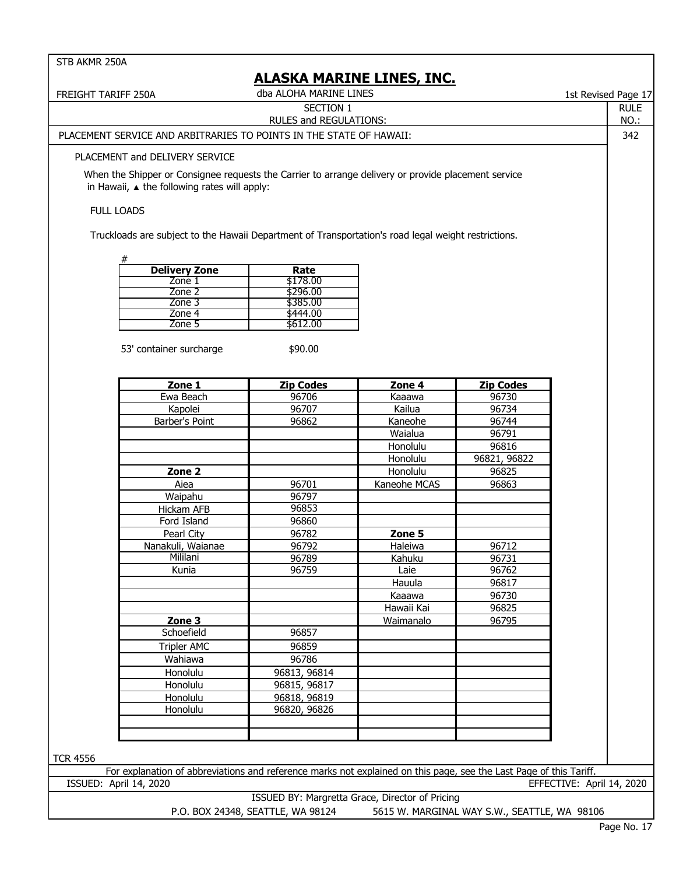| <b>FREIGHT TARIFF 250A</b>                                                                                         | 1st Revised Page 17                             |              |                                              |                           |  |  |
|--------------------------------------------------------------------------------------------------------------------|-------------------------------------------------|--------------|----------------------------------------------|---------------------------|--|--|
|                                                                                                                    | SECTION 1                                       |              |                                              |                           |  |  |
|                                                                                                                    | NO.:                                            |              |                                              |                           |  |  |
| PLACEMENT SERVICE AND ARBITRARIES TO POINTS IN THE STATE OF HAWAII:                                                | 342                                             |              |                                              |                           |  |  |
| PLACEMENT and DELIVERY SERVICE                                                                                     |                                                 |              |                                              |                           |  |  |
| When the Shipper or Consignee requests the Carrier to arrange delivery or provide placement service                |                                                 |              |                                              |                           |  |  |
| in Hawaii, $\triangle$ the following rates will apply:                                                             |                                                 |              |                                              |                           |  |  |
| <b>FULL LOADS</b>                                                                                                  |                                                 |              |                                              |                           |  |  |
| Truckloads are subject to the Hawaii Department of Transportation's road legal weight restrictions.                |                                                 |              |                                              |                           |  |  |
|                                                                                                                    |                                                 |              |                                              |                           |  |  |
| #<br><b>Delivery Zone</b>                                                                                          | Rate                                            |              |                                              |                           |  |  |
| Zone 1                                                                                                             | \$178.00                                        |              |                                              |                           |  |  |
| Zone 2                                                                                                             | \$296.00                                        |              |                                              |                           |  |  |
| Zone 3                                                                                                             | \$385.00                                        |              |                                              |                           |  |  |
| Zone 4                                                                                                             | \$444.00                                        |              |                                              |                           |  |  |
| Zone 5                                                                                                             | \$612.00                                        |              |                                              |                           |  |  |
|                                                                                                                    |                                                 |              |                                              |                           |  |  |
| 53' container surcharge                                                                                            | \$90.00                                         |              |                                              |                           |  |  |
| Zone 1                                                                                                             | <b>Zip Codes</b>                                | Zone 4       | <b>Zip Codes</b>                             |                           |  |  |
| Ewa Beach                                                                                                          | 96706                                           | Kaaawa       | 96730                                        |                           |  |  |
|                                                                                                                    |                                                 |              |                                              |                           |  |  |
| Kapolei                                                                                                            | 96707                                           | Kailua       | 96734                                        |                           |  |  |
| Barber's Point                                                                                                     | 96862                                           | Kaneohe      | 96744                                        |                           |  |  |
|                                                                                                                    |                                                 | Waialua      | 96791                                        |                           |  |  |
|                                                                                                                    |                                                 | Honolulu     | 96816                                        |                           |  |  |
|                                                                                                                    |                                                 | Honolulu     | 96821, 96822                                 |                           |  |  |
| Zone <sub>2</sub>                                                                                                  |                                                 | Honolulu     | 96825                                        |                           |  |  |
| Aiea                                                                                                               | 96701                                           | Kaneohe MCAS | 96863                                        |                           |  |  |
| Waipahu                                                                                                            | 96797                                           |              |                                              |                           |  |  |
| Hickam AFB                                                                                                         | 96853                                           |              |                                              |                           |  |  |
| Ford Island                                                                                                        | 96860                                           |              |                                              |                           |  |  |
|                                                                                                                    |                                                 |              |                                              |                           |  |  |
| Pearl City                                                                                                         | 96782                                           | Zone 5       |                                              |                           |  |  |
| Nanakuli, Waianae                                                                                                  | 96792                                           | Haleiwa      | 96712                                        |                           |  |  |
| Mililani                                                                                                           | 96789                                           | Kahuku       | 96731                                        |                           |  |  |
| Kunia                                                                                                              | 96759                                           | Laie         | 96762                                        |                           |  |  |
|                                                                                                                    |                                                 | Hauula       | 96817                                        |                           |  |  |
|                                                                                                                    |                                                 | Kaaawa       | 96730                                        |                           |  |  |
|                                                                                                                    |                                                 | Hawaii Kai   | 96825                                        |                           |  |  |
| Zone 3                                                                                                             |                                                 | Waimanalo    | 96795                                        |                           |  |  |
| Schoefield                                                                                                         | 96857                                           |              |                                              |                           |  |  |
| <b>Tripler AMC</b>                                                                                                 | 96859                                           |              |                                              |                           |  |  |
| Wahiawa                                                                                                            | 96786                                           |              |                                              |                           |  |  |
| Honolulu                                                                                                           | 96813, 96814                                    |              |                                              |                           |  |  |
|                                                                                                                    |                                                 |              |                                              |                           |  |  |
| Honolulu                                                                                                           | 96815, 96817                                    |              |                                              |                           |  |  |
| Honolulu                                                                                                           | 96818, 96819                                    |              |                                              |                           |  |  |
| Honolulu                                                                                                           | 96820, 96826                                    |              |                                              |                           |  |  |
|                                                                                                                    |                                                 |              |                                              |                           |  |  |
|                                                                                                                    |                                                 |              |                                              |                           |  |  |
|                                                                                                                    |                                                 |              |                                              |                           |  |  |
| <b>TCR 4556</b>                                                                                                    |                                                 |              |                                              |                           |  |  |
| For explanation of abbreviations and reference marks not explained on this page, see the Last Page of this Tariff. |                                                 |              |                                              |                           |  |  |
| ISSUED: April 14, 2020                                                                                             |                                                 |              |                                              | EFFECTIVE: April 14, 2020 |  |  |
|                                                                                                                    | ISSUED BY: Margretta Grace, Director of Pricing |              |                                              |                           |  |  |
|                                                                                                                    | P.O. BOX 24348, SEATTLE, WA 98124               |              | 5615 W. MARGINAL WAY S.W., SEATTLE, WA 98106 | $P$ age No. 17            |  |  |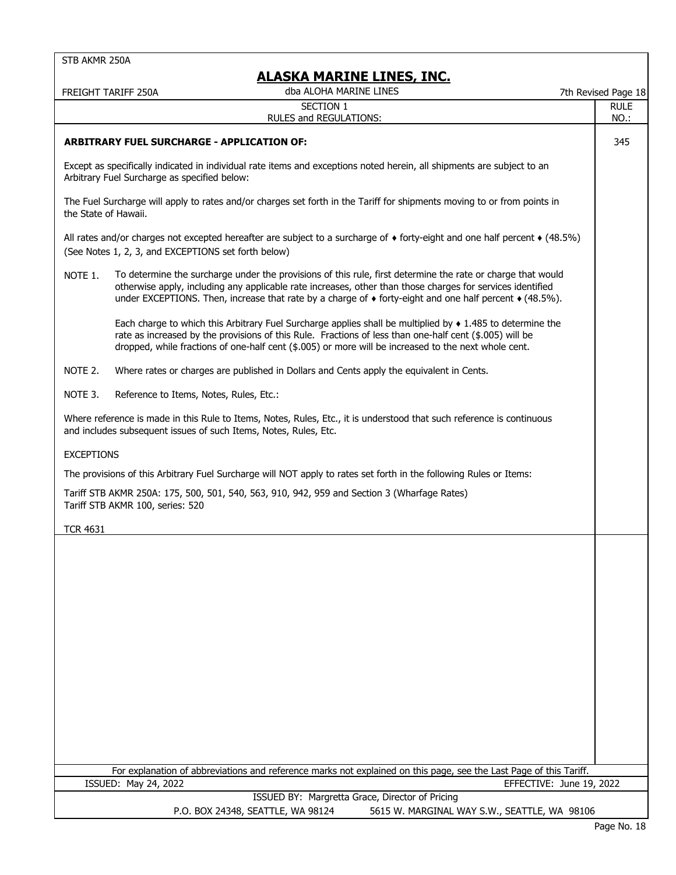|                      | FREIGHT TARIFF 250A                                              | <u>ALASKA MAKINE LINES, INC.</u><br>dba ALOHA MARINE LINES                                                                                                                                                                                                                                                                                           |                                              | 7th Revised Page 18      |
|----------------------|------------------------------------------------------------------|------------------------------------------------------------------------------------------------------------------------------------------------------------------------------------------------------------------------------------------------------------------------------------------------------------------------------------------------------|----------------------------------------------|--------------------------|
|                      |                                                                  | SECTION 1                                                                                                                                                                                                                                                                                                                                            |                                              | <b>RULE</b>              |
|                      |                                                                  | RULES and REGULATIONS:                                                                                                                                                                                                                                                                                                                               |                                              | NO.:                     |
|                      | <b>ARBITRARY FUEL SURCHARGE - APPLICATION OF:</b>                |                                                                                                                                                                                                                                                                                                                                                      |                                              | 345                      |
|                      | Arbitrary Fuel Surcharge as specified below:                     | Except as specifically indicated in individual rate items and exceptions noted herein, all shipments are subject to an                                                                                                                                                                                                                               |                                              |                          |
| the State of Hawaii. |                                                                  | The Fuel Surcharge will apply to rates and/or charges set forth in the Tariff for shipments moving to or from points in                                                                                                                                                                                                                              |                                              |                          |
|                      | (See Notes 1, 2, 3, and EXCEPTIONS set forth below)              | All rates and/or charges not excepted hereafter are subject to a surcharge of $\bullet$ forty-eight and one half percent $\bullet$ (48.5%)                                                                                                                                                                                                           |                                              |                          |
| NOTE 1.              |                                                                  | To determine the surcharge under the provisions of this rule, first determine the rate or charge that would<br>otherwise apply, including any applicable rate increases, other than those charges for services identified<br>under EXCEPTIONS. Then, increase that rate by a charge of $\bullet$ forty-eight and one half percent $\bullet$ (48.5%). |                                              |                          |
|                      |                                                                  | Each charge to which this Arbitrary Fuel Surcharge applies shall be multiplied by $\bullet$ 1.485 to determine the<br>rate as increased by the provisions of this Rule. Fractions of less than one-half cent (\$.005) will be<br>dropped, while fractions of one-half cent (\$.005) or more will be increased to the next whole cent.                |                                              |                          |
| NOTE 2.              |                                                                  | Where rates or charges are published in Dollars and Cents apply the equivalent in Cents.                                                                                                                                                                                                                                                             |                                              |                          |
| NOTE 3.              | Reference to Items, Notes, Rules, Etc.:                          |                                                                                                                                                                                                                                                                                                                                                      |                                              |                          |
|                      | and includes subsequent issues of such Items, Notes, Rules, Etc. | Where reference is made in this Rule to Items, Notes, Rules, Etc., it is understood that such reference is continuous                                                                                                                                                                                                                                |                                              |                          |
| <b>EXCEPTIONS</b>    |                                                                  |                                                                                                                                                                                                                                                                                                                                                      |                                              |                          |
|                      |                                                                  | The provisions of this Arbitrary Fuel Surcharge will NOT apply to rates set forth in the following Rules or Items:                                                                                                                                                                                                                                   |                                              |                          |
|                      | Tariff STB AKMR 100, series: 520                                 | Tariff STB AKMR 250A: 175, 500, 501, 540, 563, 910, 942, 959 and Section 3 (Wharfage Rates)                                                                                                                                                                                                                                                          |                                              |                          |
| <b>TCR 4631</b>      |                                                                  |                                                                                                                                                                                                                                                                                                                                                      |                                              |                          |
|                      |                                                                  |                                                                                                                                                                                                                                                                                                                                                      |                                              |                          |
|                      |                                                                  |                                                                                                                                                                                                                                                                                                                                                      |                                              |                          |
|                      |                                                                  |                                                                                                                                                                                                                                                                                                                                                      |                                              |                          |
|                      |                                                                  |                                                                                                                                                                                                                                                                                                                                                      |                                              |                          |
|                      |                                                                  |                                                                                                                                                                                                                                                                                                                                                      |                                              |                          |
|                      |                                                                  |                                                                                                                                                                                                                                                                                                                                                      |                                              |                          |
|                      |                                                                  |                                                                                                                                                                                                                                                                                                                                                      |                                              |                          |
|                      |                                                                  |                                                                                                                                                                                                                                                                                                                                                      |                                              |                          |
|                      |                                                                  |                                                                                                                                                                                                                                                                                                                                                      |                                              |                          |
|                      |                                                                  |                                                                                                                                                                                                                                                                                                                                                      |                                              |                          |
|                      |                                                                  |                                                                                                                                                                                                                                                                                                                                                      |                                              |                          |
|                      |                                                                  |                                                                                                                                                                                                                                                                                                                                                      |                                              |                          |
|                      | ISSUED: May 24, 2022                                             | For explanation of abbreviations and reference marks not explained on this page, see the Last Page of this Tariff.                                                                                                                                                                                                                                   |                                              | EFFECTIVE: June 19, 2022 |
|                      |                                                                  | ISSUED BY: Margretta Grace, Director of Pricing                                                                                                                                                                                                                                                                                                      |                                              |                          |
|                      |                                                                  | P.O. BOX 24348, SEATTLE, WA 98124                                                                                                                                                                                                                                                                                                                    | 5615 W. MARGINAL WAY S.W., SEATTLE, WA 98106 |                          |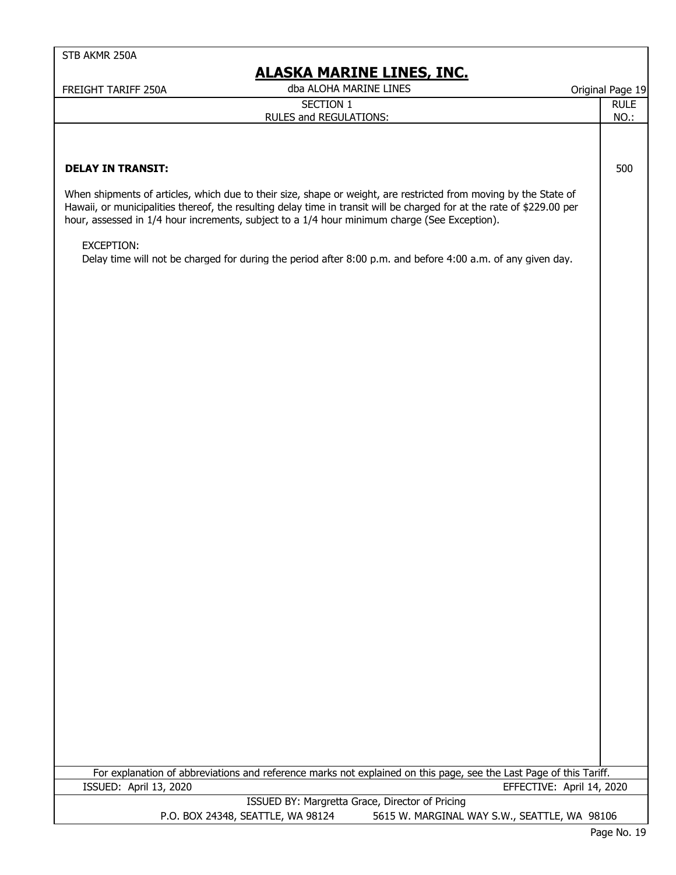| dba ALOHA MARINE LINES<br>Original Page 19<br>FREIGHT TARIFF 250A<br><b>SECTION 1</b><br><b>RULE</b><br>RULES and REGULATIONS:<br>NO.:<br><b>DELAY IN TRANSIT:</b><br>500<br>When shipments of articles, which due to their size, shape or weight, are restricted from moving by the State of<br>Hawaii, or municipalities thereof, the resulting delay time in transit will be charged for at the rate of \$229.00 per<br>hour, assessed in 1/4 hour increments, subject to a 1/4 hour minimum charge (See Exception).<br>EXCEPTION:<br>Delay time will not be charged for during the period after 8:00 p.m. and before 4:00 a.m. of any given day. | <b>ALASKA MARINE LINES, INC.</b> |  |
|------------------------------------------------------------------------------------------------------------------------------------------------------------------------------------------------------------------------------------------------------------------------------------------------------------------------------------------------------------------------------------------------------------------------------------------------------------------------------------------------------------------------------------------------------------------------------------------------------------------------------------------------------|----------------------------------|--|
|                                                                                                                                                                                                                                                                                                                                                                                                                                                                                                                                                                                                                                                      |                                  |  |
|                                                                                                                                                                                                                                                                                                                                                                                                                                                                                                                                                                                                                                                      |                                  |  |
|                                                                                                                                                                                                                                                                                                                                                                                                                                                                                                                                                                                                                                                      |                                  |  |
|                                                                                                                                                                                                                                                                                                                                                                                                                                                                                                                                                                                                                                                      |                                  |  |
|                                                                                                                                                                                                                                                                                                                                                                                                                                                                                                                                                                                                                                                      |                                  |  |
|                                                                                                                                                                                                                                                                                                                                                                                                                                                                                                                                                                                                                                                      |                                  |  |
|                                                                                                                                                                                                                                                                                                                                                                                                                                                                                                                                                                                                                                                      |                                  |  |
|                                                                                                                                                                                                                                                                                                                                                                                                                                                                                                                                                                                                                                                      |                                  |  |
|                                                                                                                                                                                                                                                                                                                                                                                                                                                                                                                                                                                                                                                      |                                  |  |
|                                                                                                                                                                                                                                                                                                                                                                                                                                                                                                                                                                                                                                                      |                                  |  |
|                                                                                                                                                                                                                                                                                                                                                                                                                                                                                                                                                                                                                                                      |                                  |  |
|                                                                                                                                                                                                                                                                                                                                                                                                                                                                                                                                                                                                                                                      |                                  |  |
|                                                                                                                                                                                                                                                                                                                                                                                                                                                                                                                                                                                                                                                      |                                  |  |
|                                                                                                                                                                                                                                                                                                                                                                                                                                                                                                                                                                                                                                                      |                                  |  |
|                                                                                                                                                                                                                                                                                                                                                                                                                                                                                                                                                                                                                                                      |                                  |  |
|                                                                                                                                                                                                                                                                                                                                                                                                                                                                                                                                                                                                                                                      |                                  |  |
|                                                                                                                                                                                                                                                                                                                                                                                                                                                                                                                                                                                                                                                      |                                  |  |
|                                                                                                                                                                                                                                                                                                                                                                                                                                                                                                                                                                                                                                                      |                                  |  |
|                                                                                                                                                                                                                                                                                                                                                                                                                                                                                                                                                                                                                                                      |                                  |  |
|                                                                                                                                                                                                                                                                                                                                                                                                                                                                                                                                                                                                                                                      |                                  |  |
|                                                                                                                                                                                                                                                                                                                                                                                                                                                                                                                                                                                                                                                      |                                  |  |
|                                                                                                                                                                                                                                                                                                                                                                                                                                                                                                                                                                                                                                                      |                                  |  |
|                                                                                                                                                                                                                                                                                                                                                                                                                                                                                                                                                                                                                                                      |                                  |  |
|                                                                                                                                                                                                                                                                                                                                                                                                                                                                                                                                                                                                                                                      |                                  |  |
|                                                                                                                                                                                                                                                                                                                                                                                                                                                                                                                                                                                                                                                      |                                  |  |
|                                                                                                                                                                                                                                                                                                                                                                                                                                                                                                                                                                                                                                                      |                                  |  |
|                                                                                                                                                                                                                                                                                                                                                                                                                                                                                                                                                                                                                                                      |                                  |  |
|                                                                                                                                                                                                                                                                                                                                                                                                                                                                                                                                                                                                                                                      |                                  |  |
|                                                                                                                                                                                                                                                                                                                                                                                                                                                                                                                                                                                                                                                      |                                  |  |
|                                                                                                                                                                                                                                                                                                                                                                                                                                                                                                                                                                                                                                                      |                                  |  |
|                                                                                                                                                                                                                                                                                                                                                                                                                                                                                                                                                                                                                                                      |                                  |  |
|                                                                                                                                                                                                                                                                                                                                                                                                                                                                                                                                                                                                                                                      |                                  |  |
|                                                                                                                                                                                                                                                                                                                                                                                                                                                                                                                                                                                                                                                      |                                  |  |
|                                                                                                                                                                                                                                                                                                                                                                                                                                                                                                                                                                                                                                                      |                                  |  |
|                                                                                                                                                                                                                                                                                                                                                                                                                                                                                                                                                                                                                                                      |                                  |  |
|                                                                                                                                                                                                                                                                                                                                                                                                                                                                                                                                                                                                                                                      |                                  |  |
|                                                                                                                                                                                                                                                                                                                                                                                                                                                                                                                                                                                                                                                      |                                  |  |
|                                                                                                                                                                                                                                                                                                                                                                                                                                                                                                                                                                                                                                                      |                                  |  |
|                                                                                                                                                                                                                                                                                                                                                                                                                                                                                                                                                                                                                                                      |                                  |  |
|                                                                                                                                                                                                                                                                                                                                                                                                                                                                                                                                                                                                                                                      |                                  |  |
|                                                                                                                                                                                                                                                                                                                                                                                                                                                                                                                                                                                                                                                      |                                  |  |
| For explanation of abbreviations and reference marks not explained on this page, see the Last Page of this Tariff.<br>ISSUED: April 13, 2020<br>EFFECTIVE: April 14, 2020                                                                                                                                                                                                                                                                                                                                                                                                                                                                            |                                  |  |

 ISSUED BY: Margretta Grace, Director of Pricing P.O. BOX 24348, SEATTLE, WA 98124 5615 W. MARGINAL WAY S.W., SEATTLE, WA 98106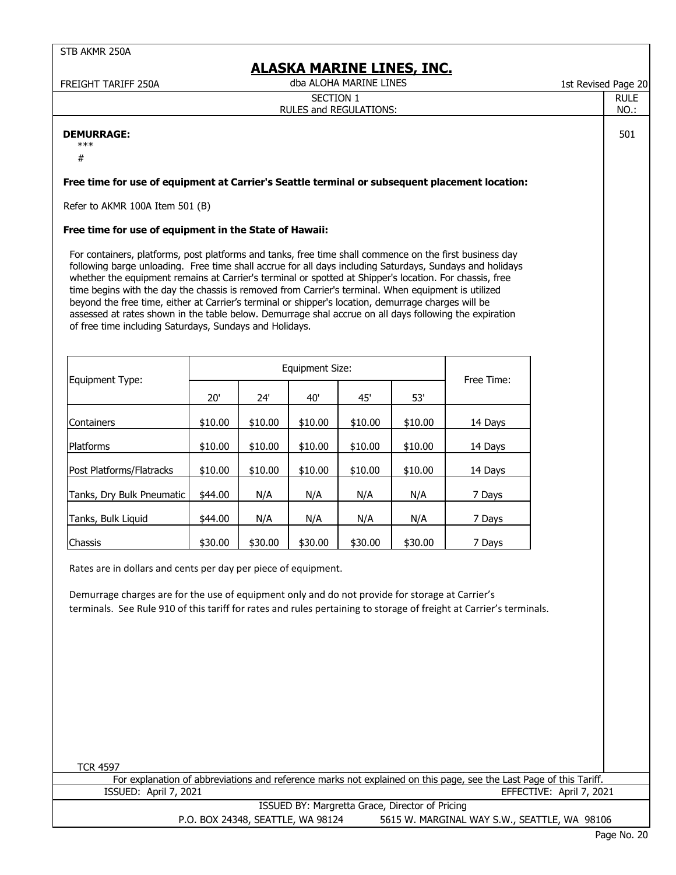| FREIGHT TARIFF 250A                                                                                                                                                                                                                                                                                                                                                                                                                                                                                                                                                                                                                                                                                               |         |         |                        | dba ALOHA MARINE LINES | <u>ALASKA MARINE LINES, INC.</u> |                                                                                                                    | 1st Revised Page 20 |                          |
|-------------------------------------------------------------------------------------------------------------------------------------------------------------------------------------------------------------------------------------------------------------------------------------------------------------------------------------------------------------------------------------------------------------------------------------------------------------------------------------------------------------------------------------------------------------------------------------------------------------------------------------------------------------------------------------------------------------------|---------|---------|------------------------|------------------------|----------------------------------|--------------------------------------------------------------------------------------------------------------------|---------------------|--------------------------|
|                                                                                                                                                                                                                                                                                                                                                                                                                                                                                                                                                                                                                                                                                                                   |         |         | <b>SECTION 1</b>       | RULES and REGULATIONS: |                                  |                                                                                                                    |                     | <b>RULE</b><br>NO.:      |
| <b>DEMURRAGE:</b><br>$***$<br>$\#$                                                                                                                                                                                                                                                                                                                                                                                                                                                                                                                                                                                                                                                                                |         |         |                        |                        |                                  |                                                                                                                    |                     | 501                      |
| Free time for use of equipment at Carrier's Seattle terminal or subsequent placement location:                                                                                                                                                                                                                                                                                                                                                                                                                                                                                                                                                                                                                    |         |         |                        |                        |                                  |                                                                                                                    |                     |                          |
| Refer to AKMR 100A Item 501 (B)                                                                                                                                                                                                                                                                                                                                                                                                                                                                                                                                                                                                                                                                                   |         |         |                        |                        |                                  |                                                                                                                    |                     |                          |
| Free time for use of equipment in the State of Hawaii:                                                                                                                                                                                                                                                                                                                                                                                                                                                                                                                                                                                                                                                            |         |         |                        |                        |                                  |                                                                                                                    |                     |                          |
| For containers, platforms, post platforms and tanks, free time shall commence on the first business day<br>following barge unloading. Free time shall accrue for all days including Saturdays, Sundays and holidays<br>whether the equipment remains at Carrier's terminal or spotted at Shipper's location. For chassis, free<br>time begins with the day the chassis is removed from Carrier's terminal. When equipment is utilized<br>beyond the free time, either at Carrier's terminal or shipper's location, demurrage charges will be<br>assessed at rates shown in the table below. Demurrage shal accrue on all days following the expiration<br>of free time including Saturdays, Sundays and Holidays. |         |         |                        |                        |                                  |                                                                                                                    |                     |                          |
|                                                                                                                                                                                                                                                                                                                                                                                                                                                                                                                                                                                                                                                                                                                   |         |         | <b>Equipment Size:</b> |                        |                                  |                                                                                                                    |                     |                          |
| Equipment Type:                                                                                                                                                                                                                                                                                                                                                                                                                                                                                                                                                                                                                                                                                                   | 20'     | 24'     | 40'                    | 45'                    | 53'                              | Free Time:                                                                                                         |                     |                          |
| Containers                                                                                                                                                                                                                                                                                                                                                                                                                                                                                                                                                                                                                                                                                                        | \$10.00 | \$10.00 | \$10.00                | \$10.00                | \$10.00                          | 14 Days                                                                                                            |                     |                          |
| Platforms                                                                                                                                                                                                                                                                                                                                                                                                                                                                                                                                                                                                                                                                                                         | \$10.00 | \$10.00 | \$10.00                | \$10.00                | \$10.00                          | 14 Days                                                                                                            |                     |                          |
| Post Platforms/Flatracks                                                                                                                                                                                                                                                                                                                                                                                                                                                                                                                                                                                                                                                                                          | \$10.00 | \$10.00 | \$10.00                | \$10.00                | \$10.00                          | 14 Days                                                                                                            |                     |                          |
| Tanks, Dry Bulk Pneumatic                                                                                                                                                                                                                                                                                                                                                                                                                                                                                                                                                                                                                                                                                         | \$44.00 | N/A     | N/A                    | N/A                    | N/A                              | 7 Days                                                                                                             |                     |                          |
| Tanks, Bulk Liquid                                                                                                                                                                                                                                                                                                                                                                                                                                                                                                                                                                                                                                                                                                | \$44.00 | N/A     | N/A                    | N/A                    | N/A                              | 7 Days                                                                                                             |                     |                          |
| Chassis                                                                                                                                                                                                                                                                                                                                                                                                                                                                                                                                                                                                                                                                                                           | \$30.00 | \$30.00 | \$30.00                | \$30.00                | \$30.00                          | 7 Days                                                                                                             |                     |                          |
| Rates are in dollars and cents per day per piece of equipment.<br>Demurrage charges are for the use of equipment only and do not provide for storage at Carrier's<br>terminals. See Rule 910 of this tariff for rates and rules pertaining to storage of freight at Carrier's terminals.                                                                                                                                                                                                                                                                                                                                                                                                                          |         |         |                        |                        |                                  |                                                                                                                    |                     |                          |
| <b>TCR 4597</b><br>ISSUED: April 7, 2021                                                                                                                                                                                                                                                                                                                                                                                                                                                                                                                                                                                                                                                                          |         |         |                        |                        |                                  | For explanation of abbreviations and reference marks not explained on this page, see the Last Page of this Tariff. |                     | EFFECTIVE: April 7, 2021 |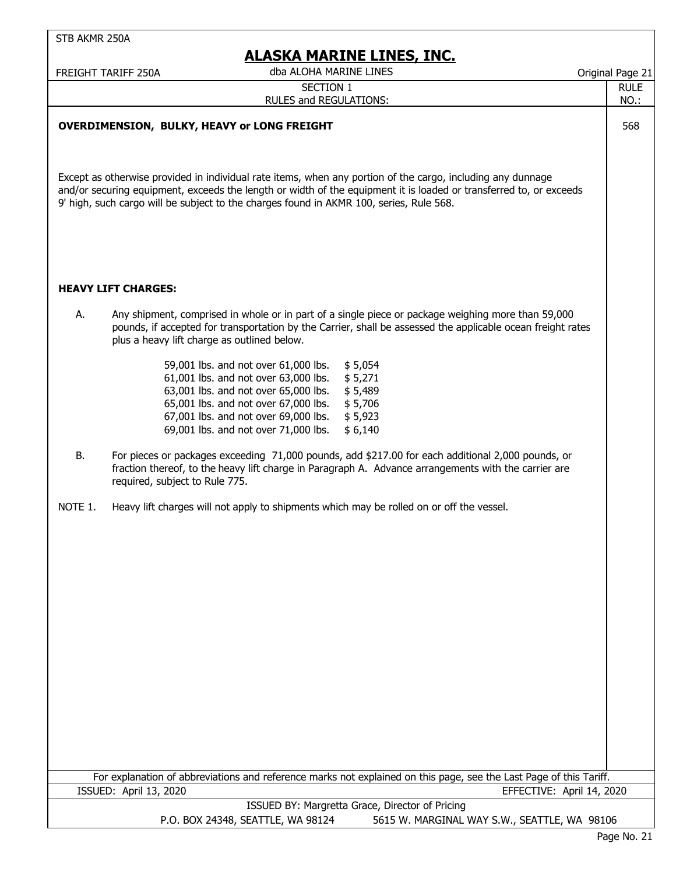|           | FREIGHT TARIFF 250A                         | dba ALOHA MARINE LINES                                                                                                                                                                                                                                                                                         | Original Page 21    |
|-----------|---------------------------------------------|----------------------------------------------------------------------------------------------------------------------------------------------------------------------------------------------------------------------------------------------------------------------------------------------------------------|---------------------|
|           |                                             | <b>SECTION 1</b><br>RULES and REGULATIONS:                                                                                                                                                                                                                                                                     | <b>RULE</b><br>NO.: |
|           |                                             | <b>OVERDIMENSION, BULKY, HEAVY or LONG FREIGHT</b><br>Except as otherwise provided in individual rate items, when any portion of the cargo, including any dunnage                                                                                                                                              | 568                 |
|           | <b>HEAVY LIFT CHARGES:</b>                  | and/or securing equipment, exceeds the length or width of the equipment it is loaded or transferred to, or exceeds<br>9' high, such cargo will be subject to the charges found in AKMR 100, series, Rule 568.                                                                                                  |                     |
| А.        |                                             | Any shipment, comprised in whole or in part of a single piece or package weighing more than 59,000<br>pounds, if accepted for transportation by the Carrier, shall be assessed the applicable ocean freight rates                                                                                              |                     |
|           | plus a heavy lift charge as outlined below. | \$5,054<br>59,001 lbs. and not over 61,000 lbs.<br>61,001 lbs. and not over 63,000 lbs.<br>\$5,271<br>63,001 lbs. and not over 65,000 lbs.<br>\$5,489<br>65,001 lbs. and not over 67,000 lbs.<br>\$5,706<br>67,001 lbs. and not over 69,000 lbs.<br>\$5,923<br>69,001 lbs. and not over 71,000 lbs.<br>\$6,140 |                     |
| <b>B.</b> | required, subject to Rule 775.              | For pieces or packages exceeding 71,000 pounds, add \$217.00 for each additional 2,000 pounds, or<br>fraction thereof, to the heavy lift charge in Paragraph A. Advance arrangements with the carrier are                                                                                                      |                     |
| NOTE 1.   |                                             | Heavy lift charges will not apply to shipments which may be rolled on or off the vessel.                                                                                                                                                                                                                       |                     |
|           | ISSUED: April 13, 2020                      | For explanation of abbreviations and reference marks not explained on this page, see the Last Page of this Tariff.<br>EFFECTIVE: April 14, 2020                                                                                                                                                                |                     |
|           |                                             | ISSUED BY: Margretta Grace, Director of Pricing                                                                                                                                                                                                                                                                |                     |
|           |                                             | P.O. BOX 24348, SEATTLE, WA 98124<br>5615 W. MARGINAL WAY S.W., SEATTLE, WA 98106                                                                                                                                                                                                                              |                     |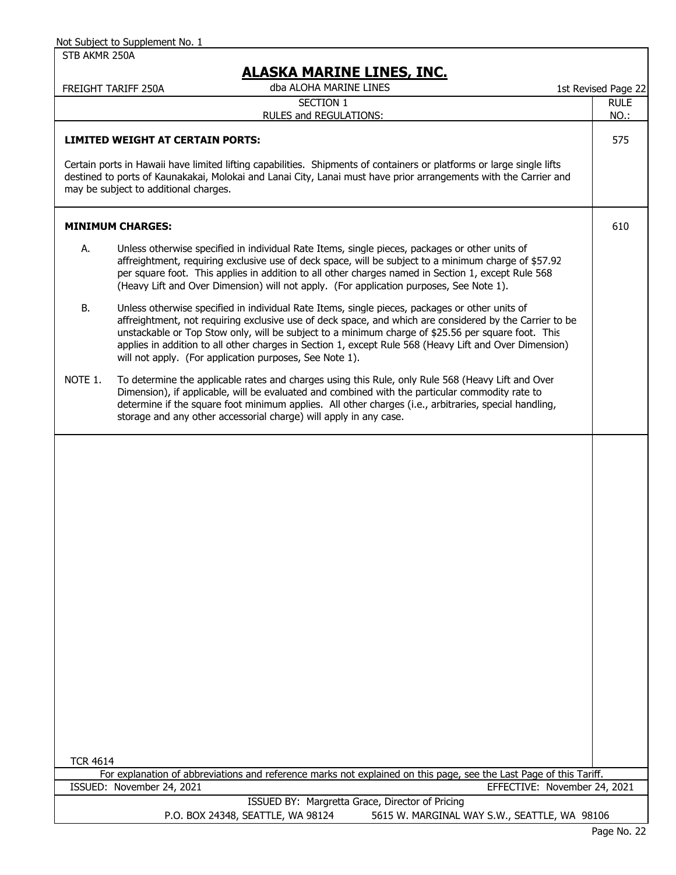|                 | FREIGHT TARIFF 250A                   | dba ALOHA MARINE LINES                                                                                                                                                                                                                                                                                                                                                                                                                                                               | 1st Revised Page 22 |
|-----------------|---------------------------------------|--------------------------------------------------------------------------------------------------------------------------------------------------------------------------------------------------------------------------------------------------------------------------------------------------------------------------------------------------------------------------------------------------------------------------------------------------------------------------------------|---------------------|
|                 |                                       | <b>SECTION 1</b><br>RULES and REGULATIONS:                                                                                                                                                                                                                                                                                                                                                                                                                                           | <b>RULE</b><br>NO.: |
|                 |                                       | <b>LIMITED WEIGHT AT CERTAIN PORTS:</b>                                                                                                                                                                                                                                                                                                                                                                                                                                              | 575                 |
|                 | may be subject to additional charges. | Certain ports in Hawaii have limited lifting capabilities. Shipments of containers or platforms or large single lifts<br>destined to ports of Kaunakakai, Molokai and Lanai City, Lanai must have prior arrangements with the Carrier and                                                                                                                                                                                                                                            |                     |
|                 | <b>MINIMUM CHARGES:</b>               |                                                                                                                                                                                                                                                                                                                                                                                                                                                                                      | 610                 |
| А.              |                                       | Unless otherwise specified in individual Rate Items, single pieces, packages or other units of<br>affreightment, requiring exclusive use of deck space, will be subject to a minimum charge of \$57.92<br>per square foot. This applies in addition to all other charges named in Section 1, except Rule 568<br>(Heavy Lift and Over Dimension) will not apply. (For application purposes, See Note 1).                                                                              |                     |
| В.              |                                       | Unless otherwise specified in individual Rate Items, single pieces, packages or other units of<br>affreightment, not requiring exclusive use of deck space, and which are considered by the Carrier to be<br>unstackable or Top Stow only, will be subject to a minimum charge of \$25.56 per square foot. This<br>applies in addition to all other charges in Section 1, except Rule 568 (Heavy Lift and Over Dimension)<br>will not apply. (For application purposes, See Note 1). |                     |
| NOTE 1.         |                                       | To determine the applicable rates and charges using this Rule, only Rule 568 (Heavy Lift and Over<br>Dimension), if applicable, will be evaluated and combined with the particular commodity rate to<br>determine if the square foot minimum applies. All other charges (i.e., arbitraries, special handling,<br>storage and any other accessorial charge) will apply in any case.                                                                                                   |                     |
|                 |                                       |                                                                                                                                                                                                                                                                                                                                                                                                                                                                                      |                     |
|                 |                                       |                                                                                                                                                                                                                                                                                                                                                                                                                                                                                      |                     |
|                 |                                       |                                                                                                                                                                                                                                                                                                                                                                                                                                                                                      |                     |
|                 |                                       |                                                                                                                                                                                                                                                                                                                                                                                                                                                                                      |                     |
|                 |                                       |                                                                                                                                                                                                                                                                                                                                                                                                                                                                                      |                     |
|                 |                                       |                                                                                                                                                                                                                                                                                                                                                                                                                                                                                      |                     |
|                 |                                       |                                                                                                                                                                                                                                                                                                                                                                                                                                                                                      |                     |
|                 |                                       |                                                                                                                                                                                                                                                                                                                                                                                                                                                                                      |                     |
| <b>TCR 4614</b> |                                       | For explanation of abbreviations and reference marks not explained on this page, see the Last Page of this Tariff.                                                                                                                                                                                                                                                                                                                                                                   |                     |
|                 | ISSUED: November 24, 2021             | EFFECTIVE: November 24, 2021                                                                                                                                                                                                                                                                                                                                                                                                                                                         |                     |
|                 |                                       | ISSUED BY: Margretta Grace, Director of Pricing<br>P.O. BOX 24348, SEATTLE, WA 98124<br>5615 W. MARGINAL WAY S.W., SEATTLE, WA 98106                                                                                                                                                                                                                                                                                                                                                 |                     |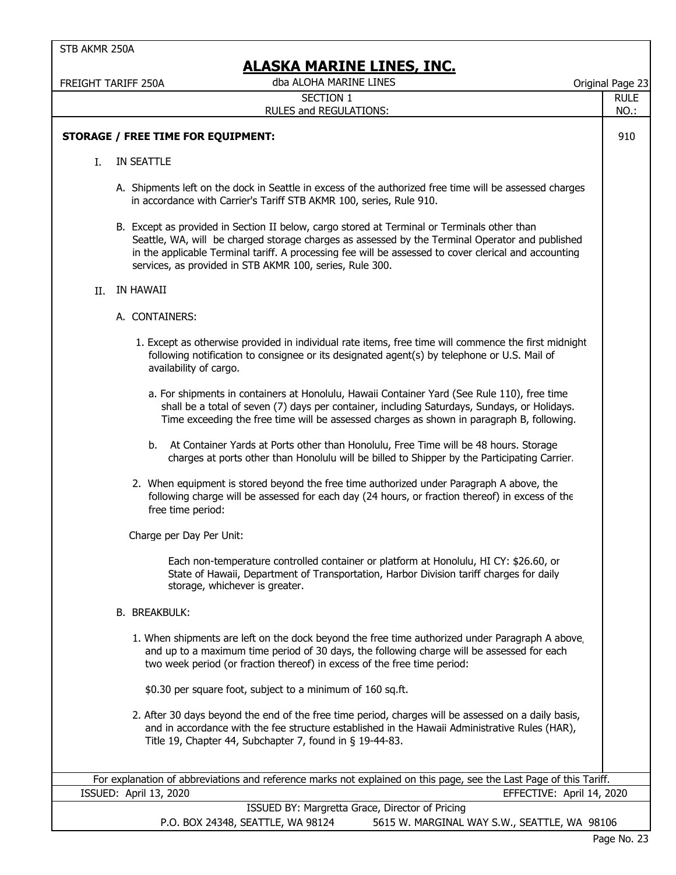|    | ALAJNA MAKLINE LLINEJ, LINJ.                                                                                                                                                                                                                                                                                                                                        |                     |
|----|---------------------------------------------------------------------------------------------------------------------------------------------------------------------------------------------------------------------------------------------------------------------------------------------------------------------------------------------------------------------|---------------------|
|    | dba ALOHA MARINE LINES<br>FREIGHT TARIFF 250A<br><b>SECTION 1</b>                                                                                                                                                                                                                                                                                                   | Original Page 23    |
|    | RULES and REGULATIONS:                                                                                                                                                                                                                                                                                                                                              | <b>RULE</b><br>NO.: |
|    |                                                                                                                                                                                                                                                                                                                                                                     |                     |
|    | <b>STORAGE / FREE TIME FOR EQUIPMENT:</b>                                                                                                                                                                                                                                                                                                                           | 910                 |
| L. | IN SEATTLE                                                                                                                                                                                                                                                                                                                                                          |                     |
|    | A. Shipments left on the dock in Seattle in excess of the authorized free time will be assessed charges<br>in accordance with Carrier's Tariff STB AKMR 100, series, Rule 910.                                                                                                                                                                                      |                     |
|    | B. Except as provided in Section II below, cargo stored at Terminal or Terminals other than<br>Seattle, WA, will be charged storage charges as assessed by the Terminal Operator and published<br>in the applicable Terminal tariff. A processing fee will be assessed to cover clerical and accounting<br>services, as provided in STB AKMR 100, series, Rule 300. |                     |
| Н. | IN HAWAII                                                                                                                                                                                                                                                                                                                                                           |                     |
|    | A. CONTAINERS:                                                                                                                                                                                                                                                                                                                                                      |                     |
|    | 1. Except as otherwise provided in individual rate items, free time will commence the first midnight<br>following notification to consignee or its designated agent(s) by telephone or U.S. Mail of<br>availability of cargo.                                                                                                                                       |                     |
|    | a. For shipments in containers at Honolulu, Hawaii Container Yard (See Rule 110), free time<br>shall be a total of seven (7) days per container, including Saturdays, Sundays, or Holidays.<br>Time exceeding the free time will be assessed charges as shown in paragraph B, following.                                                                            |                     |
|    | b. At Container Yards at Ports other than Honolulu, Free Time will be 48 hours. Storage<br>charges at ports other than Honolulu will be billed to Shipper by the Participating Carrier.                                                                                                                                                                             |                     |
|    | 2. When equipment is stored beyond the free time authorized under Paragraph A above, the<br>following charge will be assessed for each day (24 hours, or fraction thereof) in excess of the<br>free time period:                                                                                                                                                    |                     |
|    | Charge per Day Per Unit:                                                                                                                                                                                                                                                                                                                                            |                     |
|    | Each non-temperature controlled container or platform at Honolulu, HI CY: \$26.60, or<br>State of Hawaii, Department of Transportation, Harbor Division tariff charges for daily<br>storage, whichever is greater.                                                                                                                                                  |                     |
|    | <b>B. BREAKBULK:</b>                                                                                                                                                                                                                                                                                                                                                |                     |
|    | 1. When shipments are left on the dock beyond the free time authorized under Paragraph A above,<br>and up to a maximum time period of 30 days, the following charge will be assessed for each<br>two week period (or fraction thereof) in excess of the free time period:                                                                                           |                     |
|    | \$0.30 per square foot, subject to a minimum of 160 sq.ft.                                                                                                                                                                                                                                                                                                          |                     |
|    | 2. After 30 days beyond the end of the free time period, charges will be assessed on a daily basis,<br>and in accordance with the fee structure established in the Hawaii Administrative Rules (HAR),<br>Title 19, Chapter 44, Subchapter 7, found in § 19-44-83.                                                                                                   |                     |
|    | For explanation of abbreviations and reference marks not explained on this page, see the Last Page of this Tariff.                                                                                                                                                                                                                                                  |                     |
|    | ISSUED: April 13, 2020<br>EFFECTIVE: April 14, 2020                                                                                                                                                                                                                                                                                                                 |                     |
|    | ISSUED BY: Margretta Grace, Director of Pricing<br>P.O. BOX 24348, SEATTLE, WA 98124<br>5615 W. MARGINAL WAY S.W., SEATTLE, WA 98106                                                                                                                                                                                                                                |                     |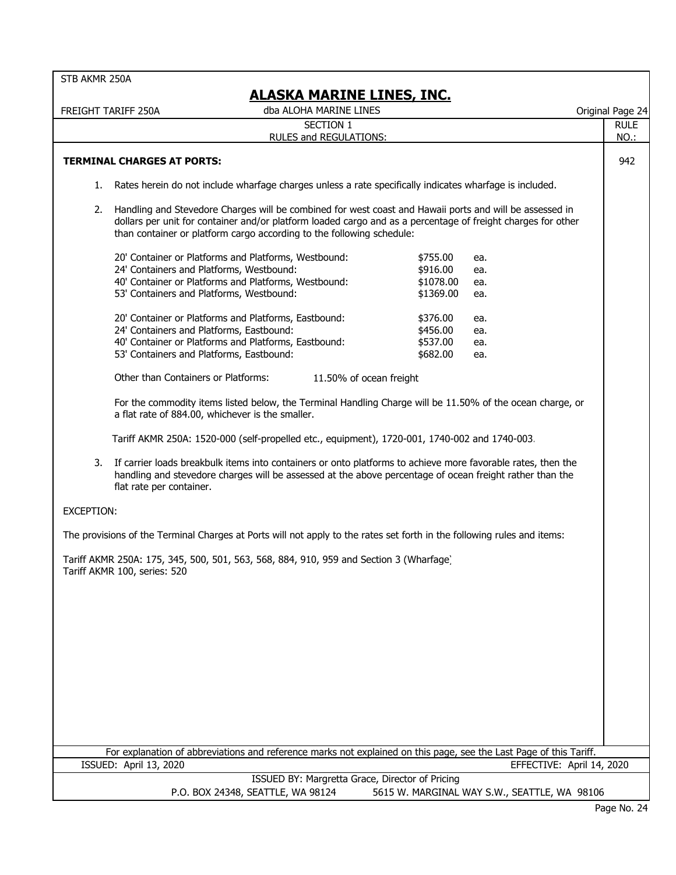| STB AKMR 250A |  |  |  |
|---------------|--|--|--|
|---------------|--|--|--|

## **ALASKA MARINE LINES, INC.**

FREIGHT TARIFF 250A Original Page 24 dba ALOHA MARINE LINES

RULE

NO.:

#### SECTION 1 RULES and REGULATIONS:

#### **TERMINAL CHARGES AT PORTS:** 942

- 1. Rates herein do not include wharfage charges unless a rate specifically indicates wharfage is included.
- 2. Handling and Stevedore Charges will be combined for west coast and Hawaii ports and will be assessed in dollars per unit for container and/or platform loaded cargo and as a percentage of freight charges for other than container or platform cargo according to the following schedule:

| 20' Container or Platforms and Platforms, Westbound:<br>24' Containers and Platforms, Westbound:<br>40' Container or Platforms and Platforms, Westbound:<br>53' Containers and Platforms, Westbound: | \$755.00<br>\$916.00<br>\$1078.00<br>\$1369.00 | ea.<br>ea.<br>ea.<br>ea. |
|------------------------------------------------------------------------------------------------------------------------------------------------------------------------------------------------------|------------------------------------------------|--------------------------|
| 20' Container or Platforms and Platforms, Eastbound:                                                                                                                                                 | \$376.00                                       | ea.                      |
| 24' Containers and Platforms, Eastbound:                                                                                                                                                             | \$456.00                                       | ea.                      |
| 40' Container or Platforms and Platforms, Eastbound:                                                                                                                                                 | \$537.00                                       | ea.                      |
| 53' Containers and Platforms, Eastbound:                                                                                                                                                             | \$682.00                                       | ea.                      |

Other than Containers or Platforms: 11.50% of ocean freight

For the commodity items listed below, the Terminal Handling Charge will be 11.50% of the ocean charge, or a flat rate of 884.00, whichever is the smaller.

Tariff AKMR 250A: 1520-000 (self-propelled etc., equipment), 1720-001, 1740-002 and 1740-003.

3. If carrier loads breakbulk items into containers or onto platforms to achieve more favorable rates, then the handling and stevedore charges will be assessed at the above percentage of ocean freight rather than the flat rate per container.

#### EXCEPTION:

The provisions of the Terminal Charges at Ports will not apply to the rates set forth in the following rules and items:

Tariff AKMR 250A: 175, 345, 500, 501, 563, 568, 884, 910, 959 and Section 3 (Wharfage) Tariff AKMR 100, series: 520

For explanation of abbreviations and reference marks not explained on this page, see the Last Page of this Tariff. ISSUED: April 13, 2020 EFFECTIVE: April 14, 2020

> ISSUED BY: Margretta Grace, Director of Pricing P.O. BOX 24348, SEATTLE, WA 98124 5615 W. MARGINAL WAY S.W., SEATTLE, WA 98106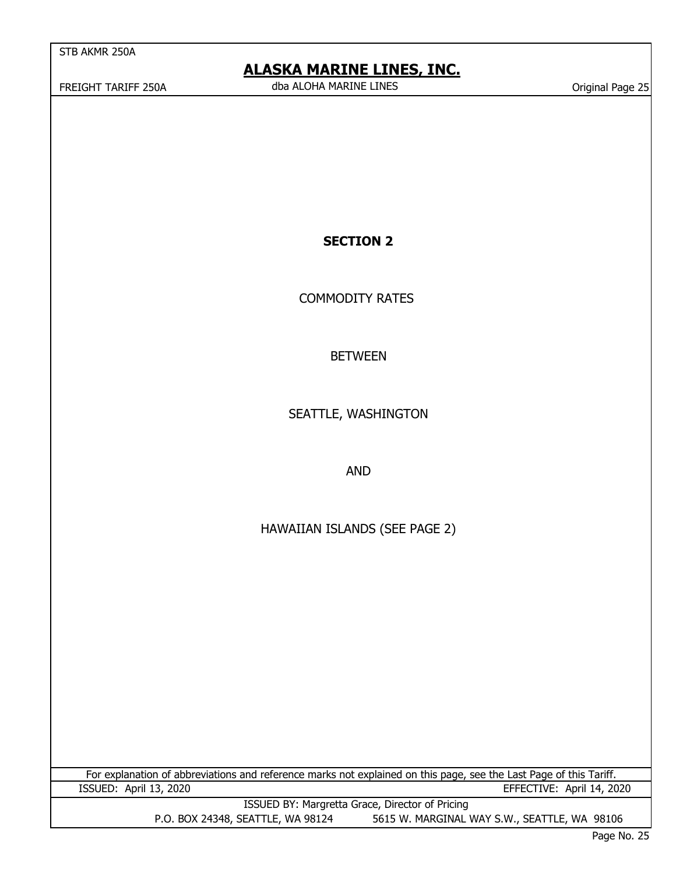## **ALASKA MARINE LINES, INC.**

FREIGHT TARIFF 250A Original Page 25 dba ALOHA MARINE LINES

## **SECTION 2**

COMMODITY RATES

## BETWEEN

SEATTLE, WASHINGTON

AND

## HAWAIIAN ISLANDS (SEE PAGE 2)

For explanation of abbreviations and reference marks not explained on this page, see the Last Page of this Tariff. ISSUED: April 13, 2020 EFFECTIVE: April 14, 2020

> ISSUED BY: Margretta Grace, Director of Pricing P.O. BOX 24348, SEATTLE, WA 98124 5615 W. MARGINAL WAY S.W., SEATTLE, WA 98106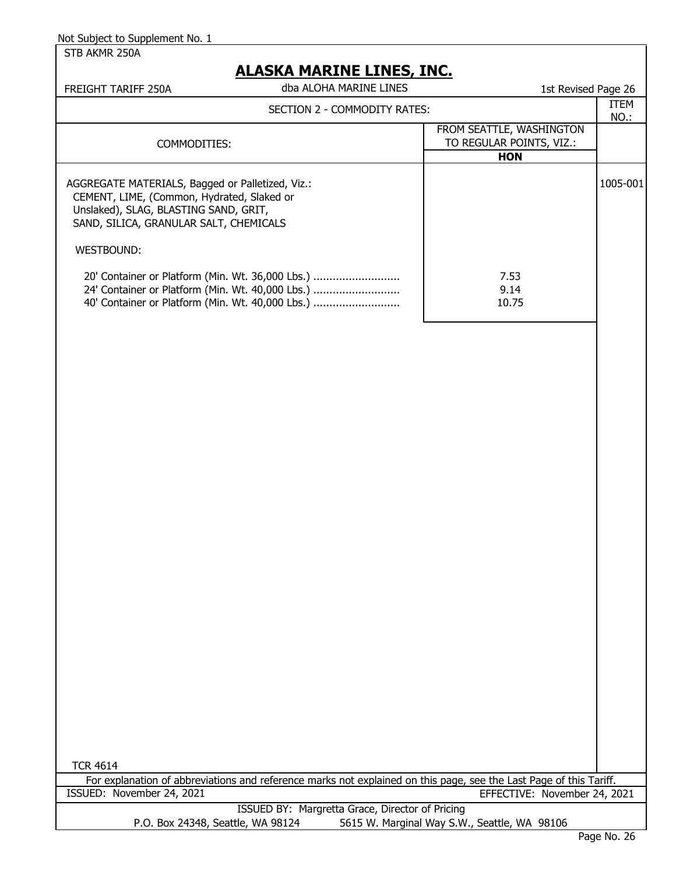STB AKMR 250A

| <b>ALASKA MARINE LINES, INC.</b>                                                                                                                                                                |                                                                                                                                                          |                                                                    |                     |  |
|-------------------------------------------------------------------------------------------------------------------------------------------------------------------------------------------------|----------------------------------------------------------------------------------------------------------------------------------------------------------|--------------------------------------------------------------------|---------------------|--|
| FREIGHT TARIFF 250A                                                                                                                                                                             | dba ALOHA MARINE LINES                                                                                                                                   | 1st Revised Page 26                                                |                     |  |
|                                                                                                                                                                                                 | SECTION 2 - COMMODITY RATES:                                                                                                                             |                                                                    | <b>ITEM</b><br>NO.: |  |
| COMMODITIES:                                                                                                                                                                                    |                                                                                                                                                          | FROM SEATTLE, WASHINGTON<br>TO REGULAR POINTS, VIZ.:<br><b>HON</b> |                     |  |
| AGGREGATE MATERIALS, Bagged or Palletized, Viz.:<br>CEMENT, LIME, (Common, Hydrated, Slaked or<br>Unslaked), SLAG, BLASTING SAND, GRIT,<br>SAND, SILICA, GRANULAR SALT, CHEMICALS<br>WESTBOUND: |                                                                                                                                                          |                                                                    | 1005-001            |  |
|                                                                                                                                                                                                 | 20' Container or Platform (Min. Wt. 36,000 Lbs.)<br>24' Container or Platform (Min. Wt. 40,000 Lbs.)<br>40' Container or Platform (Min. Wt. 40,000 Lbs.) | 7.53<br>9.14<br>10.75                                              |                     |  |
|                                                                                                                                                                                                 |                                                                                                                                                          |                                                                    |                     |  |

TCR 4614

|                                   | For explanation of abbreviations and reference marks not explained on this page, see the Last Page of this Tariff. |
|-----------------------------------|--------------------------------------------------------------------------------------------------------------------|
| ISSUED: November 24, 2021         | EFFECTIVE: November 24, 2021                                                                                       |
|                                   | ISSUED BY: Margretta Grace, Director of Pricing                                                                    |
| P.O. Box 24348, Seattle, WA 98124 | 5615 W. Marginal Way S.W., Seattle, WA 98106                                                                       |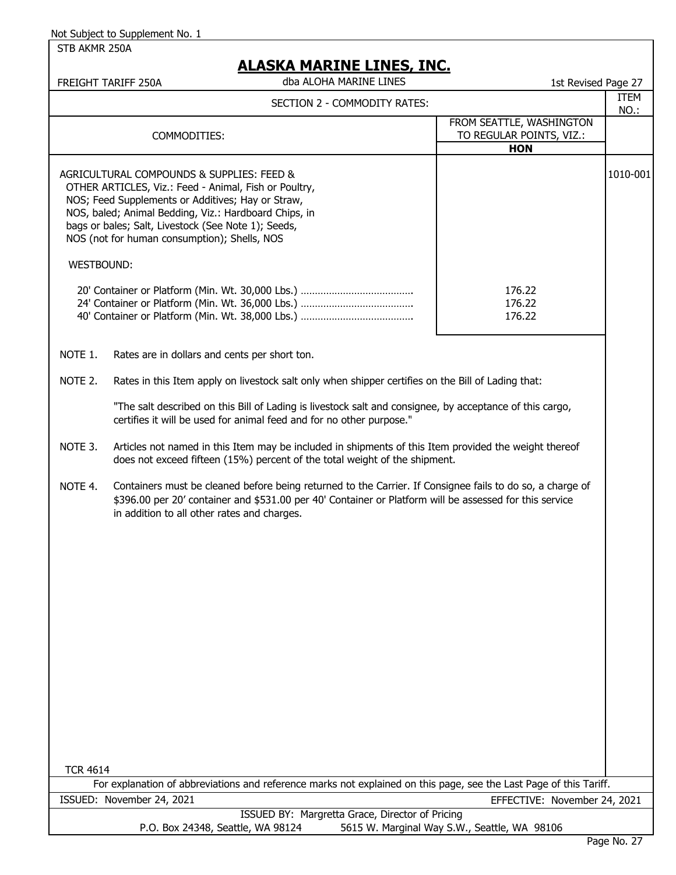STB AKMR 250A

# **EVA MARTNE LINES, INC.**

|                 | <u>ALASKA MAKINE LINES, INC.</u><br>dba ALOHA MARINE LINES<br>FREIGHT TARIFF 250A                                                                                                                                                                                                                                       | 1st Revised Page 27                                                |              |
|-----------------|-------------------------------------------------------------------------------------------------------------------------------------------------------------------------------------------------------------------------------------------------------------------------------------------------------------------------|--------------------------------------------------------------------|--------------|
|                 | SECTION 2 - COMMODITY RATES:                                                                                                                                                                                                                                                                                            |                                                                    | ITEM<br>NO.: |
|                 | COMMODITIES:                                                                                                                                                                                                                                                                                                            | FROM SEATTLE, WASHINGTON<br>TO REGULAR POINTS, VIZ.:<br><b>HON</b> |              |
|                 | AGRICULTURAL COMPOUNDS & SUPPLIES: FEED &<br>OTHER ARTICLES, Viz.: Feed - Animal, Fish or Poultry,<br>NOS; Feed Supplements or Additives; Hay or Straw,<br>NOS, baled; Animal Bedding, Viz.: Hardboard Chips, in<br>bags or bales; Salt, Livestock (See Note 1); Seeds,<br>NOS (not for human consumption); Shells, NOS |                                                                    | 1010-001     |
| WESTBOUND:      |                                                                                                                                                                                                                                                                                                                         |                                                                    |              |
|                 |                                                                                                                                                                                                                                                                                                                         | 176.22<br>176.22<br>176.22                                         |              |
| NOTE 1.         | Rates are in dollars and cents per short ton.                                                                                                                                                                                                                                                                           |                                                                    |              |
| NOTE 2.         | Rates in this Item apply on livestock salt only when shipper certifies on the Bill of Lading that:                                                                                                                                                                                                                      |                                                                    |              |
|                 | "The salt described on this Bill of Lading is livestock salt and consignee, by acceptance of this cargo,<br>certifies it will be used for animal feed and for no other purpose."                                                                                                                                        |                                                                    |              |
| NOTE 3.         | Articles not named in this Item may be included in shipments of this Item provided the weight thereof<br>does not exceed fifteen (15%) percent of the total weight of the shipment.                                                                                                                                     |                                                                    |              |
| NOTE 4.         | Containers must be cleaned before being returned to the Carrier. If Consignee fails to do so, a charge of<br>\$396.00 per 20' container and \$531.00 per 40' Container or Platform will be assessed for this service<br>in addition to all other rates and charges.                                                     |                                                                    |              |
|                 |                                                                                                                                                                                                                                                                                                                         |                                                                    |              |
|                 |                                                                                                                                                                                                                                                                                                                         |                                                                    |              |
| <b>TCR 4614</b> | For explanation of abbreviations and reference marks not explained on this page, see the Last Page of this Tariff.                                                                                                                                                                                                      |                                                                    |              |
|                 | ISSUED: November 24, 2021                                                                                                                                                                                                                                                                                               | EFFECTIVE: November 24, 2021                                       |              |
|                 | ISSUED BY: Margretta Grace, Director of Pricing                                                                                                                                                                                                                                                                         |                                                                    |              |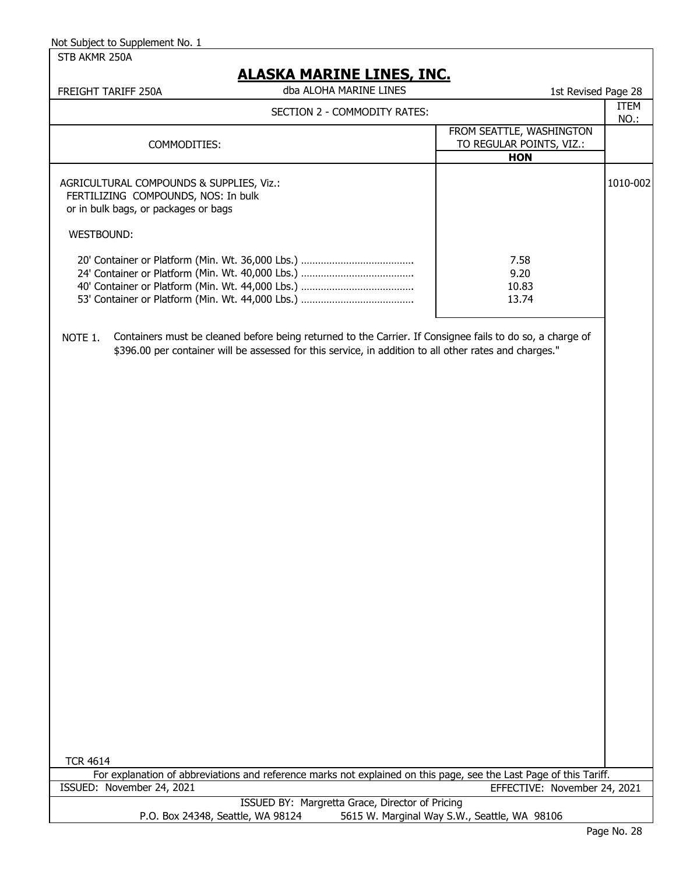STB AKMR 250A

## **ALASKA MARINE LINES, INC.**

| FREIGHT TARIFF 250A                                                                                                                          | dba ALOHA MARINE LINES                                                                                                                                                                                              | 1st Revised Page 28                                                |              |
|----------------------------------------------------------------------------------------------------------------------------------------------|---------------------------------------------------------------------------------------------------------------------------------------------------------------------------------------------------------------------|--------------------------------------------------------------------|--------------|
|                                                                                                                                              | SECTION 2 - COMMODITY RATES:                                                                                                                                                                                        |                                                                    | ITEM<br>NO.: |
| COMMODITIES:                                                                                                                                 |                                                                                                                                                                                                                     | FROM SEATTLE, WASHINGTON<br>TO REGULAR POINTS, VIZ.:<br><b>HON</b> |              |
| AGRICULTURAL COMPOUNDS & SUPPLIES, Viz.:<br>FERTILIZING COMPOUNDS, NOS: In bulk<br>or in bulk bags, or packages or bags<br><b>WESTBOUND:</b> |                                                                                                                                                                                                                     |                                                                    | 1010-002     |
|                                                                                                                                              |                                                                                                                                                                                                                     | 7.58<br>9.20<br>10.83<br>13.74                                     |              |
| NOTE 1.                                                                                                                                      | Containers must be cleaned before being returned to the Carrier. If Consignee fails to do so, a charge of<br>\$396.00 per container will be assessed for this service, in addition to all other rates and charges." |                                                                    |              |

TCR 4614

For explanation of abbreviations and reference marks not explained on this page, see the Last Page of this Tariff. ISSUED: November 24, 2021 EFFECTIVE: November 24, 2021

> ISSUED BY: Margretta Grace, Director of Pricing P.O. Box 24348, Seattle, WA 98124 5615 W. Marginal Way S.W., Seattle, WA 98106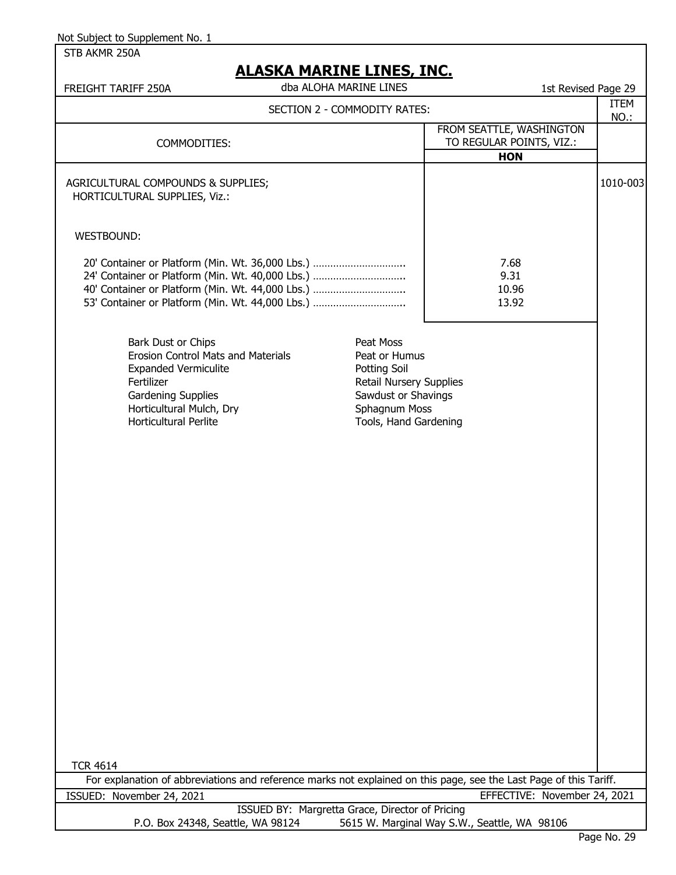STB AKMR 250A

| <u>ALAJNA MANINE LINEJ, INV.</u><br>dba ALOHA MARINE LINES<br>FREIGHT TARIFF 250A                                                                                                                                                                                                                                                        | 1st Revised Page 29                          |             |
|------------------------------------------------------------------------------------------------------------------------------------------------------------------------------------------------------------------------------------------------------------------------------------------------------------------------------------------|----------------------------------------------|-------------|
| SECTION 2 - COMMODITY RATES:                                                                                                                                                                                                                                                                                                             |                                              | <b>ITEM</b> |
|                                                                                                                                                                                                                                                                                                                                          | FROM SEATTLE, WASHINGTON                     | <b>NO.:</b> |
| COMMODITIES:                                                                                                                                                                                                                                                                                                                             | TO REGULAR POINTS, VIZ.:                     |             |
|                                                                                                                                                                                                                                                                                                                                          | <b>HON</b>                                   |             |
| AGRICULTURAL COMPOUNDS & SUPPLIES;<br>HORTICULTURAL SUPPLIES, Viz.:                                                                                                                                                                                                                                                                      |                                              | 1010-003    |
| WESTBOUND:                                                                                                                                                                                                                                                                                                                               |                                              |             |
| 20' Container or Platform (Min. Wt. 36,000 Lbs.)<br>24' Container or Platform (Min. Wt. 40,000 Lbs.)<br>40' Container or Platform (Min. Wt. 44,000 Lbs.)<br>53' Container or Platform (Min. Wt. 44,000 Lbs.)                                                                                                                             | 7.68<br>9.31<br>10.96<br>13.92               |             |
| Bark Dust or Chips<br>Peat Moss<br>Erosion Control Mats and Materials<br>Peat or Humus<br><b>Expanded Vermiculite</b><br>Potting Soil<br>Fertilizer<br><b>Retail Nursery Supplies</b><br>Gardening Supplies<br>Sawdust or Shavings<br>Horticultural Mulch, Dry<br>Sphagnum Moss<br><b>Horticultural Perlite</b><br>Tools, Hand Gardening |                                              |             |
|                                                                                                                                                                                                                                                                                                                                          |                                              |             |
|                                                                                                                                                                                                                                                                                                                                          |                                              |             |
| <b>TCR 4614</b>                                                                                                                                                                                                                                                                                                                          |                                              |             |
| For explanation of abbreviations and reference marks not explained on this page, see the Last Page of this Tariff.                                                                                                                                                                                                                       |                                              |             |
| ISSUED: November 24, 2021                                                                                                                                                                                                                                                                                                                | EFFECTIVE: November 24, 2021                 |             |
| ISSUED BY: Margretta Grace, Director of Pricing                                                                                                                                                                                                                                                                                          |                                              |             |
| P.O. Box 24348, Seattle, WA 98124                                                                                                                                                                                                                                                                                                        | 5615 W. Marginal Way S.W., Seattle, WA 98106 |             |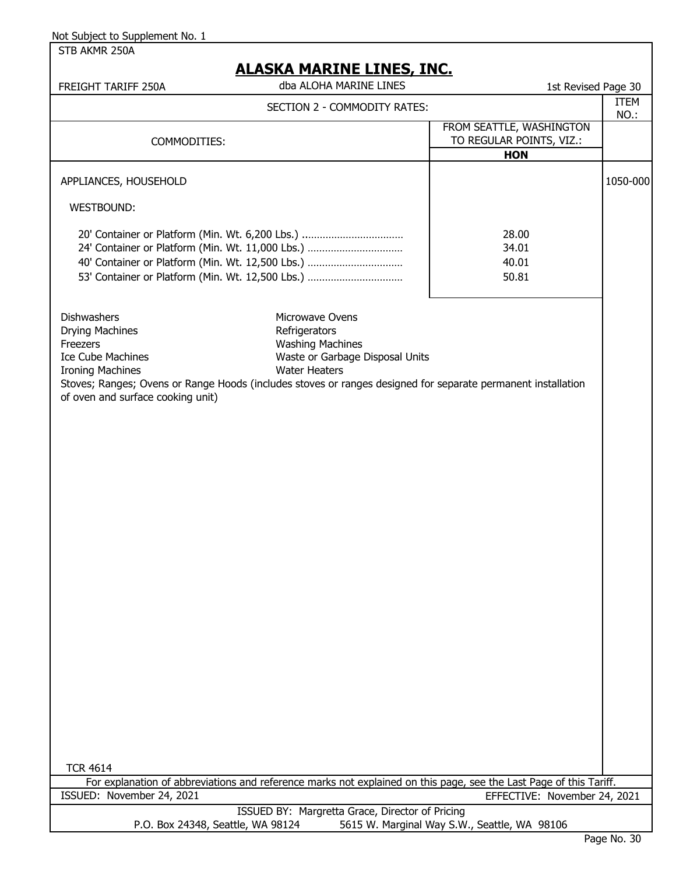STB AKMR 250A

| FREIGHT TARIFF 250A                                                                                                                                                                                                                                                  | <u>ALAJNA MANINL LINLY, INC.</u><br>dba ALOHA MARINE LINES                                                             | 1st Revised Page 30                                                |                     |
|----------------------------------------------------------------------------------------------------------------------------------------------------------------------------------------------------------------------------------------------------------------------|------------------------------------------------------------------------------------------------------------------------|--------------------------------------------------------------------|---------------------|
|                                                                                                                                                                                                                                                                      | SECTION 2 - COMMODITY RATES:                                                                                           |                                                                    | <b>ITEM</b><br>NO.: |
| COMMODITIES:                                                                                                                                                                                                                                                         |                                                                                                                        | FROM SEATTLE, WASHINGTON<br>TO REGULAR POINTS, VIZ.:<br><b>HON</b> |                     |
| APPLIANCES, HOUSEHOLD                                                                                                                                                                                                                                                |                                                                                                                        |                                                                    | 1050-000            |
| WESTBOUND:                                                                                                                                                                                                                                                           |                                                                                                                        |                                                                    |                     |
| 20' Container or Platform (Min. Wt. 6,200 Lbs.)<br>24' Container or Platform (Min. Wt. 11,000 Lbs.)<br>40' Container or Platform (Min. Wt. 12,500 Lbs.)<br>53' Container or Platform (Min. Wt. 12,500 Lbs.)                                                          |                                                                                                                        | 28.00<br>34.01<br>40.01<br>50.81                                   |                     |
| <b>Dishwashers</b><br><b>Drying Machines</b><br>Freezers<br><b>Ice Cube Machines</b><br><b>Ironing Machines</b><br>Stoves; Ranges; Ovens or Range Hoods (includes stoves or ranges designed for separate permanent installation<br>of oven and surface cooking unit) | Microwave Ovens<br>Refrigerators<br><b>Washing Machines</b><br>Waste or Garbage Disposal Units<br><b>Water Heaters</b> |                                                                    |                     |
| <b>TCR 4614</b>                                                                                                                                                                                                                                                      |                                                                                                                        |                                                                    |                     |
| For explanation of abbreviations and reference marks not explained on this page, see the Last Page of this Tariff.                                                                                                                                                   |                                                                                                                        |                                                                    |                     |
| ISSUED: November 24, 2021                                                                                                                                                                                                                                            | ISSUED BY: Margretta Grace, Director of Pricing                                                                        | EFFECTIVE: November 24, 2021                                       |                     |
| P.O. Box 24348, Seattle, WA 98124                                                                                                                                                                                                                                    |                                                                                                                        | 5615 W. Marginal Way S.W., Seattle, WA 98106                       |                     |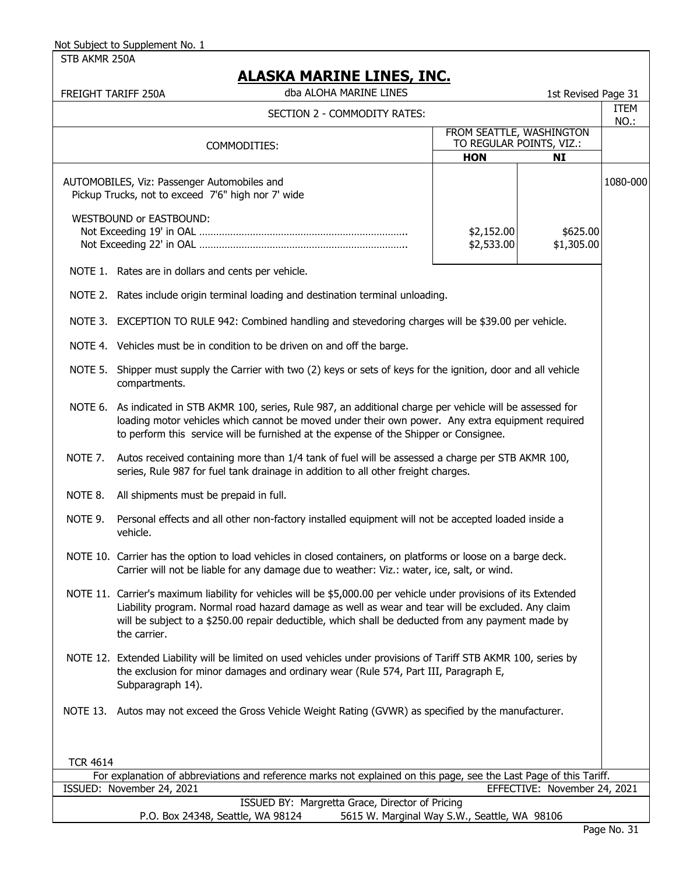STB AKMR 250A

|                                                                                                                                                                                                             | FREIGHT TARIFF 250A                                                                                                                                                                                                                                                                                                                         |                                                      | 1st Revised Page 31          | <b>ITEM</b> |
|-------------------------------------------------------------------------------------------------------------------------------------------------------------------------------------------------------------|---------------------------------------------------------------------------------------------------------------------------------------------------------------------------------------------------------------------------------------------------------------------------------------------------------------------------------------------|------------------------------------------------------|------------------------------|-------------|
|                                                                                                                                                                                                             | SECTION 2 - COMMODITY RATES:                                                                                                                                                                                                                                                                                                                |                                                      |                              | NO.:        |
|                                                                                                                                                                                                             | COMMODITIES:                                                                                                                                                                                                                                                                                                                                | FROM SEATTLE, WASHINGTON<br>TO REGULAR POINTS, VIZ.: |                              |             |
|                                                                                                                                                                                                             |                                                                                                                                                                                                                                                                                                                                             | <b>HON</b>                                           | <b>NI</b>                    |             |
|                                                                                                                                                                                                             | AUTOMOBILES, Viz: Passenger Automobiles and<br>Pickup Trucks, not to exceed 7'6" high nor 7' wide                                                                                                                                                                                                                                           |                                                      |                              | 1080-000    |
|                                                                                                                                                                                                             | WESTBOUND or EASTBOUND:                                                                                                                                                                                                                                                                                                                     | \$2,152.00<br>\$2,533.00                             | \$625.00<br>\$1,305.00       |             |
|                                                                                                                                                                                                             | NOTE 1. Rates are in dollars and cents per vehicle.                                                                                                                                                                                                                                                                                         |                                                      |                              |             |
|                                                                                                                                                                                                             | NOTE 2. Rates include origin terminal loading and destination terminal unloading.                                                                                                                                                                                                                                                           |                                                      |                              |             |
|                                                                                                                                                                                                             | NOTE 3. EXCEPTION TO RULE 942: Combined handling and stevedoring charges will be \$39.00 per vehicle.                                                                                                                                                                                                                                       |                                                      |                              |             |
|                                                                                                                                                                                                             | NOTE 4. Vehicles must be in condition to be driven on and off the barge.                                                                                                                                                                                                                                                                    |                                                      |                              |             |
|                                                                                                                                                                                                             | NOTE 5.<br>Shipper must supply the Carrier with two (2) keys or sets of keys for the ignition, door and all vehicle<br>compartments.                                                                                                                                                                                                        |                                                      |                              |             |
|                                                                                                                                                                                                             | NOTE 6. As indicated in STB AKMR 100, series, Rule 987, an additional charge per vehicle will be assessed for<br>loading motor vehicles which cannot be moved under their own power. Any extra equipment required<br>to perform this service will be furnished at the expense of the Shipper or Consignee.                                  |                                                      |                              |             |
| NOTE 7.                                                                                                                                                                                                     | Autos received containing more than 1/4 tank of fuel will be assessed a charge per STB AKMR 100,<br>series, Rule 987 for fuel tank drainage in addition to all other freight charges.                                                                                                                                                       |                                                      |                              |             |
| NOTE 8.                                                                                                                                                                                                     | All shipments must be prepaid in full.                                                                                                                                                                                                                                                                                                      |                                                      |                              |             |
| NOTE 9.                                                                                                                                                                                                     | Personal effects and all other non-factory installed equipment will not be accepted loaded inside a<br>vehicle.                                                                                                                                                                                                                             |                                                      |                              |             |
| NOTE 10. Carrier has the option to load vehicles in closed containers, on platforms or loose on a barge deck.<br>Carrier will not be liable for any damage due to weather: Viz.: water, ice, salt, or wind. |                                                                                                                                                                                                                                                                                                                                             |                                                      |                              |             |
|                                                                                                                                                                                                             | NOTE 11. Carrier's maximum liability for vehicles will be \$5,000.00 per vehicle under provisions of its Extended<br>Liability program. Normal road hazard damage as well as wear and tear will be excluded. Any claim<br>will be subject to a \$250.00 repair deductible, which shall be deducted from any payment made by<br>the carrier. |                                                      |                              |             |
|                                                                                                                                                                                                             | NOTE 12. Extended Liability will be limited on used vehicles under provisions of Tariff STB AKMR 100, series by<br>the exclusion for minor damages and ordinary wear (Rule 574, Part III, Paragraph E,<br>Subparagraph 14).                                                                                                                 |                                                      |                              |             |
|                                                                                                                                                                                                             | NOTE 13. Autos may not exceed the Gross Vehicle Weight Rating (GVWR) as specified by the manufacturer.                                                                                                                                                                                                                                      |                                                      |                              |             |
| <b>TCR 4614</b>                                                                                                                                                                                             |                                                                                                                                                                                                                                                                                                                                             |                                                      |                              |             |
|                                                                                                                                                                                                             | For explanation of abbreviations and reference marks not explained on this page, see the Last Page of this Tariff.<br>ISSUED: November 24, 2021                                                                                                                                                                                             |                                                      | EFFECTIVE: November 24, 2021 |             |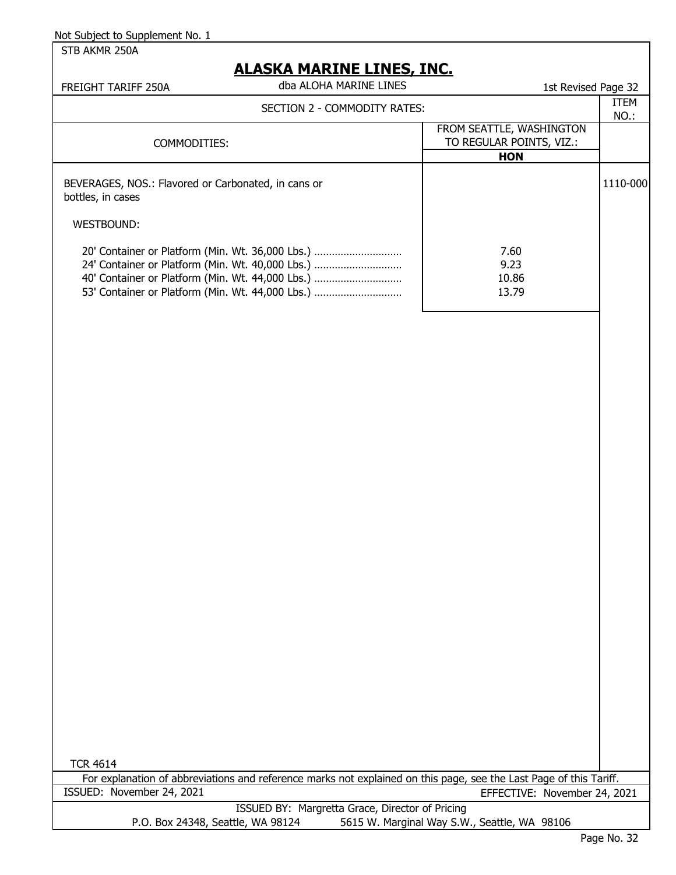# **ALASKA MARINE LINES, INC.**

| dba ALOHA MARINE LINES                                                                                                                                                                                                                         | 1st Revised Page 32 |
|------------------------------------------------------------------------------------------------------------------------------------------------------------------------------------------------------------------------------------------------|---------------------|
| SECTION 2 - COMMODITY RATES:                                                                                                                                                                                                                   | <b>ITEM</b><br>NO.: |
| FROM SEATTLE, WASHINGTON<br>TO REGULAR POINTS, VIZ.:                                                                                                                                                                                           |                     |
|                                                                                                                                                                                                                                                |                     |
|                                                                                                                                                                                                                                                | 1110-000            |
|                                                                                                                                                                                                                                                |                     |
| 20' Container or Platform (Min. Wt. 36,000 Lbs.)<br>7.60<br>24' Container or Platform (Min. Wt. 40,000 Lbs.)<br>9.23<br>40' Container or Platform (Min. Wt. 44,000 Lbs.)<br>10.86<br>53' Container or Platform (Min. Wt. 44,000 Lbs.)<br>13.79 |                     |
|                                                                                                                                                                                                                                                | <b>HON</b>          |

TCR 4614

ISSUED BY: Margretta Grace, Director of Pricing P.O. Box 24348, Seattle, WA 98124 5615 W. Marginal Way S.W., Seattle, WA 98106 For explanation of abbreviations and reference marks not explained on this page, see the Last Page of this Tariff. ISSUED: November 24, 2021 EFFECTIVE: November 24, 2021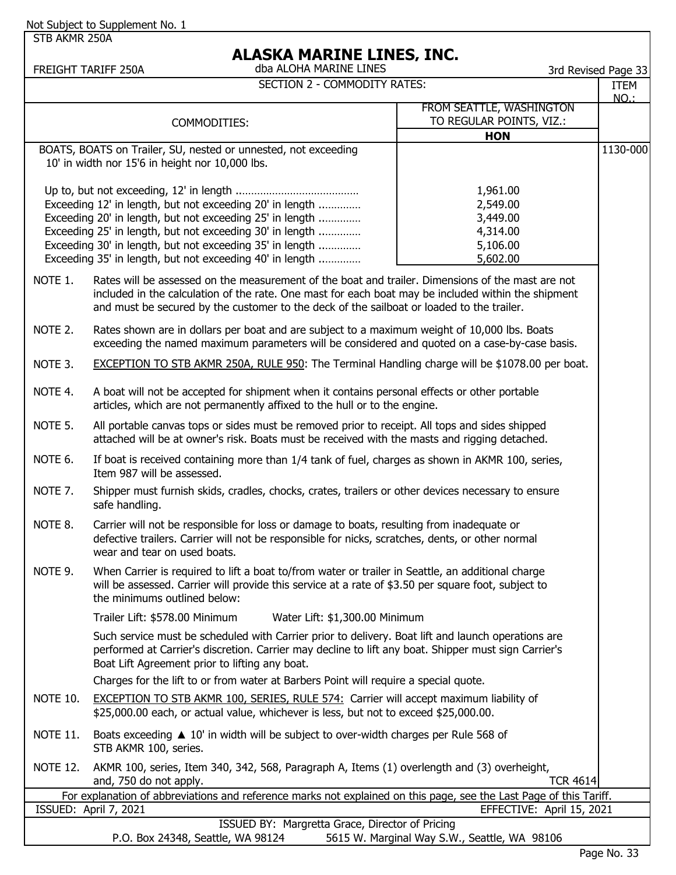STB AKMR 250A

|                 | dba ALOHA MARINE LINES<br>FREIGHT TARIFF 250A                                                                      |                                              | 3rd Revised Page 33 |
|-----------------|--------------------------------------------------------------------------------------------------------------------|----------------------------------------------|---------------------|
|                 | <b>SECTION 2 - COMMODITY RATES:</b>                                                                                |                                              | <b>ITEM</b>         |
|                 |                                                                                                                    |                                              | <b>NO.:</b>         |
|                 |                                                                                                                    | FROM SEATTLE, WASHINGTON                     |                     |
|                 | COMMODITIES:                                                                                                       | TO REGULAR POINTS, VIZ.:                     |                     |
|                 |                                                                                                                    | <b>HON</b>                                   |                     |
|                 | BOATS, BOATS on Trailer, SU, nested or unnested, not exceeding                                                     |                                              | 1130-000            |
|                 | 10' in width nor 15'6 in height nor 10,000 lbs.                                                                    |                                              |                     |
|                 |                                                                                                                    |                                              |                     |
|                 |                                                                                                                    | 1,961.00                                     |                     |
|                 | Exceeding 12' in length, but not exceeding 20' in length                                                           | 2,549.00                                     |                     |
|                 | Exceeding 20' in length, but not exceeding 25' in length                                                           | 3,449.00                                     |                     |
|                 | Exceeding 25' in length, but not exceeding 30' in length                                                           | 4,314.00                                     |                     |
|                 | Exceeding 30' in length, but not exceeding 35' in length                                                           | 5,106.00                                     |                     |
|                 | Exceeding 35' in length, but not exceeding 40' in length                                                           | 5,602.00                                     |                     |
|                 |                                                                                                                    |                                              |                     |
| NOTE 1.         | Rates will be assessed on the measurement of the boat and trailer. Dimensions of the mast are not                  |                                              |                     |
|                 | included in the calculation of the rate. One mast for each boat may be included within the shipment                |                                              |                     |
|                 | and must be secured by the customer to the deck of the sailboat or loaded to the trailer.                          |                                              |                     |
| NOTE 2.         | Rates shown are in dollars per boat and are subject to a maximum weight of 10,000 lbs. Boats                       |                                              |                     |
|                 | exceeding the named maximum parameters will be considered and quoted on a case-by-case basis.                      |                                              |                     |
|                 |                                                                                                                    |                                              |                     |
| NOTE 3.         | EXCEPTION TO STB AKMR 250A, RULE 950: The Terminal Handling charge will be \$1078.00 per boat.                     |                                              |                     |
|                 |                                                                                                                    |                                              |                     |
| NOTE 4.         | A boat will not be accepted for shipment when it contains personal effects or other portable                       |                                              |                     |
|                 | articles, which are not permanently affixed to the hull or to the engine.                                          |                                              |                     |
|                 |                                                                                                                    |                                              |                     |
| NOTE 5.         | All portable canvas tops or sides must be removed prior to receipt. All tops and sides shipped                     |                                              |                     |
|                 | attached will be at owner's risk. Boats must be received with the masts and rigging detached.                      |                                              |                     |
| NOTE 6.         | If boat is received containing more than 1/4 tank of fuel, charges as shown in AKMR 100, series,                   |                                              |                     |
|                 | Item 987 will be assessed.                                                                                         |                                              |                     |
| NOTE 7.         | Shipper must furnish skids, cradles, chocks, crates, trailers or other devices necessary to ensure                 |                                              |                     |
|                 | safe handling.                                                                                                     |                                              |                     |
|                 |                                                                                                                    |                                              |                     |
| NOTE 8.         | Carrier will not be responsible for loss or damage to boats, resulting from inadequate or                          |                                              |                     |
|                 | defective trailers. Carrier will not be responsible for nicks, scratches, dents, or other normal                   |                                              |                     |
|                 | wear and tear on used boats.                                                                                       |                                              |                     |
| NOTE 9.         | When Carrier is required to lift a boat to/from water or trailer in Seattle, an additional charge                  |                                              |                     |
|                 | will be assessed. Carrier will provide this service at a rate of \$3.50 per square foot, subject to                |                                              |                     |
|                 | the minimums outlined below:                                                                                       |                                              |                     |
|                 |                                                                                                                    |                                              |                     |
|                 | Trailer Lift: \$578.00 Minimum<br>Water Lift: \$1,300.00 Minimum                                                   |                                              |                     |
|                 | Such service must be scheduled with Carrier prior to delivery. Boat lift and launch operations are                 |                                              |                     |
|                 | performed at Carrier's discretion. Carrier may decline to lift any boat. Shipper must sign Carrier's               |                                              |                     |
|                 | Boat Lift Agreement prior to lifting any boat.                                                                     |                                              |                     |
|                 |                                                                                                                    |                                              |                     |
|                 | Charges for the lift to or from water at Barbers Point will require a special quote.                               |                                              |                     |
| <b>NOTE 10.</b> | EXCEPTION TO STB AKMR 100, SERIES, RULE 574: Carrier will accept maximum liability of                              |                                              |                     |
|                 | \$25,000.00 each, or actual value, whichever is less, but not to exceed \$25,000.00.                               |                                              |                     |
|                 |                                                                                                                    |                                              |                     |
| <b>NOTE 11.</b> | Boats exceeding $\triangle 10'$ in width will be subject to over-width charges per Rule 568 of                     |                                              |                     |
|                 | STB AKMR 100, series.                                                                                              |                                              |                     |
| <b>NOTE 12.</b> | AKMR 100, series, Item 340, 342, 568, Paragraph A, Items (1) overlength and (3) overheight,                        |                                              |                     |
|                 | and, 750 do not apply.                                                                                             | <b>TCR 4614</b>                              |                     |
|                 | For explanation of abbreviations and reference marks not explained on this page, see the Last Page of this Tariff. |                                              |                     |
|                 | ISSUED: April 7, 2021                                                                                              | EFFECTIVE: April 15, 2021                    |                     |
|                 | ISSUED BY: Margretta Grace, Director of Pricing                                                                    |                                              |                     |
|                 | P.O. Box 24348, Seattle, WA 98124                                                                                  | 5615 W. Marginal Way S.W., Seattle, WA 98106 |                     |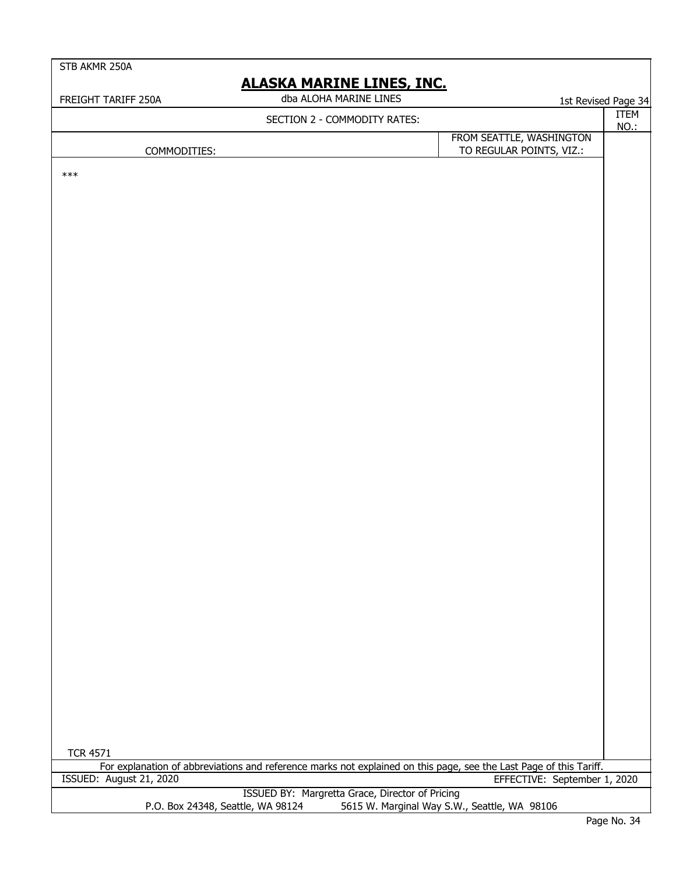STB AKMR 250A

| FREIGHT TARIFF 250A               | dba ALOHA MARINE LINES                                                                                             |                                              | 1st Revised Page 34        |
|-----------------------------------|--------------------------------------------------------------------------------------------------------------------|----------------------------------------------|----------------------------|
|                                   | SECTION 2 - COMMODITY RATES:                                                                                       |                                              | <b>ITEM</b><br><b>NO.:</b> |
|                                   |                                                                                                                    | FROM SEATTLE, WASHINGTON                     |                            |
| COMMODITIES:                      |                                                                                                                    | TO REGULAR POINTS, VIZ.:                     |                            |
| $***$                             |                                                                                                                    |                                              |                            |
|                                   |                                                                                                                    |                                              |                            |
|                                   |                                                                                                                    |                                              |                            |
|                                   |                                                                                                                    |                                              |                            |
|                                   |                                                                                                                    |                                              |                            |
|                                   |                                                                                                                    |                                              |                            |
|                                   |                                                                                                                    |                                              |                            |
|                                   |                                                                                                                    |                                              |                            |
|                                   |                                                                                                                    |                                              |                            |
|                                   |                                                                                                                    |                                              |                            |
|                                   |                                                                                                                    |                                              |                            |
|                                   |                                                                                                                    |                                              |                            |
|                                   |                                                                                                                    |                                              |                            |
|                                   |                                                                                                                    |                                              |                            |
|                                   |                                                                                                                    |                                              |                            |
|                                   |                                                                                                                    |                                              |                            |
|                                   |                                                                                                                    |                                              |                            |
|                                   |                                                                                                                    |                                              |                            |
|                                   |                                                                                                                    |                                              |                            |
|                                   |                                                                                                                    |                                              |                            |
|                                   |                                                                                                                    |                                              |                            |
|                                   |                                                                                                                    |                                              |                            |
|                                   |                                                                                                                    |                                              |                            |
|                                   |                                                                                                                    |                                              |                            |
|                                   |                                                                                                                    |                                              |                            |
|                                   |                                                                                                                    |                                              |                            |
|                                   |                                                                                                                    |                                              |                            |
|                                   |                                                                                                                    |                                              |                            |
|                                   |                                                                                                                    |                                              |                            |
|                                   |                                                                                                                    |                                              |                            |
|                                   |                                                                                                                    |                                              |                            |
|                                   |                                                                                                                    |                                              |                            |
|                                   |                                                                                                                    |                                              |                            |
|                                   |                                                                                                                    |                                              |                            |
|                                   |                                                                                                                    |                                              |                            |
|                                   |                                                                                                                    |                                              |                            |
|                                   |                                                                                                                    |                                              |                            |
| <b>TCR 4571</b>                   |                                                                                                                    |                                              |                            |
|                                   | For explanation of abbreviations and reference marks not explained on this page, see the Last Page of this Tariff. |                                              |                            |
| ISSUED: August 21, 2020           |                                                                                                                    | EFFECTIVE: September 1, 2020                 |                            |
|                                   | ISSUED BY: Margretta Grace, Director of Pricing                                                                    |                                              |                            |
| P.O. Box 24348, Seattle, WA 98124 |                                                                                                                    | 5615 W. Marginal Way S.W., Seattle, WA 98106 |                            |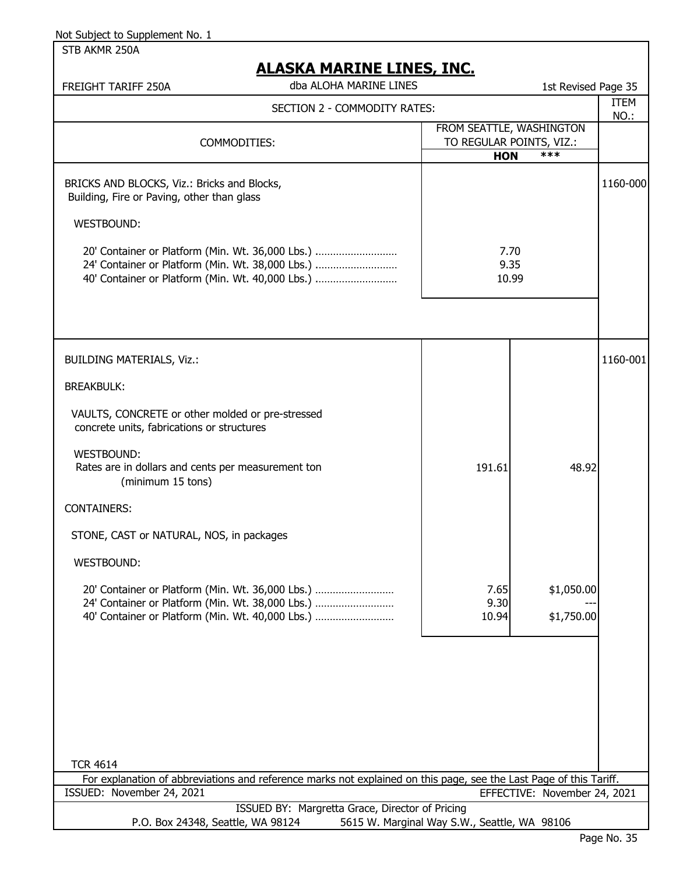STB AKMR 250A

# **ALASKA MARTNE LINES TNC.**

| <u>ALAJNA MANJINE LIINEJ, JINJ.</u><br>dba ALOHA MARINE LINES<br>FREIGHT TARIFF 250A                                                                     |                                              | 1st Revised Page 35             |              |
|----------------------------------------------------------------------------------------------------------------------------------------------------------|----------------------------------------------|---------------------------------|--------------|
| SECTION 2 - COMMODITY RATES:                                                                                                                             |                                              |                                 | ITEM<br>NO.: |
| COMMODITIES:                                                                                                                                             | TO REGULAR POINTS, VIZ.:<br><b>HON</b>       | FROM SEATTLE, WASHINGTON<br>*** |              |
| BRICKS AND BLOCKS, Viz.: Bricks and Blocks,<br>Building, Fire or Paving, other than glass                                                                |                                              |                                 | 1160-000     |
| WESTBOUND:                                                                                                                                               |                                              |                                 |              |
| 20' Container or Platform (Min. Wt. 36,000 Lbs.)<br>24' Container or Platform (Min. Wt. 38,000 Lbs.)<br>40' Container or Platform (Min. Wt. 40,000 Lbs.) | 7.70<br>9.35<br>10.99                        |                                 |              |
|                                                                                                                                                          |                                              |                                 |              |
| <b>BUILDING MATERIALS, Viz.:</b>                                                                                                                         |                                              |                                 | 1160-001     |
| <b>BREAKBULK:</b>                                                                                                                                        |                                              |                                 |              |
| VAULTS, CONCRETE or other molded or pre-stressed<br>concrete units, fabrications or structures                                                           |                                              |                                 |              |
| WESTBOUND:<br>Rates are in dollars and cents per measurement ton<br>(minimum 15 tons)                                                                    | 191.61                                       | 48.92                           |              |
| <b>CONTAINERS:</b>                                                                                                                                       |                                              |                                 |              |
| STONE, CAST or NATURAL, NOS, in packages                                                                                                                 |                                              |                                 |              |
| WESTBOUND:                                                                                                                                               |                                              |                                 |              |
| 20' Container or Platform (Min. Wt. 36,000 Lbs.)<br>24' Container or Platform (Min. Wt. 38,000 Lbs.)<br>40' Container or Platform (Min. Wt. 40,000 Lbs.) | 7.65<br>9.30<br>10.94                        | \$1,050.00<br>\$1,750.00        |              |
|                                                                                                                                                          |                                              |                                 |              |
|                                                                                                                                                          |                                              |                                 |              |
|                                                                                                                                                          |                                              |                                 |              |
| <b>TCR 4614</b><br>For explanation of abbreviations and reference marks not explained on this page, see the Last Page of this Tariff.                    |                                              |                                 |              |
| ISSUED: November 24, 2021                                                                                                                                |                                              | EFFECTIVE: November 24, 2021    |              |
| ISSUED BY: Margretta Grace, Director of Pricing<br>P.O. Box 24348, Seattle, WA 98124                                                                     | 5615 W. Marginal Way S.W., Seattle, WA 98106 |                                 |              |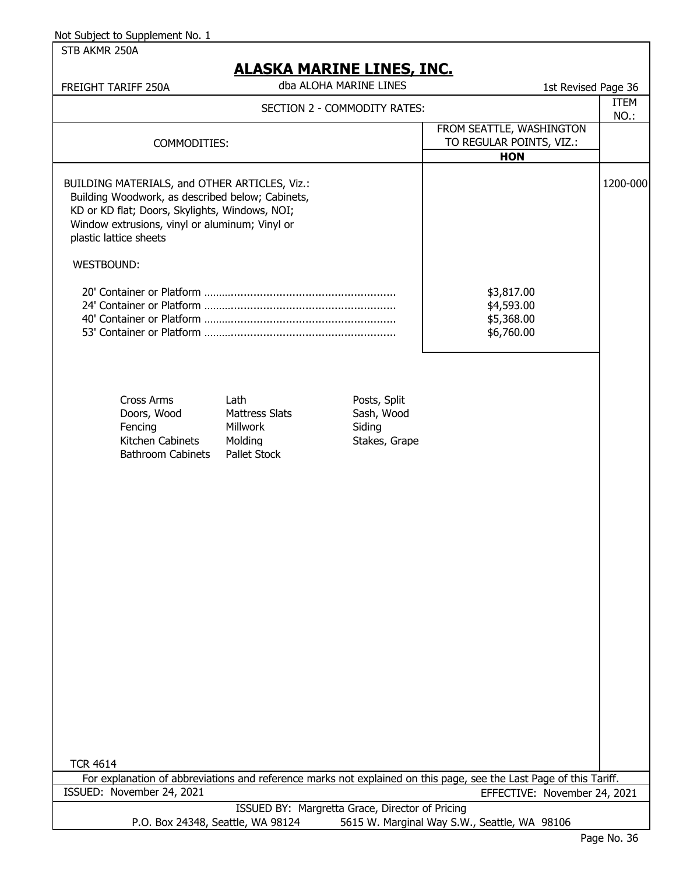|  | STB AKMR 250A |  |
|--|---------------|--|
|--|---------------|--|

| <u>ALAJNA MANJIYE LIIYEJ, JIYU.</u><br>dba ALOHA MARINE LINES<br>FREIGHT TARIFF 250A                                                                                                                                                       | 1st Revised Page 36                                                |             |
|--------------------------------------------------------------------------------------------------------------------------------------------------------------------------------------------------------------------------------------------|--------------------------------------------------------------------|-------------|
| SECTION 2 - COMMODITY RATES:                                                                                                                                                                                                               |                                                                    | <b>ITEM</b> |
| COMMODITIES:                                                                                                                                                                                                                               | FROM SEATTLE, WASHINGTON<br>TO REGULAR POINTS, VIZ.:<br><b>HON</b> | NO.:        |
| BUILDING MATERIALS, and OTHER ARTICLES, Viz.:<br>Building Woodwork, as described below; Cabinets,<br>KD or KD flat; Doors, Skylights, Windows, NOI;<br>Window extrusions, vinyl or aluminum; Vinyl or<br>plastic lattice sheets            |                                                                    | 1200-000    |
| <b>WESTBOUND:</b>                                                                                                                                                                                                                          |                                                                    |             |
|                                                                                                                                                                                                                                            | \$3,817.00<br>\$4,593.00<br>\$5,368.00<br>\$6,760.00               |             |
| <b>Cross Arms</b><br>Posts, Split<br>Lath<br>Doors, Wood<br><b>Mattress Slats</b><br>Sash, Wood<br>Fencing<br><b>Millwork</b><br>Siding<br>Kitchen Cabinets<br>Molding<br>Stakes, Grape<br><b>Bathroom Cabinets</b><br><b>Pallet Stock</b> |                                                                    |             |
| <b>TCR 4614</b><br>For explanation of abbreviations and reference marks not explained on this page, see the Last Page of this Tariff.                                                                                                      |                                                                    |             |
| ISSUED: November 24, 2021                                                                                                                                                                                                                  | EFFECTIVE: November 24, 2021                                       |             |
| ISSUED BY: Margretta Grace, Director of Pricing<br>P.O. Box 24348, Seattle, WA 98124                                                                                                                                                       | 5615 W. Marginal Way S.W., Seattle, WA 98106                       |             |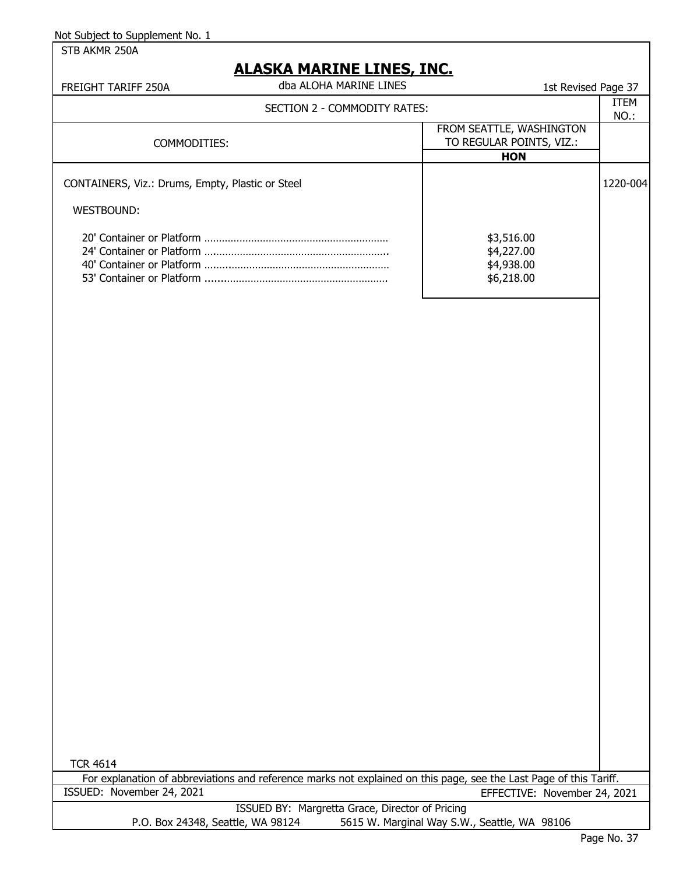STB AKMR 250A

## **ALASKA MARINE LINES, INC.**

| FREIGHT TARIFF 250A                                            | dba ALOHA MARINE LINES       | 1st Revised Page 37                                  |             |
|----------------------------------------------------------------|------------------------------|------------------------------------------------------|-------------|
|                                                                | SECTION 2 - COMMODITY RATES: |                                                      | <b>ITEM</b> |
|                                                                |                              |                                                      | NO.:        |
|                                                                |                              | FROM SEATTLE, WASHINGTON                             |             |
| COMMODITIES:                                                   |                              | TO REGULAR POINTS, VIZ.:                             |             |
|                                                                |                              | <b>HON</b>                                           |             |
| CONTAINERS, Viz.: Drums, Empty, Plastic or Steel<br>WESTBOUND: |                              |                                                      | 1220-004    |
|                                                                |                              | \$3,516.00<br>\$4,227.00<br>\$4,938.00<br>\$6,218.00 |             |

TCR 4614

ISSUED BY: Margretta Grace, Director of Pricing P.O. Box 24348, Seattle, WA 98124 5615 W. Marginal Way S.W., Seattle, WA 98106 For explanation of abbreviations and reference marks not explained on this page, see the Last Page of this Tariff.<br>ISSUED: November 24, 2021 EFFECTIVE: November 24, 2 EFFECTIVE: November 24, 2021

Page No. 37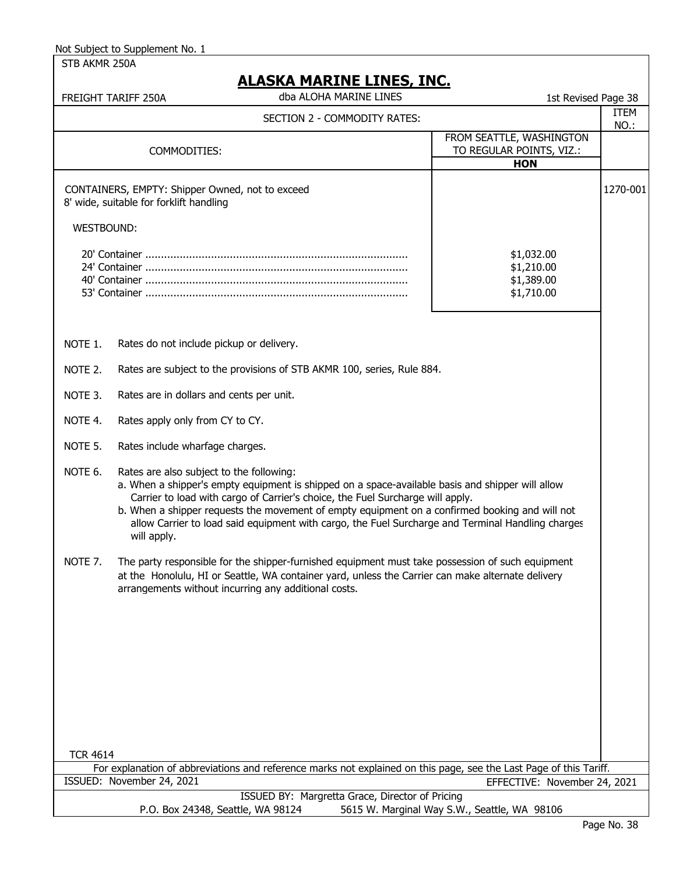STB AKMR 250A

|                   | <u>ALASKA MARINE LINES, INC.</u>                                                                                                                                                                                                                                                                                                                                                                                                                     |                                                      |          |
|-------------------|------------------------------------------------------------------------------------------------------------------------------------------------------------------------------------------------------------------------------------------------------------------------------------------------------------------------------------------------------------------------------------------------------------------------------------------------------|------------------------------------------------------|----------|
|                   | dba ALOHA MARINE LINES<br>FREIGHT TARIFF 250A                                                                                                                                                                                                                                                                                                                                                                                                        | 1st Revised Page 38                                  | ITEM     |
|                   | SECTION 2 - COMMODITY RATES:                                                                                                                                                                                                                                                                                                                                                                                                                         | FROM SEATTLE, WASHINGTON                             | NO.:     |
|                   | COMMODITIES:                                                                                                                                                                                                                                                                                                                                                                                                                                         | TO REGULAR POINTS, VIZ.:                             |          |
|                   |                                                                                                                                                                                                                                                                                                                                                                                                                                                      | <b>HON</b>                                           |          |
|                   | CONTAINERS, EMPTY: Shipper Owned, not to exceed<br>8' wide, suitable for forklift handling                                                                                                                                                                                                                                                                                                                                                           |                                                      | 1270-001 |
| <b>WESTBOUND:</b> |                                                                                                                                                                                                                                                                                                                                                                                                                                                      |                                                      |          |
|                   |                                                                                                                                                                                                                                                                                                                                                                                                                                                      | \$1,032.00<br>\$1,210.00<br>\$1,389.00<br>\$1,710.00 |          |
| NOTE 1.           | Rates do not include pickup or delivery.                                                                                                                                                                                                                                                                                                                                                                                                             |                                                      |          |
| NOTE 2.           | Rates are subject to the provisions of STB AKMR 100, series, Rule 884.                                                                                                                                                                                                                                                                                                                                                                               |                                                      |          |
| NOTE 3.           | Rates are in dollars and cents per unit.                                                                                                                                                                                                                                                                                                                                                                                                             |                                                      |          |
| NOTE 4.           | Rates apply only from CY to CY.                                                                                                                                                                                                                                                                                                                                                                                                                      |                                                      |          |
| NOTE 5.           | Rates include wharfage charges.                                                                                                                                                                                                                                                                                                                                                                                                                      |                                                      |          |
| NOTE 6.           | Rates are also subject to the following:<br>a. When a shipper's empty equipment is shipped on a space-available basis and shipper will allow<br>Carrier to load with cargo of Carrier's choice, the Fuel Surcharge will apply.<br>b. When a shipper requests the movement of empty equipment on a confirmed booking and will not<br>allow Carrier to load said equipment with cargo, the Fuel Surcharge and Terminal Handling charges<br>will apply. |                                                      |          |
| NOTE 7.           | The party responsible for the shipper-furnished equipment must take possession of such equipment<br>at the Honolulu, HI or Seattle, WA container yard, unless the Carrier can make alternate delivery<br>arrangements without incurring any additional costs.                                                                                                                                                                                        |                                                      |          |
|                   |                                                                                                                                                                                                                                                                                                                                                                                                                                                      |                                                      |          |
| <b>TCR 4614</b>   |                                                                                                                                                                                                                                                                                                                                                                                                                                                      |                                                      |          |
|                   | For explanation of abbreviations and reference marks not explained on this page, see the Last Page of this Tariff.<br>ISSUED: November 24, 2021                                                                                                                                                                                                                                                                                                      | EFFECTIVE: November 24, 2021                         |          |
|                   | ISSUED BY: Margretta Grace, Director of Pricing                                                                                                                                                                                                                                                                                                                                                                                                      |                                                      |          |
|                   | P.O. Box 24348, Seattle, WA 98124                                                                                                                                                                                                                                                                                                                                                                                                                    | 5615 W. Marginal Way S.W., Seattle, WA 98106         |          |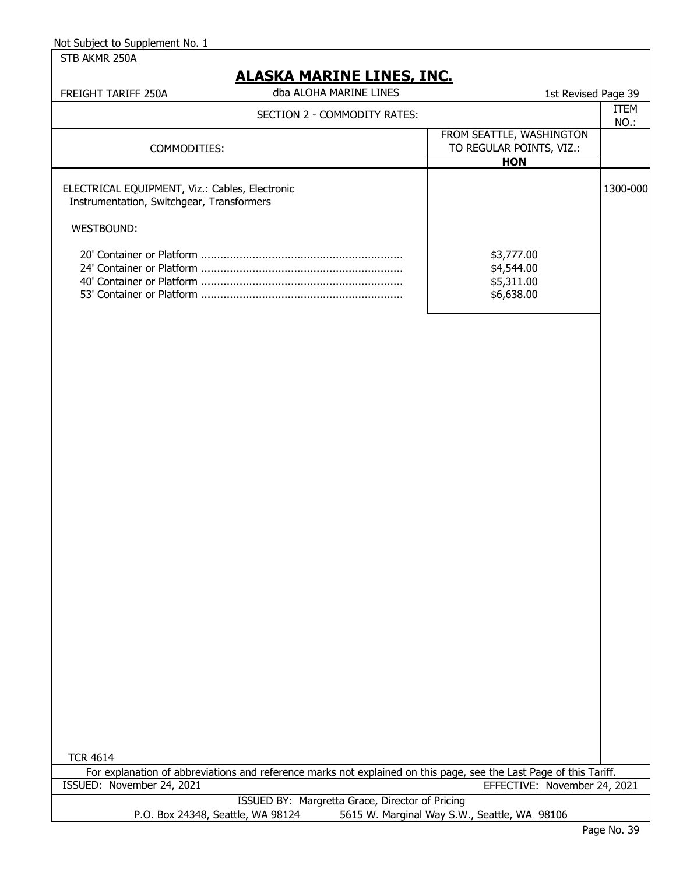| Not Subject to Supplement No. 1 |  |  |
|---------------------------------|--|--|
|---------------------------------|--|--|

STB AKMR 250A

### **ALASKA MARINE LINES, INC.**

| FREIGHT TARIFF 250A                                                                         | dba ALOHA MARINE LINES       | 1st Revised Page 39                                                |                     |
|---------------------------------------------------------------------------------------------|------------------------------|--------------------------------------------------------------------|---------------------|
|                                                                                             | SECTION 2 - COMMODITY RATES: |                                                                    | <b>ITEM</b><br>NO.: |
| COMMODITIES:                                                                                |                              | FROM SEATTLE, WASHINGTON<br>TO REGULAR POINTS, VIZ.:<br><b>HON</b> |                     |
| ELECTRICAL EQUIPMENT, Viz.: Cables, Electronic<br>Instrumentation, Switchgear, Transformers |                              |                                                                    | 1300-000            |
| WESTBOUND:                                                                                  |                              |                                                                    |                     |
|                                                                                             |                              | \$3,777.00<br>\$4,544.00<br>\$5,311.00<br>\$6,638.00               |                     |
|                                                                                             |                              |                                                                    |                     |
|                                                                                             |                              |                                                                    |                     |
|                                                                                             |                              |                                                                    |                     |

TCR 4614

For explanation of abbreviations and reference marks not explained on this page, see the Last Page of this Tariff. ISSUED: November 24, 2021 EFFECTIVE: November 24, 2021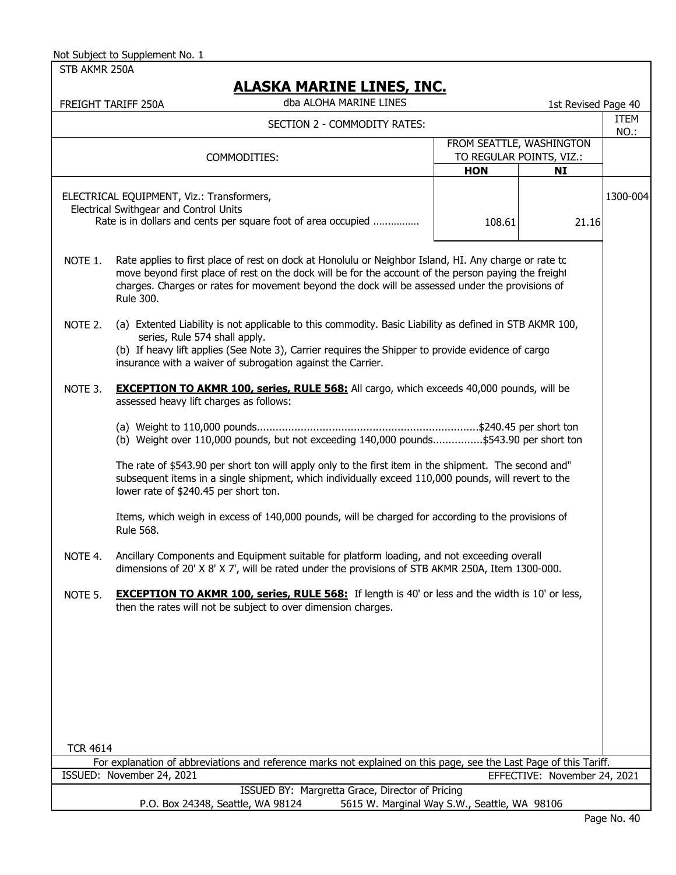STB AKMR 250A

|                 | FREIGHT TARIFF 250A                                                                                                                                                                                                                                   | dba ALOHA MARINE LINES                                                                                                                                                                                                                                                                                           |  |                                                      | 1st Revised Page 40          |                     |
|-----------------|-------------------------------------------------------------------------------------------------------------------------------------------------------------------------------------------------------------------------------------------------------|------------------------------------------------------------------------------------------------------------------------------------------------------------------------------------------------------------------------------------------------------------------------------------------------------------------|--|------------------------------------------------------|------------------------------|---------------------|
|                 |                                                                                                                                                                                                                                                       | SECTION 2 - COMMODITY RATES:                                                                                                                                                                                                                                                                                     |  |                                                      |                              | <b>ITEM</b><br>NO.: |
| COMMODITIES:    |                                                                                                                                                                                                                                                       |                                                                                                                                                                                                                                                                                                                  |  | FROM SEATTLE, WASHINGTON<br>TO REGULAR POINTS, VIZ.: |                              |                     |
|                 |                                                                                                                                                                                                                                                       |                                                                                                                                                                                                                                                                                                                  |  | <b>HON</b>                                           | <b>NI</b>                    |                     |
|                 | ELECTRICAL EQUIPMENT, Viz.: Transformers,<br>Electrical Swithgear and Control Units                                                                                                                                                                   | Rate is in dollars and cents per square foot of area occupied                                                                                                                                                                                                                                                    |  | 108.61                                               | 21.16                        | 1300-004            |
| NOTE 1.         | <b>Rule 300.</b>                                                                                                                                                                                                                                      | Rate applies to first place of rest on dock at Honolulu or Neighbor Island, HI. Any charge or rate to<br>move beyond first place of rest on the dock will be for the account of the person paying the freight<br>charges. Charges or rates for movement beyond the dock will be assessed under the provisions of |  |                                                      |                              |                     |
| NOTE 2.         | series, Rule 574 shall apply.                                                                                                                                                                                                                         | (a) Extented Liability is not applicable to this commodity. Basic Liability as defined in STB AKMR 100,<br>(b) If heavy lift applies (See Note 3), Carrier requires the Shipper to provide evidence of cargo<br>insurance with a waiver of subrogation against the Carrier.                                      |  |                                                      |                              |                     |
| NOTE 3.         | assessed heavy lift charges as follows:                                                                                                                                                                                                               | <b>EXCEPTION TO AKMR 100, series, RULE 568:</b> All cargo, which exceeds 40,000 pounds, will be                                                                                                                                                                                                                  |  |                                                      |                              |                     |
|                 | (b) Weight over 110,000 pounds, but not exceeding 140,000 pounds\$543.90 per short ton                                                                                                                                                                |                                                                                                                                                                                                                                                                                                                  |  |                                                      |                              |                     |
|                 | The rate of \$543.90 per short ton will apply only to the first item in the shipment. The second and"<br>subsequent items in a single shipment, which individually exceed 110,000 pounds, will revert to the<br>lower rate of \$240.45 per short ton. |                                                                                                                                                                                                                                                                                                                  |  |                                                      |                              |                     |
|                 | Rule 568.                                                                                                                                                                                                                                             | Items, which weigh in excess of 140,000 pounds, will be charged for according to the provisions of                                                                                                                                                                                                               |  |                                                      |                              |                     |
| NOTE 4.         |                                                                                                                                                                                                                                                       | Ancillary Components and Equipment suitable for platform loading, and not exceeding overall<br>dimensions of 20' X 8' X 7', will be rated under the provisions of STB AKMR 250A, Item 1300-000.                                                                                                                  |  |                                                      |                              |                     |
| NOTE 5.         |                                                                                                                                                                                                                                                       | <b>EXCEPTION TO AKMR 100, series, RULE 568:</b> If length is 40' or less and the width is 10' or less,<br>then the rates will not be subject to over dimension charges.                                                                                                                                          |  |                                                      |                              |                     |
|                 |                                                                                                                                                                                                                                                       |                                                                                                                                                                                                                                                                                                                  |  |                                                      |                              |                     |
|                 |                                                                                                                                                                                                                                                       |                                                                                                                                                                                                                                                                                                                  |  |                                                      |                              |                     |
|                 |                                                                                                                                                                                                                                                       |                                                                                                                                                                                                                                                                                                                  |  |                                                      |                              |                     |
| <b>TCR 4614</b> |                                                                                                                                                                                                                                                       |                                                                                                                                                                                                                                                                                                                  |  |                                                      |                              |                     |
|                 | ISSUED: November 24, 2021                                                                                                                                                                                                                             | For explanation of abbreviations and reference marks not explained on this page, see the Last Page of this Tariff.                                                                                                                                                                                               |  |                                                      | EFFECTIVE: November 24, 2021 |                     |
|                 |                                                                                                                                                                                                                                                       | ISSUED BY: Margretta Grace, Director of Pricing                                                                                                                                                                                                                                                                  |  |                                                      |                              |                     |
|                 | P.O. Box 24348, Seattle, WA 98124                                                                                                                                                                                                                     |                                                                                                                                                                                                                                                                                                                  |  | 5615 W. Marginal Way S.W., Seattle, WA 98106         |                              |                     |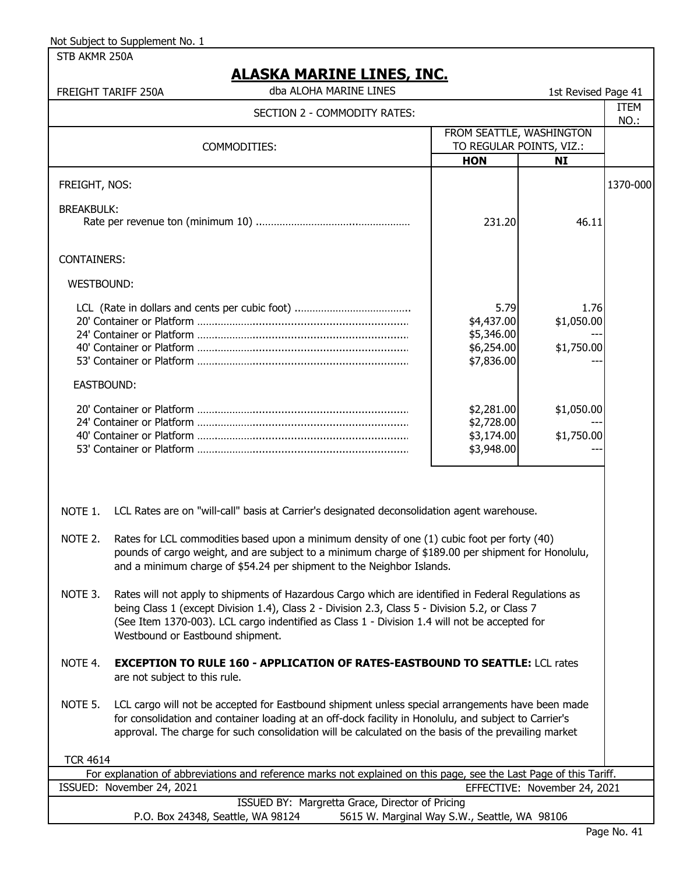| STB AKMR 250A                                                                                                                                                                                                                                                                                                                                          |                                                                                                                    |                                                                                                                                                                                                                                                                                                                   |                                                      |                              |             |
|--------------------------------------------------------------------------------------------------------------------------------------------------------------------------------------------------------------------------------------------------------------------------------------------------------------------------------------------------------|--------------------------------------------------------------------------------------------------------------------|-------------------------------------------------------------------------------------------------------------------------------------------------------------------------------------------------------------------------------------------------------------------------------------------------------------------|------------------------------------------------------|------------------------------|-------------|
|                                                                                                                                                                                                                                                                                                                                                        |                                                                                                                    | <u>ALASKA MARINE LINES, INC.</u>                                                                                                                                                                                                                                                                                  |                                                      |                              |             |
|                                                                                                                                                                                                                                                                                                                                                        | FREIGHT TARIFF 250A                                                                                                | dba ALOHA MARINE LINES                                                                                                                                                                                                                                                                                            |                                                      | 1st Revised Page 41          |             |
|                                                                                                                                                                                                                                                                                                                                                        |                                                                                                                    | SECTION 2 - COMMODITY RATES:                                                                                                                                                                                                                                                                                      |                                                      |                              | <b>ITEM</b> |
|                                                                                                                                                                                                                                                                                                                                                        |                                                                                                                    |                                                                                                                                                                                                                                                                                                                   |                                                      |                              | NO.:        |
|                                                                                                                                                                                                                                                                                                                                                        | COMMODITIES:                                                                                                       |                                                                                                                                                                                                                                                                                                                   | FROM SEATTLE, WASHINGTON<br>TO REGULAR POINTS, VIZ.: |                              |             |
|                                                                                                                                                                                                                                                                                                                                                        |                                                                                                                    |                                                                                                                                                                                                                                                                                                                   | <b>HON</b>                                           | <b>NI</b>                    |             |
| FREIGHT, NOS:                                                                                                                                                                                                                                                                                                                                          |                                                                                                                    |                                                                                                                                                                                                                                                                                                                   |                                                      |                              | 1370-000    |
| <b>BREAKBULK:</b>                                                                                                                                                                                                                                                                                                                                      |                                                                                                                    |                                                                                                                                                                                                                                                                                                                   | 231.20                                               | 46.11                        |             |
| <b>CONTAINERS:</b>                                                                                                                                                                                                                                                                                                                                     |                                                                                                                    |                                                                                                                                                                                                                                                                                                                   |                                                      |                              |             |
| <b>WESTBOUND:</b>                                                                                                                                                                                                                                                                                                                                      |                                                                                                                    |                                                                                                                                                                                                                                                                                                                   |                                                      |                              |             |
|                                                                                                                                                                                                                                                                                                                                                        |                                                                                                                    |                                                                                                                                                                                                                                                                                                                   | 5.79                                                 | 1.76                         |             |
|                                                                                                                                                                                                                                                                                                                                                        |                                                                                                                    |                                                                                                                                                                                                                                                                                                                   | \$4,437.00<br>\$5,346.00                             | \$1,050.00                   |             |
|                                                                                                                                                                                                                                                                                                                                                        |                                                                                                                    |                                                                                                                                                                                                                                                                                                                   | \$6,254.00                                           | \$1,750.00                   |             |
|                                                                                                                                                                                                                                                                                                                                                        |                                                                                                                    |                                                                                                                                                                                                                                                                                                                   | \$7,836.00                                           |                              |             |
| EASTBOUND:                                                                                                                                                                                                                                                                                                                                             |                                                                                                                    |                                                                                                                                                                                                                                                                                                                   |                                                      |                              |             |
|                                                                                                                                                                                                                                                                                                                                                        |                                                                                                                    |                                                                                                                                                                                                                                                                                                                   | \$2,281.00                                           | \$1,050.00                   |             |
|                                                                                                                                                                                                                                                                                                                                                        |                                                                                                                    |                                                                                                                                                                                                                                                                                                                   | \$2,728.00                                           |                              |             |
|                                                                                                                                                                                                                                                                                                                                                        |                                                                                                                    |                                                                                                                                                                                                                                                                                                                   | \$3,174.00<br>\$3,948.00                             | \$1,750.00                   |             |
|                                                                                                                                                                                                                                                                                                                                                        |                                                                                                                    |                                                                                                                                                                                                                                                                                                                   |                                                      |                              |             |
| NOTE 1.                                                                                                                                                                                                                                                                                                                                                | LCL Rates are on "will-call" basis at Carrier's designated deconsolidation agent warehouse.                        |                                                                                                                                                                                                                                                                                                                   |                                                      |                              |             |
|                                                                                                                                                                                                                                                                                                                                                        |                                                                                                                    |                                                                                                                                                                                                                                                                                                                   |                                                      |                              |             |
| NOTE 2.                                                                                                                                                                                                                                                                                                                                                |                                                                                                                    | Rates for LCL commodities based upon a minimum density of one (1) cubic foot per forty (40)<br>pounds of cargo weight, and are subject to a minimum charge of \$189.00 per shipment for Honolulu,<br>and a minimum charge of \$54.24 per shipment to the Neighbor Islands.                                        |                                                      |                              |             |
| Rates will not apply to shipments of Hazardous Cargo which are identified in Federal Regulations as<br>NOTE 3.<br>being Class 1 (except Division 1.4), Class 2 - Division 2.3, Class 5 - Division 5.2, or Class 7<br>(See Item 1370-003). LCL cargo indentified as Class 1 - Division 1.4 will not be accepted for<br>Westbound or Eastbound shipment. |                                                                                                                    |                                                                                                                                                                                                                                                                                                                   |                                                      |                              |             |
| NOTE 4.                                                                                                                                                                                                                                                                                                                                                | are not subject to this rule.                                                                                      | <b>EXCEPTION TO RULE 160 - APPLICATION OF RATES-EASTBOUND TO SEATTLE: LCL rates</b>                                                                                                                                                                                                                               |                                                      |                              |             |
| NOTE 5.                                                                                                                                                                                                                                                                                                                                                |                                                                                                                    | LCL cargo will not be accepted for Eastbound shipment unless special arrangements have been made<br>for consolidation and container loading at an off-dock facility in Honolulu, and subject to Carrier's<br>approval. The charge for such consolidation will be calculated on the basis of the prevailing market |                                                      |                              |             |
| <b>TCR 4614</b>                                                                                                                                                                                                                                                                                                                                        |                                                                                                                    |                                                                                                                                                                                                                                                                                                                   |                                                      |                              |             |
|                                                                                                                                                                                                                                                                                                                                                        | For explanation of abbreviations and reference marks not explained on this page, see the Last Page of this Tariff. |                                                                                                                                                                                                                                                                                                                   |                                                      |                              |             |
|                                                                                                                                                                                                                                                                                                                                                        | ISSUED: November 24, 2021                                                                                          |                                                                                                                                                                                                                                                                                                                   |                                                      | EFFECTIVE: November 24, 2021 |             |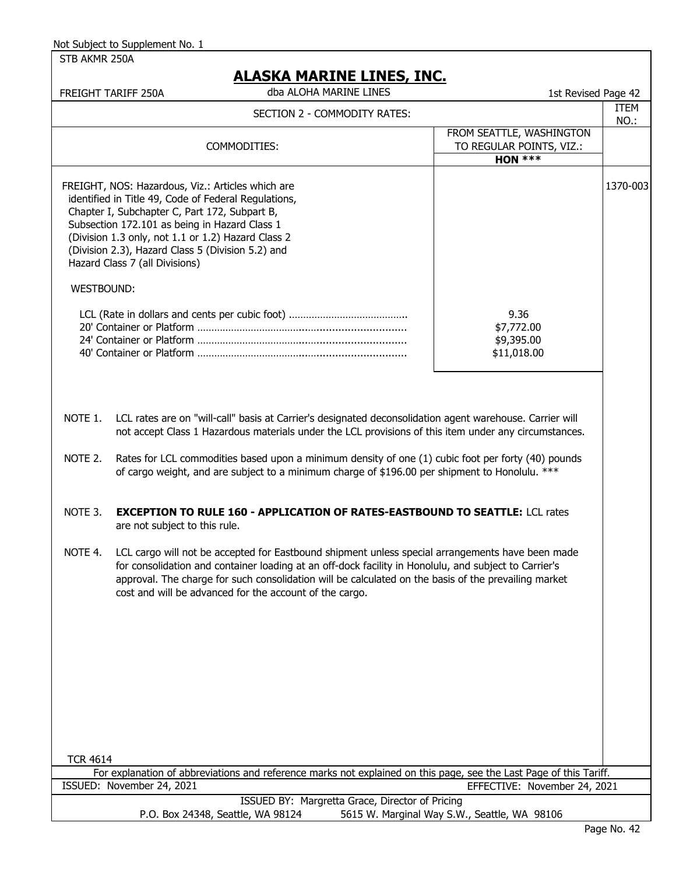STB AKMR 250A

# **ALASKA MARINE LINES, INC.**

|                   | FREIGHT TARIFF 250A                                                                                                                                                                                                                                                                                                                                      | dba ALOHA MARINE LINES                                                                                                                                                                                                                                                                                                                                                       | 1st Revised Page 42                                               |              |
|-------------------|----------------------------------------------------------------------------------------------------------------------------------------------------------------------------------------------------------------------------------------------------------------------------------------------------------------------------------------------------------|------------------------------------------------------------------------------------------------------------------------------------------------------------------------------------------------------------------------------------------------------------------------------------------------------------------------------------------------------------------------------|-------------------------------------------------------------------|--------------|
|                   |                                                                                                                                                                                                                                                                                                                                                          | SECTION 2 - COMMODITY RATES:                                                                                                                                                                                                                                                                                                                                                 |                                                                   | ITEM<br>NO.: |
|                   |                                                                                                                                                                                                                                                                                                                                                          | COMMODITIES:                                                                                                                                                                                                                                                                                                                                                                 | FROM SEATTLE, WASHINGTON<br>TO REGULAR POINTS, VIZ.:<br>HON $***$ |              |
|                   | FREIGHT, NOS: Hazardous, Viz.: Articles which are<br>identified in Title 49, Code of Federal Regulations,<br>Chapter I, Subchapter C, Part 172, Subpart B,<br>Subsection 172.101 as being in Hazard Class 1<br>(Division 1.3 only, not 1.1 or 1.2) Hazard Class 2<br>(Division 2.3), Hazard Class 5 (Division 5.2) and<br>Hazard Class 7 (all Divisions) |                                                                                                                                                                                                                                                                                                                                                                              |                                                                   | 1370-003     |
| <b>WESTBOUND:</b> |                                                                                                                                                                                                                                                                                                                                                          |                                                                                                                                                                                                                                                                                                                                                                              |                                                                   |              |
|                   |                                                                                                                                                                                                                                                                                                                                                          |                                                                                                                                                                                                                                                                                                                                                                              | 9.36<br>\$7,772.00<br>\$9,395.00<br>\$11,018.00                   |              |
| NOTE 1.           |                                                                                                                                                                                                                                                                                                                                                          | LCL rates are on "will-call" basis at Carrier's designated deconsolidation agent warehouse. Carrier will<br>not accept Class 1 Hazardous materials under the LCL provisions of this item under any circumstances.                                                                                                                                                            |                                                                   |              |
| NOTE 2.           |                                                                                                                                                                                                                                                                                                                                                          | Rates for LCL commodities based upon a minimum density of one (1) cubic foot per forty (40) pounds<br>of cargo weight, and are subject to a minimum charge of \$196.00 per shipment to Honolulu. ***                                                                                                                                                                         |                                                                   |              |
| NOTE 3.           | are not subject to this rule.                                                                                                                                                                                                                                                                                                                            | <b>EXCEPTION TO RULE 160 - APPLICATION OF RATES-EASTBOUND TO SEATTLE: LCL rates</b>                                                                                                                                                                                                                                                                                          |                                                                   |              |
| NOTE 4.           |                                                                                                                                                                                                                                                                                                                                                          | LCL cargo will not be accepted for Eastbound shipment unless special arrangements have been made<br>for consolidation and container loading at an off-dock facility in Honolulu, and subject to Carrier's<br>approval. The charge for such consolidation will be calculated on the basis of the prevailing market<br>cost and will be advanced for the account of the cargo. |                                                                   |              |
|                   |                                                                                                                                                                                                                                                                                                                                                          |                                                                                                                                                                                                                                                                                                                                                                              |                                                                   |              |
|                   |                                                                                                                                                                                                                                                                                                                                                          |                                                                                                                                                                                                                                                                                                                                                                              |                                                                   |              |
|                   |                                                                                                                                                                                                                                                                                                                                                          |                                                                                                                                                                                                                                                                                                                                                                              |                                                                   |              |
| <b>TCR 4614</b>   |                                                                                                                                                                                                                                                                                                                                                          |                                                                                                                                                                                                                                                                                                                                                                              |                                                                   |              |
|                   | ISSUED: November 24, 2021                                                                                                                                                                                                                                                                                                                                | For explanation of abbreviations and reference marks not explained on this page, see the Last Page of this Tariff.                                                                                                                                                                                                                                                           | EFFECTIVE: November 24, 2021                                      |              |
|                   |                                                                                                                                                                                                                                                                                                                                                          | <b>ICCLIED RV: Margratta Crace, Director of Driging</b>                                                                                                                                                                                                                                                                                                                      |                                                                   |              |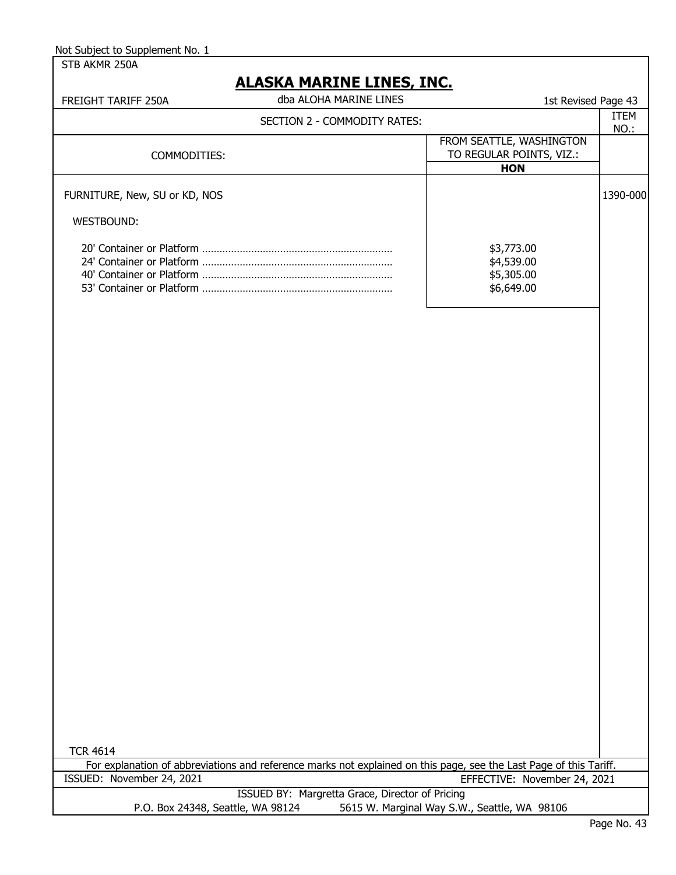| Not Subject to Supplement No. 1 |
|---------------------------------|
|                                 |

| STB AKMR 250A                     |                                                                                                                    |                                                                    |             |
|-----------------------------------|--------------------------------------------------------------------------------------------------------------------|--------------------------------------------------------------------|-------------|
| FREIGHT TARIFF 250A               | ALASKA MARINE LINES, INC.<br>dba ALOHA MARINE LINES                                                                | 1st Revised Page 43                                                |             |
|                                   | SECTION 2 - COMMODITY RATES:                                                                                       |                                                                    | <b>ITEM</b> |
| COMMODITIES:                      |                                                                                                                    | FROM SEATTLE, WASHINGTON<br>TO REGULAR POINTS, VIZ.:<br><b>HON</b> | NO.:        |
| FURNITURE, New, SU or KD, NOS     |                                                                                                                    |                                                                    | 1390-000    |
| WESTBOUND:                        |                                                                                                                    |                                                                    |             |
|                                   |                                                                                                                    | \$3,773.00<br>\$4,539.00<br>\$5,305.00<br>\$6,649.00               |             |
|                                   |                                                                                                                    |                                                                    |             |
| <b>TCR 4614</b>                   |                                                                                                                    |                                                                    |             |
| ISSUED: November 24, 2021         | For explanation of abbreviations and reference marks not explained on this page, see the Last Page of this Tariff. | EFFECTIVE: November 24, 2021                                       |             |
|                                   | ISSUED BY: Margretta Grace, Director of Pricing                                                                    |                                                                    |             |
| P.O. Box 24348, Seattle, WA 98124 |                                                                                                                    | 5615 W. Marginal Way S.W., Seattle, WA 98106                       |             |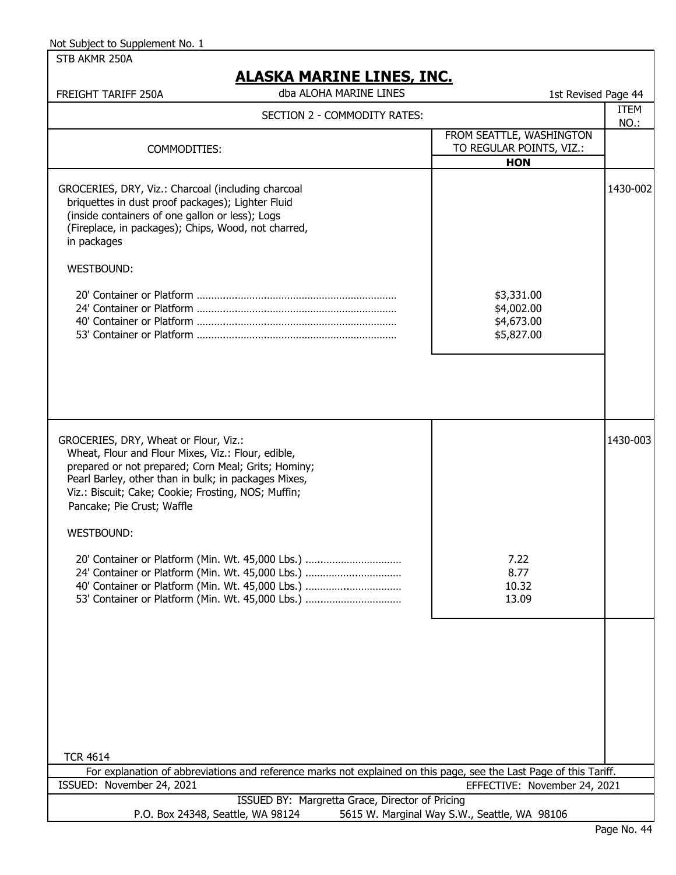| STB AKMR 250A                                                                                                                                                                                                                    |                                                                                                                    |                                                      |              |
|----------------------------------------------------------------------------------------------------------------------------------------------------------------------------------------------------------------------------------|--------------------------------------------------------------------------------------------------------------------|------------------------------------------------------|--------------|
|                                                                                                                                                                                                                                  | ALASKA MARINE LINES, INC.                                                                                          |                                                      |              |
| FREIGHT TARIFF 250A                                                                                                                                                                                                              | dba ALOHA MARINE LINES                                                                                             | 1st Revised Page 44                                  |              |
|                                                                                                                                                                                                                                  | SECTION 2 - COMMODITY RATES:                                                                                       |                                                      | ITEM<br>NO.: |
|                                                                                                                                                                                                                                  |                                                                                                                    | FROM SEATTLE, WASHINGTON                             |              |
| COMMODITIES:                                                                                                                                                                                                                     |                                                                                                                    | TO REGULAR POINTS, VIZ.:                             |              |
|                                                                                                                                                                                                                                  |                                                                                                                    | <b>HON</b>                                           |              |
| GROCERIES, DRY, Viz.: Charcoal (including charcoal<br>briquettes in dust proof packages); Lighter Fluid<br>(inside containers of one gallon or less); Logs<br>(Fireplace, in packages); Chips, Wood, not charred,<br>in packages |                                                                                                                    |                                                      | 1430-002     |
| <b>WESTBOUND:</b>                                                                                                                                                                                                                |                                                                                                                    |                                                      |              |
|                                                                                                                                                                                                                                  |                                                                                                                    | \$3,331.00<br>\$4,002.00<br>\$4,673.00<br>\$5,827.00 |              |
| GROCERIES, DRY, Wheat or Flour, Viz.:<br>Wheat, Flour and Flour Mixes, Viz.: Flour, edible,                                                                                                                                      |                                                                                                                    |                                                      | 1430-003     |
| prepared or not prepared; Corn Meal; Grits; Hominy;<br>Pearl Barley, other than in bulk; in packages Mixes,<br>Viz.: Biscuit; Cake; Cookie; Frosting, NOS; Muffin;<br>Pancake; Pie Crust; Waffle                                 |                                                                                                                    |                                                      |              |
| <b>WESTBOUND:</b>                                                                                                                                                                                                                |                                                                                                                    |                                                      |              |
| 20' Container or Platform (Min. Wt. 45,000 Lbs.)<br>24' Container or Platform (Min. Wt. 45,000 Lbs.)<br>40' Container or Platform (Min. Wt. 45,000 Lbs.)<br>53' Container or Platform (Min. Wt. 45,000 Lbs.)                     |                                                                                                                    | 7.22<br>8.77<br>10.32<br>13.09                       |              |
| <b>TCR 4614</b>                                                                                                                                                                                                                  |                                                                                                                    |                                                      |              |
|                                                                                                                                                                                                                                  | For explanation of abbreviations and reference marks not explained on this page, see the Last Page of this Tariff. |                                                      |              |
| ISSUED: November 24, 2021                                                                                                                                                                                                        |                                                                                                                    | EFFECTIVE: November 24, 2021                         |              |
|                                                                                                                                                                                                                                  | ISSUED BY: Margretta Grace, Director of Pricing                                                                    |                                                      |              |
| P.O. Box 24348, Seattle, WA 98124                                                                                                                                                                                                |                                                                                                                    | 5615 W. Marginal Way S.W., Seattle, WA 98106         |              |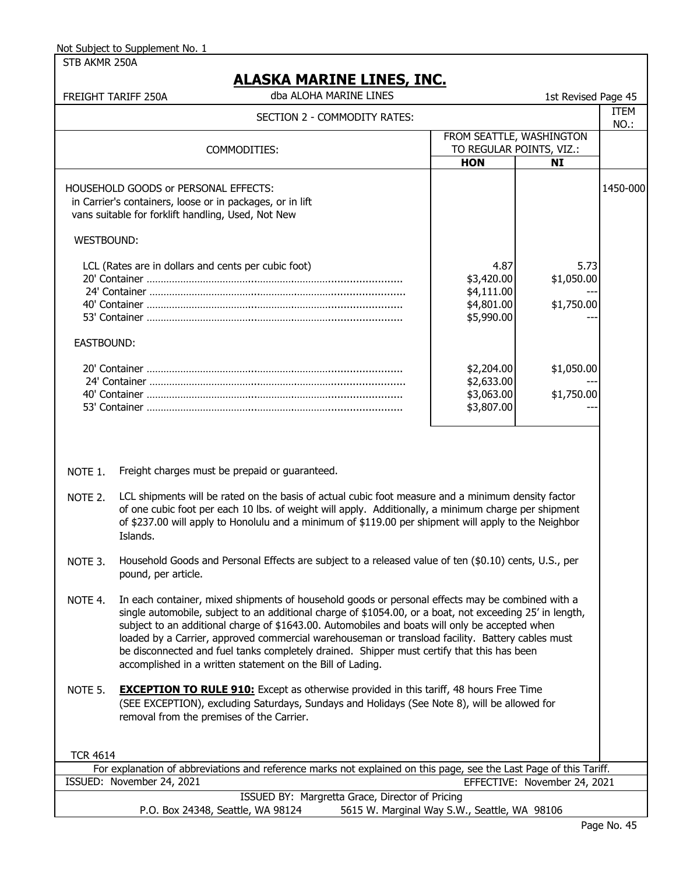STB AKMR 250A

### **ALASKA MARINE LINES, INC.**

dba ALOHA MARINE LINES

|                          | dba ALOHA MARINE LINES<br>FREIGHT TARIFF 250A                                                                                                                                                                                                                                                                                                                                                                                                                                                                                                                                  |                                                              | 1st Revised Page 45              |                     |
|--------------------------|--------------------------------------------------------------------------------------------------------------------------------------------------------------------------------------------------------------------------------------------------------------------------------------------------------------------------------------------------------------------------------------------------------------------------------------------------------------------------------------------------------------------------------------------------------------------------------|--------------------------------------------------------------|----------------------------------|---------------------|
|                          | SECTION 2 - COMMODITY RATES:                                                                                                                                                                                                                                                                                                                                                                                                                                                                                                                                                   |                                                              |                                  | <b>ITEM</b><br>NO.: |
| FROM SEATTLE, WASHINGTON |                                                                                                                                                                                                                                                                                                                                                                                                                                                                                                                                                                                |                                                              |                                  |                     |
|                          | COMMODITIES:                                                                                                                                                                                                                                                                                                                                                                                                                                                                                                                                                                   |                                                              | TO REGULAR POINTS, VIZ.:         |                     |
|                          |                                                                                                                                                                                                                                                                                                                                                                                                                                                                                                                                                                                | <b>HON</b>                                                   | <b>NI</b>                        |                     |
|                          | HOUSEHOLD GOODS or PERSONAL EFFECTS:<br>in Carrier's containers, loose or in packages, or in lift<br>vans suitable for forklift handling, Used, Not New                                                                                                                                                                                                                                                                                                                                                                                                                        |                                                              |                                  | 1450-000            |
| <b>WESTBOUND:</b>        |                                                                                                                                                                                                                                                                                                                                                                                                                                                                                                                                                                                |                                                              |                                  |                     |
|                          | LCL (Rates are in dollars and cents per cubic foot)                                                                                                                                                                                                                                                                                                                                                                                                                                                                                                                            | 4.87<br>\$3,420.00<br>\$4,111.00<br>\$4,801.00<br>\$5,990.00 | 5.73<br>\$1,050.00<br>\$1,750.00 |                     |
| EASTBOUND:               |                                                                                                                                                                                                                                                                                                                                                                                                                                                                                                                                                                                |                                                              |                                  |                     |
|                          |                                                                                                                                                                                                                                                                                                                                                                                                                                                                                                                                                                                | \$2,204.00<br>\$2,633.00<br>\$3,063.00<br>\$3,807.00         | \$1,050.00<br>\$1,750.00         |                     |
| NOTE 1.<br>NOTE 2.       | Freight charges must be prepaid or guaranteed.<br>LCL shipments will be rated on the basis of actual cubic foot measure and a minimum density factor<br>of one cubic foot per each 10 lbs. of weight will apply. Additionally, a minimum charge per shipment<br>of \$237.00 will apply to Honolulu and a minimum of \$119.00 per shipment will apply to the Neighbor<br>Islands.                                                                                                                                                                                               |                                                              |                                  |                     |
| NOTE 3.                  | Household Goods and Personal Effects are subject to a released value of ten (\$0.10) cents, U.S., per<br>pound, per article.                                                                                                                                                                                                                                                                                                                                                                                                                                                   |                                                              |                                  |                     |
| NOTE 4.                  | In each container, mixed shipments of household goods or personal effects may be combined with a<br>single automobile, subject to an additional charge of \$1054.00, or a boat, not exceeding 25' in length,<br>subject to an additional charge of \$1643.00. Automobiles and boats will only be accepted when<br>loaded by a Carrier, approved commercial warehouseman or transload facility. Battery cables must<br>be disconnected and fuel tanks completely drained. Shipper must certify that this has been<br>accomplished in a written statement on the Bill of Lading. |                                                              |                                  |                     |
| NOTE 5.                  | <b>EXCEPTION TO RULE 910:</b> Except as otherwise provided in this tariff, 48 hours Free Time<br>(SEE EXCEPTION), excluding Saturdays, Sundays and Holidays (See Note 8), will be allowed for<br>removal from the premises of the Carrier.                                                                                                                                                                                                                                                                                                                                     |                                                              |                                  |                     |
| <b>TCR 4614</b>          |                                                                                                                                                                                                                                                                                                                                                                                                                                                                                                                                                                                |                                                              |                                  |                     |
|                          | For explanation of abbreviations and reference marks not explained on this page, see the Last Page of this Tariff.                                                                                                                                                                                                                                                                                                                                                                                                                                                             |                                                              |                                  |                     |
|                          | ISSUED: November 24, 2021                                                                                                                                                                                                                                                                                                                                                                                                                                                                                                                                                      |                                                              | EFFECTIVE: November 24, 2021     |                     |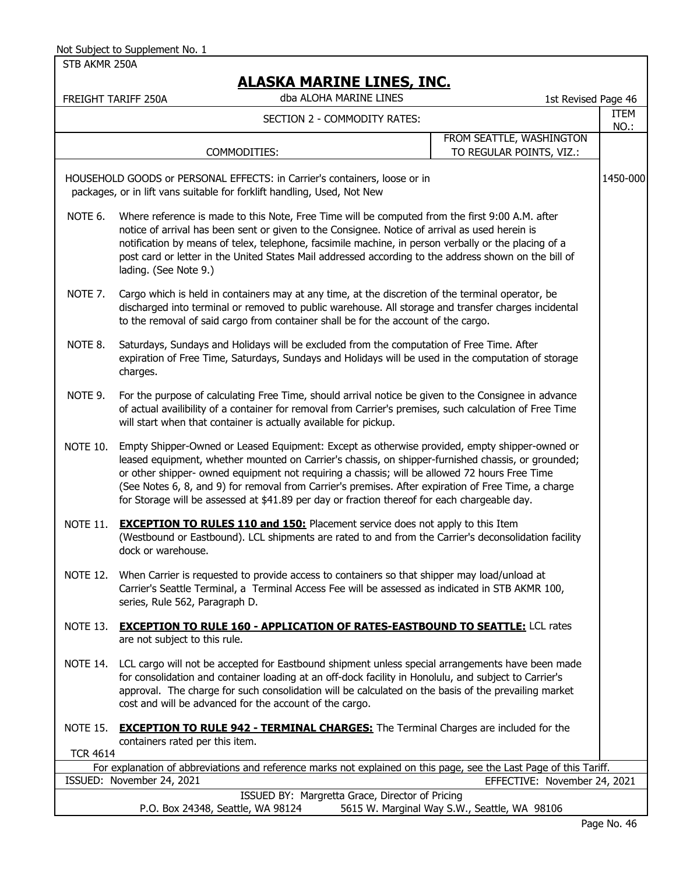STB AKMR 250A

|                 | NEADIWI I IAINEINE EEINEU/ EINGI<br>dba ALOHA MARINE LINES<br>FREIGHT TARIFF 250A                                                                                                                                                                                                                                                                                                                                                                                                                            | 1st Revised Page 46                          |              |
|-----------------|--------------------------------------------------------------------------------------------------------------------------------------------------------------------------------------------------------------------------------------------------------------------------------------------------------------------------------------------------------------------------------------------------------------------------------------------------------------------------------------------------------------|----------------------------------------------|--------------|
|                 | SECTION 2 - COMMODITY RATES:                                                                                                                                                                                                                                                                                                                                                                                                                                                                                 |                                              | ITEM<br>NO.: |
|                 |                                                                                                                                                                                                                                                                                                                                                                                                                                                                                                              | FROM SEATTLE, WASHINGTON                     |              |
|                 | COMMODITIES:                                                                                                                                                                                                                                                                                                                                                                                                                                                                                                 | TO REGULAR POINTS, VIZ.:                     |              |
|                 | HOUSEHOLD GOODS or PERSONAL EFFECTS: in Carrier's containers, loose or in<br>packages, or in lift vans suitable for forklift handling, Used, Not New                                                                                                                                                                                                                                                                                                                                                         |                                              | 1450-000     |
| NOTE 6.         | Where reference is made to this Note, Free Time will be computed from the first 9:00 A.M. after<br>notice of arrival has been sent or given to the Consignee. Notice of arrival as used herein is<br>notification by means of telex, telephone, facsimile machine, in person verbally or the placing of a<br>post card or letter in the United States Mail addressed according to the address shown on the bill of<br>lading. (See Note 9.)                                                                  |                                              |              |
| NOTE 7.         | Cargo which is held in containers may at any time, at the discretion of the terminal operator, be<br>discharged into terminal or removed to public warehouse. All storage and transfer charges incidental<br>to the removal of said cargo from container shall be for the account of the cargo.                                                                                                                                                                                                              |                                              |              |
| NOTE 8.         | Saturdays, Sundays and Holidays will be excluded from the computation of Free Time. After<br>expiration of Free Time, Saturdays, Sundays and Holidays will be used in the computation of storage<br>charges.                                                                                                                                                                                                                                                                                                 |                                              |              |
| NOTE 9.         | For the purpose of calculating Free Time, should arrival notice be given to the Consignee in advance<br>of actual availibility of a container for removal from Carrier's premises, such calculation of Free Time<br>will start when that container is actually available for pickup.                                                                                                                                                                                                                         |                                              |              |
| <b>NOTE 10.</b> | Empty Shipper-Owned or Leased Equipment: Except as otherwise provided, empty shipper-owned or<br>leased equipment, whether mounted on Carrier's chassis, on shipper-furnished chassis, or grounded;<br>or other shipper- owned equipment not requiring a chassis; will be allowed 72 hours Free Time<br>(See Notes 6, 8, and 9) for removal from Carrier's premises. After expiration of Free Time, a charge<br>for Storage will be assessed at \$41.89 per day or fraction thereof for each chargeable day. |                                              |              |
| <b>NOTE 11.</b> | <b>EXCEPTION TO RULES 110 and 150:</b> Placement service does not apply to this Item<br>(Westbound or Eastbound). LCL shipments are rated to and from the Carrier's deconsolidation facility<br>dock or warehouse.                                                                                                                                                                                                                                                                                           |                                              |              |
|                 | NOTE 12. When Carrier is requested to provide access to containers so that shipper may load/unload at<br>Carrier's Seattle Terminal, a Terminal Access Fee will be assessed as indicated in STB AKMR 100,<br>series, Rule 562, Paragraph D.                                                                                                                                                                                                                                                                  |                                              |              |
| <b>NOTE 13.</b> | <b>EXCEPTION TO RULE 160 - APPLICATION OF RATES-EASTBOUND TO SEATTLE: LCL rates</b><br>are not subject to this rule.                                                                                                                                                                                                                                                                                                                                                                                         |                                              |              |
| NOTE 14.        | LCL cargo will not be accepted for Eastbound shipment unless special arrangements have been made<br>for consolidation and container loading at an off-dock facility in Honolulu, and subject to Carrier's<br>approval. The charge for such consolidation will be calculated on the basis of the prevailing market<br>cost and will be advanced for the account of the cargo.                                                                                                                                 |                                              |              |
| <b>NOTE 15.</b> | <b>EXCEPTION TO RULE 942 - TERMINAL CHARGES:</b> The Terminal Charges are included for the<br>containers rated per this item.                                                                                                                                                                                                                                                                                                                                                                                |                                              |              |
| <b>TCR 4614</b> | For explanation of abbreviations and reference marks not explained on this page, see the Last Page of this Tariff.                                                                                                                                                                                                                                                                                                                                                                                           |                                              |              |
|                 | ISSUED: November 24, 2021                                                                                                                                                                                                                                                                                                                                                                                                                                                                                    | EFFECTIVE: November 24, 2021                 |              |
|                 | ISSUED BY: Margretta Grace, Director of Pricing<br>P.O. Box 24348, Seattle, WA 98124                                                                                                                                                                                                                                                                                                                                                                                                                         | 5615 W. Marginal Way S.W., Seattle, WA 98106 |              |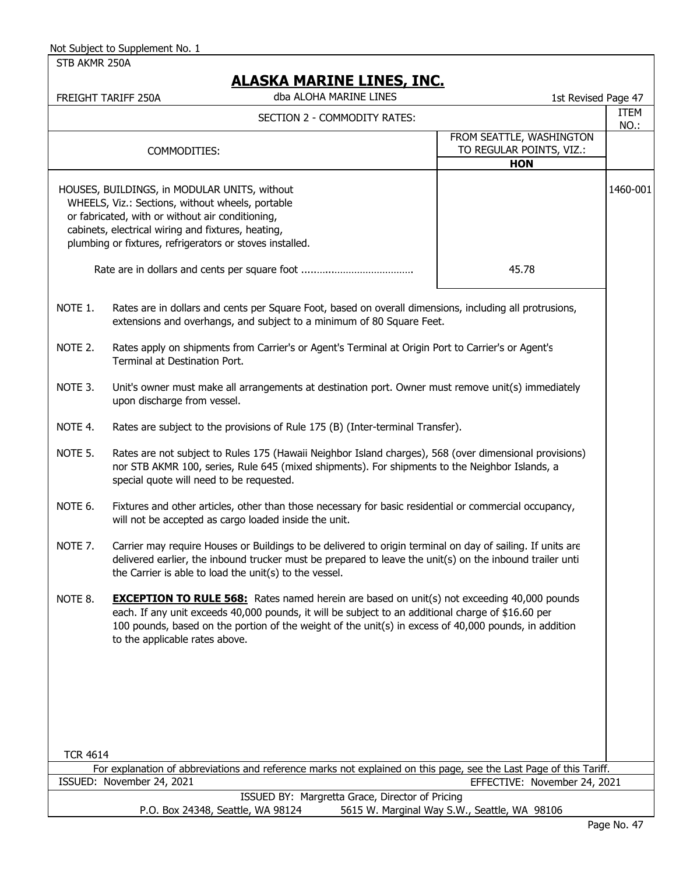STB AKMR 250A

## **ALASKA MARINE LINES, INC.**

|                 | AJIVA FIARINI LINLY, INGI<br>dba ALOHA MARINE LINES<br>FREIGHT TARIFF 250A                                                                                                                                                                                                                                                                         | 1st Revised Page 47                                                |              |
|-----------------|----------------------------------------------------------------------------------------------------------------------------------------------------------------------------------------------------------------------------------------------------------------------------------------------------------------------------------------------------|--------------------------------------------------------------------|--------------|
|                 | SECTION 2 - COMMODITY RATES:                                                                                                                                                                                                                                                                                                                       |                                                                    | ITEM<br>NO.: |
|                 | COMMODITIES:                                                                                                                                                                                                                                                                                                                                       | FROM SEATTLE, WASHINGTON<br>TO REGULAR POINTS, VIZ.:<br><b>HON</b> |              |
|                 | HOUSES, BUILDINGS, in MODULAR UNITS, without<br>WHEELS, Viz.: Sections, without wheels, portable<br>or fabricated, with or without air conditioning,<br>cabinets, electrical wiring and fixtures, heating,<br>plumbing or fixtures, refrigerators or stoves installed.                                                                             | 45.78                                                              | 1460-001     |
| NOTE 1.         | Rates are in dollars and cents per Square Foot, based on overall dimensions, including all protrusions,<br>extensions and overhangs, and subject to a minimum of 80 Square Feet.                                                                                                                                                                   |                                                                    |              |
| NOTE 2.         | Rates apply on shipments from Carrier's or Agent's Terminal at Origin Port to Carrier's or Agent's<br>Terminal at Destination Port.                                                                                                                                                                                                                |                                                                    |              |
| NOTE 3.         | Unit's owner must make all arrangements at destination port. Owner must remove unit(s) immediately<br>upon discharge from vessel.                                                                                                                                                                                                                  |                                                                    |              |
| NOTE 4.         | Rates are subject to the provisions of Rule 175 (B) (Inter-terminal Transfer).                                                                                                                                                                                                                                                                     |                                                                    |              |
| NOTE 5.         | Rates are not subject to Rules 175 (Hawaii Neighbor Island charges), 568 (over dimensional provisions)<br>nor STB AKMR 100, series, Rule 645 (mixed shipments). For shipments to the Neighbor Islands, a<br>special quote will need to be requested.                                                                                               |                                                                    |              |
| NOTE 6.         | Fixtures and other articles, other than those necessary for basic residential or commercial occupancy,<br>will not be accepted as cargo loaded inside the unit.                                                                                                                                                                                    |                                                                    |              |
| NOTE 7.         | Carrier may require Houses or Buildings to be delivered to origin terminal on day of sailing. If units are<br>delivered earlier, the inbound trucker must be prepared to leave the unit(s) on the inbound trailer unti<br>the Carrier is able to load the unit(s) to the vessel.                                                                   |                                                                    |              |
| NOTE 8.         | <b>EXCEPTION TO RULE 568:</b> Rates named herein are based on unit(s) not exceeding 40,000 pounds<br>each. If any unit exceeds 40,000 pounds, it will be subject to an additional charge of \$16.60 per<br>100 pounds, based on the portion of the weight of the unit(s) in excess of 40,000 pounds, in addition<br>to the applicable rates above. |                                                                    |              |
|                 |                                                                                                                                                                                                                                                                                                                                                    |                                                                    |              |
| <b>TCR 4614</b> |                                                                                                                                                                                                                                                                                                                                                    |                                                                    |              |
|                 | For explanation of abbreviations and reference marks not explained on this page, see the Last Page of this Tariff.<br>ISSUED: November 24, 2021                                                                                                                                                                                                    | EFFECTIVE: November 24, 2021                                       |              |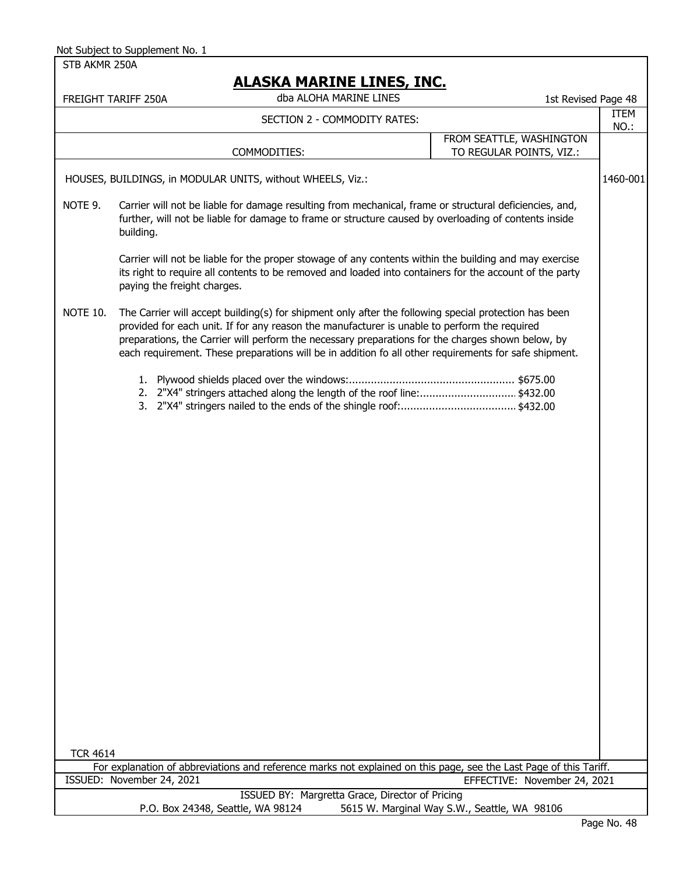STB AKMR 250A FREIGHT TARIFF 250A 1st Revised Page 48 dba ALOHA MARINE LINES ITEM NO.: HOUSES, BUILDINGS, in MODULAR UNITS, without WHEELS, Viz.: 1460-001 NOTE 9. Carrier will not be liable for damage resulting from mechanical, frame or structural deficiencies, and, further, will not be liable for damage to frame or structure caused by overloading of contents inside building. Carrier will not be liable for the proper stowage of any contents within the building and may exercise its right to require all contents to be removed and loaded into containers for the account of the party paying the freight charges. NOTE 10. The Carrier will accept building(s) for shipment only after the following special protection has been provided for each unit. If for any reason the manufacturer is unable to perform the required preparations, the Carrier will perform the necessary preparations for the charges shown below, by each requirement. These preparations will be in addition fo all other requirements for safe shipment. 1. Plywood shields placed over the windows:..................................................... \$675.00 2. 2"X4" stringers attached along the length of the roof line:...............................\$432.00 3. 2"X4" stringers nailed to the ends of the shingle roof:..................................... \$432.00 TCR 4614 For explanation of abbreviations and reference marks not explained on this page, see the Last Page of this Tariff. ISSUED: November 24, 2021 ISSUED BY: Margretta Grace, Director of Pricing P.O. Box 24348, Seattle, WA 98124 5615 W. Marginal Way S.W., Seattle, WA 98106 EFFECTIVE: November 24, 2021 COMMODITIES: FROM SEATTLE, WASHINGTON TO REGULAR POINTS, VIZ.: SECTION 2 - COMMODITY RATES: Not Subject to Supplement No. 1  **ALASKA MARINE LINES, INC.**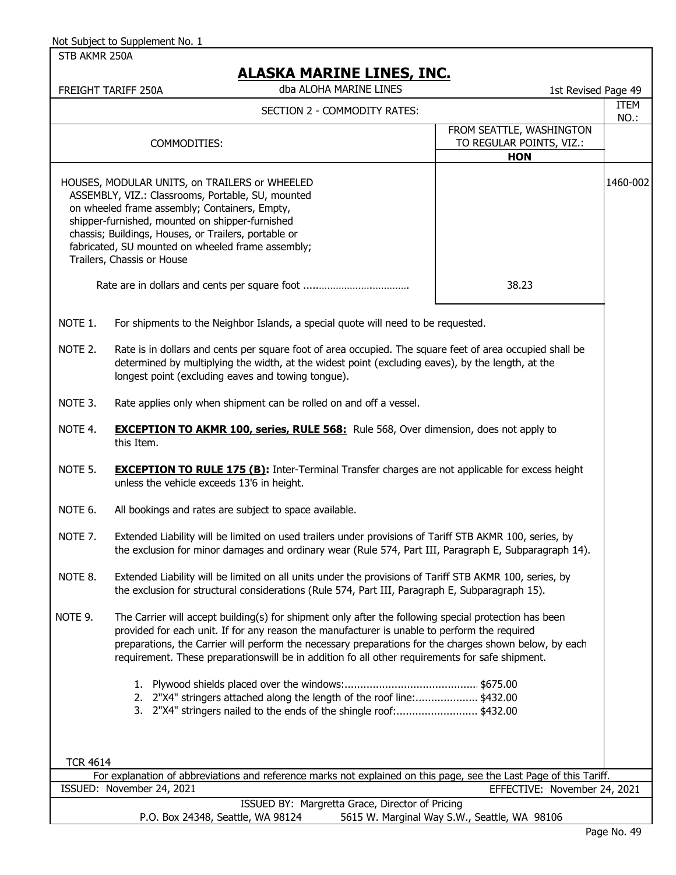|  | Not Subject to Supplement No. 1 |  |
|--|---------------------------------|--|
|--|---------------------------------|--|

STB AKMR 250A

|                 | <u>ALAJNA MAKINE LINEJ, INU.</u><br>dba ALOHA MARINE LINES<br>FREIGHT TARIFF 250A                                                                                                                                                                                                                                                                                                                                  | 1st Revised Page 49                                                |              |
|-----------------|--------------------------------------------------------------------------------------------------------------------------------------------------------------------------------------------------------------------------------------------------------------------------------------------------------------------------------------------------------------------------------------------------------------------|--------------------------------------------------------------------|--------------|
|                 | SECTION 2 - COMMODITY RATES:                                                                                                                                                                                                                                                                                                                                                                                       |                                                                    | ITEM<br>NO.: |
|                 | COMMODITIES:                                                                                                                                                                                                                                                                                                                                                                                                       | FROM SEATTLE, WASHINGTON<br>TO REGULAR POINTS, VIZ.:<br><b>HON</b> |              |
|                 | HOUSES, MODULAR UNITS, on TRAILERS or WHEELED<br>ASSEMBLY, VIZ.: Classrooms, Portable, SU, mounted<br>on wheeled frame assembly; Containers, Empty,<br>shipper-furnished, mounted on shipper-furnished<br>chassis; Buildings, Houses, or Trailers, portable or<br>fabricated, SU mounted on wheeled frame assembly;<br>Trailers, Chassis or House                                                                  | 38.23                                                              | 1460-002     |
|                 |                                                                                                                                                                                                                                                                                                                                                                                                                    |                                                                    |              |
| NOTE 1.         | For shipments to the Neighbor Islands, a special quote will need to be requested.                                                                                                                                                                                                                                                                                                                                  |                                                                    |              |
| NOTE 2.         | Rate is in dollars and cents per square foot of area occupied. The square feet of area occupied shall be<br>determined by multiplying the width, at the widest point (excluding eaves), by the length, at the<br>longest point (excluding eaves and towing tongue).                                                                                                                                                |                                                                    |              |
| NOTE 3.         | Rate applies only when shipment can be rolled on and off a vessel.                                                                                                                                                                                                                                                                                                                                                 |                                                                    |              |
| NOTE 4.         | <b>EXCEPTION TO AKMR 100, series, RULE 568:</b> Rule 568, Over dimension, does not apply to<br>this Item.                                                                                                                                                                                                                                                                                                          |                                                                    |              |
| NOTE 5.         | <b>EXCEPTION TO RULE 175 (B):</b> Inter-Terminal Transfer charges are not applicable for excess height<br>unless the vehicle exceeds 13'6 in height.                                                                                                                                                                                                                                                               |                                                                    |              |
| NOTE 6.         | All bookings and rates are subject to space available.                                                                                                                                                                                                                                                                                                                                                             |                                                                    |              |
| NOTE 7.         | Extended Liability will be limited on used trailers under provisions of Tariff STB AKMR 100, series, by<br>the exclusion for minor damages and ordinary wear (Rule 574, Part III, Paragraph E, Subparagraph 14).                                                                                                                                                                                                   |                                                                    |              |
| NOTE 8.         | Extended Liability will be limited on all units under the provisions of Tariff STB AKMR 100, series, by<br>the exclusion for structural considerations (Rule 574, Part III, Paragraph E, Subparagraph 15).                                                                                                                                                                                                         |                                                                    |              |
| NOTE 9.         | The Carrier will accept building(s) for shipment only after the following special protection has been<br>provided for each unit. If for any reason the manufacturer is unable to perform the required<br>preparations, the Carrier will perform the necessary preparations for the charges shown below, by each<br>requirement. These preparationswill be in addition fo all other requirements for safe shipment. |                                                                    |              |
|                 | 1.<br>2. 2"X4" stringers attached along the length of the roof line:\$432.00<br>3. 2"X4" stringers nailed to the ends of the shingle roof:\$432.00                                                                                                                                                                                                                                                                 |                                                                    |              |
| <b>TCR 4614</b> |                                                                                                                                                                                                                                                                                                                                                                                                                    |                                                                    |              |
|                 | For explanation of abbreviations and reference marks not explained on this page, see the Last Page of this Tariff.<br>ISSUED: November 24, 2021                                                                                                                                                                                                                                                                    | EFFECTIVE: November 24, 2021                                       |              |
|                 | ISSUED BY: Margretta Grace, Director of Pricing<br>P.O. Box 24348, Seattle, WA 98124                                                                                                                                                                                                                                                                                                                               | 5615 W. Marginal Way S.W., Seattle, WA 98106                       |              |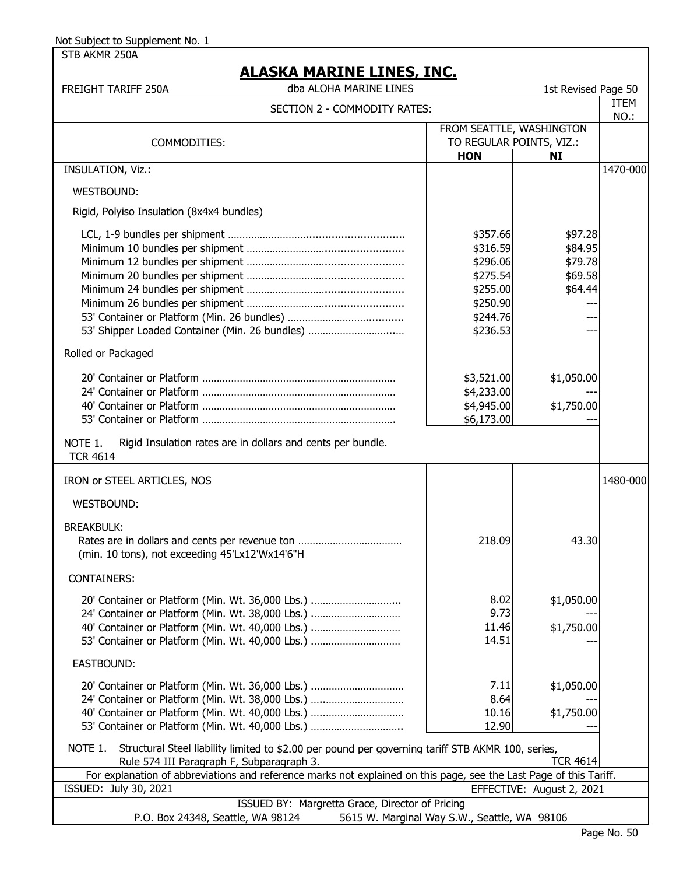STB AKMR 250A

| FREIGHT TARIFF 250A                                                                                                                                                                                          | dba ALOHA MARINE LINES                                                                                             |                                                                                              | 1st Revised Page 50                                 |              |
|--------------------------------------------------------------------------------------------------------------------------------------------------------------------------------------------------------------|--------------------------------------------------------------------------------------------------------------------|----------------------------------------------------------------------------------------------|-----------------------------------------------------|--------------|
|                                                                                                                                                                                                              | SECTION 2 - COMMODITY RATES:                                                                                       |                                                                                              |                                                     | ITEM<br>NO.: |
|                                                                                                                                                                                                              |                                                                                                                    | FROM SEATTLE, WASHINGTON                                                                     |                                                     |              |
| COMMODITIES:                                                                                                                                                                                                 |                                                                                                                    | TO REGULAR POINTS, VIZ.:<br><b>HON</b>                                                       | <b>NI</b>                                           |              |
| INSULATION, Viz.:                                                                                                                                                                                            |                                                                                                                    |                                                                                              |                                                     | 1470-000     |
| <b>WESTBOUND:</b>                                                                                                                                                                                            |                                                                                                                    |                                                                                              |                                                     |              |
| Rigid, Polyiso Insulation (8x4x4 bundles)                                                                                                                                                                    |                                                                                                                    |                                                                                              |                                                     |              |
| 53' Shipper Loaded Container (Min. 26 bundles)                                                                                                                                                               |                                                                                                                    | \$357.66<br>\$316.59<br>\$296.06<br>\$275.54<br>\$255.00<br>\$250.90<br>\$244.76<br>\$236.53 | \$97.28<br>\$84.95<br>\$79.78<br>\$69.58<br>\$64.44 |              |
| Rolled or Packaged                                                                                                                                                                                           |                                                                                                                    |                                                                                              |                                                     |              |
|                                                                                                                                                                                                              |                                                                                                                    | \$3,521.00<br>\$4,233.00<br>\$4,945.00<br>\$6,173.00                                         | \$1,050.00<br>\$1,750.00                            |              |
| NOTE 1.<br><b>TCR 4614</b>                                                                                                                                                                                   | Rigid Insulation rates are in dollars and cents per bundle.                                                        |                                                                                              |                                                     |              |
| IRON or STEEL ARTICLES, NOS                                                                                                                                                                                  |                                                                                                                    |                                                                                              |                                                     | 1480-000     |
| WESTBOUND:                                                                                                                                                                                                   |                                                                                                                    |                                                                                              |                                                     |              |
| <b>BREAKBULK:</b><br>(min. 10 tons), not exceeding 45'Lx12'Wx14'6"H                                                                                                                                          |                                                                                                                    | 218.09                                                                                       | 43.30                                               |              |
| <b>CONTAINERS:</b>                                                                                                                                                                                           |                                                                                                                    |                                                                                              |                                                     |              |
| 20' Container or Platform (Min. Wt. 36,000 Lbs.)<br>24' Container or Platform (Min. Wt. 38,000 Lbs.)<br>40' Container or Platform (Min. Wt. 40,000 Lbs.)<br>53' Container or Platform (Min. Wt. 40,000 Lbs.) |                                                                                                                    | 8.02<br>9.73<br>11.46<br>14.51                                                               | \$1,050.00<br>\$1,750.00                            |              |
| EASTBOUND:                                                                                                                                                                                                   |                                                                                                                    |                                                                                              |                                                     |              |
| 20' Container or Platform (Min. Wt. 36,000 Lbs.)<br>24' Container or Platform (Min. Wt. 38,000 Lbs.)<br>40' Container or Platform (Min. Wt. 40,000 Lbs.)<br>53' Container or Platform (Min. Wt. 40,000 Lbs.) |                                                                                                                    | 7.11<br>8.64<br>10.16<br>12.90                                                               | \$1,050.00<br>\$1,750.00                            |              |
| NOTE 1.<br>Rule 574 III Paragraph F, Subparagraph 3.                                                                                                                                                         | Structural Steel liability limited to \$2.00 per pound per governing tariff STB AKMR 100, series,                  |                                                                                              | <b>TCR 4614</b>                                     |              |
|                                                                                                                                                                                                              | For explanation of abbreviations and reference marks not explained on this page, see the Last Page of this Tariff. |                                                                                              |                                                     |              |
| ISSUED: July 30, 2021                                                                                                                                                                                        |                                                                                                                    |                                                                                              | EFFECTIVE: August 2, 2021                           |              |
| P.O. Box 24348, Seattle, WA 98124                                                                                                                                                                            | ISSUED BY: Margretta Grace, Director of Pricing                                                                    | 5615 W. Marginal Way S.W., Seattle, WA 98106                                                 |                                                     |              |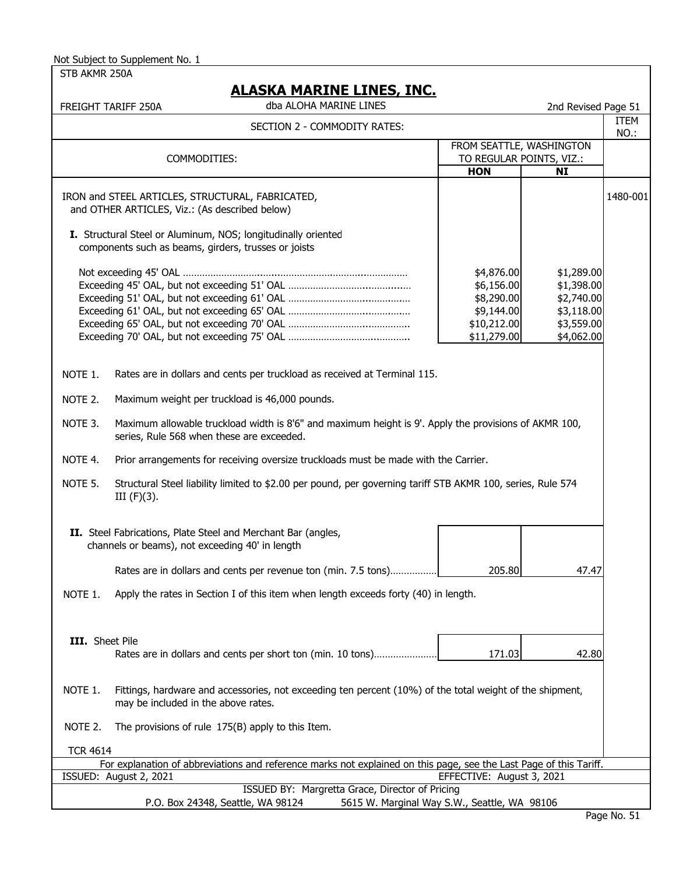STB AKMR 250A

 FREIGHT TARIFF 250A 2nd Revised Page 51 ITEM NO.: IRON and STEEL ARTICLES, STRUCTURAL, FABRICATED, 1480-001 and OTHER ARTICLES, Viz.: (As described below) **I.** Structural Steel or Aluminum, NOS; longitudinally oriented components such as beams, girders, trusses or joists Not exceeding 45' OAL ………………………..…...……………….………...…………… Exceeding 45' OAL, but not exceeding 51' OAL ………………………...…….....… Exceeding 51' OAL, but not exceeding 61' OAL ………………………...…….….… Exceeding 61' OAL, but not exceeding 65' OAL ………………………...…….….… Exceeding 65' OAL, but not exceeding 70' OAL ………………………...………….. Exceeding 70' OAL, but not exceeding 75' OAL …………………………...……….. NOTE 1. Rates are in dollars and cents per truckload as received at Terminal 115. NOTE 2. Maximum weight per truckload is 46,000 pounds. NOTE 3. Maximum allowable truckload width is 8'6" and maximum height is 9'. Apply the provisions of AKMR 100, series, Rule 568 when these are exceeded. NOTE 4. Prior arrangements for receiving oversize truckloads must be made with the Carrier. NOTE 5. Structural Steel liability limited to \$2.00 per pound, per governing tariff STB AKMR 100, series, Rule 574 III (F)(3). **II.** Steel Fabrications, Plate Steel and Merchant Bar (angles, channels or beams), not exceeding 40' in length Rates are in dollars and cents per revenue ton (min. 7.5 tons)……………… NOTE 1. Apply the rates in Section I of this item when length exceeds forty (40) in length. **III.** Sheet Pile Rates are in dollars and cents per short ton (min. 10 tons)...................... NOTE 1. Fittings, hardware and accessories, not exceeding ten percent (10%) of the total weight of the shipment, may be included in the above rates. NOTE 2. The provisions of rule 175(B) apply to this Item. TCR 4614 \$11,279.00 \$4,062.00 205.80 47.47 171.03 42.80 SECTION 2 - COMMODITY RATES: **HON NI** \$4,876.00 \$1,289.00 \$8,290.00 \$9,144.00 \$10,212.00 \$3,559.00 \$3,118.00 \$2,740.00 dba ALOHA MARINE LINES  **ALASKA MARINE LINES, INC.** \$6,156.00 \$1,398.00 FROM SEATTLE, WASHINGTON COMMODITIES: TO REGULAR POINTS, VIZ.:

|                                                 | For explanation of abbreviations and reference marks not explained on this page, see the Last Page of this Tariff. |  |  |
|-------------------------------------------------|--------------------------------------------------------------------------------------------------------------------|--|--|
| ISSUED: August 2, 2021                          | EFFECTIVE: August 3, 2021                                                                                          |  |  |
| ISSUED BY: Margretta Grace, Director of Pricing |                                                                                                                    |  |  |
| P.O. Box 24348, Seattle, WA 98124               | 5615 W. Marginal Way S.W., Seattle, WA 98106                                                                       |  |  |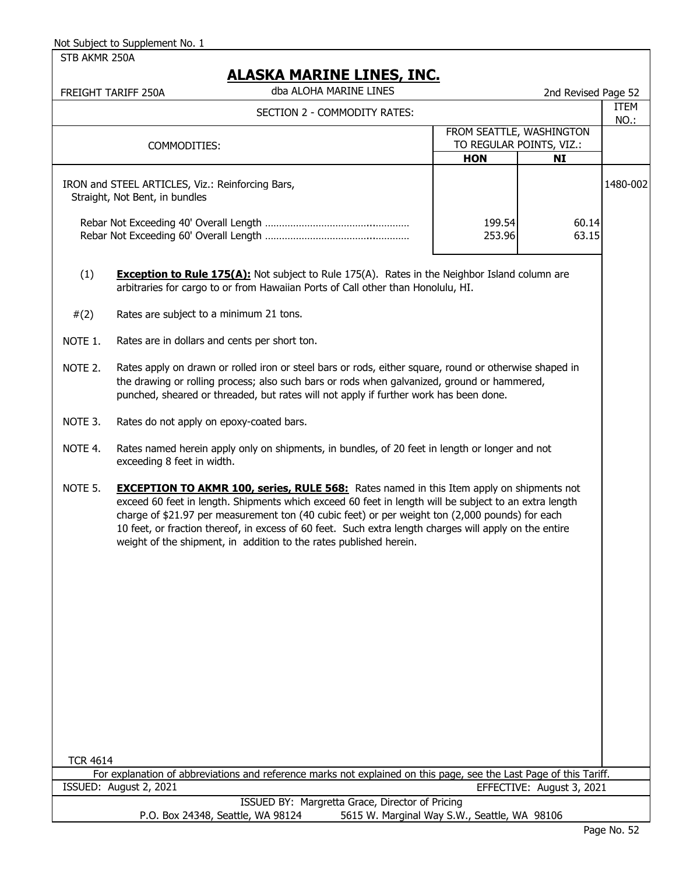STB AKMR 250A

|                                                                                                                                                                                                                                                                                                                                                                                                                                                                                                        | AJIM PANJINE EINEY, INC.<br>dba ALOHA MARINE LINES<br>FREIGHT TARIFF 250A                                                                                                                                                                                                                      |                  | 2nd Revised Page 52                   |          |
|--------------------------------------------------------------------------------------------------------------------------------------------------------------------------------------------------------------------------------------------------------------------------------------------------------------------------------------------------------------------------------------------------------------------------------------------------------------------------------------------------------|------------------------------------------------------------------------------------------------------------------------------------------------------------------------------------------------------------------------------------------------------------------------------------------------|------------------|---------------------------------------|----------|
| SECTION 2 - COMMODITY RATES:                                                                                                                                                                                                                                                                                                                                                                                                                                                                           |                                                                                                                                                                                                                                                                                                |                  | ITEM<br>NO.:                          |          |
|                                                                                                                                                                                                                                                                                                                                                                                                                                                                                                        | FROM SEATTLE, WASHINGTON                                                                                                                                                                                                                                                                       |                  |                                       |          |
|                                                                                                                                                                                                                                                                                                                                                                                                                                                                                                        | COMMODITIES:                                                                                                                                                                                                                                                                                   | <b>HON</b>       | TO REGULAR POINTS, VIZ.:<br><b>NI</b> |          |
|                                                                                                                                                                                                                                                                                                                                                                                                                                                                                                        | IRON and STEEL ARTICLES, Viz.: Reinforcing Bars,<br>Straight, Not Bent, in bundles                                                                                                                                                                                                             |                  |                                       | 1480-002 |
|                                                                                                                                                                                                                                                                                                                                                                                                                                                                                                        |                                                                                                                                                                                                                                                                                                | 199.54<br>253.96 | 60.14<br>63.15                        |          |
| (1)                                                                                                                                                                                                                                                                                                                                                                                                                                                                                                    | <b>Exception to Rule 175(A):</b> Not subject to Rule 175(A). Rates in the Neighbor Island column are<br>arbitraries for cargo to or from Hawaiian Ports of Call other than Honolulu, HI.                                                                                                       |                  |                                       |          |
| #(2)                                                                                                                                                                                                                                                                                                                                                                                                                                                                                                   | Rates are subject to a minimum 21 tons.                                                                                                                                                                                                                                                        |                  |                                       |          |
| NOTE 1.                                                                                                                                                                                                                                                                                                                                                                                                                                                                                                | Rates are in dollars and cents per short ton.                                                                                                                                                                                                                                                  |                  |                                       |          |
| NOTE 2.                                                                                                                                                                                                                                                                                                                                                                                                                                                                                                | Rates apply on drawn or rolled iron or steel bars or rods, either square, round or otherwise shaped in<br>the drawing or rolling process; also such bars or rods when galvanized, ground or hammered,<br>punched, sheared or threaded, but rates will not apply if further work has been done. |                  |                                       |          |
| NOTE 3.                                                                                                                                                                                                                                                                                                                                                                                                                                                                                                | Rates do not apply on epoxy-coated bars.                                                                                                                                                                                                                                                       |                  |                                       |          |
| NOTE 4.                                                                                                                                                                                                                                                                                                                                                                                                                                                                                                | Rates named herein apply only on shipments, in bundles, of 20 feet in length or longer and not<br>exceeding 8 feet in width.                                                                                                                                                                   |                  |                                       |          |
| NOTE 5.<br><b>EXCEPTION TO AKMR 100, series, RULE 568:</b> Rates named in this Item apply on shipments not<br>exceed 60 feet in length. Shipments which exceed 60 feet in length will be subject to an extra length<br>charge of \$21.97 per measurement ton (40 cubic feet) or per weight ton (2,000 pounds) for each<br>10 feet, or fraction thereof, in excess of 60 feet. Such extra length charges will apply on the entire<br>weight of the shipment, in addition to the rates published herein. |                                                                                                                                                                                                                                                                                                |                  |                                       |          |
|                                                                                                                                                                                                                                                                                                                                                                                                                                                                                                        |                                                                                                                                                                                                                                                                                                |                  |                                       |          |
|                                                                                                                                                                                                                                                                                                                                                                                                                                                                                                        |                                                                                                                                                                                                                                                                                                |                  |                                       |          |
|                                                                                                                                                                                                                                                                                                                                                                                                                                                                                                        |                                                                                                                                                                                                                                                                                                |                  |                                       |          |
|                                                                                                                                                                                                                                                                                                                                                                                                                                                                                                        |                                                                                                                                                                                                                                                                                                |                  |                                       |          |
|                                                                                                                                                                                                                                                                                                                                                                                                                                                                                                        |                                                                                                                                                                                                                                                                                                |                  |                                       |          |
|                                                                                                                                                                                                                                                                                                                                                                                                                                                                                                        |                                                                                                                                                                                                                                                                                                |                  |                                       |          |
|                                                                                                                                                                                                                                                                                                                                                                                                                                                                                                        |                                                                                                                                                                                                                                                                                                |                  |                                       |          |
| <b>TCR 4614</b>                                                                                                                                                                                                                                                                                                                                                                                                                                                                                        |                                                                                                                                                                                                                                                                                                |                  |                                       |          |
|                                                                                                                                                                                                                                                                                                                                                                                                                                                                                                        | For explanation of abbreviations and reference marks not explained on this page, see the Last Page of this Tariff.<br>ISSUED: August 2, 2021                                                                                                                                                   |                  | EFFECTIVE: August 3, 2021             |          |
|                                                                                                                                                                                                                                                                                                                                                                                                                                                                                                        | ISSUED BY: Margretta Grace, Director of Pricing                                                                                                                                                                                                                                                |                  |                                       |          |
|                                                                                                                                                                                                                                                                                                                                                                                                                                                                                                        | P.O. Box 24348, Seattle, WA 98124<br>5615 W. Marginal Way S.W., Seattle, WA 98106                                                                                                                                                                                                              |                  |                                       |          |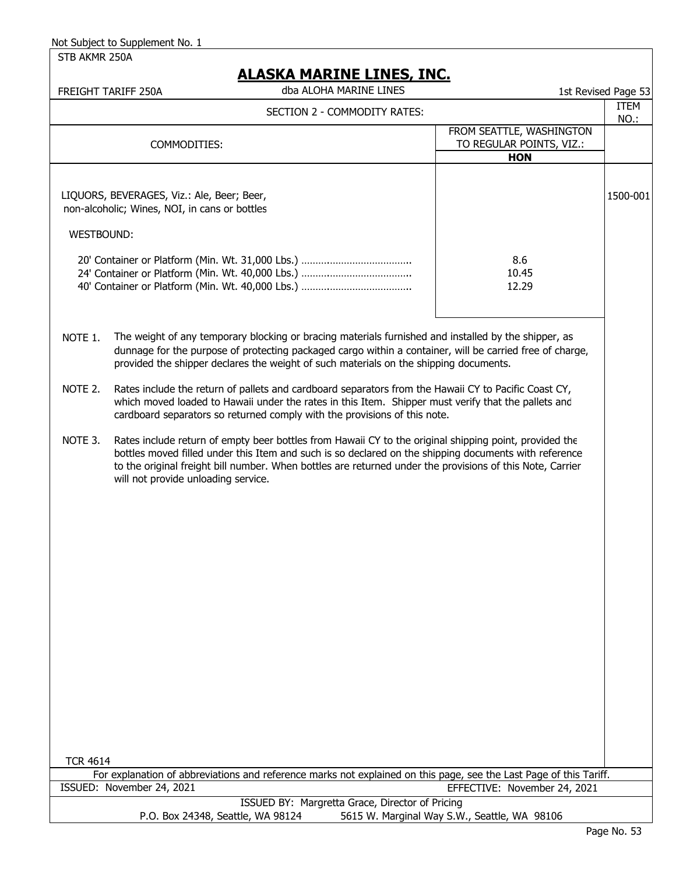STB AKMR 250A

### **ALASKA MARINE LINES, INC.**

|                   | ALASKA MARINE LINES, INC.<br>dba ALOHA MARINE LINES<br>FREIGHT TARIFF 250A                                                                                                                                                                                                                                                                                          |                                                                    | 1st Revised Page 53 |
|-------------------|---------------------------------------------------------------------------------------------------------------------------------------------------------------------------------------------------------------------------------------------------------------------------------------------------------------------------------------------------------------------|--------------------------------------------------------------------|---------------------|
|                   | SECTION 2 - COMMODITY RATES:                                                                                                                                                                                                                                                                                                                                        |                                                                    | ITEM<br>NO.:        |
|                   | COMMODITIES:                                                                                                                                                                                                                                                                                                                                                        | FROM SEATTLE, WASHINGTON<br>TO REGULAR POINTS, VIZ.:<br><b>HON</b> |                     |
|                   | LIQUORS, BEVERAGES, Viz.: Ale, Beer; Beer,<br>non-alcoholic; Wines, NOI, in cans or bottles                                                                                                                                                                                                                                                                         |                                                                    | 1500-001            |
| <b>WESTBOUND:</b> |                                                                                                                                                                                                                                                                                                                                                                     |                                                                    |                     |
|                   |                                                                                                                                                                                                                                                                                                                                                                     | 8.6<br>10.45<br>12.29                                              |                     |
| NOTE 1.           | The weight of any temporary blocking or bracing materials furnished and installed by the shipper, as<br>dunnage for the purpose of protecting packaged cargo within a container, will be carried free of charge,<br>provided the shipper declares the weight of such materials on the shipping documents.                                                           |                                                                    |                     |
| NOTE 2.           | Rates include the return of pallets and cardboard separators from the Hawaii CY to Pacific Coast CY,<br>which moved loaded to Hawaii under the rates in this Item. Shipper must verify that the pallets and<br>cardboard separators so returned comply with the provisions of this note.                                                                            |                                                                    |                     |
| NOTE 3.           | Rates include return of empty beer bottles from Hawaii CY to the original shipping point, provided the<br>bottles moved filled under this Item and such is so declared on the shipping documents with reference<br>to the original freight bill number. When bottles are returned under the provisions of this Note, Carrier<br>will not provide unloading service. |                                                                    |                     |
|                   |                                                                                                                                                                                                                                                                                                                                                                     |                                                                    |                     |
| <b>TCR 4614</b>   |                                                                                                                                                                                                                                                                                                                                                                     |                                                                    |                     |
|                   | For explanation of abbreviations and reference marks not explained on this page, see the Last Page of this Tariff.<br>ISSUED: November 24, 2021                                                                                                                                                                                                                     | EFFECTIVE: November 24, 2021                                       |                     |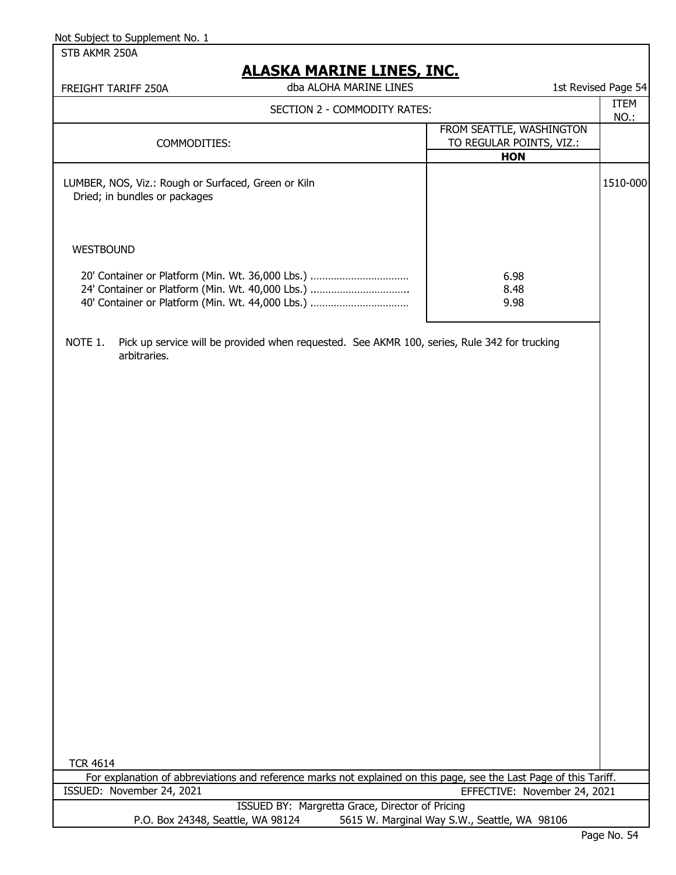STB AKMR 250A

# **ACKA MADINE LINES, INC.**

| FREIGHT TARIFF 250A                                                                  | ALAJNA MAKLINE LLINEJ, LINU.<br>dba ALOHA MARINE LINES                                                                                                   |                                                                    | 1st Revised Page 54 |
|--------------------------------------------------------------------------------------|----------------------------------------------------------------------------------------------------------------------------------------------------------|--------------------------------------------------------------------|---------------------|
|                                                                                      | SECTION 2 - COMMODITY RATES:                                                                                                                             |                                                                    | <b>ITEM</b>         |
| COMMODITIES:                                                                         |                                                                                                                                                          | FROM SEATTLE, WASHINGTON<br>TO REGULAR POINTS, VIZ.:<br><b>HON</b> | NO.:                |
| LUMBER, NOS, Viz.: Rough or Surfaced, Green or Kiln<br>Dried; in bundles or packages |                                                                                                                                                          |                                                                    | 1510-000            |
| <b>WESTBOUND</b>                                                                     |                                                                                                                                                          |                                                                    |                     |
|                                                                                      | 20' Container or Platform (Min. Wt. 36,000 Lbs.)<br>24' Container or Platform (Min. Wt. 40,000 Lbs.)<br>40' Container or Platform (Min. Wt. 44,000 Lbs.) | 6.98<br>8.48<br>9.98                                               |                     |
| NOTE 1.<br>arbitraries.                                                              | Pick up service will be provided when requested. See AKMR 100, series, Rule 342 for trucking                                                             |                                                                    |                     |
|                                                                                      |                                                                                                                                                          |                                                                    |                     |
|                                                                                      |                                                                                                                                                          |                                                                    |                     |
|                                                                                      |                                                                                                                                                          |                                                                    |                     |
|                                                                                      |                                                                                                                                                          |                                                                    |                     |
|                                                                                      |                                                                                                                                                          |                                                                    |                     |
|                                                                                      |                                                                                                                                                          |                                                                    |                     |
|                                                                                      |                                                                                                                                                          |                                                                    |                     |
|                                                                                      |                                                                                                                                                          |                                                                    |                     |
|                                                                                      |                                                                                                                                                          |                                                                    |                     |
|                                                                                      |                                                                                                                                                          |                                                                    |                     |
|                                                                                      |                                                                                                                                                          |                                                                    |                     |
| <b>TCR 4614</b>                                                                      |                                                                                                                                                          |                                                                    |                     |
|                                                                                      | For explanation of abbreviations and reference marks not explained on this page, see the Last Page of this Tariff.                                       |                                                                    |                     |
| ISSUED: November 24, 2021                                                            |                                                                                                                                                          | EFFECTIVE: November 24, 2021                                       |                     |
| P.O. Box 24348, Seattle, WA 98124                                                    | ISSUED BY: Margretta Grace, Director of Pricing                                                                                                          | 5615 W. Marginal Way S.W., Seattle, WA 98106                       |                     |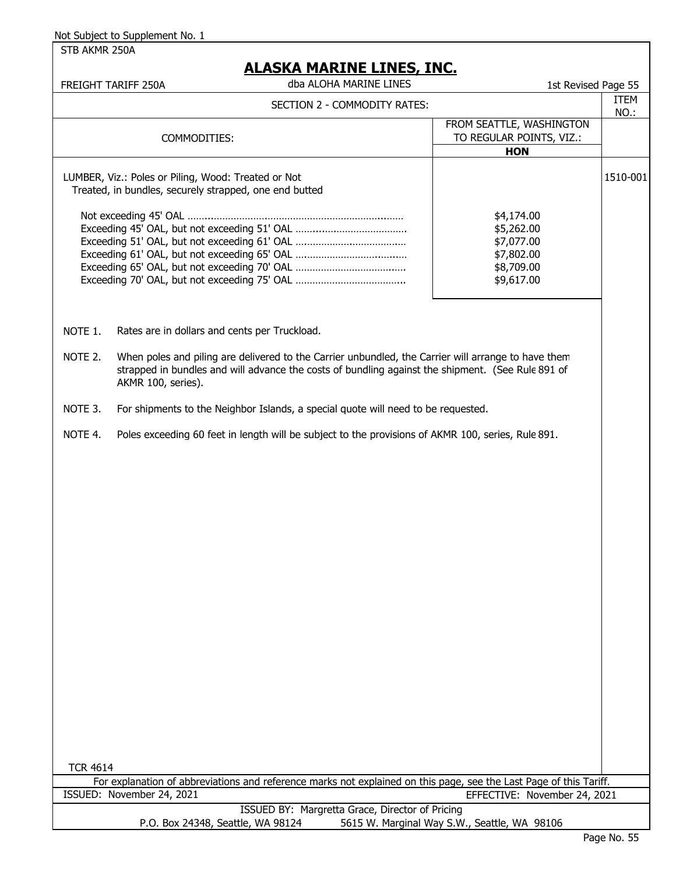STB AKMR 250A

|                 | FREIGHT TARIFF 250A                                                                                           | dba ALOHA MARINE LINES                                                                                                                                                                                   | 1st Revised Page 55                                                                                                |              |
|-----------------|---------------------------------------------------------------------------------------------------------------|----------------------------------------------------------------------------------------------------------------------------------------------------------------------------------------------------------|--------------------------------------------------------------------------------------------------------------------|--------------|
|                 |                                                                                                               | SECTION 2 - COMMODITY RATES:                                                                                                                                                                             |                                                                                                                    | ITEM<br>NO.: |
|                 | COMMODITIES:                                                                                                  |                                                                                                                                                                                                          | FROM SEATTLE, WASHINGTON<br>TO REGULAR POINTS, VIZ.:<br><b>HON</b>                                                 |              |
|                 | LUMBER, Viz.: Poles or Piling, Wood: Treated or Not<br>Treated, in bundles, securely strapped, one end butted |                                                                                                                                                                                                          |                                                                                                                    | 1510-001     |
|                 |                                                                                                               |                                                                                                                                                                                                          | \$4,174.00<br>\$5,262.00<br>\$7,077.00<br>\$7,802.00<br>\$8,709.00<br>\$9,617.00                                   |              |
| NOTE 1.         | Rates are in dollars and cents per Truckload.                                                                 |                                                                                                                                                                                                          |                                                                                                                    |              |
| NOTE 2.         | AKMR 100, series).                                                                                            | When poles and piling are delivered to the Carrier unbundled, the Carrier will arrange to have them<br>strapped in bundles and will advance the costs of bundling against the shipment. (See Rule 891 of |                                                                                                                    |              |
| NOTE 3.         |                                                                                                               | For shipments to the Neighbor Islands, a special quote will need to be requested.                                                                                                                        |                                                                                                                    |              |
| NOTE 4.         |                                                                                                               | Poles exceeding 60 feet in length will be subject to the provisions of AKMR 100, series, Rule 891.                                                                                                       |                                                                                                                    |              |
| <b>TCR 4614</b> |                                                                                                               |                                                                                                                                                                                                          | For explanation of abbreviations and reference marks not explained on this page, see the Last Page of this Tariff. |              |
|                 | ISSUED: November 24, 2021                                                                                     |                                                                                                                                                                                                          | EFFECTIVE: November 24, 2021                                                                                       |              |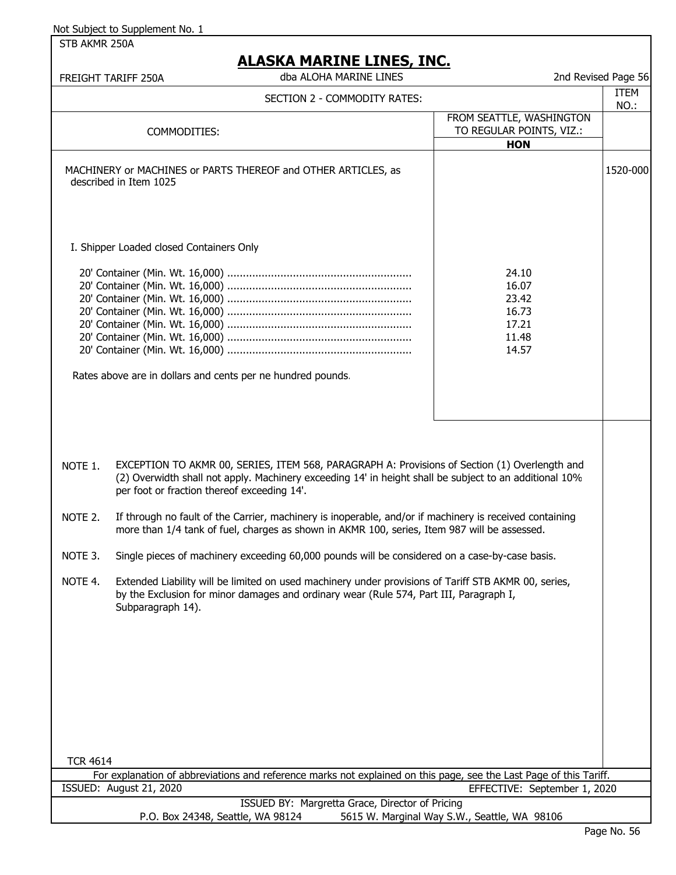STB AKMR 250A

| 2nd Revised Page 56 |             |
|---------------------|-------------|
|                     | <b>TTEM</b> |

|                                                                                                                                      | dba ALOHA MARINE LINES<br><b>FREIGHT TARIFF 250A</b>                                                                                                                                                                                                   |                                                                    | 2nd Revised Page 56 |
|--------------------------------------------------------------------------------------------------------------------------------------|--------------------------------------------------------------------------------------------------------------------------------------------------------------------------------------------------------------------------------------------------------|--------------------------------------------------------------------|---------------------|
|                                                                                                                                      | SECTION 2 - COMMODITY RATES:                                                                                                                                                                                                                           |                                                                    | <b>ITEM</b><br>NO.: |
|                                                                                                                                      | COMMODITIES:                                                                                                                                                                                                                                           | FROM SEATTLE, WASHINGTON<br>TO REGULAR POINTS, VIZ.:<br><b>HON</b> |                     |
|                                                                                                                                      | MACHINERY or MACHINES or PARTS THEREOF and OTHER ARTICLES, as<br>described in Item 1025                                                                                                                                                                |                                                                    | 1520-000            |
|                                                                                                                                      | I. Shipper Loaded closed Containers Only                                                                                                                                                                                                               |                                                                    |                     |
|                                                                                                                                      | Rates above are in dollars and cents per ne hundred pounds.                                                                                                                                                                                            | 24.10<br>16.07<br>23.42<br>16.73<br>17.21<br>11.48<br>14.57        |                     |
|                                                                                                                                      |                                                                                                                                                                                                                                                        |                                                                    |                     |
| NOTE 1.                                                                                                                              | EXCEPTION TO AKMR 00, SERIES, ITEM 568, PARAGRAPH A: Provisions of Section (1) Overlength and<br>(2) Overwidth shall not apply. Machinery exceeding 14' in height shall be subject to an additional 10%<br>per foot or fraction thereof exceeding 14'. |                                                                    |                     |
| NOTE 2.                                                                                                                              | If through no fault of the Carrier, machinery is inoperable, and/or if machinery is received containing<br>more than 1/4 tank of fuel, charges as shown in AKMR 100, series, Item 987 will be assessed.                                                |                                                                    |                     |
| NOTE 3.                                                                                                                              | Single pieces of machinery exceeding 60,000 pounds will be considered on a case-by-case basis.                                                                                                                                                         |                                                                    |                     |
| NOTE 4.                                                                                                                              | Extended Liability will be limited on used machinery under provisions of Tariff STB AKMR 00, series,<br>by the Exclusion for minor damages and ordinary wear (Rule 574, Part III, Paragraph I,<br>Subparagraph 14).                                    |                                                                    |                     |
|                                                                                                                                      |                                                                                                                                                                                                                                                        |                                                                    |                     |
|                                                                                                                                      |                                                                                                                                                                                                                                                        |                                                                    |                     |
|                                                                                                                                      |                                                                                                                                                                                                                                                        |                                                                    |                     |
| <b>TCR 4614</b>                                                                                                                      |                                                                                                                                                                                                                                                        |                                                                    |                     |
|                                                                                                                                      | For explanation of abbreviations and reference marks not explained on this page, see the Last Page of this Tariff.                                                                                                                                     |                                                                    |                     |
|                                                                                                                                      | ISSUED: August 21, 2020                                                                                                                                                                                                                                | EFFECTIVE: September 1, 2020                                       |                     |
| ISSUED BY: Margretta Grace, Director of Pricing<br>P.O. Box 24348, Seattle, WA 98124<br>5615 W. Marginal Way S.W., Seattle, WA 98106 |                                                                                                                                                                                                                                                        |                                                                    |                     |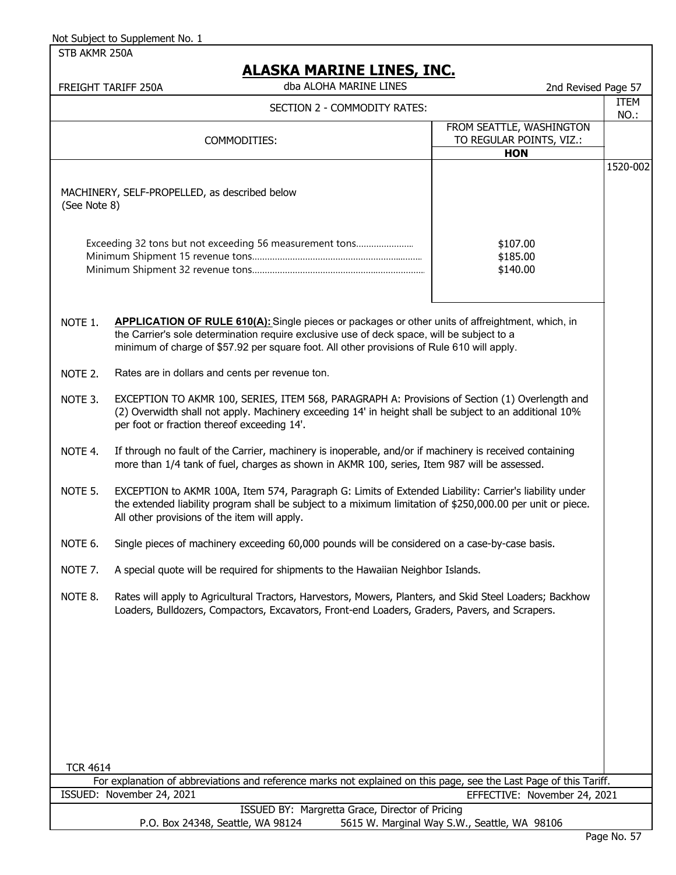STB AKMR 250A

|                                                                                                                    | <u>ALAJNA MAKINE LINEJ, INU.</u><br>dba ALOHA MARINE LINES<br>FREIGHT TARIFF 250A                                                                                                                                                                                                            | 2nd Revised Page 57                                                |              |  |
|--------------------------------------------------------------------------------------------------------------------|----------------------------------------------------------------------------------------------------------------------------------------------------------------------------------------------------------------------------------------------------------------------------------------------|--------------------------------------------------------------------|--------------|--|
|                                                                                                                    | SECTION 2 - COMMODITY RATES:                                                                                                                                                                                                                                                                 |                                                                    | ITEM<br>NO.: |  |
|                                                                                                                    | COMMODITIES:                                                                                                                                                                                                                                                                                 | FROM SEATTLE, WASHINGTON<br>TO REGULAR POINTS, VIZ.:<br><b>HON</b> |              |  |
| (See Note 8)                                                                                                       | MACHINERY, SELF-PROPELLED, as described below                                                                                                                                                                                                                                                |                                                                    | 1520-002     |  |
|                                                                                                                    | Exceeding 32 tons but not exceeding 56 measurement tons                                                                                                                                                                                                                                      | \$107.00<br>\$185.00<br>\$140.00                                   |              |  |
| NOTE 1.                                                                                                            | APPLICATION OF RULE 610(A): Single pieces or packages or other units of affreightment, which, in<br>the Carrier's sole determination require exclusive use of deck space, will be subject to a<br>minimum of charge of \$57.92 per square foot. All other provisions of Rule 610 will apply. |                                                                    |              |  |
| NOTE 2.                                                                                                            | Rates are in dollars and cents per revenue ton.                                                                                                                                                                                                                                              |                                                                    |              |  |
| NOTE 3.                                                                                                            | EXCEPTION TO AKMR 100, SERIES, ITEM 568, PARAGRAPH A: Provisions of Section (1) Overlength and<br>(2) Overwidth shall not apply. Machinery exceeding 14' in height shall be subject to an additional 10%<br>per foot or fraction thereof exceeding 14'.                                      |                                                                    |              |  |
| NOTE 4.                                                                                                            | If through no fault of the Carrier, machinery is inoperable, and/or if machinery is received containing<br>more than 1/4 tank of fuel, charges as shown in AKMR 100, series, Item 987 will be assessed.                                                                                      |                                                                    |              |  |
| NOTE 5.                                                                                                            | EXCEPTION to AKMR 100A, Item 574, Paragraph G: Limits of Extended Liability: Carrier's liability under<br>the extended liability program shall be subject to a miximum limitation of \$250,000.00 per unit or piece.<br>All other provisions of the item will apply.                         |                                                                    |              |  |
| NOTE 6.                                                                                                            | Single pieces of machinery exceeding 60,000 pounds will be considered on a case-by-case basis.                                                                                                                                                                                               |                                                                    |              |  |
| NOTE 7.                                                                                                            | A special quote will be required for shipments to the Hawaiian Neighbor Islands.                                                                                                                                                                                                             |                                                                    |              |  |
| NOTE 8.                                                                                                            | Rates will apply to Agricultural Tractors, Harvestors, Mowers, Planters, and Skid Steel Loaders; Backhow<br>Loaders, Bulldozers, Compactors, Excavators, Front-end Loaders, Graders, Pavers, and Scrapers.                                                                                   |                                                                    |              |  |
|                                                                                                                    |                                                                                                                                                                                                                                                                                              |                                                                    |              |  |
|                                                                                                                    |                                                                                                                                                                                                                                                                                              |                                                                    |              |  |
| <b>TCR 4614</b>                                                                                                    |                                                                                                                                                                                                                                                                                              |                                                                    |              |  |
| For explanation of abbreviations and reference marks not explained on this page, see the Last Page of this Tariff. |                                                                                                                                                                                                                                                                                              |                                                                    |              |  |
| ISSUED: November 24, 2021<br>EFFECTIVE: November 24, 2021<br>ISSUED BY: Margretta Grace, Director of Pricing       |                                                                                                                                                                                                                                                                                              |                                                                    |              |  |
|                                                                                                                    | P.O. Box 24348, Seattle, WA 98124                                                                                                                                                                                                                                                            | 5615 W. Marginal Way S.W., Seattle, WA 98106                       |              |  |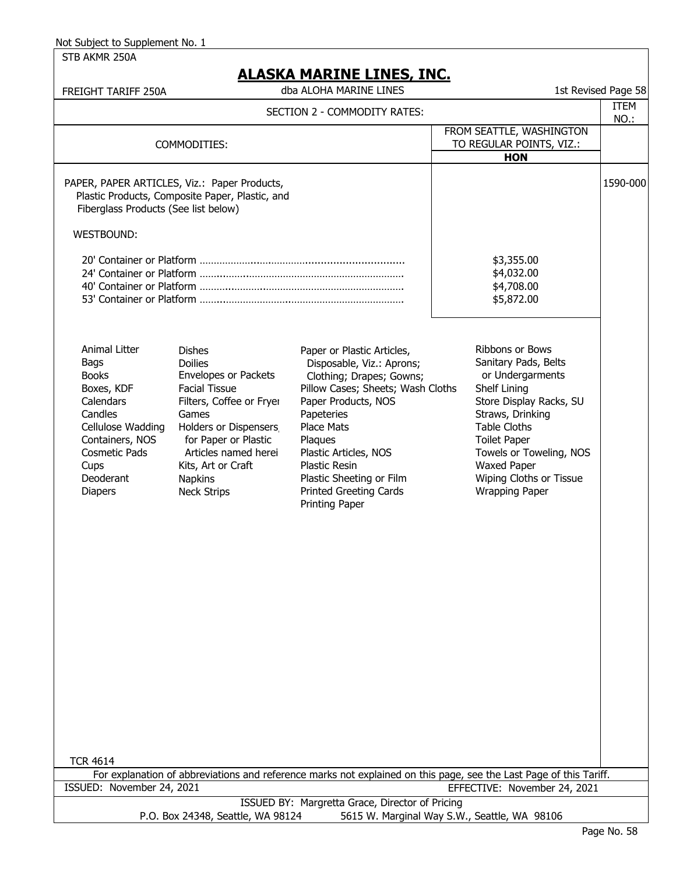STB AKMR 250A

| FREIGHT TARIFF 250A                                                                                                                                                                |                                                                                                                                                                                                                                                                    | <u> 1916 PIARIJNE EINES, INC.</u><br>dba ALOHA MARINE LINES                                                                                                                                                                                                                                                                   |                                                                                                                                                                                                                                                                               | 1st Revised Page 58 |
|------------------------------------------------------------------------------------------------------------------------------------------------------------------------------------|--------------------------------------------------------------------------------------------------------------------------------------------------------------------------------------------------------------------------------------------------------------------|-------------------------------------------------------------------------------------------------------------------------------------------------------------------------------------------------------------------------------------------------------------------------------------------------------------------------------|-------------------------------------------------------------------------------------------------------------------------------------------------------------------------------------------------------------------------------------------------------------------------------|---------------------|
|                                                                                                                                                                                    |                                                                                                                                                                                                                                                                    | SECTION 2 - COMMODITY RATES:                                                                                                                                                                                                                                                                                                  |                                                                                                                                                                                                                                                                               | <b>ITEM</b><br>NO.: |
|                                                                                                                                                                                    | COMMODITIES:                                                                                                                                                                                                                                                       |                                                                                                                                                                                                                                                                                                                               | FROM SEATTLE, WASHINGTON<br>TO REGULAR POINTS, VIZ.:<br><b>HON</b>                                                                                                                                                                                                            |                     |
| Fiberglass Products (See list below)                                                                                                                                               | PAPER, PAPER ARTICLES, Viz.: Paper Products,<br>Plastic Products, Composite Paper, Plastic, and                                                                                                                                                                    |                                                                                                                                                                                                                                                                                                                               |                                                                                                                                                                                                                                                                               | 1590-000            |
| <b>WESTBOUND:</b>                                                                                                                                                                  |                                                                                                                                                                                                                                                                    |                                                                                                                                                                                                                                                                                                                               |                                                                                                                                                                                                                                                                               |                     |
|                                                                                                                                                                                    |                                                                                                                                                                                                                                                                    |                                                                                                                                                                                                                                                                                                                               | \$3,355.00<br>\$4,032.00<br>\$4,708.00<br>\$5,872.00                                                                                                                                                                                                                          |                     |
| Animal Litter<br>Bags<br><b>Books</b><br>Boxes, KDF<br>Calendars<br>Candles<br>Cellulose Wadding<br>Containers, NOS<br><b>Cosmetic Pads</b><br>Cups<br>Deoderant<br><b>Diapers</b> | <b>Dishes</b><br><b>Doilies</b><br><b>Envelopes or Packets</b><br><b>Facial Tissue</b><br>Filters, Coffee or Fryer<br>Games<br>Holders or Dispensers<br>for Paper or Plastic<br>Articles named herei<br>Kits, Art or Craft<br><b>Napkins</b><br><b>Neck Strips</b> | Paper or Plastic Articles,<br>Disposable, Viz.: Aprons;<br>Clothing; Drapes; Gowns;<br>Pillow Cases; Sheets; Wash Cloths<br>Paper Products, NOS<br>Papeteries<br><b>Place Mats</b><br>Plaques<br>Plastic Articles, NOS<br><b>Plastic Resin</b><br>Plastic Sheeting or Film<br><b>Printed Greeting Cards</b><br>Printing Paper | Ribbons or Bows<br>Sanitary Pads, Belts<br>or Undergarments<br>Shelf Lining<br>Store Display Racks, SU<br>Straws, Drinking<br><b>Table Cloths</b><br><b>Toilet Paper</b><br>Towels or Toweling, NOS<br><b>Waxed Paper</b><br>Wiping Cloths or Tissue<br><b>Wrapping Paper</b> |                     |
| <b>TCR 4614</b>                                                                                                                                                                    |                                                                                                                                                                                                                                                                    |                                                                                                                                                                                                                                                                                                                               |                                                                                                                                                                                                                                                                               |                     |
| ISSUED: November 24, 2021                                                                                                                                                          |                                                                                                                                                                                                                                                                    |                                                                                                                                                                                                                                                                                                                               | For explanation of abbreviations and reference marks not explained on this page, see the Last Page of this Tariff.<br>EFFECTIVE: November 24, 2021                                                                                                                            |                     |
|                                                                                                                                                                                    |                                                                                                                                                                                                                                                                    | ISSUED BY: Margretta Grace, Director of Pricing                                                                                                                                                                                                                                                                               |                                                                                                                                                                                                                                                                               |                     |
|                                                                                                                                                                                    | P.O. Box 24348, Seattle, WA 98124                                                                                                                                                                                                                                  |                                                                                                                                                                                                                                                                                                                               | 5615 W. Marginal Way S.W., Seattle, WA 98106                                                                                                                                                                                                                                  |                     |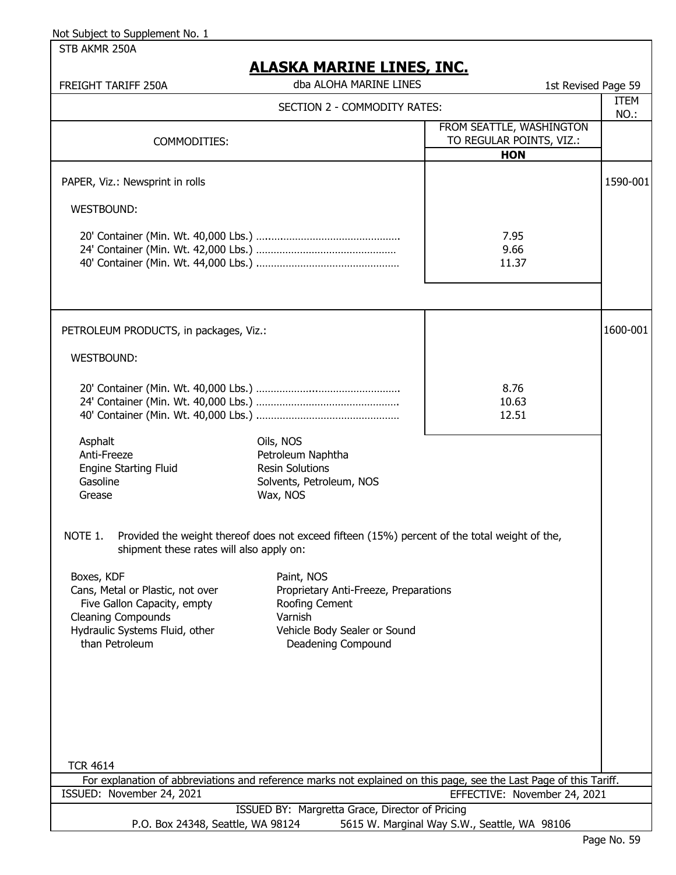STB AKMR 250A

|--|

| <u>AJIVA PIAININE EINEY, INV.</u><br>dba ALOHA MARINE LINES<br>FREIGHT TARIFF 250A<br>1st Revised Page 59                                                      |                                                                                                                                        |              |  |
|----------------------------------------------------------------------------------------------------------------------------------------------------------------|----------------------------------------------------------------------------------------------------------------------------------------|--------------|--|
|                                                                                                                                                                | SECTION 2 - COMMODITY RATES:                                                                                                           | ITEM<br>NO.: |  |
| COMMODITIES:                                                                                                                                                   | FROM SEATTLE, WASHINGTON<br>TO REGULAR POINTS, VIZ.:<br><b>HON</b>                                                                     |              |  |
| PAPER, Viz.: Newsprint in rolls                                                                                                                                |                                                                                                                                        | 1590-001     |  |
| <b>WESTBOUND:</b>                                                                                                                                              |                                                                                                                                        |              |  |
|                                                                                                                                                                | 7.95<br>9.66<br>11.37                                                                                                                  |              |  |
| PETROLEUM PRODUCTS, in packages, Viz.:                                                                                                                         |                                                                                                                                        | 1600-001     |  |
| WESTBOUND:                                                                                                                                                     |                                                                                                                                        |              |  |
|                                                                                                                                                                | 8.76<br>10.63<br>12.51                                                                                                                 |              |  |
| Asphalt<br>Anti-Freeze<br><b>Engine Starting Fluid</b><br>Gasoline<br>Grease                                                                                   | Oils, NOS<br>Petroleum Naphtha<br><b>Resin Solutions</b><br>Solvents, Petroleum, NOS<br>Wax, NOS                                       |              |  |
| NOTE 1.<br>shipment these rates will also apply on:                                                                                                            | Provided the weight thereof does not exceed fifteen (15%) percent of the total weight of the,                                          |              |  |
| Boxes, KDF<br>Cans, Metal or Plastic, not over<br>Five Gallon Capacity, empty<br><b>Cleaning Compounds</b><br>Hydraulic Systems Fluid, other<br>than Petroleum | Paint, NOS<br>Proprietary Anti-Freeze, Preparations<br>Roofing Cement<br>Varnish<br>Vehicle Body Sealer or Sound<br>Deadening Compound |              |  |
| <b>TCR 4614</b><br>For explanation of abbreviations and reference marks not explained on this page, see the Last Page of this Tariff.                          |                                                                                                                                        |              |  |
| ISSUED: November 24, 2021<br>EFFECTIVE: November 24, 2021                                                                                                      |                                                                                                                                        |              |  |
| P.O. Box 24348, Seattle, WA 98124                                                                                                                              | ISSUED BY: Margretta Grace, Director of Pricing<br>5615 W. Marginal Way S.W., Seattle, WA 98106                                        |              |  |
|                                                                                                                                                                |                                                                                                                                        |              |  |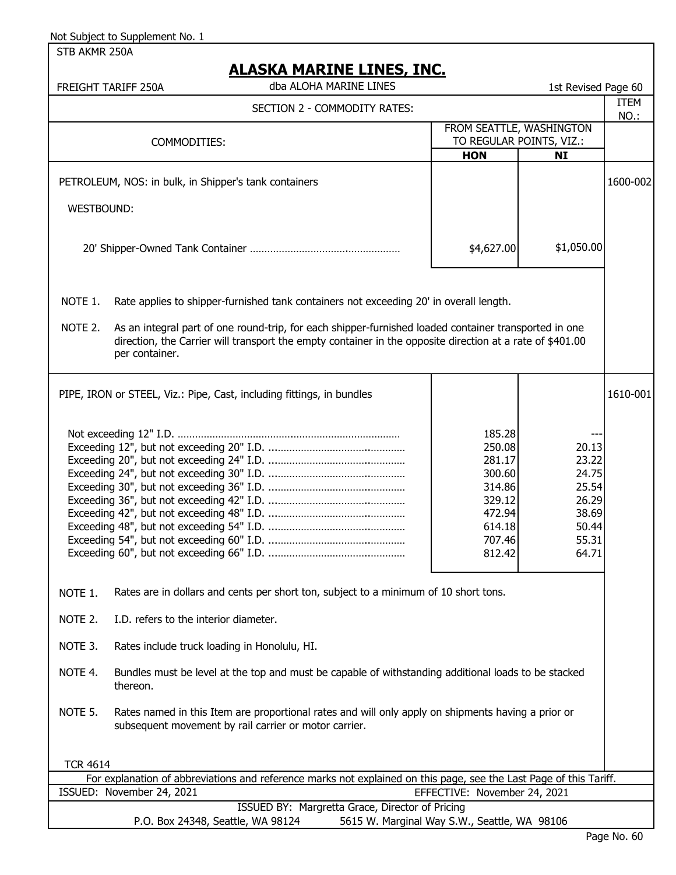STB AKMR 250A

# **ALASKA MARINE LINES, INC.**

| FREIGHT TARIFF 250A |  |
|---------------------|--|
|                     |  |

dba ALOHA MARINE LINES

|                                                                                                                                                                                   | dba ALOHA MARINE LINES<br>FREIGHT TARIFF 250A                                                                                                                                                                                        |                              | 1st Revised Page 60                                  |                     |
|-----------------------------------------------------------------------------------------------------------------------------------------------------------------------------------|--------------------------------------------------------------------------------------------------------------------------------------------------------------------------------------------------------------------------------------|------------------------------|------------------------------------------------------|---------------------|
|                                                                                                                                                                                   | SECTION 2 - COMMODITY RATES:                                                                                                                                                                                                         |                              |                                                      | <b>ITEM</b><br>NO.: |
|                                                                                                                                                                                   | COMMODITIES:                                                                                                                                                                                                                         |                              | FROM SEATTLE, WASHINGTON<br>TO REGULAR POINTS, VIZ.: |                     |
|                                                                                                                                                                                   |                                                                                                                                                                                                                                      | <b>HON</b>                   | NI                                                   |                     |
|                                                                                                                                                                                   | PETROLEUM, NOS: in bulk, in Shipper's tank containers                                                                                                                                                                                |                              |                                                      | 1600-002            |
| WESTBOUND:                                                                                                                                                                        |                                                                                                                                                                                                                                      |                              |                                                      |                     |
|                                                                                                                                                                                   |                                                                                                                                                                                                                                      |                              |                                                      |                     |
|                                                                                                                                                                                   |                                                                                                                                                                                                                                      | \$4,627.00                   | \$1,050.00                                           |                     |
| NOTE 1.                                                                                                                                                                           | Rate applies to shipper-furnished tank containers not exceeding 20' in overall length.                                                                                                                                               |                              |                                                      |                     |
| NOTE 2.                                                                                                                                                                           | As an integral part of one round-trip, for each shipper-furnished loaded container transported in one<br>direction, the Carrier will transport the empty container in the opposite direction at a rate of \$401.00<br>per container. |                              |                                                      |                     |
|                                                                                                                                                                                   | PIPE, IRON or STEEL, Viz.: Pipe, Cast, including fittings, in bundles                                                                                                                                                                |                              |                                                      | 1610-001            |
| 185.28<br>250.08<br>20.13<br>23.22<br>281.17<br>300.60<br>24.75<br>314.86<br>25.54<br>329.12<br>26.29<br>38.69<br>472.94<br>614.18<br>50.44<br>707.46<br>55.31<br>812.42<br>64.71 |                                                                                                                                                                                                                                      |                              |                                                      |                     |
| NOTE 1.                                                                                                                                                                           | Rates are in dollars and cents per short ton, subject to a minimum of 10 short tons.                                                                                                                                                 |                              |                                                      |                     |
| NOTE 2.                                                                                                                                                                           | I.D. refers to the interior diameter.                                                                                                                                                                                                |                              |                                                      |                     |
| NOTE 3.                                                                                                                                                                           | Rates include truck loading in Honolulu, HI.                                                                                                                                                                                         |                              |                                                      |                     |
| NOTE 4.                                                                                                                                                                           | Bundles must be level at the top and must be capable of withstanding additional loads to be stacked<br>thereon.                                                                                                                      |                              |                                                      |                     |
| NOTE 5.<br>Rates named in this Item are proportional rates and will only apply on shipments having a prior or<br>subsequent movement by rail carrier or motor carrier.            |                                                                                                                                                                                                                                      |                              |                                                      |                     |
| <b>TCR 4614</b>                                                                                                                                                                   |                                                                                                                                                                                                                                      |                              |                                                      |                     |
|                                                                                                                                                                                   | For explanation of abbreviations and reference marks not explained on this page, see the Last Page of this Tariff.<br>ISSUED: November 24, 2021                                                                                      | EFFECTIVE: November 24, 2021 |                                                      |                     |
| ISSUED BY: Margretta Grace, Director of Pricing                                                                                                                                   |                                                                                                                                                                                                                                      |                              |                                                      |                     |
| P.O. Box 24348, Seattle, WA 98124<br>5615 W. Marginal Way S.W., Seattle, WA 98106                                                                                                 |                                                                                                                                                                                                                                      |                              |                                                      |                     |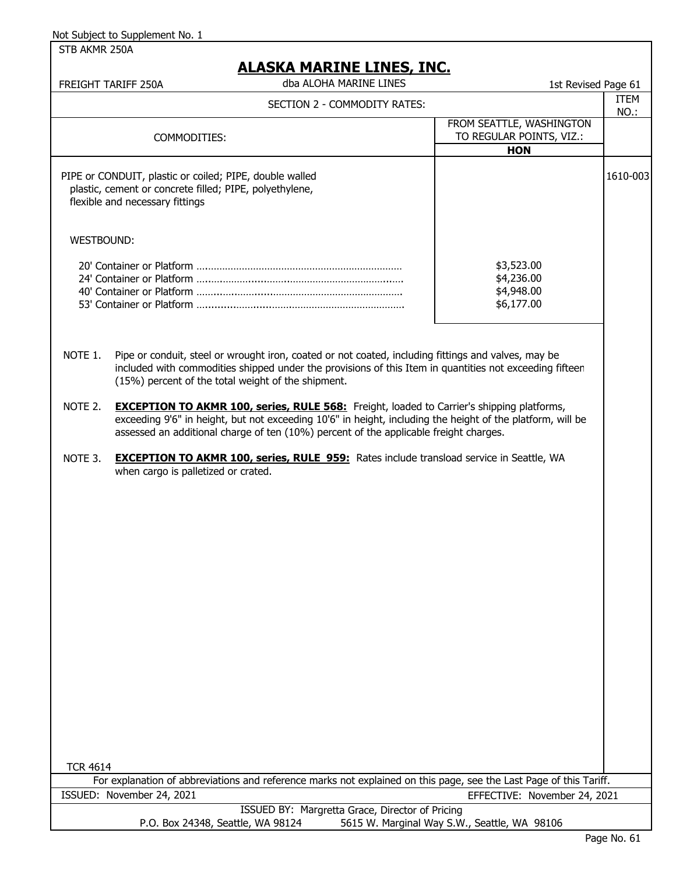STB AKMR 250A

| <b>ALASKA MARINE LINES, INC.</b> |
|----------------------------------|
|----------------------------------|

| <u>ALASKA MARINE LINES, INC.</u><br>dba ALOHA MARINE LINES<br>1st Revised Page 61<br>FREIGHT TARIFF 250A |                                                                                                                                                                                                                                                                                                         |                                                                    |                     |
|----------------------------------------------------------------------------------------------------------|---------------------------------------------------------------------------------------------------------------------------------------------------------------------------------------------------------------------------------------------------------------------------------------------------------|--------------------------------------------------------------------|---------------------|
|                                                                                                          | SECTION 2 - COMMODITY RATES:                                                                                                                                                                                                                                                                            |                                                                    | <b>ITEM</b><br>NO.: |
|                                                                                                          | COMMODITIES:                                                                                                                                                                                                                                                                                            | FROM SEATTLE, WASHINGTON<br>TO REGULAR POINTS, VIZ.:<br><b>HON</b> |                     |
|                                                                                                          | PIPE or CONDUIT, plastic or coiled; PIPE, double walled<br>plastic, cement or concrete filled; PIPE, polyethylene,<br>flexible and necessary fittings                                                                                                                                                   |                                                                    | 1610-003            |
| WESTBOUND:                                                                                               |                                                                                                                                                                                                                                                                                                         |                                                                    |                     |
|                                                                                                          |                                                                                                                                                                                                                                                                                                         | \$3,523.00<br>\$4,236.00<br>\$4,948.00<br>\$6,177.00               |                     |
| NOTE 1.                                                                                                  | Pipe or conduit, steel or wrought iron, coated or not coated, including fittings and valves, may be<br>included with commodities shipped under the provisions of this Item in quantities not exceeding fifteen<br>(15%) percent of the total weight of the shipment.                                    |                                                                    |                     |
| NOTE 2.                                                                                                  | <b>EXCEPTION TO AKMR 100, series, RULE 568:</b> Freight, loaded to Carrier's shipping platforms,<br>exceeding 9'6" in height, but not exceeding 10'6" in height, including the height of the platform, will be<br>assessed an additional charge of ten (10%) percent of the applicable freight charges. |                                                                    |                     |
| NOTE 3.                                                                                                  | <b>EXCEPTION TO AKMR 100, series, RULE 959:</b> Rates include transload service in Seattle, WA<br>when cargo is palletized or crated.                                                                                                                                                                   |                                                                    |                     |
| <b>TCR 4614</b>                                                                                          |                                                                                                                                                                                                                                                                                                         |                                                                    |                     |
|                                                                                                          | For explanation of abbreviations and reference marks not explained on this page, see the Last Page of this Tariff.<br>ISSUED: November 24, 2021                                                                                                                                                         | EFFECTIVE: November 24, 2021                                       |                     |
|                                                                                                          | ISSUED BY: Margretta Grace, Director of Pricing                                                                                                                                                                                                                                                         |                                                                    |                     |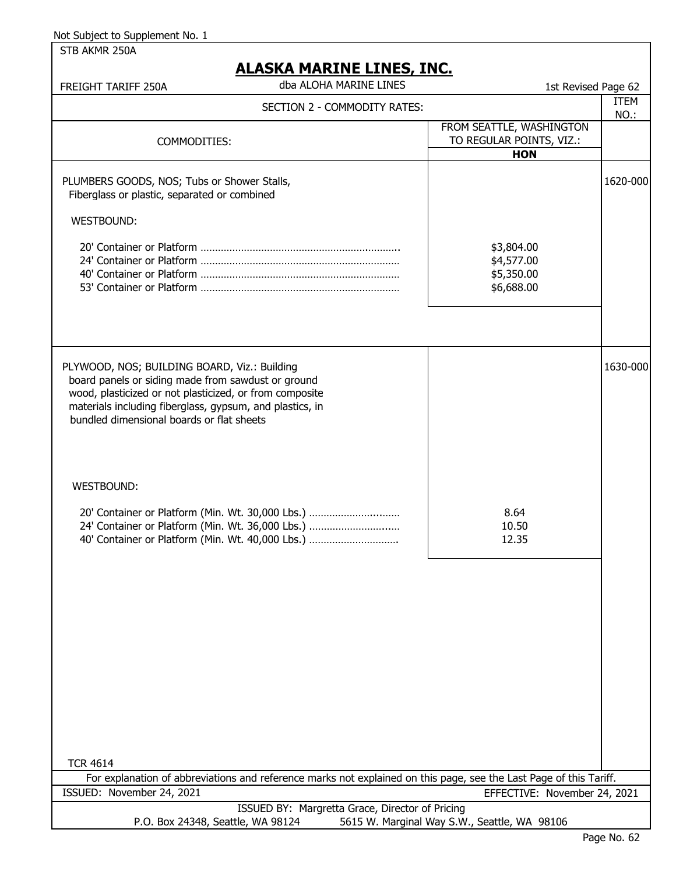STB AKMR 250A

| <u>ALAJNA MANJINE LIINED, JINU.</u><br>dba ALOHA MARINE LINES<br>FREIGHT TARIFF 250A                                                                                                                                                                                   | 1st Revised Page 62                                                |                     |
|------------------------------------------------------------------------------------------------------------------------------------------------------------------------------------------------------------------------------------------------------------------------|--------------------------------------------------------------------|---------------------|
| SECTION 2 - COMMODITY RATES:                                                                                                                                                                                                                                           |                                                                    | <b>ITEM</b><br>NO.: |
| COMMODITIES:                                                                                                                                                                                                                                                           | FROM SEATTLE, WASHINGTON<br>TO REGULAR POINTS, VIZ.:<br><b>HON</b> |                     |
| PLUMBERS GOODS, NOS; Tubs or Shower Stalls,<br>Fiberglass or plastic, separated or combined                                                                                                                                                                            |                                                                    | 1620-000            |
| WESTBOUND:                                                                                                                                                                                                                                                             |                                                                    |                     |
|                                                                                                                                                                                                                                                                        | \$3,804.00<br>\$4,577.00<br>\$5,350.00<br>\$6,688.00               |                     |
| PLYWOOD, NOS; BUILDING BOARD, Viz.: Building<br>board panels or siding made from sawdust or ground<br>wood, plasticized or not plasticized, or from composite<br>materials including fiberglass, gypsum, and plastics, in<br>bundled dimensional boards or flat sheets |                                                                    | 1630-000            |
| <b>WESTBOUND:</b>                                                                                                                                                                                                                                                      |                                                                    |                     |
| 20' Container or Platform (Min. Wt. 30,000 Lbs.)<br>24' Container or Platform (Min. Wt. 36,000 Lbs.)<br>40' Container or Platform (Min. Wt. 40,000 Lbs.)                                                                                                               | 8.64<br>10.50<br>12.35                                             |                     |
|                                                                                                                                                                                                                                                                        |                                                                    |                     |
| <b>TCR 4614</b>                                                                                                                                                                                                                                                        |                                                                    |                     |
| For explanation of abbreviations and reference marks not explained on this page, see the Last Page of this Tariff.<br>ISSUED: November 24, 2021                                                                                                                        | EFFECTIVE: November 24, 2021                                       |                     |
| ISSUED BY: Margretta Grace, Director of Pricing                                                                                                                                                                                                                        |                                                                    |                     |
| P.O. Box 24348, Seattle, WA 98124                                                                                                                                                                                                                                      | 5615 W. Marginal Way S.W., Seattle, WA 98106                       |                     |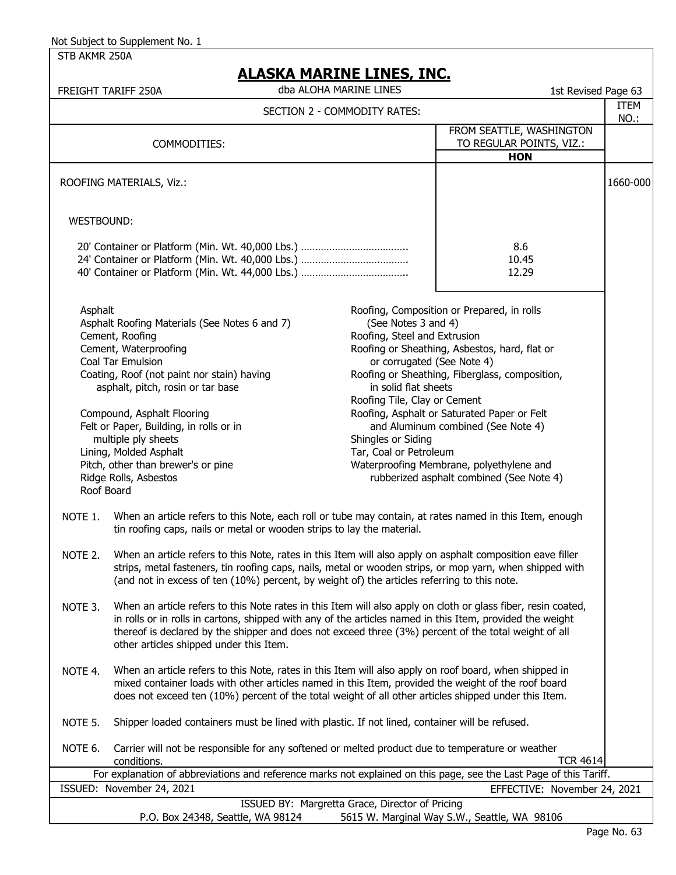STB AKMR 250A

| <u>ALAJNA MANINE LINEJ, INC.</u><br>dba ALOHA MARINE LINES<br>1st Revised Page 63<br>FREIGHT TARIFF 250A           |                                                                                                                                                                                                                                                                                                                                                                                                                                                                                                                                                                                                                                                                                                                                                                                                                                                                                                                                                                                                                                                                                                                                                                                                                                                                                                                                                                    |                              |                                                                                                                                                                                                                                                                                                                                                                                                                                                                                                                                                                                   |                     |
|--------------------------------------------------------------------------------------------------------------------|--------------------------------------------------------------------------------------------------------------------------------------------------------------------------------------------------------------------------------------------------------------------------------------------------------------------------------------------------------------------------------------------------------------------------------------------------------------------------------------------------------------------------------------------------------------------------------------------------------------------------------------------------------------------------------------------------------------------------------------------------------------------------------------------------------------------------------------------------------------------------------------------------------------------------------------------------------------------------------------------------------------------------------------------------------------------------------------------------------------------------------------------------------------------------------------------------------------------------------------------------------------------------------------------------------------------------------------------------------------------|------------------------------|-----------------------------------------------------------------------------------------------------------------------------------------------------------------------------------------------------------------------------------------------------------------------------------------------------------------------------------------------------------------------------------------------------------------------------------------------------------------------------------------------------------------------------------------------------------------------------------|---------------------|
|                                                                                                                    |                                                                                                                                                                                                                                                                                                                                                                                                                                                                                                                                                                                                                                                                                                                                                                                                                                                                                                                                                                                                                                                                                                                                                                                                                                                                                                                                                                    | SECTION 2 - COMMODITY RATES: |                                                                                                                                                                                                                                                                                                                                                                                                                                                                                                                                                                                   | <b>ITEM</b><br>NO.: |
|                                                                                                                    | COMMODITIES:                                                                                                                                                                                                                                                                                                                                                                                                                                                                                                                                                                                                                                                                                                                                                                                                                                                                                                                                                                                                                                                                                                                                                                                                                                                                                                                                                       |                              | FROM SEATTLE, WASHINGTON<br>TO REGULAR POINTS, VIZ.:<br><b>HON</b>                                                                                                                                                                                                                                                                                                                                                                                                                                                                                                                |                     |
|                                                                                                                    | ROOFING MATERIALS, Viz.:                                                                                                                                                                                                                                                                                                                                                                                                                                                                                                                                                                                                                                                                                                                                                                                                                                                                                                                                                                                                                                                                                                                                                                                                                                                                                                                                           |                              |                                                                                                                                                                                                                                                                                                                                                                                                                                                                                                                                                                                   | 1660-000            |
| WESTBOUND:                                                                                                         |                                                                                                                                                                                                                                                                                                                                                                                                                                                                                                                                                                                                                                                                                                                                                                                                                                                                                                                                                                                                                                                                                                                                                                                                                                                                                                                                                                    |                              |                                                                                                                                                                                                                                                                                                                                                                                                                                                                                                                                                                                   |                     |
|                                                                                                                    |                                                                                                                                                                                                                                                                                                                                                                                                                                                                                                                                                                                                                                                                                                                                                                                                                                                                                                                                                                                                                                                                                                                                                                                                                                                                                                                                                                    |                              | 8.6<br>10.45<br>12.29                                                                                                                                                                                                                                                                                                                                                                                                                                                                                                                                                             |                     |
| NOTE 1.<br>NOTE 2.<br>NOTE 3.<br>NOTE 4.                                                                           | Asphalt<br>Asphalt Roofing Materials (See Notes 6 and 7)<br>Cement, Roofing<br>Cement, Waterproofing<br>Coal Tar Emulsion<br>Coating, Roof (not paint nor stain) having<br>asphalt, pitch, rosin or tar base<br>Compound, Asphalt Flooring<br>Felt or Paper, Building, in rolls or in<br>multiple ply sheets<br>Shingles or Siding<br>Lining, Molded Asphalt<br>Tar, Coal or Petroleum<br>Pitch, other than brewer's or pine<br>Ridge Rolls, Asbestos<br>Roof Board<br>When an article refers to this Note, each roll or tube may contain, at rates named in this Item, enough<br>tin roofing caps, nails or metal or wooden strips to lay the material.<br>When an article refers to this Note, rates in this Item will also apply on asphalt composition eave filler<br>strips, metal fasteners, tin roofing caps, nails, metal or wooden strips, or mop yarn, when shipped with<br>(and not in excess of ten (10%) percent, by weight of) the articles referring to this note.<br>When an article refers to this Note rates in this Item will also apply on cloth or glass fiber, resin coated,<br>in rolls or in rolls in cartons, shipped with any of the articles named in this Item, provided the weight<br>thereof is declared by the shipper and does not exceed three (3%) percent of the total weight of all<br>other articles shipped under this Item. |                              | Roofing, Composition or Prepared, in rolls<br>(See Notes 3 and 4)<br>Roofing, Steel and Extrusion<br>Roofing or Sheathing, Asbestos, hard, flat or<br>or corrugated (See Note 4)<br>Roofing or Sheathing, Fiberglass, composition,<br>in solid flat sheets<br>Roofing Tile, Clay or Cement<br>Roofing, Asphalt or Saturated Paper or Felt<br>and Aluminum combined (See Note 4)<br>Waterproofing Membrane, polyethylene and<br>rubberized asphalt combined (See Note 4)<br>When an article refers to this Note, rates in this Item will also apply on roof board, when shipped in |                     |
|                                                                                                                    | mixed container loads with other articles named in this Item, provided the weight of the roof board<br>does not exceed ten (10%) percent of the total weight of all other articles shipped under this Item.                                                                                                                                                                                                                                                                                                                                                                                                                                                                                                                                                                                                                                                                                                                                                                                                                                                                                                                                                                                                                                                                                                                                                        |                              |                                                                                                                                                                                                                                                                                                                                                                                                                                                                                                                                                                                   |                     |
| NOTE 5.                                                                                                            | Shipper loaded containers must be lined with plastic. If not lined, container will be refused.                                                                                                                                                                                                                                                                                                                                                                                                                                                                                                                                                                                                                                                                                                                                                                                                                                                                                                                                                                                                                                                                                                                                                                                                                                                                     |                              |                                                                                                                                                                                                                                                                                                                                                                                                                                                                                                                                                                                   |                     |
| NOTE 6.                                                                                                            | Carrier will not be responsible for any softened or melted product due to temperature or weather<br>conditions.                                                                                                                                                                                                                                                                                                                                                                                                                                                                                                                                                                                                                                                                                                                                                                                                                                                                                                                                                                                                                                                                                                                                                                                                                                                    |                              | <b>TCR 4614</b>                                                                                                                                                                                                                                                                                                                                                                                                                                                                                                                                                                   |                     |
| For explanation of abbreviations and reference marks not explained on this page, see the Last Page of this Tariff. |                                                                                                                                                                                                                                                                                                                                                                                                                                                                                                                                                                                                                                                                                                                                                                                                                                                                                                                                                                                                                                                                                                                                                                                                                                                                                                                                                                    |                              |                                                                                                                                                                                                                                                                                                                                                                                                                                                                                                                                                                                   |                     |
|                                                                                                                    | ISSUED: November 24, 2021                                                                                                                                                                                                                                                                                                                                                                                                                                                                                                                                                                                                                                                                                                                                                                                                                                                                                                                                                                                                                                                                                                                                                                                                                                                                                                                                          |                              | EFFECTIVE: November 24, 2021                                                                                                                                                                                                                                                                                                                                                                                                                                                                                                                                                      |                     |
|                                                                                                                    | ISSUED BY: Margretta Grace, Director of Pricing                                                                                                                                                                                                                                                                                                                                                                                                                                                                                                                                                                                                                                                                                                                                                                                                                                                                                                                                                                                                                                                                                                                                                                                                                                                                                                                    |                              |                                                                                                                                                                                                                                                                                                                                                                                                                                                                                                                                                                                   |                     |
|                                                                                                                    | P.O. Box 24348, Seattle, WA 98124                                                                                                                                                                                                                                                                                                                                                                                                                                                                                                                                                                                                                                                                                                                                                                                                                                                                                                                                                                                                                                                                                                                                                                                                                                                                                                                                  |                              | 5615 W. Marginal Way S.W., Seattle, WA 98106                                                                                                                                                                                                                                                                                                                                                                                                                                                                                                                                      |                     |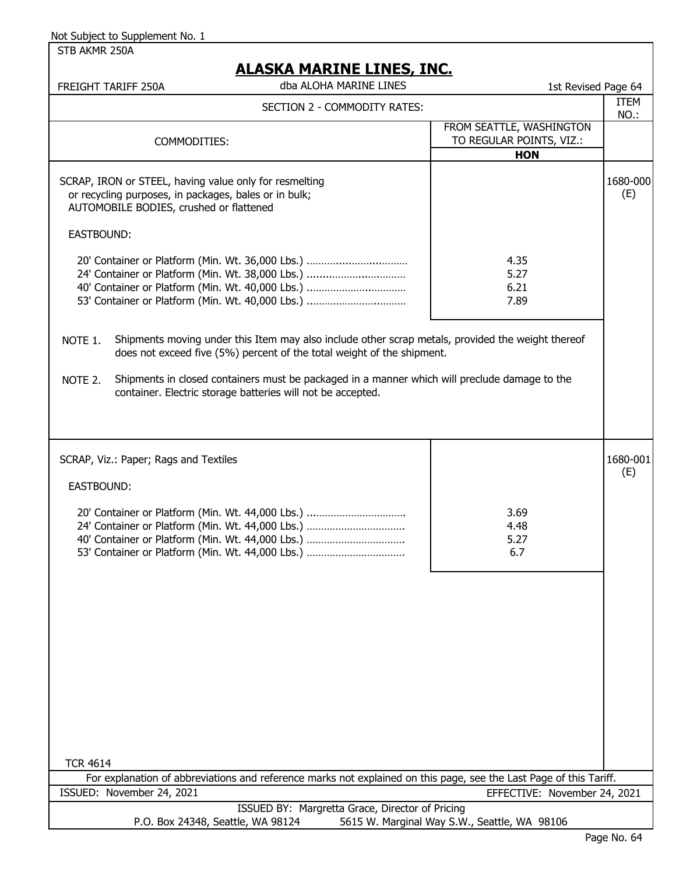STB AKMR 250A

| <u>ALAƏNA MARINE LINEƏ, INC.</u><br>dba ALOHA MARINE LINES<br>FREIGHT TARIFF 250A<br>1st Revised Page 64                                                                                                     |                                                                    |                     |  |
|--------------------------------------------------------------------------------------------------------------------------------------------------------------------------------------------------------------|--------------------------------------------------------------------|---------------------|--|
| SECTION 2 - COMMODITY RATES:                                                                                                                                                                                 |                                                                    | <b>ITEM</b><br>NO.: |  |
| COMMODITIES:                                                                                                                                                                                                 | FROM SEATTLE, WASHINGTON<br>TO REGULAR POINTS, VIZ.:<br><b>HON</b> |                     |  |
| SCRAP, IRON or STEEL, having value only for resmelting<br>or recycling purposes, in packages, bales or in bulk;<br>AUTOMOBILE BODIES, crushed or flattened                                                   |                                                                    | 1680-000<br>(E)     |  |
| EASTBOUND:                                                                                                                                                                                                   |                                                                    |                     |  |
| 20' Container or Platform (Min. Wt. 36,000 Lbs.)<br>24' Container or Platform (Min. Wt. 38,000 Lbs.)<br>40' Container or Platform (Min. Wt. 40,000 Lbs.)<br>53' Container or Platform (Min. Wt. 40,000 Lbs.) | 4.35<br>5.27<br>6.21<br>7.89                                       |                     |  |
| Shipments moving under this Item may also include other scrap metals, provided the weight thereof<br>NOTE 1.<br>does not exceed five (5%) percent of the total weight of the shipment.                       |                                                                    |                     |  |
| Shipments in closed containers must be packaged in a manner which will preclude damage to the<br>NOTE 2.<br>container. Electric storage batteries will not be accepted.                                      |                                                                    |                     |  |
|                                                                                                                                                                                                              |                                                                    |                     |  |
| SCRAP, Viz.: Paper; Rags and Textiles                                                                                                                                                                        |                                                                    | 1680-001<br>(E)     |  |
| EASTBOUND:                                                                                                                                                                                                   |                                                                    |                     |  |
| 20' Container or Platform (Min. Wt. 44,000 Lbs.)<br>24' Container or Platform (Min. Wt. 44,000 Lbs.)<br>40' Container or Platform (Min. Wt. 44,000 Lbs.)<br>53' Container or Platform (Min. Wt. 44,000 Lbs.) | 3.69<br>4.48<br>5.27<br>6.7                                        |                     |  |
|                                                                                                                                                                                                              |                                                                    |                     |  |
|                                                                                                                                                                                                              |                                                                    |                     |  |
|                                                                                                                                                                                                              |                                                                    |                     |  |
| <b>TCR 4614</b>                                                                                                                                                                                              |                                                                    |                     |  |
| For explanation of abbreviations and reference marks not explained on this page, see the Last Page of this Tariff.                                                                                           |                                                                    |                     |  |
| ISSUED: November 24, 2021                                                                                                                                                                                    | EFFECTIVE: November 24, 2021                                       |                     |  |
| ISSUED BY: Margretta Grace, Director of Pricing<br>P.O. Box 24348, Seattle, WA 98124                                                                                                                         | 5615 W. Marginal Way S.W., Seattle, WA 98106                       |                     |  |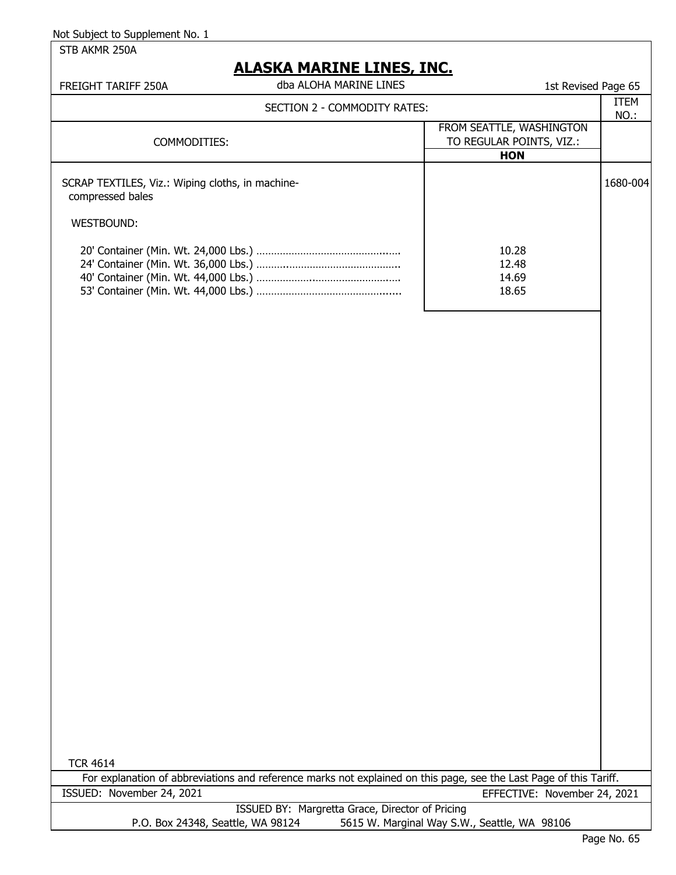STB AKMR 250A

# **ALASKA MARINE LINES, INC.**

| FREIGHT TARIFF 250A                                                                | dba ALOHA MARINE LINES       | 1st Revised Page 65                                                |              |
|------------------------------------------------------------------------------------|------------------------------|--------------------------------------------------------------------|--------------|
|                                                                                    | SECTION 2 - COMMODITY RATES: |                                                                    | ITEM<br>NO.: |
| COMMODITIES:                                                                       |                              | FROM SEATTLE, WASHINGTON<br>TO REGULAR POINTS, VIZ.:<br><b>HON</b> |              |
| SCRAP TEXTILES, Viz.: Wiping cloths, in machine-<br>compressed bales<br>WESTBOUND: |                              |                                                                    | 1680-004     |
|                                                                                    |                              | 10.28<br>12.48<br>14.69<br>18.65                                   |              |

TCR 4614

ISSUED BY: Margretta Grace, Director of Pricing P.O. Box 24348, Seattle, WA 98124 5615 W. Marginal Way S.W., Seattle, WA 98106 For explanation of abbreviations and reference marks not explained on this page, see the Last Page of this Tariff. ISSUED: November 24, 2021 EFFECTIVE: November 24, 2021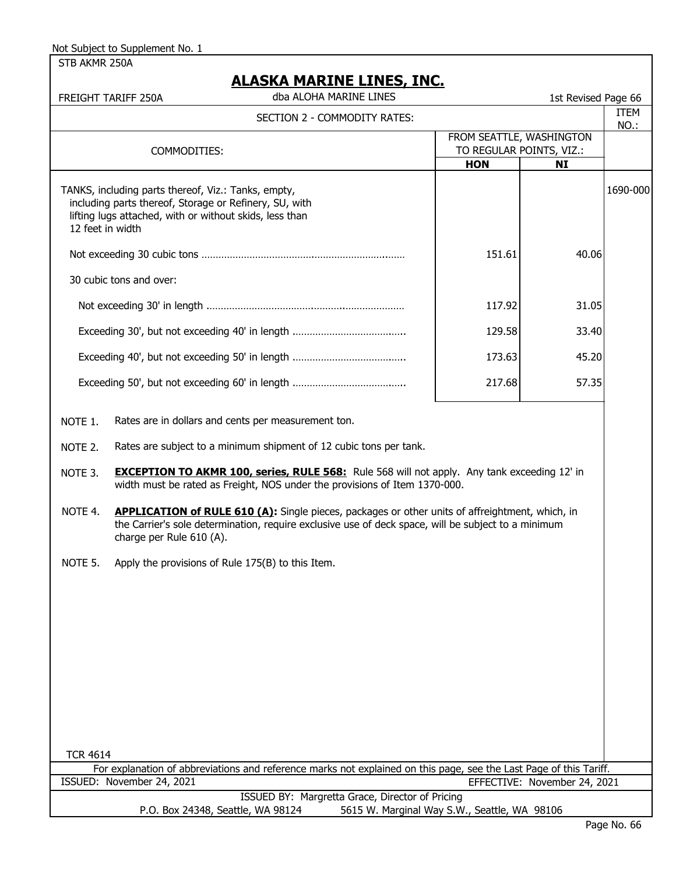STB AKMR 250A

### **ALASKA MARINE LINES, INC.**

 FREIGHT TARIFF 250A 1st Revised Page 66 dba ALOHA MARINE LINES ITEM

| SECTION 2 - COMMODITY RATES: |                                                                                                                                                                                                                                           | TIFM<br>NO.:             |                              |          |
|------------------------------|-------------------------------------------------------------------------------------------------------------------------------------------------------------------------------------------------------------------------------------------|--------------------------|------------------------------|----------|
|                              |                                                                                                                                                                                                                                           | FROM SEATTLE, WASHINGTON |                              |          |
|                              | COMMODITIES:                                                                                                                                                                                                                              | TO REGULAR POINTS, VIZ.: |                              |          |
|                              |                                                                                                                                                                                                                                           | <b>HON</b>               | <b>NI</b>                    |          |
| 12 feet in width             | TANKS, including parts thereof, Viz.: Tanks, empty,<br>including parts thereof, Storage or Refinery, SU, with<br>lifting lugs attached, with or without skids, less than                                                                  |                          |                              | 1690-000 |
|                              |                                                                                                                                                                                                                                           | 151.61                   | 40.06                        |          |
|                              | 30 cubic tons and over:                                                                                                                                                                                                                   |                          |                              |          |
|                              |                                                                                                                                                                                                                                           | 117.92                   | 31.05                        |          |
|                              |                                                                                                                                                                                                                                           | 129.58                   | 33.40                        |          |
|                              |                                                                                                                                                                                                                                           | 173.63                   | 45.20                        |          |
|                              |                                                                                                                                                                                                                                           | 217.68                   | 57.35                        |          |
| NOTE 1.                      | Rates are in dollars and cents per measurement ton.                                                                                                                                                                                       |                          |                              |          |
| NOTE 2.                      | Rates are subject to a minimum shipment of 12 cubic tons per tank.                                                                                                                                                                        |                          |                              |          |
| NOTE 3.                      | <b>EXCEPTION TO AKMR 100, series, RULE 568:</b> Rule 568 will not apply. Any tank exceeding 12' in<br>width must be rated as Freight, NOS under the provisions of Item 1370-000.                                                          |                          |                              |          |
| NOTE 4.                      | <b>APPLICATION of RULE 610 (A):</b> Single pieces, packages or other units of affreightment, which, in<br>the Carrier's sole determination, require exclusive use of deck space, will be subject to a minimum<br>charge per Rule 610 (A). |                          |                              |          |
| NOTE 5.                      | Apply the provisions of Rule 175(B) to this Item.                                                                                                                                                                                         |                          |                              |          |
|                              |                                                                                                                                                                                                                                           |                          |                              |          |
|                              |                                                                                                                                                                                                                                           |                          |                              |          |
|                              |                                                                                                                                                                                                                                           |                          |                              |          |
|                              |                                                                                                                                                                                                                                           |                          |                              |          |
|                              |                                                                                                                                                                                                                                           |                          |                              |          |
|                              |                                                                                                                                                                                                                                           |                          |                              |          |
|                              |                                                                                                                                                                                                                                           |                          |                              |          |
| <b>TCR 4614</b>              | For explanation of abbreviations and reference marks not explained on this page, see the Last Page of this Tariff.                                                                                                                        |                          |                              |          |
|                              | ISSUED: November 24, 2021                                                                                                                                                                                                                 |                          | EFFECTIVE: November 24, 2021 |          |
|                              | ISSUED BY: Margretta Grace, Director of Pricing                                                                                                                                                                                           |                          |                              |          |
|                              | P.O. Box 24348, Seattle, WA 98124<br>5615 W. Marginal Way S.W., Seattle, WA 98106                                                                                                                                                         |                          |                              |          |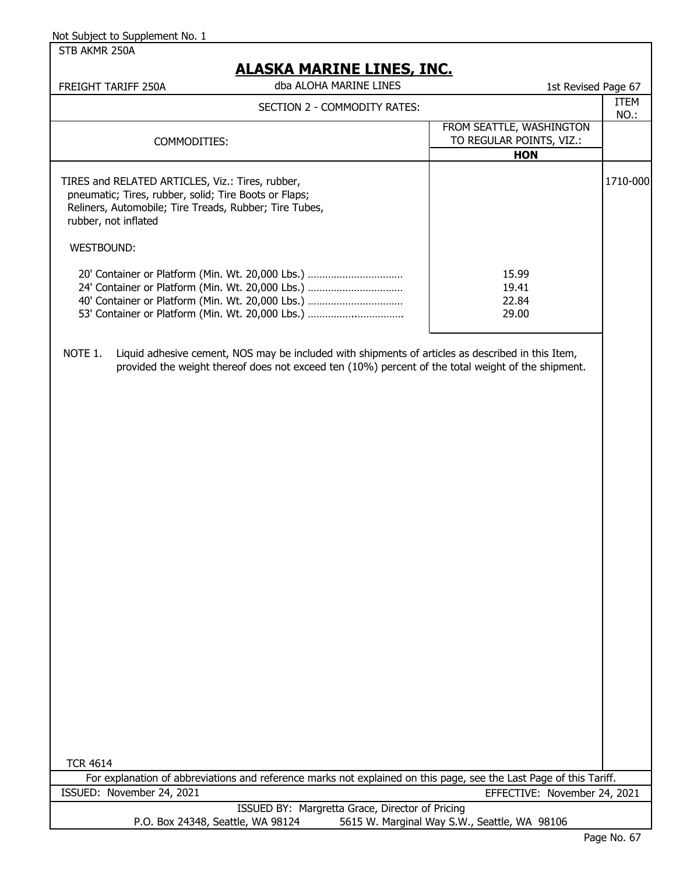STB AKMR 250A

| <u>ALASKA MARINE LINES, INC.</u>                                         |                                                                                                                                                                                                              |                                                                    |              |
|--------------------------------------------------------------------------|--------------------------------------------------------------------------------------------------------------------------------------------------------------------------------------------------------------|--------------------------------------------------------------------|--------------|
| FREIGHT TARIFF 250A                                                      | dba ALOHA MARINE LINES                                                                                                                                                                                       | 1st Revised Page 67                                                |              |
|                                                                          | SECTION 2 - COMMODITY RATES:                                                                                                                                                                                 |                                                                    | ITEM<br>NO.: |
|                                                                          | COMMODITIES:                                                                                                                                                                                                 | FROM SEATTLE, WASHINGTON<br>TO REGULAR POINTS, VIZ.:<br><b>HON</b> |              |
| TIRES and RELATED ARTICLES, Viz.: Tires, rubber,<br>rubber, not inflated | pneumatic; Tires, rubber, solid; Tire Boots or Flaps;<br>Reliners, Automobile; Tire Treads, Rubber; Tire Tubes,                                                                                              |                                                                    | 1710-000     |
| <b>WESTBOUND:</b>                                                        |                                                                                                                                                                                                              |                                                                    |              |
|                                                                          | 20' Container or Platform (Min. Wt. 20,000 Lbs.)<br>24' Container or Platform (Min. Wt. 20,000 Lbs.)<br>40' Container or Platform (Min. Wt. 20,000 Lbs.)<br>53' Container or Platform (Min. Wt. 20,000 Lbs.) | 15.99<br>19.41<br>22.84<br>29.00                                   |              |
| NOTE 1.                                                                  | Liquid adhesive cement, NOS may be included with shipments of articles as described in this Item,<br>provided the weight thereof does not exceed ten (10%) percent of the total weight of the shipment.      |                                                                    |              |
| <b>TCR 4614</b>                                                          |                                                                                                                                                                                                              |                                                                    |              |

For explanation of abbreviations and reference marks not explained on this page, see the Last Page of this Tariff. ISSUED: November 24, 2021 EFFECTIVE: November 24, 2021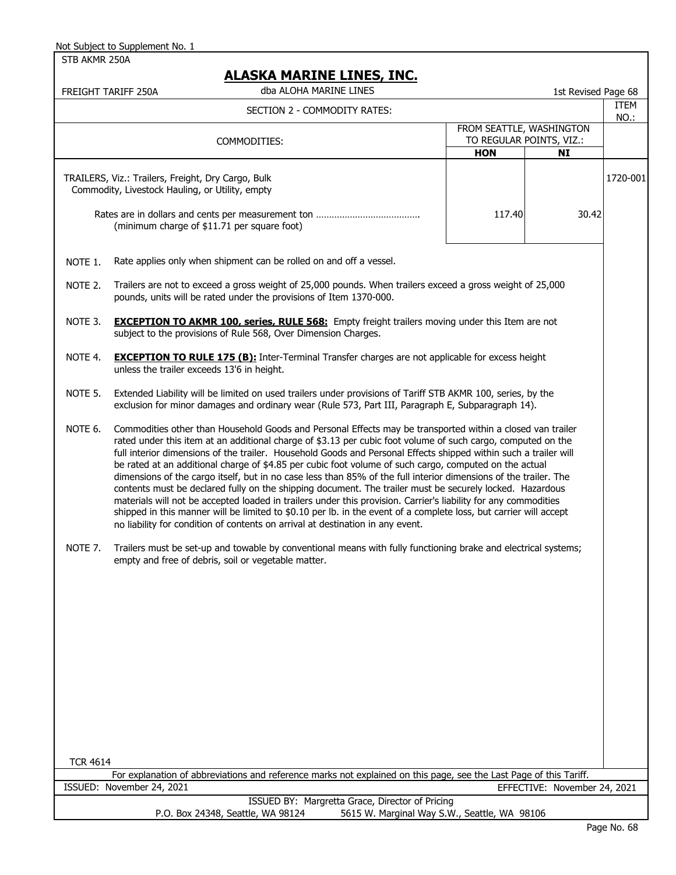STB AKMR 250A

### **ALASKA MARINE LINES, INC.**

| <u>AJNA PIANINE EINEY, INC.</u><br>dba ALOHA MARINE LINES<br>1st Revised Page 68<br>FREIGHT TARIFF 250A                                                                                                                                                                                                                                                                                                                                                                                                                                                                                                                                                                                                                                                                                                                                                                                                                                                                                                                       |              |  |
|-------------------------------------------------------------------------------------------------------------------------------------------------------------------------------------------------------------------------------------------------------------------------------------------------------------------------------------------------------------------------------------------------------------------------------------------------------------------------------------------------------------------------------------------------------------------------------------------------------------------------------------------------------------------------------------------------------------------------------------------------------------------------------------------------------------------------------------------------------------------------------------------------------------------------------------------------------------------------------------------------------------------------------|--------------|--|
| SECTION 2 - COMMODITY RATES:                                                                                                                                                                                                                                                                                                                                                                                                                                                                                                                                                                                                                                                                                                                                                                                                                                                                                                                                                                                                  | ITEM<br>NO.: |  |
| FROM SEATTLE, WASHINGTON<br>TO REGULAR POINTS, VIZ.:<br>COMMODITIES:                                                                                                                                                                                                                                                                                                                                                                                                                                                                                                                                                                                                                                                                                                                                                                                                                                                                                                                                                          |              |  |
| <b>HON</b><br>NI                                                                                                                                                                                                                                                                                                                                                                                                                                                                                                                                                                                                                                                                                                                                                                                                                                                                                                                                                                                                              |              |  |
| TRAILERS, Viz.: Trailers, Freight, Dry Cargo, Bulk<br>Commodity, Livestock Hauling, or Utility, empty                                                                                                                                                                                                                                                                                                                                                                                                                                                                                                                                                                                                                                                                                                                                                                                                                                                                                                                         | 1720-001     |  |
| 117.40<br>30.42<br>(minimum charge of \$11.71 per square foot)                                                                                                                                                                                                                                                                                                                                                                                                                                                                                                                                                                                                                                                                                                                                                                                                                                                                                                                                                                |              |  |
| Rate applies only when shipment can be rolled on and off a vessel.<br>NOTE 1.                                                                                                                                                                                                                                                                                                                                                                                                                                                                                                                                                                                                                                                                                                                                                                                                                                                                                                                                                 |              |  |
| Trailers are not to exceed a gross weight of 25,000 pounds. When trailers exceed a gross weight of 25,000<br>NOTE 2.<br>pounds, units will be rated under the provisions of Item 1370-000.                                                                                                                                                                                                                                                                                                                                                                                                                                                                                                                                                                                                                                                                                                                                                                                                                                    |              |  |
| NOTE 3.<br><b>EXCEPTION TO AKMR 100, series, RULE 568:</b> Empty freight trailers moving under this Item are not<br>subject to the provisions of Rule 568, Over Dimension Charges.                                                                                                                                                                                                                                                                                                                                                                                                                                                                                                                                                                                                                                                                                                                                                                                                                                            |              |  |
| NOTE 4.<br><b>EXCEPTION TO RULE 175 (B):</b> Inter-Terminal Transfer charges are not applicable for excess height<br>unless the trailer exceeds 13'6 in height.                                                                                                                                                                                                                                                                                                                                                                                                                                                                                                                                                                                                                                                                                                                                                                                                                                                               |              |  |
| Extended Liability will be limited on used trailers under provisions of Tariff STB AKMR 100, series, by the<br>NOTE 5.<br>exclusion for minor damages and ordinary wear (Rule 573, Part III, Paragraph E, Subparagraph 14).                                                                                                                                                                                                                                                                                                                                                                                                                                                                                                                                                                                                                                                                                                                                                                                                   |              |  |
| NOTE 6.<br>Commodities other than Household Goods and Personal Effects may be transported within a closed van trailer<br>rated under this item at an additional charge of \$3.13 per cubic foot volume of such cargo, computed on the<br>full interior dimensions of the trailer. Household Goods and Personal Effects shipped within such a trailer will<br>be rated at an additional charge of \$4.85 per cubic foot volume of such cargo, computed on the actual<br>dimensions of the cargo itself, but in no case less than 85% of the full interior dimensions of the trailer. The<br>contents must be declared fully on the shipping document. The trailer must be securely locked. Hazardous<br>materials will not be accepted loaded in trailers under this provision. Carrier's liability for any commodities<br>shipped in this manner will be limited to \$0.10 per lb. in the event of a complete loss, but carrier will accept<br>no liability for condition of contents on arrival at destination in any event. |              |  |
| NOTE 7.<br>Trailers must be set-up and towable by conventional means with fully functioning brake and electrical systems;<br>empty and free of debris, soil or vegetable matter.                                                                                                                                                                                                                                                                                                                                                                                                                                                                                                                                                                                                                                                                                                                                                                                                                                              |              |  |
|                                                                                                                                                                                                                                                                                                                                                                                                                                                                                                                                                                                                                                                                                                                                                                                                                                                                                                                                                                                                                               |              |  |
| <b>TCR 4614</b>                                                                                                                                                                                                                                                                                                                                                                                                                                                                                                                                                                                                                                                                                                                                                                                                                                                                                                                                                                                                               |              |  |
| For explanation of abbreviations and reference marks not explained on this page, see the Last Page of this Tariff.                                                                                                                                                                                                                                                                                                                                                                                                                                                                                                                                                                                                                                                                                                                                                                                                                                                                                                            |              |  |
| ISSUED: November 24, 2021<br>EFFECTIVE: November 24, 2021<br><b>ICCLIED RV: Margrotta Craco, Director of Driging</b>                                                                                                                                                                                                                                                                                                                                                                                                                                                                                                                                                                                                                                                                                                                                                                                                                                                                                                          |              |  |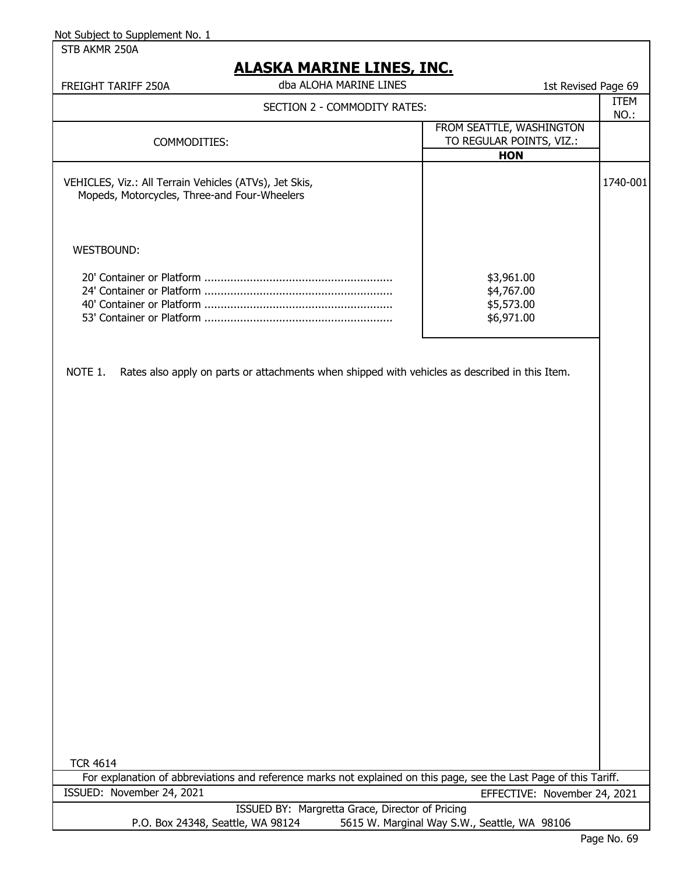STB AKMR 250A

|                                                                                                        | <u>ALASKA MARINE LINES, INC.</u>                                                                                   |                              |             |
|--------------------------------------------------------------------------------------------------------|--------------------------------------------------------------------------------------------------------------------|------------------------------|-------------|
| FREIGHT TARIFF 250A                                                                                    | dba ALOHA MARINE LINES                                                                                             | 1st Revised Page 69          |             |
|                                                                                                        | SECTION 2 - COMMODITY RATES:                                                                                       |                              | <b>ITEM</b> |
|                                                                                                        |                                                                                                                    | FROM SEATTLE, WASHINGTON     | NO.:        |
| COMMODITIES:                                                                                           |                                                                                                                    | TO REGULAR POINTS, VIZ.:     |             |
|                                                                                                        |                                                                                                                    | <b>HON</b>                   |             |
| VEHICLES, Viz.: All Terrain Vehicles (ATVs), Jet Skis,<br>Mopeds, Motorcycles, Three-and Four-Wheelers |                                                                                                                    |                              | 1740-001    |
| WESTBOUND:                                                                                             |                                                                                                                    |                              |             |
|                                                                                                        |                                                                                                                    |                              |             |
|                                                                                                        |                                                                                                                    | \$3,961.00<br>\$4,767.00     |             |
|                                                                                                        |                                                                                                                    | \$5,573.00                   |             |
|                                                                                                        |                                                                                                                    | \$6,971.00                   |             |
| NOTE 1.                                                                                                | Rates also apply on parts or attachments when shipped with vehicles as described in this Item.                     |                              |             |
|                                                                                                        |                                                                                                                    |                              |             |
|                                                                                                        |                                                                                                                    |                              |             |
|                                                                                                        |                                                                                                                    |                              |             |
|                                                                                                        |                                                                                                                    |                              |             |
|                                                                                                        |                                                                                                                    |                              |             |
|                                                                                                        |                                                                                                                    |                              |             |
| <b>TCR 4614</b>                                                                                        | For explanation of abbreviations and reference marks not explained on this page, see the Last Page of this Tariff. |                              |             |
| ISSUED: November 24, 2021                                                                              |                                                                                                                    | EFFECTIVE: November 24, 2021 |             |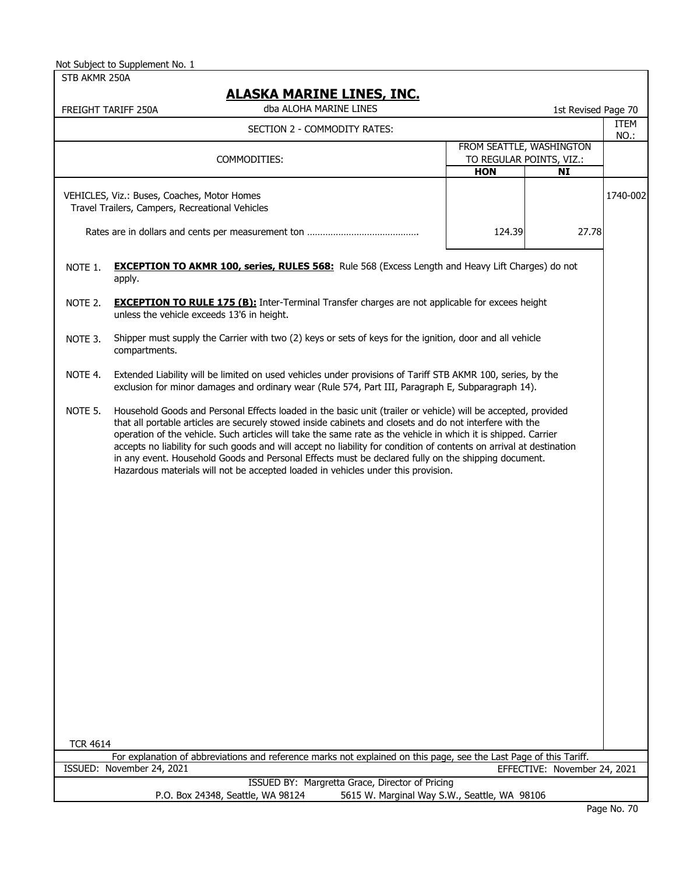STR AKMR 250A

| STB AKMR 250A                                                                                  | <b>ALASKA MARINE LINES, INC.</b>                                                                                                                                                                                                                                                                                                                                                                                                                                                                                                                                                                                                                                |            |                                                                   |                     |
|------------------------------------------------------------------------------------------------|-----------------------------------------------------------------------------------------------------------------------------------------------------------------------------------------------------------------------------------------------------------------------------------------------------------------------------------------------------------------------------------------------------------------------------------------------------------------------------------------------------------------------------------------------------------------------------------------------------------------------------------------------------------------|------------|-------------------------------------------------------------------|---------------------|
|                                                                                                | dba ALOHA MARINE LINES<br>FREIGHT TARIFF 250A                                                                                                                                                                                                                                                                                                                                                                                                                                                                                                                                                                                                                   |            | 1st Revised Page 70                                               |                     |
|                                                                                                | SECTION 2 - COMMODITY RATES:                                                                                                                                                                                                                                                                                                                                                                                                                                                                                                                                                                                                                                    |            |                                                                   | <b>ITEM</b><br>NO.: |
|                                                                                                | COMMODITIES:                                                                                                                                                                                                                                                                                                                                                                                                                                                                                                                                                                                                                                                    | <b>HON</b> | FROM SEATTLE, WASHINGTON<br>TO REGULAR POINTS, VIZ.:<br><b>NI</b> |                     |
| VEHICLES, Viz.: Buses, Coaches, Motor Homes<br>Travel Trailers, Campers, Recreational Vehicles |                                                                                                                                                                                                                                                                                                                                                                                                                                                                                                                                                                                                                                                                 |            |                                                                   | 1740-002            |
|                                                                                                |                                                                                                                                                                                                                                                                                                                                                                                                                                                                                                                                                                                                                                                                 | 124.39     | 27.78                                                             |                     |
| NOTE 1.                                                                                        | <b>EXCEPTION TO AKMR 100, series, RULES 568:</b> Rule 568 (Excess Length and Heavy Lift Charges) do not<br>apply.                                                                                                                                                                                                                                                                                                                                                                                                                                                                                                                                               |            |                                                                   |                     |
| NOTE 2.                                                                                        | <b>EXCEPTION TO RULE 175 (B):</b> Inter-Terminal Transfer charges are not applicable for excees height<br>unless the vehicle exceeds 13'6 in height.                                                                                                                                                                                                                                                                                                                                                                                                                                                                                                            |            |                                                                   |                     |
| NOTE 3.                                                                                        | Shipper must supply the Carrier with two (2) keys or sets of keys for the ignition, door and all vehicle<br>compartments.                                                                                                                                                                                                                                                                                                                                                                                                                                                                                                                                       |            |                                                                   |                     |
| NOTE 4.                                                                                        | Extended Liability will be limited on used vehicles under provisions of Tariff STB AKMR 100, series, by the<br>exclusion for minor damages and ordinary wear (Rule 574, Part III, Paragraph E, Subparagraph 14).                                                                                                                                                                                                                                                                                                                                                                                                                                                |            |                                                                   |                     |
| NOTE 5.                                                                                        | Household Goods and Personal Effects loaded in the basic unit (trailer or vehicle) will be accepted, provided<br>that all portable articles are securely stowed inside cabinets and closets and do not interfere with the<br>operation of the vehicle. Such articles will take the same rate as the vehicle in which it is shipped. Carrier<br>accepts no liability for such goods and will accept no liability for condition of contents on arrival at destination<br>in any event. Household Goods and Personal Effects must be declared fully on the shipping document.<br>Hazardous materials will not be accepted loaded in vehicles under this provision. |            |                                                                   |                     |
|                                                                                                |                                                                                                                                                                                                                                                                                                                                                                                                                                                                                                                                                                                                                                                                 |            |                                                                   |                     |
|                                                                                                |                                                                                                                                                                                                                                                                                                                                                                                                                                                                                                                                                                                                                                                                 |            |                                                                   |                     |
|                                                                                                |                                                                                                                                                                                                                                                                                                                                                                                                                                                                                                                                                                                                                                                                 |            |                                                                   |                     |
|                                                                                                |                                                                                                                                                                                                                                                                                                                                                                                                                                                                                                                                                                                                                                                                 |            |                                                                   |                     |
|                                                                                                |                                                                                                                                                                                                                                                                                                                                                                                                                                                                                                                                                                                                                                                                 |            |                                                                   |                     |
|                                                                                                |                                                                                                                                                                                                                                                                                                                                                                                                                                                                                                                                                                                                                                                                 |            |                                                                   |                     |
| <b>TCR 4614</b>                                                                                |                                                                                                                                                                                                                                                                                                                                                                                                                                                                                                                                                                                                                                                                 |            |                                                                   |                     |
|                                                                                                | For explanation of abbreviations and reference marks not explained on this page, see the Last Page of this Tariff.<br>ISSUED: November 24, 2021                                                                                                                                                                                                                                                                                                                                                                                                                                                                                                                 |            | EFFECTIVE: November 24, 2021                                      |                     |
|                                                                                                | ISSUED BY: Margretta Grace, Director of Pricing                                                                                                                                                                                                                                                                                                                                                                                                                                                                                                                                                                                                                 |            |                                                                   |                     |
|                                                                                                | P.O. Box 24348, Seattle, WA 98124<br>5615 W. Marginal Way S.W., Seattle, WA 98106                                                                                                                                                                                                                                                                                                                                                                                                                                                                                                                                                                               |            |                                                                   |                     |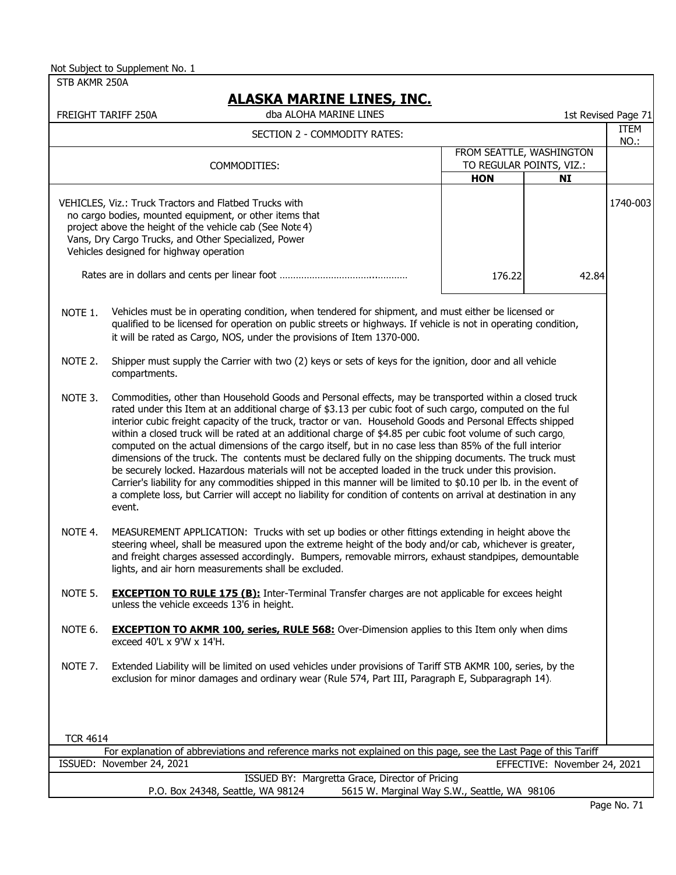| STB AKMR 250A                                                                                                                                                                                                                                                                    |                                                                                                                                                                                                                                                                                                                                                                                                                                                                                                                                                                                                                                                                                                                                                                                                                                                                                                                                                                                                                                   |                          |                              |                     |
|----------------------------------------------------------------------------------------------------------------------------------------------------------------------------------------------------------------------------------------------------------------------------------|-----------------------------------------------------------------------------------------------------------------------------------------------------------------------------------------------------------------------------------------------------------------------------------------------------------------------------------------------------------------------------------------------------------------------------------------------------------------------------------------------------------------------------------------------------------------------------------------------------------------------------------------------------------------------------------------------------------------------------------------------------------------------------------------------------------------------------------------------------------------------------------------------------------------------------------------------------------------------------------------------------------------------------------|--------------------------|------------------------------|---------------------|
|                                                                                                                                                                                                                                                                                  | <u>ALASKA MARINE LINES, INC.</u>                                                                                                                                                                                                                                                                                                                                                                                                                                                                                                                                                                                                                                                                                                                                                                                                                                                                                                                                                                                                  |                          |                              |                     |
|                                                                                                                                                                                                                                                                                  | dba ALOHA MARINE LINES<br>FREIGHT TARIFF 250A                                                                                                                                                                                                                                                                                                                                                                                                                                                                                                                                                                                                                                                                                                                                                                                                                                                                                                                                                                                     |                          |                              | 1st Revised Page 71 |
|                                                                                                                                                                                                                                                                                  | SECTION 2 - COMMODITY RATES:                                                                                                                                                                                                                                                                                                                                                                                                                                                                                                                                                                                                                                                                                                                                                                                                                                                                                                                                                                                                      |                          |                              | ITEM<br>NO.:        |
|                                                                                                                                                                                                                                                                                  |                                                                                                                                                                                                                                                                                                                                                                                                                                                                                                                                                                                                                                                                                                                                                                                                                                                                                                                                                                                                                                   | FROM SEATTLE, WASHINGTON |                              |                     |
|                                                                                                                                                                                                                                                                                  | COMMODITIES:                                                                                                                                                                                                                                                                                                                                                                                                                                                                                                                                                                                                                                                                                                                                                                                                                                                                                                                                                                                                                      | TO REGULAR POINTS, VIZ.: |                              |                     |
|                                                                                                                                                                                                                                                                                  |                                                                                                                                                                                                                                                                                                                                                                                                                                                                                                                                                                                                                                                                                                                                                                                                                                                                                                                                                                                                                                   | <b>HON</b>               | <b>NI</b>                    |                     |
| VEHICLES, Viz.: Truck Tractors and Flatbed Trucks with<br>no cargo bodies, mounted equipment, or other items that<br>project above the height of the vehicle cab (See Note 4)<br>Vans, Dry Cargo Trucks, and Other Specialized, Power<br>Vehicles designed for highway operation |                                                                                                                                                                                                                                                                                                                                                                                                                                                                                                                                                                                                                                                                                                                                                                                                                                                                                                                                                                                                                                   |                          |                              | 1740-003            |
|                                                                                                                                                                                                                                                                                  |                                                                                                                                                                                                                                                                                                                                                                                                                                                                                                                                                                                                                                                                                                                                                                                                                                                                                                                                                                                                                                   | 176.22                   | 42.84                        |                     |
| NOTE 1.                                                                                                                                                                                                                                                                          | Vehicles must be in operating condition, when tendered for shipment, and must either be licensed or<br>qualified to be licensed for operation on public streets or highways. If vehicle is not in operating condition,<br>it will be rated as Cargo, NOS, under the provisions of Item 1370-000.                                                                                                                                                                                                                                                                                                                                                                                                                                                                                                                                                                                                                                                                                                                                  |                          |                              |                     |
| NOTE 2.                                                                                                                                                                                                                                                                          | Shipper must supply the Carrier with two (2) keys or sets of keys for the ignition, door and all vehicle<br>compartments.                                                                                                                                                                                                                                                                                                                                                                                                                                                                                                                                                                                                                                                                                                                                                                                                                                                                                                         |                          |                              |                     |
| NOTE 3.                                                                                                                                                                                                                                                                          | Commodities, other than Household Goods and Personal effects, may be transported within a closed truck<br>rated under this Item at an additional charge of \$3.13 per cubic foot of such cargo, computed on the ful<br>interior cubic freight capacity of the truck, tractor or van. Household Goods and Personal Effects shipped<br>within a closed truck will be rated at an additional charge of \$4.85 per cubic foot volume of such cargo,<br>computed on the actual dimensions of the cargo itself, but in no case less than 85% of the full interior<br>dimensions of the truck. The contents must be declared fully on the shipping documents. The truck must<br>be securely locked. Hazardous materials will not be accepted loaded in the truck under this provision.<br>Carrier's liability for any commodities shipped in this manner will be limited to \$0.10 per lb. in the event of<br>a complete loss, but Carrier will accept no liability for condition of contents on arrival at destination in any<br>event. |                          |                              |                     |
| NOTE 4.                                                                                                                                                                                                                                                                          | MEASUREMENT APPLICATION: Trucks with set up bodies or other fittings extending in height above the<br>steering wheel, shall be measured upon the extreme height of the body and/or cab, whichever is greater,<br>and freight charges assessed accordingly. Bumpers, removable mirrors, exhaust standpipes, demountable<br>lights, and air horn measurements shall be excluded.                                                                                                                                                                                                                                                                                                                                                                                                                                                                                                                                                                                                                                                    |                          |                              |                     |
| NOTE 5.                                                                                                                                                                                                                                                                          | <b>EXCEPTION TO RULE 175 (B):</b> Inter-Terminal Transfer charges are not applicable for excees height<br>unless the vehicle exceeds 13'6 in height.                                                                                                                                                                                                                                                                                                                                                                                                                                                                                                                                                                                                                                                                                                                                                                                                                                                                              |                          |                              |                     |
| NOTE 6.                                                                                                                                                                                                                                                                          | <b>EXCEPTION TO AKMR 100, series, RULE 568:</b> Over-Dimension applies to this Item only when dims<br>exceed 40'L x 9'W x 14'H.                                                                                                                                                                                                                                                                                                                                                                                                                                                                                                                                                                                                                                                                                                                                                                                                                                                                                                   |                          |                              |                     |
| NOTE 7.                                                                                                                                                                                                                                                                          | Extended Liability will be limited on used vehicles under provisions of Tariff STB AKMR 100, series, by the<br>exclusion for minor damages and ordinary wear (Rule 574, Part III, Paragraph E, Subparagraph 14).                                                                                                                                                                                                                                                                                                                                                                                                                                                                                                                                                                                                                                                                                                                                                                                                                  |                          |                              |                     |
|                                                                                                                                                                                                                                                                                  |                                                                                                                                                                                                                                                                                                                                                                                                                                                                                                                                                                                                                                                                                                                                                                                                                                                                                                                                                                                                                                   |                          |                              |                     |
| <b>TCR 4614</b>                                                                                                                                                                                                                                                                  | For explanation of abbreviations and reference marks not explained on this page, see the Last Page of this Tariff                                                                                                                                                                                                                                                                                                                                                                                                                                                                                                                                                                                                                                                                                                                                                                                                                                                                                                                 |                          |                              |                     |
|                                                                                                                                                                                                                                                                                  | ISSUED: November 24, 2021                                                                                                                                                                                                                                                                                                                                                                                                                                                                                                                                                                                                                                                                                                                                                                                                                                                                                                                                                                                                         |                          | EFFECTIVE: November 24, 2021 |                     |
|                                                                                                                                                                                                                                                                                  | ISSUED BY: Margretta Grace, Director of Pricing                                                                                                                                                                                                                                                                                                                                                                                                                                                                                                                                                                                                                                                                                                                                                                                                                                                                                                                                                                                   |                          |                              |                     |
|                                                                                                                                                                                                                                                                                  | P.O. Box 24348, Seattle, WA 98124<br>5615 W. Marginal Way S.W., Seattle, WA 98106                                                                                                                                                                                                                                                                                                                                                                                                                                                                                                                                                                                                                                                                                                                                                                                                                                                                                                                                                 |                          |                              |                     |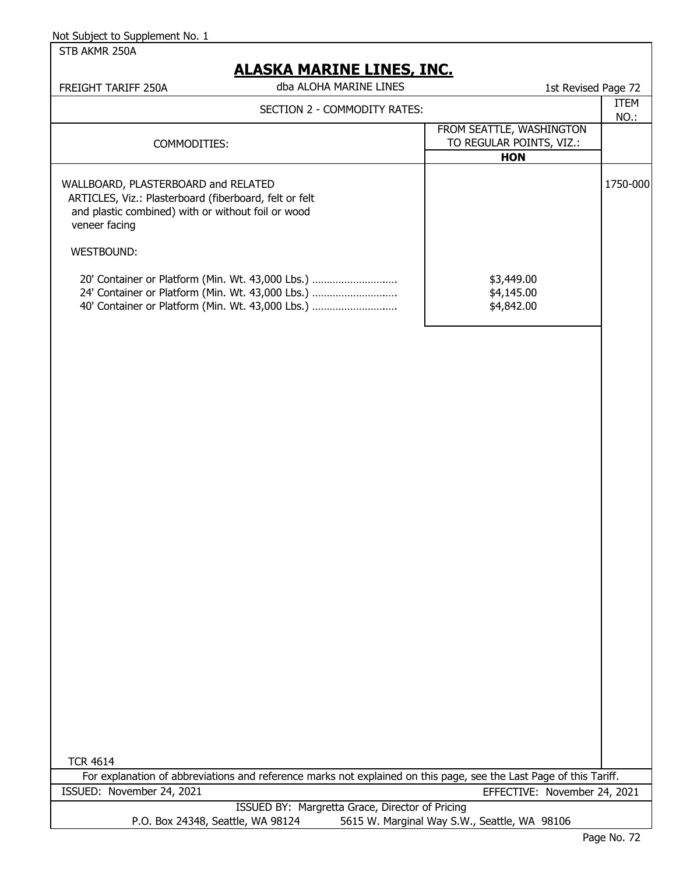STB AKMR 250A

# **ALASKA MARINE LINES, INC.**

| ALAJNA MAKLINE LLINEJ, LINU.<br>dba ALOHA MARINE LINES<br>FREIGHT TARIFF 250A                                                                                        | 1st Revised Page 72                                                |             |
|----------------------------------------------------------------------------------------------------------------------------------------------------------------------|--------------------------------------------------------------------|-------------|
| SECTION 2 - COMMODITY RATES:                                                                                                                                         |                                                                    | <b>ITEM</b> |
| COMMODITIES:                                                                                                                                                         | FROM SEATTLE, WASHINGTON<br>TO REGULAR POINTS, VIZ.:<br><b>HON</b> | NO.:        |
| WALLBOARD, PLASTERBOARD and RELATED<br>ARTICLES, Viz.: Plasterboard (fiberboard, felt or felt<br>and plastic combined) with or without foil or wood<br>veneer facing |                                                                    | 1750-000    |
| WESTBOUND:                                                                                                                                                           |                                                                    |             |
| 20' Container or Platform (Min. Wt. 43,000 Lbs.)<br>24' Container or Platform (Min. Wt. 43,000 Lbs.)<br>40' Container or Platform (Min. Wt. 43,000 Lbs.)             | \$3,449.00<br>\$4,145.00<br>\$4,842.00                             |             |
|                                                                                                                                                                      |                                                                    |             |
|                                                                                                                                                                      |                                                                    |             |
|                                                                                                                                                                      |                                                                    |             |
|                                                                                                                                                                      |                                                                    |             |
|                                                                                                                                                                      |                                                                    |             |
|                                                                                                                                                                      |                                                                    |             |
|                                                                                                                                                                      |                                                                    |             |
|                                                                                                                                                                      |                                                                    |             |
|                                                                                                                                                                      |                                                                    |             |
| <b>TCR 4614</b>                                                                                                                                                      |                                                                    |             |
| For explanation of abbreviations and reference marks not explained on this page, see the Last Page of this Tariff.<br>ISSUED: November 24, 2021                      |                                                                    |             |
| ISSUED BY: Margretta Grace, Director of Pricing                                                                                                                      | EFFECTIVE: November 24, 2021                                       |             |
| P.O. Box 24348, Seattle, WA 98124                                                                                                                                    | 5615 W. Marginal Way S.W., Seattle, WA 98106                       |             |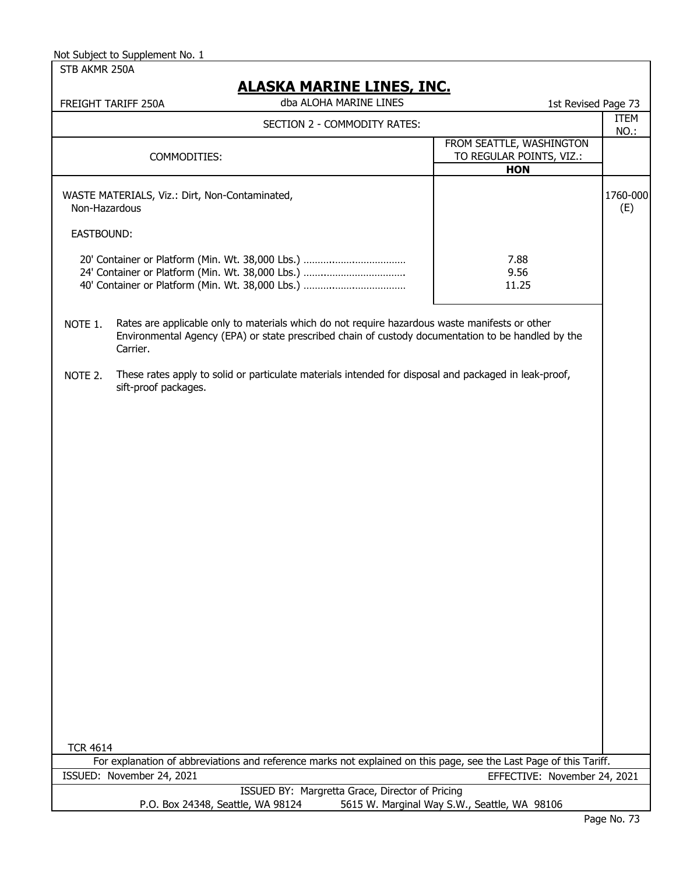## **ALASKA MARINE LINES, INC.**

| dba ALOHA MARINE LINES<br>TARIFF 250A<br><b>FREIGHT</b> |                                  | 1st Revised Page 73 | $-1$ |
|---------------------------------------------------------|----------------------------------|---------------------|------|
|                                                         | TION 2 _ COMMODITV DATEC.<br>∽−′ |                     | ⊢M   |

| SECTION 2 - COMMODITY RATES:                                    |                                                      | 1 L L L 1<br>NO.: |
|-----------------------------------------------------------------|------------------------------------------------------|-------------------|
| COMMODITIES:                                                    | FROM SEATTLE, WASHINGTON<br>TO REGULAR POINTS, VIZ.: |                   |
|                                                                 | <b>HON</b>                                           |                   |
| WASTE MATERIALS, Viz.: Dirt, Non-Contaminated,<br>Non-Hazardous |                                                      | 1760-000<br>(E)   |
| EASTBOUND:                                                      |                                                      |                   |
|                                                                 | 7.88                                                 |                   |
|                                                                 | 9.56                                                 |                   |
|                                                                 | 11.25                                                |                   |

NOTE 1. Rates are applicable only to materials which do not require hazardous waste manifests or other Environmental Agency (EPA) or state prescribed chain of custody documentation to be handled by the Carrier.

NOTE 2. These rates apply to solid or particulate materials intended for disposal and packaged in leak-proof, sift-proof packages.

| <b>TCR 4614</b>                   |                                                                                                                    |
|-----------------------------------|--------------------------------------------------------------------------------------------------------------------|
|                                   | For explanation of abbreviations and reference marks not explained on this page, see the Last Page of this Tariff. |
| ISSUED: November 24, 2021         | EFFECTIVE: November 24, 2021                                                                                       |
|                                   | ISSUED BY: Margretta Grace, Director of Pricing                                                                    |
| P.O. Box 24348, Seattle, WA 98124 | 5615 W. Marginal Way S.W., Seattle, WA 98106                                                                       |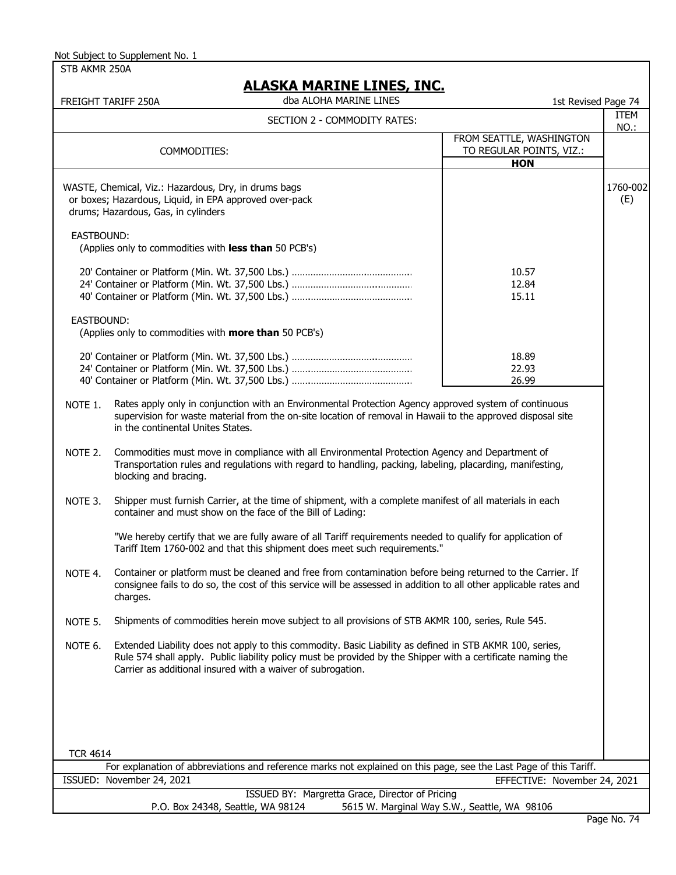STB AKMR 250A

## **ALASKA MARINE LINES, INC.**

|                 | <u>ALAJNA MANINE LINEJ, INJ.</u><br>dba ALOHA MARINE LINES<br>FREIGHT TARIFF 250A                                                                                                                                                                                                      | 1st Revised Page 74                                                |                 |
|-----------------|----------------------------------------------------------------------------------------------------------------------------------------------------------------------------------------------------------------------------------------------------------------------------------------|--------------------------------------------------------------------|-----------------|
|                 | SECTION 2 - COMMODITY RATES:                                                                                                                                                                                                                                                           |                                                                    | ITEM<br>NO.:    |
|                 | COMMODITIES:                                                                                                                                                                                                                                                                           | FROM SEATTLE, WASHINGTON<br>TO REGULAR POINTS, VIZ.:<br><b>HON</b> |                 |
|                 | WASTE, Chemical, Viz.: Hazardous, Dry, in drums bags<br>or boxes; Hazardous, Liquid, in EPA approved over-pack<br>drums; Hazardous, Gas, in cylinders                                                                                                                                  |                                                                    | 1760-002<br>(E) |
| EASTBOUND:      | (Applies only to commodities with less than 50 PCB's)                                                                                                                                                                                                                                  |                                                                    |                 |
|                 |                                                                                                                                                                                                                                                                                        | 10.57<br>12.84<br>15.11                                            |                 |
| EASTBOUND:      | (Applies only to commodities with more than 50 PCB's)                                                                                                                                                                                                                                  |                                                                    |                 |
|                 |                                                                                                                                                                                                                                                                                        | 18.89<br>22.93<br>26.99                                            |                 |
| NOTE 1.         | Rates apply only in conjunction with an Environmental Protection Agency approved system of continuous<br>supervision for waste material from the on-site location of removal in Hawaii to the approved disposal site<br>in the continental Unites States.                              |                                                                    |                 |
| NOTE 2.         | Commodities must move in compliance with all Environmental Protection Agency and Department of<br>Transportation rules and regulations with regard to handling, packing, labeling, placarding, manifesting,<br>blocking and bracing.                                                   |                                                                    |                 |
| NOTE 3.         | Shipper must furnish Carrier, at the time of shipment, with a complete manifest of all materials in each<br>container and must show on the face of the Bill of Lading:                                                                                                                 |                                                                    |                 |
|                 | "We hereby certify that we are fully aware of all Tariff requirements needed to qualify for application of<br>Tariff Item 1760-002 and that this shipment does meet such requirements."                                                                                                |                                                                    |                 |
| NOTE 4.         | Container or platform must be cleaned and free from contamination before being returned to the Carrier. If<br>consignee fails to do so, the cost of this service will be assessed in addition to all other applicable rates and<br>charges.                                            |                                                                    |                 |
| NOTE 5.         | Shipments of commodities herein move subject to all provisions of STB AKMR 100, series, Rule 545.                                                                                                                                                                                      |                                                                    |                 |
| NOTE 6.         | Extended Liability does not apply to this commodity. Basic Liability as defined in STB AKMR 100, series,<br>Rule 574 shall apply. Public liability policy must be provided by the Shipper with a certificate naming the<br>Carrier as additional insured with a waiver of subrogation. |                                                                    |                 |
|                 |                                                                                                                                                                                                                                                                                        |                                                                    |                 |
| <b>TCR 4614</b> |                                                                                                                                                                                                                                                                                        |                                                                    |                 |
|                 | For explanation of abbreviations and reference marks not explained on this page, see the Last Page of this Tariff.                                                                                                                                                                     |                                                                    |                 |
|                 | ISSUED: November 24, 2021                                                                                                                                                                                                                                                              | EFFECTIVE: November 24, 2021                                       |                 |
|                 | ISSUED BY: Margretta Grace, Director of Pricing<br>P.O. Box 24348, Seattle, WA 98124                                                                                                                                                                                                   | 5615 W. Marginal Way S.W., Seattle, WA 98106                       |                 |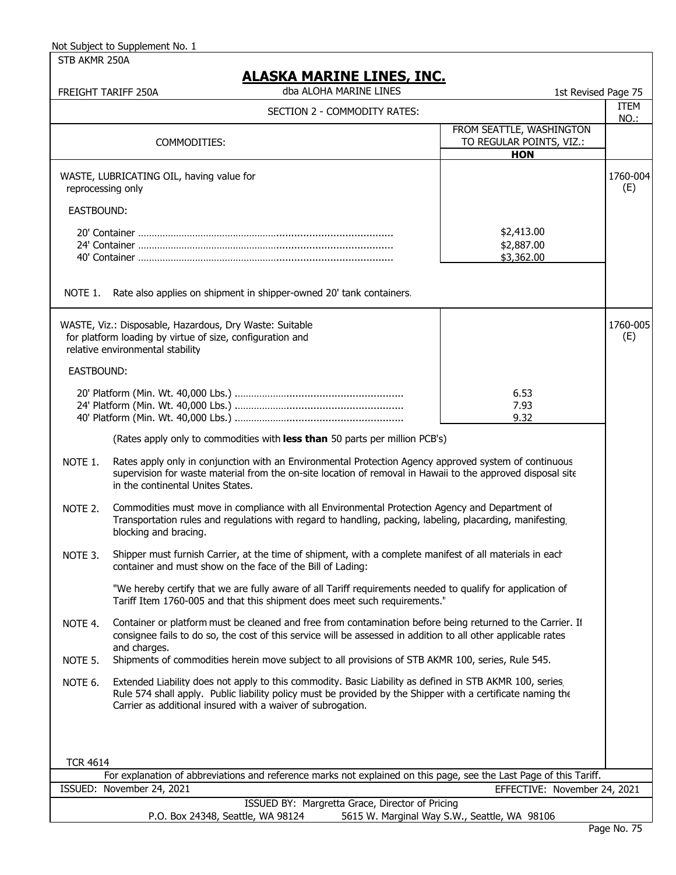STB AKMR 250A

|                   | FREIGHT TARIFF 250A                                                                                                                                      | <b>ALASKA MARINE LINES, INC.</b><br>dba ALOHA MARINE LINES                                                                                                                                                                                                                            | 1st Revised Page 75                                                |                 |
|-------------------|----------------------------------------------------------------------------------------------------------------------------------------------------------|---------------------------------------------------------------------------------------------------------------------------------------------------------------------------------------------------------------------------------------------------------------------------------------|--------------------------------------------------------------------|-----------------|
|                   |                                                                                                                                                          | SECTION 2 - COMMODITY RATES:                                                                                                                                                                                                                                                          |                                                                    | ITEM            |
|                   | COMMODITIES:                                                                                                                                             |                                                                                                                                                                                                                                                                                       | FROM SEATTLE, WASHINGTON<br>TO REGULAR POINTS, VIZ.:<br><b>HON</b> | NO.:            |
| reprocessing only | WASTE, LUBRICATING OIL, having value for                                                                                                                 |                                                                                                                                                                                                                                                                                       |                                                                    | 1760-004<br>(E) |
| <b>EASTBOUND:</b> |                                                                                                                                                          |                                                                                                                                                                                                                                                                                       |                                                                    |                 |
|                   |                                                                                                                                                          |                                                                                                                                                                                                                                                                                       | \$2,413.00<br>\$2,887.00<br>\$3,362.00                             |                 |
| NOTE 1.           |                                                                                                                                                          | Rate also applies on shipment in shipper-owned 20' tank containers.                                                                                                                                                                                                                   |                                                                    |                 |
|                   | WASTE, Viz.: Disposable, Hazardous, Dry Waste: Suitable<br>for platform loading by virtue of size, configuration and<br>relative environmental stability |                                                                                                                                                                                                                                                                                       |                                                                    | 1760-005<br>(E) |
| EASTBOUND:        |                                                                                                                                                          |                                                                                                                                                                                                                                                                                       |                                                                    |                 |
|                   |                                                                                                                                                          |                                                                                                                                                                                                                                                                                       | 6.53<br>7.93<br>9.32                                               |                 |
|                   |                                                                                                                                                          | (Rates apply only to commodities with less than 50 parts per million PCB's)                                                                                                                                                                                                           |                                                                    |                 |
| NOTE 1.           | in the continental Unites States.                                                                                                                        | Rates apply only in conjunction with an Environmental Protection Agency approved system of continuous<br>supervision for waste material from the on-site location of removal in Hawaii to the approved disposal site                                                                  |                                                                    |                 |
| NOTE 2.           | blocking and bracing.                                                                                                                                    | Commodities must move in compliance with all Environmental Protection Agency and Department of<br>Transportation rules and regulations with regard to handling, packing, labeling, placarding, manifesting                                                                            |                                                                    |                 |
| NOTE 3.           |                                                                                                                                                          | Shipper must furnish Carrier, at the time of shipment, with a complete manifest of all materials in each<br>container and must show on the face of the Bill of Lading:                                                                                                                |                                                                    |                 |
|                   |                                                                                                                                                          | "We hereby certify that we are fully aware of all Tariff requirements needed to qualify for application of<br>Tariff Item 1760-005 and that this shipment does meet such requirements."                                                                                               |                                                                    |                 |
| NOTE 4.           | and charges.                                                                                                                                             | Container or platform must be cleaned and free from contamination before being returned to the Carrier. If<br>consignee fails to do so, the cost of this service will be assessed in addition to all other applicable rates                                                           |                                                                    |                 |
| NOTE 5.           |                                                                                                                                                          | Shipments of commodities herein move subject to all provisions of STB AKMR 100, series, Rule 545.                                                                                                                                                                                     |                                                                    |                 |
| NOTE 6.           |                                                                                                                                                          | Extended Liability does not apply to this commodity. Basic Liability as defined in STB AKMR 100, series<br>Rule 574 shall apply. Public liability policy must be provided by the Shipper with a certificate naming the<br>Carrier as additional insured with a waiver of subrogation. |                                                                    |                 |
|                   |                                                                                                                                                          |                                                                                                                                                                                                                                                                                       |                                                                    |                 |
| <b>TCR 4614</b>   |                                                                                                                                                          |                                                                                                                                                                                                                                                                                       |                                                                    |                 |
|                   | ISSUED: November 24, 2021                                                                                                                                | For explanation of abbreviations and reference marks not explained on this page, see the Last Page of this Tariff.                                                                                                                                                                    | EFFECTIVE: November 24, 2021                                       |                 |
|                   |                                                                                                                                                          | ISSUED BY: Margretta Grace, Director of Pricing                                                                                                                                                                                                                                       |                                                                    |                 |
|                   |                                                                                                                                                          | P.O. Box 24348, Seattle, WA 98124                                                                                                                                                                                                                                                     | 5615 W. Marginal Way S.W., Seattle, WA 98106                       |                 |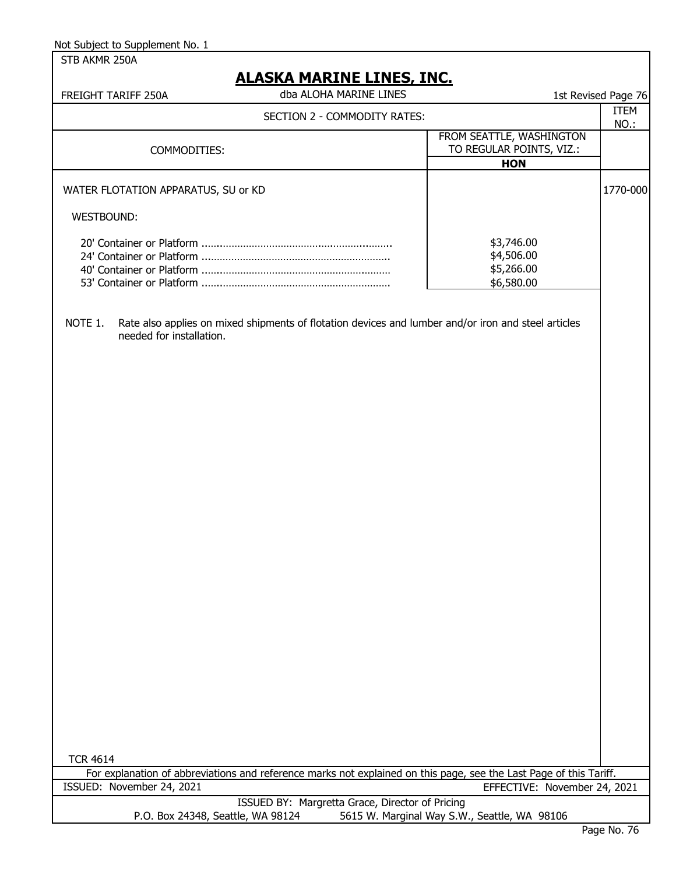| Not Subject to Supplement No. 1     |                                                                                                                    |                                              |                     |
|-------------------------------------|--------------------------------------------------------------------------------------------------------------------|----------------------------------------------|---------------------|
| STB AKMR 250A                       |                                                                                                                    |                                              |                     |
|                                     | <u>ALASKA MARINE LINES, INC.</u>                                                                                   |                                              |                     |
| FREIGHT TARIFF 250A                 | dba ALOHA MARINE LINES                                                                                             |                                              | 1st Revised Page 76 |
|                                     | SECTION 2 - COMMODITY RATES:                                                                                       |                                              | <b>ITEM</b>         |
|                                     |                                                                                                                    | FROM SEATTLE, WASHINGTON                     | NO.:                |
| COMMODITIES:                        |                                                                                                                    | TO REGULAR POINTS, VIZ.:                     |                     |
|                                     |                                                                                                                    | <b>HON</b>                                   |                     |
| WATER FLOTATION APPARATUS, SU or KD |                                                                                                                    |                                              | 1770-000            |
| WESTBOUND:                          |                                                                                                                    |                                              |                     |
|                                     |                                                                                                                    | \$3,746.00                                   |                     |
|                                     |                                                                                                                    | \$4,506.00                                   |                     |
|                                     |                                                                                                                    | \$5,266.00                                   |                     |
|                                     |                                                                                                                    | \$6,580.00                                   |                     |
| NOTE 1.<br>needed for installation. | Rate also applies on mixed shipments of flotation devices and lumber and/or iron and steel articles                |                                              |                     |
|                                     |                                                                                                                    |                                              |                     |
|                                     |                                                                                                                    |                                              |                     |
|                                     |                                                                                                                    |                                              |                     |
|                                     |                                                                                                                    |                                              |                     |
|                                     |                                                                                                                    |                                              |                     |
|                                     |                                                                                                                    |                                              |                     |
|                                     |                                                                                                                    |                                              |                     |
| <b>TCR 4614</b>                     |                                                                                                                    |                                              |                     |
|                                     | For explanation of abbreviations and reference marks not explained on this page, see the Last Page of this Tariff. |                                              |                     |
| ISSUED: November 24, 2021           |                                                                                                                    | EFFECTIVE: November 24, 2021                 |                     |
|                                     | ISSUED BY: Margretta Grace, Director of Pricing                                                                    |                                              |                     |
|                                     | P.O. Box 24348, Seattle, WA 98124                                                                                  | 5615 W. Marginal Way S.W., Seattle, WA 98106 |                     |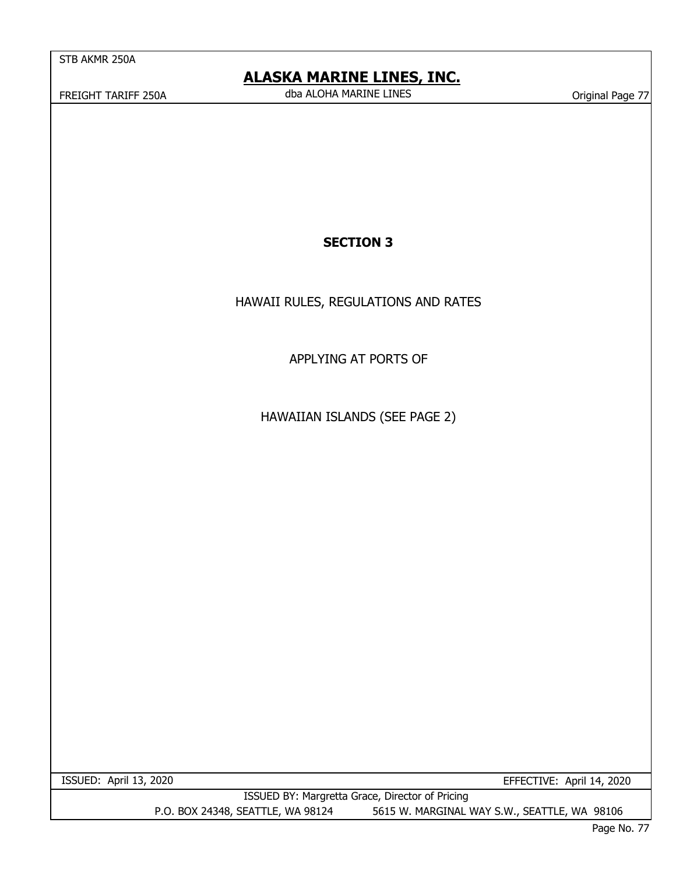# **ALASKA MARINE LINES, INC.**

FREIGHT TARIFF 250A CHA CHA CHA MARINE LINES CONSERVED THAN IN A Conservative Conservative Conservative Conserved Conserved ALOHA MARINE LINES dba ALOHA MARINE LINES

## **SECTION 3**

HAWAII RULES, REGULATIONS AND RATES

APPLYING AT PORTS OF

HAWAIIAN ISLANDS (SEE PAGE 2)

EFFECTIVE: April 14, 2020

ISSUED: April 13, 2020

 ISSUED BY: Margretta Grace, Director of Pricing P.O. BOX 24348, SEATTLE, WA 98124 5615 W. MARGINAL WAY S.W., SEATTLE, WA 98106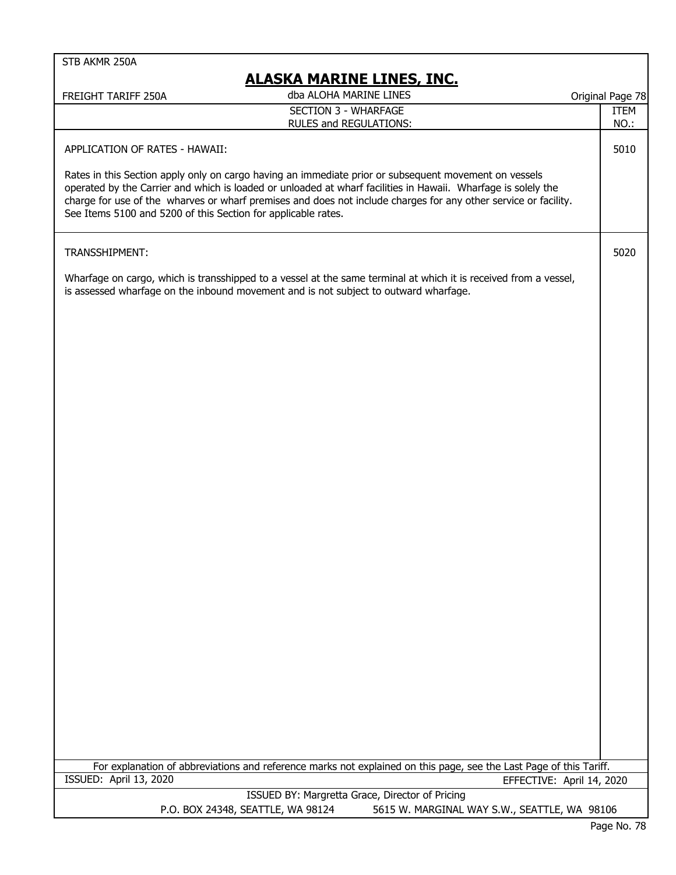## **ALASKA MARINE LINES, INC.**

| FREIGHT TARIFF 250A                                                                                                                                                                                                                                                                                                                                                                                        | dba ALOHA MARINE LINES                         |                                                 |                           | Original Page 78           |
|------------------------------------------------------------------------------------------------------------------------------------------------------------------------------------------------------------------------------------------------------------------------------------------------------------------------------------------------------------------------------------------------------------|------------------------------------------------|-------------------------------------------------|---------------------------|----------------------------|
|                                                                                                                                                                                                                                                                                                                                                                                                            | SECTION 3 - WHARFAGE<br>RULES and REGULATIONS: |                                                 |                           | <b>ITEM</b><br><b>NO.:</b> |
| APPLICATION OF RATES - HAWAII:                                                                                                                                                                                                                                                                                                                                                                             |                                                |                                                 |                           | 5010                       |
| Rates in this Section apply only on cargo having an immediate prior or subsequent movement on vessels<br>operated by the Carrier and which is loaded or unloaded at wharf facilities in Hawaii. Wharfage is solely the<br>charge for use of the wharves or wharf premises and does not include charges for any other service or facility.<br>See Items 5100 and 5200 of this Section for applicable rates. |                                                |                                                 |                           |                            |
| TRANSSHIPMENT:                                                                                                                                                                                                                                                                                                                                                                                             |                                                |                                                 |                           | 5020                       |
| Wharfage on cargo, which is transshipped to a vessel at the same terminal at which it is received from a vessel,<br>is assessed wharfage on the inbound movement and is not subject to outward wharfage.                                                                                                                                                                                                   |                                                |                                                 |                           |                            |
|                                                                                                                                                                                                                                                                                                                                                                                                            |                                                |                                                 |                           |                            |
|                                                                                                                                                                                                                                                                                                                                                                                                            |                                                |                                                 |                           |                            |
|                                                                                                                                                                                                                                                                                                                                                                                                            |                                                |                                                 |                           |                            |
|                                                                                                                                                                                                                                                                                                                                                                                                            |                                                |                                                 |                           |                            |
|                                                                                                                                                                                                                                                                                                                                                                                                            |                                                |                                                 |                           |                            |
|                                                                                                                                                                                                                                                                                                                                                                                                            |                                                |                                                 |                           |                            |
|                                                                                                                                                                                                                                                                                                                                                                                                            |                                                |                                                 |                           |                            |
|                                                                                                                                                                                                                                                                                                                                                                                                            |                                                |                                                 |                           |                            |
|                                                                                                                                                                                                                                                                                                                                                                                                            |                                                |                                                 |                           |                            |
|                                                                                                                                                                                                                                                                                                                                                                                                            |                                                |                                                 |                           |                            |
|                                                                                                                                                                                                                                                                                                                                                                                                            |                                                |                                                 |                           |                            |
|                                                                                                                                                                                                                                                                                                                                                                                                            |                                                |                                                 |                           |                            |
| For explanation of abbreviations and reference marks not explained on this page, see the Last Page of this Tariff.                                                                                                                                                                                                                                                                                         |                                                |                                                 |                           |                            |
| ISSUED: April 13, 2020                                                                                                                                                                                                                                                                                                                                                                                     |                                                |                                                 | EFFECTIVE: April 14, 2020 |                            |
|                                                                                                                                                                                                                                                                                                                                                                                                            |                                                | ISSUED BY: Margretta Grace, Director of Pricing |                           |                            |
|                                                                                                                                                                                                                                                                                                                                                                                                            | P.O. BOX 24348, SEATTLE, WA 98124              | 5615 W. MARGINAL WAY S.W., SEATTLE, WA 98106    |                           |                            |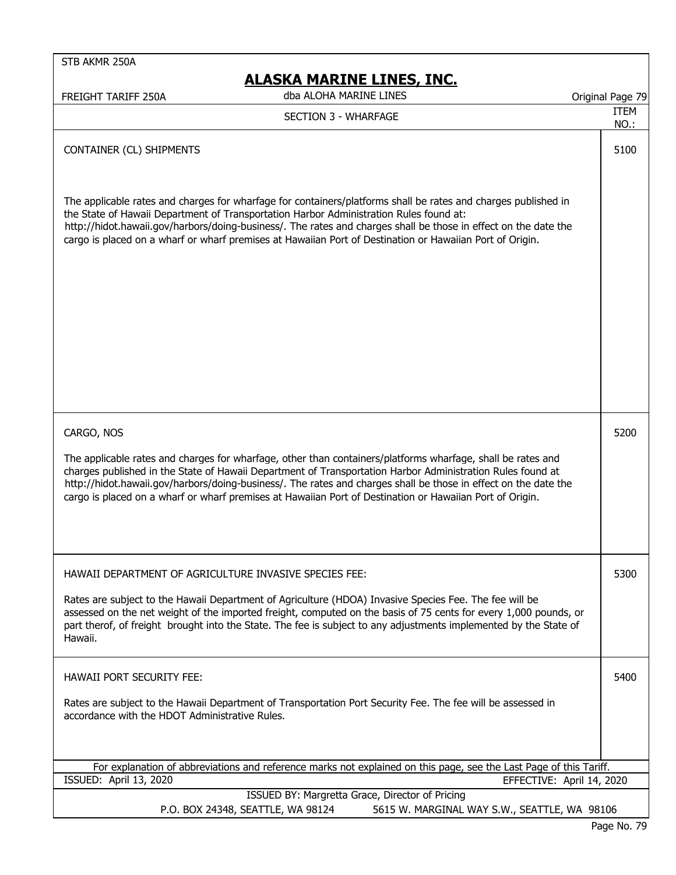# **ALASKA MARINE LINES, INC.**

FREIGHT TARIFF 250A Original Page 79 dba ALOHA MARINE LINES

ITEM NO.:

## SECTION 3 - WHARFAGE

#### CONTAINER (CL) SHIPMENTS **100**

The applicable rates and charges for wharfage for containers/platforms shall be rates and charges published in the State of Hawaii Department of Transportation Harbor Administration Rules found at: http://hidot.hawaii.gov/harbors/doing-business/. The rates and charges shall be those in effect on the date the cargo is placed on a wharf or wharf premises at Hawaiian Port of Destination or Hawaiian Port of Origin.

CARGO, NOS 5200

The applicable rates and charges for wharfage, other than containers/platforms wharfage, shall be rates and charges published in the State of Hawaii Department of Transportation Harbor Administration Rules found at http://hidot.hawaii.gov/harbors/doing-business/. The rates and charges shall be those in effect on the date the cargo is placed on a wharf or wharf premises at Hawaiian Port of Destination or Hawaiian Port of Origin.

HAWAII DEPARTMENT OF AGRICULTURE INVASIVE SPECIES FEE: 5300 Rates are subject to the Hawaii Department of Agriculture (HDOA) Invasive Species Fee. The fee will be assessed on the net weight of the imported freight, computed on the basis of 75 cents for every 1,000 pounds, or part therof, of freight brought into the State. The fee is subject to any adjustments implemented by the State of Hawaii. HAWAII PORT SECURITY FEE: 5400 Rates are subject to the Hawaii Department of Transportation Port Security Fee. The fee will be assessed in accordance with the HDOT Administrative Rules.

| For explanation of abbreviations and reference marks not explained on this page, see the Last Page of this Tariff. |                           |
|--------------------------------------------------------------------------------------------------------------------|---------------------------|
| ISSUED: April 13, 2020                                                                                             | EFFECTIVE: April 14, 2020 |
| ISSUED BY: Margretta Grace, Director of Pricing                                                                    |                           |
| $R \cap R$                                                                                                         | $F = \{M, M, N, N\}$      |

P.O. BOX 24348, SEATTLE, WA 98124 5615 W. MARGINAL WAY S.W., SEATTLE, WA 98106